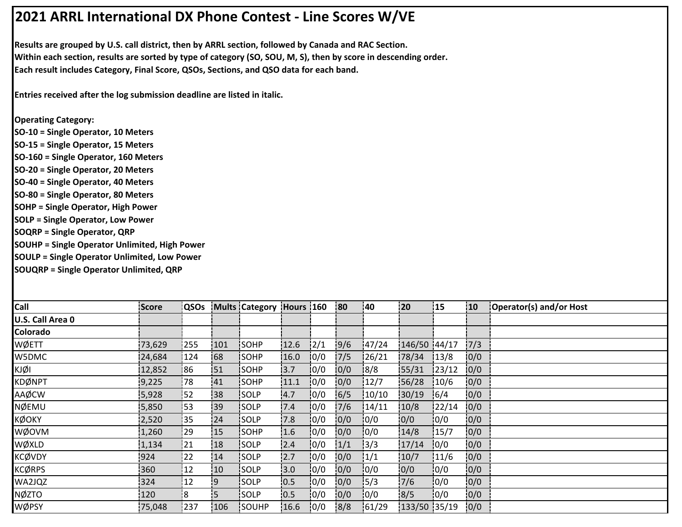## **2021 ARRL International DX Phone Contest ‐ Line Scores W/VE**

**Results are grouped by U.S. call district, then by ARRL section, followed by Canada and RAC Section. Within each section, results are sorted by type of category (SO, SOU, M, S), then by score in descending order. Each result includes Category, Final Score, QSOs, Sections, and QSO data for each band.**

**Entries received after the log submission deadline are listed in italic.**

**Operating Category: SO‐10 = Single Operator, 10 Meters SO‐15 = Single Operator, 15 Meters SO‐160 = Single Operator, 160 Meters SO‐20 = Single Operator, 20 Meters SO‐40 = Single Operator, 40 Meters SO‐80 = Single Operator, 80 Meters SOHP = Single Operator, High Power SOLP = Single Operator, Low Power SOQRP = Single Operator, QRP SOUHP = Single Operator Unlimited, High Power**

**SOULP = Single Operator Unlimited, Low Power**

**SOUQRP = Single Operator Unlimited, QRP**

| Call             | <b>Score</b> | <b>QSOs</b> |     | Mults Category Hours 160 |      |      | <b>80</b> | 40     | 20           | 15     | i 10 | Operator(s) and/or Host |
|------------------|--------------|-------------|-----|--------------------------|------|------|-----------|--------|--------------|--------|------|-------------------------|
| U.S. Call Area 0 |              |             |     |                          |      |      |           |        |              |        |      |                         |
| Colorado         |              |             |     |                          |      |      |           |        |              |        |      |                         |
| WØETT            | 73,629       | 255         | 101 | SOHP                     | 12.6 | 12/1 | 9/6       | 147/24 | 146/50 44/17 |        | 17/3 |                         |
| W5DMC            | 24,684       | 124         | 68  | <b>SOHP</b>              | 16.0 | 0/0  | 7/5       | 126/21 | 78/34        | 13/8   | 0/0  |                         |
| KJØI             | 12,852       | 86          | 51  | <b>ISOHP</b>             | 3.7  | 10/0 | 0/0       | 8/8    | 155/31       | 123/12 | 0/0  |                         |
| <b>KDØNPT</b>    | 9,225        | 78          | 41  | SOHP                     | 11.1 | 0/0  | 0/0       | 12/7   | 56/28        | 10/6   | 0/0  |                         |
| AAØCW            | 5,928        | 52          | 38  | SOLP                     | 4.7  | 10/0 | 6/5       | 10/10  | 30/19        | 16/4   | 0/0  |                         |
| NØEMU            | 5,850        | 53          | :39 | SOLP                     | 7.4  | 10/0 | 17/6      | 14/11  | 10/8         | 122/14 | 0/0  |                         |
| <b>KØOKY</b>     | 2,520        | i35         | 24  | <b>SOLP</b>              | 7.8  | 10/0 | 0/0       | 10/0   | 0/0          | 0/0    | 0/0  |                         |
| WØOVM            | 1,260        | 29          | 15  | SOHP                     | 1.6  | 0/0  | 0/0       | 0/0    | 14/8         | 15/7   | 0/0  |                         |
| WØXLD            | 1,134        | 21          | 18  | SOLP                     | 2.4  | 0/0  | 1/1       | 13/3   | 17/14        | 0/0    | 0/0  |                         |
| <b>KCØVDY</b>    | 924          | 22          | 14  | SOLP                     | 12.7 | 0/0  | 0/0       | 1/1    | 10/7         | 11/6   | 0/0  |                         |
| <b>KCØRPS</b>    | 360          | 12          | 10  | <b>SOLP</b>              | 3.0  | 10/0 | 0/0       | 10/0   | 10/0         | 10/0   | 0/0  |                         |
| WA2JQZ           | 324          | 12          | '9  | <b>SOLP</b>              | 10.5 | 0/0  | 0/0       | 15/3   | 7/6          | 0/0    | 0/0  |                         |
| <b>NØZTO</b>     | 120          | l8          | :5  | SOLP                     | 0.5  | 0/0  | 0/0       | 0/0    | 8/5          | 0/0    | 0/0  |                         |
| WØPSY            | 75,048       | 237         | 106 | SOUHP                    | 16.6 | 0/0  | 8/8       | 161/29 | 133/50 35/19 |        | 0/0  |                         |
|                  |              |             |     |                          |      |      |           |        |              |        |      |                         |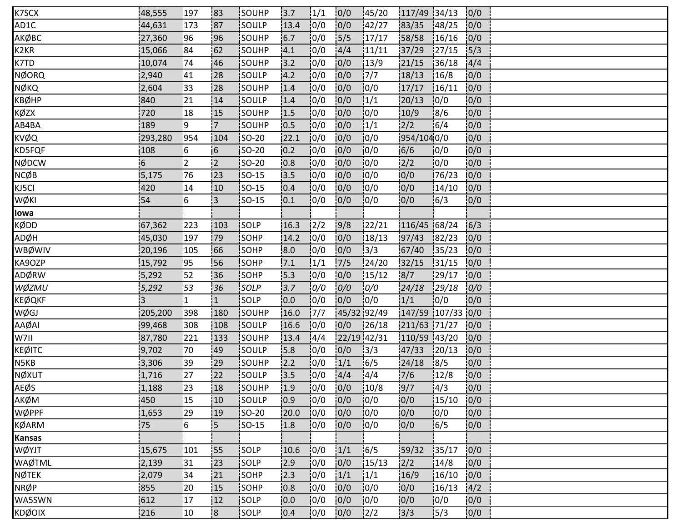| K7SCX         | 48,555          | 197       | 183                      | <b>ISOUHP</b> | 13.7 | 1/1           | 0/0         | 145/20        | 117/49 34/13      |        | 0/0  |  |
|---------------|-----------------|-----------|--------------------------|---------------|------|---------------|-------------|---------------|-------------------|--------|------|--|
| AD1C          | 44,631          | 173       | 187                      | SOULP         | 13.4 | 0/0           | 0/0         | 142/27        | 83/35             | 148/25 | 0/0  |  |
| АКØВС         | 27,360          | 196       | 96                       | SOUHP         | 6.7  | 0/0           | 15/5        | 17/17         | 58/58             | 16/16  | 0/0  |  |
| K2KR          | 15,066          | 84        | 62                       | SOUHP         | 4.1  | 0/0           | 4/4         | 11/11         | 37/29             | 127/15 | 15/3 |  |
| K7TD          | 10,074          | 74        | 46                       | SOUHP         | 13.2 | 10/0          | 0/0         | 13/9          | 21/15             | 136/18 | 4/4  |  |
| NØORQ         | 2,940           | 41        | 28                       | <b>SOULP</b>  | 4.2  | 0/0           | 0/0         | 7/7           | 18/13             | 16/8   | 0/0  |  |
| NØKQ          | 2,604           | 33        | 28                       | SOUHP         | 1.4  | 0/0           | 0/0         | 0/0           | 17/17             | 16/11  | 0/0  |  |
| KBØHP         | 840             | 21        | 14                       | SOULP         | 1.4  | 0/0           | 0/0         | 1/1           | 20/13             | 0/0    | 0/0  |  |
| KØZX          | 720             | 18        | 15                       | SOUHP         | 1.5  | 10/0          | 0/0         | 10/0          | 10/9              | 18/6   | 0/0  |  |
| AB4BA         | 189             | ļ9        | $\overline{7}$           | <b>SOUHP</b>  | 0.5  | 10/0          | 0/0         | 1/1           | 2/2               | 16/4   | 0/0  |  |
| KVØQ          | 293,280         | 954       | 104                      | $ SO-20 $     | 22.1 | 10/0          | 0/0         | 10/0          | 954/1040/0        |        | 0/0  |  |
| KD5FQF        | 108             | 6         | $\overline{\phantom{0}}$ | $ SO-20$      | 0.2  | 0/0           | 0/0         | 0/0           | 6/6               | 0/0    | 0/0  |  |
| NØDCW         | $6 \frac{1}{2}$ | 2         | 2                        | <b>SO-20</b>  | 10.8 | 10/0          | 0/0         | 10/0          | 2/2               | 10/0   | 0/0  |  |
| NCØB          | 5,175           | 76        | 23                       | <b>SO-15</b>  | 13.5 | 10/0          | 0/0         | 10/0          | 0/0               | 76/23  | 0/0  |  |
| KJ5CI         | 420             | 14        | 10                       | <b>SO-15</b>  | 10.4 | 0/0           | 0/0         | 10/0          | 0/0               | 14/10  | 0/0  |  |
| WØKI          | 54              | 16        | :3                       | $ SO-15 $     | 0.1  | 0/0           | 0/0         | 10/0          | 0/0               | 16/3   | 0/0  |  |
| lowa          |                 |           |                          |               |      |               |             |               |                   |        |      |  |
| KØDD          | 67,362          | 223       | 103                      | SOLP          | 16.3 | $\frac{1}{2}$ | 9/8         | 122/21        | 116/45 68/24      |        | 6/3  |  |
| ADØH          | 45,030          | 197       | 179                      | <b>SOHP</b>   | 14.2 | 10/0          | 0/0         | 18/13         | 97/43             | 182/23 | 0/0  |  |
| WBØWIV        | 20,196          | 105       | 66                       | SOHP          | 8.0  | 0/0           | 0/0         | 3/3           | 67/40             | 35/23  | 0/0  |  |
| KA9OZP        | 15,792          | 95        | <b>56</b>                | SOHP          | 7.1  | 1/1           | $7/5$       | 124/20        | 32/15             | 31/15  | 0/0  |  |
| ADØRW         | 5,292           | 52        | 136                      | SOHP          | 15.3 | 10/0          | 0/0         | 15/12         | 8/7               | 129/17 | 0/0  |  |
| WØZMU         | 5,292           | 53        | 36                       | SOLP          | 3.7  | 0/0           | 0/0         | 0/0           | 24/18             | 29/18  | 0/0  |  |
| KEØQKF        | 3               | $\vert$ 1 | $\overline{1}$           | isolp         | 0.0  | 0/0           | 0/0         | 10/0          | 1/1               | 10/0   | 0/0  |  |
| WØGJ          | 205,200         | 398       | 180                      | SOUHP         | 16.0 | 7/7           | 45/32 92/49 |               | 147/59 107/33 0/0 |        |      |  |
| AAØAI         | 99,468          | 308       | 108                      | SOULP         | 16.6 | 0/0           | 0/0         | 126/18        | 211/63 71/27      |        | 0/0  |  |
| W7II          | 87,780          | 221       | 133                      | SOUHP         | 13.4 | 4/4           | 22/19 42/31 |               | 110/59 43/20      |        | 0/0  |  |
| KEØITC        | 9,702           | 70        | 149                      | <b>SOULP</b>  | 5.8  | 10/0          | 0/0         | 13/3          | 47/33             | 120/13 | 0/0  |  |
| N5KB          | 3,306           | 39        | 29                       | SOUHP         | 2.2  | 10/0          | 1/1         | 16/5          | 24/18             | 18/5   | 0/0  |  |
| NØXUT         | 1,716           | 27        | 22                       | SOULP         | 3.5  | 0/0           | 4/4         | 14/4          | 7/6               | 12/8   | 0/0  |  |
| <b>AEØS</b>   | 1,188           | 23        | 18                       | SOUHP         | 1.9  | 0/0           | 10/0        | 10/8          | 9/7               | 4/3    | 0/0  |  |
| AKØM          | 450             | 15        | 10                       | <b>SOULP</b>  | 10.9 | 10/0          | 0/0         | 10/0          | 0/0               | 15/10  | 0/0  |  |
| WØPPF         | 1,653           | 29        | 19                       | SO-20         | 20.0 | 10/0          | 0/0         | 10/0          | 0/0               | 10/0   | 0/0  |  |
| KØARM         | 75              | 6         | 5                        | $SO-15$       | 1.8  | 0/0           | 0/0         | 0/0           | 0/0               | 16/5   | 0/0  |  |
| <b>Kansas</b> |                 |           |                          |               |      |               |             |               |                   |        |      |  |
| WØYJT         | 15,675          | 101       | :55                      | <b>SOLP</b>   | 10.6 | 10/0          | 1/1         | 16/5          | 59/32             | 135/17 | 10/0 |  |
| <b>WAØTML</b> | 2,139           | 31        | 23                       | SOLP          | 2.9  | 10/0          | 0/0         | 15/13         | 2/2               | 14/8   | 0/0  |  |
| NØTEK         | 2,079           | :34       | 21                       | SOHP          | 12.3 | 10/0          | 1/1         | 1/1           | 16/9              | 16/10  | 0/0  |  |
| NRØP          | 855             | 20        | 15                       | SOHP          | 0.8  | 0/0           | 0/0         | 0/0           | 0/0               | 16/13  | 4/2  |  |
| WA5SWN        | 612             | 17        | 12                       | SOLP          | 10.0 | 0/0           | 0/0         | 0/0           | 0/0               | 0/0    | 0/0  |  |
| KDØOIX        | 216             | 10        | $\overline{\mathbf{8}}$  | <b>SOLP</b>   | 0.4  | 0/0           | 0/0         | $\frac{1}{2}$ | 3/3               | 15/3   | 0/0  |  |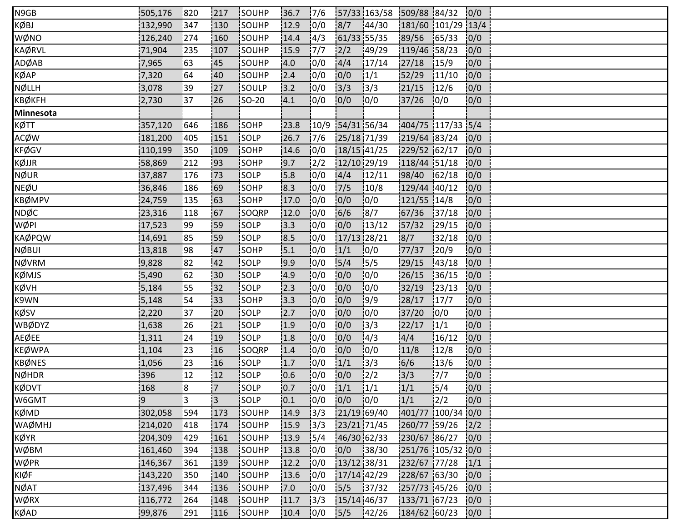| N9GB             | 505,176 | 820 | 217            | SOUHP       | 36.7 | 17/6           |               | 57/33 163/58 509/88 84/32 |                    |               | 0/0  |  |
|------------------|---------|-----|----------------|-------------|------|----------------|---------------|---------------------------|--------------------|---------------|------|--|
| KØBJ             | 132,990 | 347 | 130            | SOUHP       | 12.9 | 0/0            | 8/7           | 144/30                    | 181/60 101/29 13/4 |               |      |  |
| WØNO             | 126,240 | 274 | 160            | SOUHP       | 14.4 | 4/3            | 61/33 55/35   |                           | 89/56              | 165/33        | 0/0  |  |
| <b>KAØRVL</b>    | 71,904  | 235 | 107            | SOUHP       | 15.9 | 17/7           | 2/2           | 149/29                    | 119/46 58/23       |               | 10/0 |  |
| ADØAB            | 7,965   | 63  | 45             | SOUHP       | 4.0  | 10/0           | 4/4           | 17/14                     | 27/18              | 15/9          | 0/0  |  |
| KØAP             | 7,320   | 64  | 40             | SOUHP       | 2.4  | 0/0            | 0/0           | 1/1                       | 52/29              | 11/10         | 0/0  |  |
| NØLLH            | 3,078   | :39 | 127            | SOULP       | 3.2  | 0/0            | 3/3           | 13/3                      | 21/15              | 12/6          | 0/0  |  |
| ҞВØ҆ҜҒН          | 2,730   | 37  | 26             | $ SO-20 $   | .4.1 | 0/0            | 0/0           | 10/0                      | 37/26              | 10/0          | 0/0  |  |
| <b>Minnesota</b> |         |     |                |             |      |                |               |                           |                    |               |      |  |
| ҝѻ҃ҭ             | 357,120 | 646 | 186            | SOHP        | 23.8 | 10/9           | 54/31 56/34   |                           | 404/75 117/33 5/4  |               |      |  |
| ACØW             | 181,200 | 405 | 151            | SOLP        | 26.7 | 17/6           | 25/18 71/39   |                           | 219/64 83/24       |               | 0/0  |  |
| KFØGV            | 110,199 | 350 | 109            | SOHP        | 14.6 | 0/0            | 18/15 41/25   |                           | 229/52 62/17       |               | 0/0  |  |
| KØJJR            | 58,869  | 212 | 193            | <b>SOHP</b> | 19.7 | $\frac{12}{2}$ | 12/10 29/19   |                           | 118/44 51/18       |               | 10/0 |  |
| NØUR             | 37,887  | 176 | 73             | <b>SOLP</b> | 5.8  | 10/0           | 14/4          | 12/11                     | 98/40              | 162/18        | 10/0 |  |
| NEØU             | 36,846  | 186 | 69             | <b>SOHP</b> | 8.3  | 10/0           | 7/5           | 10/8                      | 129/44 40/12       |               | 0/0  |  |
| KBØMPV           | 24,759  | 135 | 63             | SOHP        | 17.0 | 0/0            | 0/0           | 0/0                       | 121/55 14/8        |               | 0/0  |  |
| NDØC             | 23,316  | 118 | 167            | SOQRP       | 12.0 | 0/0            | 6/6           | 8/7                       | 67/36              | 137/18        | 0/0  |  |
| WØPI             | 17,523  | 99  | 59             | <b>SOLP</b> | 3.3  | 10/0           | 0/0           | 13/12                     | 57/32              | 129/15        | 0/0  |  |
| <b>KAØPQW</b>    | 14,691  | 85  | <b>59</b>      | <b>SOLP</b> | 8.5  | 10/0           | 17/13 28/21   |                           | 8/7                | 32/18         | 0/0  |  |
| NØBUI            | 13,818  | 98  | 47             | SOHP        | 15.1 | 10/0           | 1/1           | 0/0                       | 77/37              | 120/9         | 0/0  |  |
| NØVRM            | 9,828   | 82  | 42             | SOLP        | 19.9 | 10/0           | 5/4           | 15/5                      | 29/15              | 143/18        | 0/0  |  |
| KØMJS            | 5,490   | 62  | 30             | SOLP        | 14.9 | 10/0           | 0/0           | 10/0                      | 26/15              | 36/15         | 0/0  |  |
| KØVH             | 5,184   | 55  | 32             | <b>SOLP</b> | 2.3  | 10/0           | 0/0           | 0/0                       | 32/19              | 123/13        | 10/0 |  |
| K9WN             | 5,148   | 54  | 33             | SOHP        | 13.3 | 10/0           | 0/0           | 9/9                       | 28/17              | 17/7          | 10/0 |  |
| KØSV             | 2,220   | 37  | 20             | SOLP        | 12.7 | 0/0            | 0/0           | 10/0                      | 37/20              | 0/0           | 0/0  |  |
| WBØDYZ           | 1,638   | 26  | 21             | SOLP        | 1.9  | 0/0            | 0/0           | 13/3                      | 22/17              | 1/1           | 0/0  |  |
| AEØEE            | 1,311   | 24  | 19             | <b>SOLP</b> | 1.8  | 10/0           | 0/0           | 14/3                      | 4/4                | 16/12         | 0/0  |  |
| KEØWPA           | 1,104   | 23  | 16             | SOQRP       | 1.4  | 10/0           | 0/0           | 10/0                      | 11/8               | 12/8          | 0/0  |  |
| KBØNES           | 1,056   | 123 | 16             | SOLP        | 1.7  | 0/0            | 1/1           | 13/3                      | 6/6                | 13/6          | 0/0  |  |
| NØHDR            | 396     | 12  | 12             | SOLP        | 10.6 | 0/0            | 0/0           | $\frac{1}{2}$             | 3/3                | 7/7           | 0/0  |  |
| KØDVT            | 168     | !8  | $\overline{7}$ | SOLP        | 0.7  | 10/0           | 1/1           | 1/1                       | 1/1                | 15/4          | 0/0  |  |
| W6GMT            | i9      | l3. | 3              | <b>SOLP</b> | 0.1  | 10/0           | 0/0           | 10/0                      | 1/1                | $\frac{1}{2}$ | 10/0 |  |
| KØMD             | 302,058 | 594 | 173            | SOUHP       | 14.9 | 3/3            | 21/19 69/40   |                           | 401/77 100/34 0/0  |               |      |  |
| WAØMHJ           | 214,020 | 418 | 174            | SOUHP       | 15.9 | 13/3           | 23/21 71/45   |                           | 260/77 59/26       |               | 12/2 |  |
| KØYR             | 204,309 | 429 | 161            | SOUHP       | 13.9 | 15/4           | 46/30 62/33   |                           | 230/67 86/27       |               | 0/0  |  |
| WØBM             | 161,460 | 394 | 138            | SOUHP       | 13.8 | 0/0            | 0/0           | 38/30                     | 251/76 105/32 0/0  |               |      |  |
| WØPR             | 146,367 | 361 | 139            | SOUHP       | 12.2 | 10/0           | 13/12 38/31   |                           | 232/67 77/28       |               | 1/1  |  |
| KIØF             | 143,220 | 350 | 140            | SOUHP       | 13.6 | 0/0            | 17/14 42/29   |                           | 228/67 63/30       |               | 0/0  |  |
| NØAT             | 137,496 | 344 | 136            | SOUHP       | 7.0  | 0/0            | 5/5           | 37/32                     | 257/73 45/26       |               | 0/0  |  |
| WØRX             | 116,772 | 264 | 148            | SOUHP       | 11.7 | 3/3            | $15/14$ 46/37 |                           | 133/71 67/23       |               | 0/0  |  |
| KØAD             | 99,876  | 291 | 116            | SOUHP       | 10.4 | 0/0            | 5/5           | 142/26                    | 184/62 60/23       |               | 0/0  |  |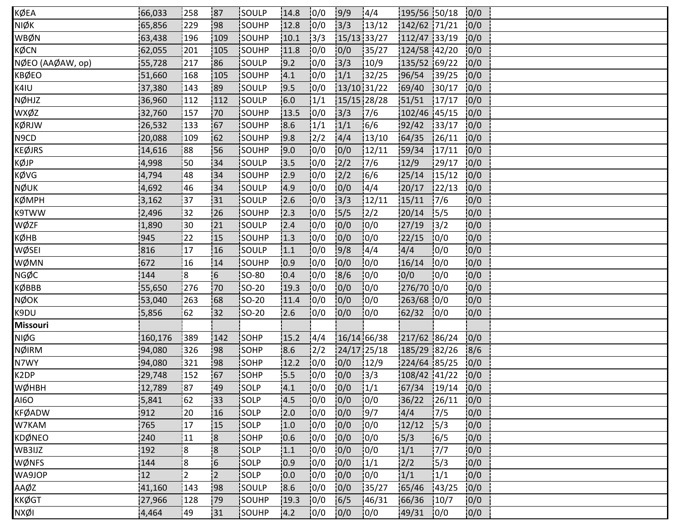| KØEA             | 66,033  | 258  | 187                     | <b>ISOULP</b> | 14.8 | 10/0          | 9/9           | 14/4          | 195/56 50/18  |        | 0/0  |  |
|------------------|---------|------|-------------------------|---------------|------|---------------|---------------|---------------|---------------|--------|------|--|
| NIØK             | 65,856  | 229  | 98                      | SOUHP         | 12.8 | 10/0          | 3/3           | 13/12         | 142/62 71/21  |        | 0/0  |  |
| WBØN             | 63,438  | 196  | 109                     | SOUHP         | 10.1 | 3/3           | $15/13$ 33/27 |               | 112/47 33/19  |        | 0/0  |  |
| KØCN             | 62,055  | 201  | 105                     | SOUHP         | 11.8 | 0/0           | 0/0           | 135/27        | 124/58 42/20  |        | 10/0 |  |
| NØEO (AAØAW, op) | 55,728  | 217  | 186                     | SOULP         | 9.2  | 10/0          | 3/3           | 10/9          | 135/52 69/22  |        | 0/0  |  |
| KBØEO            | 51,660  | 168  | 105                     | SOUHP         | 4.1  | 0/0           | 1/1           | 132/25        | 96/54         | 139/25 | 0/0  |  |
| K4IU             | 37,380  | 143  | 89                      | SOULP         | 19.5 | 0/0           | 13/10 31/22   |               | 69/40         | 130/17 | 0/0  |  |
| NØHJZ            | 36,960  | 112  | 112                     | SOULP         | 6.0  | 1/1           | 15/15 28/28   |               | 151/51        | 17/17  | 10/0 |  |
| wxøz             | 32,760  | 157  | 170                     | <b>SOUHP</b>  | 13.5 | 10/0          | 13/3          | 17/6          | 102/46 45/15  |        | 10/0 |  |
| KØRJW            | 26,532  | 133] | 167                     | isouhp        | 8.6  | 1/1           | 1/1           | 16/6          | 92/42         | 133/17 | 0/0  |  |
| N9CD             | 20,088  | 109  | 62                      | SOUHP         | 9.8  | $\frac{2}{2}$ | 4/4           | 13/10         | 64/35         | 126/11 | 0/0  |  |
| KEØJRS           | 14,616  | 88   | 56                      | SOUHP         | 9.0  | 0/0           | 0/0           | 12/11         | 59/34         | 17/11  | 0/0  |  |
| KØJP             | 4,998   | 50   | :34                     | <b>SOULP</b>  | 13.5 | 10/0          | 2/2           | 17/6          | 12/9          | 29/17  | 10/0 |  |
| KØVG             | 4,794   | 48   | 34                      | SOUHP         | 12.9 | 10/0          | 2/2           | 16/6          | 25/14         | 15/12  | 0/0  |  |
| NØUK             | 4,692   | 46   | 34                      | isoulp        | 4.9  | 10/0          | 0/0           | 14/4          | 20/17         | 122/13 | 0/0  |  |
| ҞØМРН            | 3,162   | 37   | 31                      | SOULP         | 2.6  | 0/0           | 3/3           | 12/11         | 15/11         | 17/6   | 0/0  |  |
| K9TWW            | 2,496   | 32   | 26                      | SOUHP         | 2.3  | 0/0           | $5/5$         | $\frac{1}{2}$ | 20/14         | 15/5   | 0/0  |  |
| WØZF             | 1,890   | 30   | 121                     | SOULP         | 2.4  | 0/0           | 0/0           | 10/0          | 27/19         | 13/2   | 0/0  |  |
| кØнв             | 945     | 22   | 15                      | <b>SOUHP</b>  | 1.3  | 10/0          | 0/0           | 10/0          | 22/15         | 10/0   | 0/0  |  |
| WØSEI            | 816     | 17   | 16                      | SOULP         | 1.1  | 0/0           | 9/8           | 14/4          | 4/4           | 10/0   | 0/0  |  |
| WØMN             | 672     | 16   | 14                      | SOUHP         | 0.9  | 0/0           | 0/0           | 10/0          | 16/14         | 0/0    | 0/0  |  |
| NGØC             | 144     | 8    | 6                       | <b>SO-80</b>  | 10.4 | 10/0          | 8/6           | 10/0          | 10/0          | 10/0   | 0/0  |  |
| KØBBB            | 55,650  | 276  | !70                     | SO-20         | 19.3 | 10/0          | 0/0           | 10/0          | 276/70 0/0    |        | 0/0  |  |
| NØOK             | 53,040  | 263  | 68                      | SO-20         | 11.4 | 10/0          | 0/0           | 0/0           | 263/68 0/0    |        | 0/0  |  |
| K9DU             | 5,856   | 62   | 32                      | SO-20         | 2.6  | 0/0           | 0/0           | 0/0           | 62/32         | 10/0   | 0/0  |  |
| <b>Missouri</b>  |         |      |                         |               |      |               |               |               |               |        |      |  |
| NIØG             | 160,176 | 389  | 142                     | SOHP          | 15.2 | 4/4           | $16/14$ 66/38 |               | 217/62 86/24  |        | 0/0  |  |
| NØIRM            | 94,080  | 326  | 198                     | <b>SOHP</b>   | 8.6  | $\frac{1}{2}$ | 24/17 25/18   |               | 185/29 82/26  |        | 18/6 |  |
| N7WY             | 94,080  | 321  | :98                     | SOHP          | 12.2 | 10/0          | 0/0           | 12/9          | 224/64 85/25  |        | 0/0  |  |
| K2DP             | 29,748  | 152  | 167                     | SOHP          | 15.5 | 10/0          | 0/0           | 3/3           | 108/42 41/22  |        | 0/0  |  |
| WØHBH            | 12,789  | :87  | 49                      | SOLP          | 4.1  | 10/0          | 0/0           | 1/1           | $67/34$ 19/14 |        | 0/0  |  |
| A160             | 5,841   | 62   | 33                      | SOLP          | 4.5  | 10/0          | 0/0           | 10/0          | 36/22         | 126/11 | 0/0  |  |
| <b>KFØADW</b>    | 912     | 20   | 16                      | isolp         | 12.0 | 10/0          | 0/0           | 19/7          | 4/4           | 17/5   | 0/0  |  |
| W7KAM            | 765     | 17   | 15                      | SOLP          | 1.0  | 10/0          | 0/0           | 0/0           | 12/12         | 15/3   | 0/0  |  |
| KDØNEO           | 240     | 11   | $\overline{\mathbf{8}}$ | SOHP          | 10.6 | 0/0           | 0/0           | 10/0          | 5/3           | 16/5   | 0/0  |  |
| WB3IJZ           | 192     | 8    | $\overline{\mathbf{8}}$ | SOLP          | 1.1  | 10/0          | 0/0           | 10/0          | 1/1           | 7/7    | 10/0 |  |
| WØNFS            | 144     | :8   | 6                       | SOLP          | 0.9  | 10/0          | 0/0           | 1/1           | 2/2           | 5/3    | 0/0  |  |
| WA9JOP           | 12      | :2   | $\overline{2}$          | SOLP          | 0.0  | 10/0          | 0/0           | 10/0          | 1/1           | 1/1    | 0/0  |  |
| AAØZ             | 41,160  | 143  | 98                      | SOULP         | 8.6  | 0/0           | 0/0           | 35/27         | 65/46         | 143/25 | 0/0  |  |
| <b>KKØGT</b>     | 27,966  | 128  | .79                     | SOUHP         | 19.3 | 0/0           | 6/5           | 146/31        | 66/36         | 10/7   | 0/0  |  |
| NXØI             | 4,464   | 149  | 131                     | SOUHP         | 4.2  | 10/0          | 0/0           | 10/0          | 49/31         | 10/0   | 0/0  |  |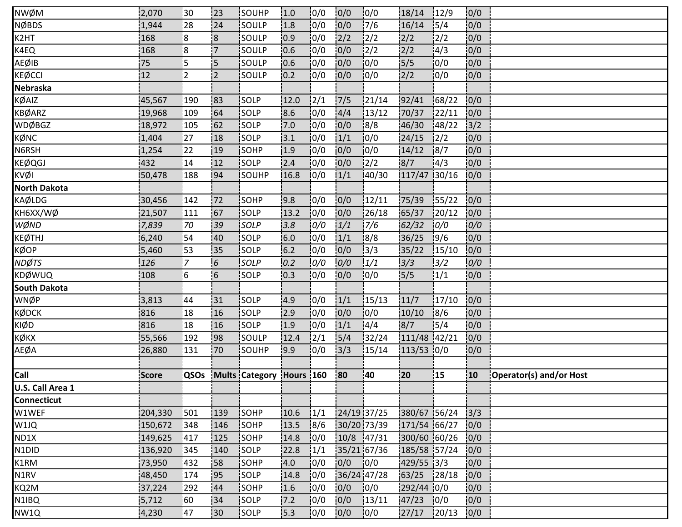| NWØM                | 2,070   | i30            | 123                      | <b>ISOUHP</b>         | 1.0       | 0/0           | 0/0         | 10/0          | 18/14        | 12/9           | 0/0             |                         |
|---------------------|---------|----------------|--------------------------|-----------------------|-----------|---------------|-------------|---------------|--------------|----------------|-----------------|-------------------------|
| NØBDS               | 1,944   | 28             | 24                       | SOULP                 | 1.8       | 0/0           | 0/0         | 7/6           | 16/14        | 15/4           | 0/0             |                         |
| K2HT                | 168     | 8              | 8                        | SOULP                 | 0.9       | 0/0           | 2/2         | $\frac{2}{2}$ | 2/2          | 12/2           | 0/0             |                         |
| K4EQ                | 168     | 8              | $\overline{7}$           | SOULP                 | 10.6      | 0/0           | 0/0         | $\frac{1}{2}$ | 2/2          | 14/3           | 0/0             |                         |
| AEØIB               | 75      | i5             | 5                        | <b>SOULP</b>          | 10.6      | $\sqrt{10}/0$ | 0/0         | 10/0          | 5/5          | 10/0           | 0/0             |                         |
| KEØCCI              | 12      | $\overline{2}$ | $\overline{2}$           | SOULP                 | 0.2       | 0/0           | 0/0         | 10/0          | 2/2          | 0/0            | 0/0             |                         |
| Nebraska            |         |                |                          |                       |           |               |             |               |              |                |                 |                         |
| KØAIZ               | 45,567  | 190            | 83                       | SOLP                  | 12.0      | 12/1          | 7/5         | 121/14        | 92/41        | 68/22          | 0/0             |                         |
| KBØARZ              | 19,968  | 109            | 64                       | <b>SOLP</b>           | 8.6       | 0/0           | 4/4         | 13/12         | 70/37        | 122/11         | 10/0            |                         |
| WDØBGZ              | 18,972  | 105            | 162                      | SOLP                  | 7.0       | 10/0          | 0/0         | 8/8           | 46/30        | 148/22         | $\frac{1}{3}/2$ |                         |
| KØNC                | 1,404   | 27             | 18                       | SOLP                  | 3.1       | 10/0          | 1/1         | 10/0          | 24/15        | $\frac{12}{2}$ | 0/0             |                         |
| N6RSH               | 1,254   | 22             | 19                       | SOHP                  | 1.9       | 0/0           | 0/0         | 0/0           | 14/12        | 8/7            | 0/0             |                         |
| KEØQGJ              | 432     | 14             | 12                       | <b>SOLP</b>           | 2.4       | 10/0          | 0/0         | 12/2          | 8/7          | 14/3           | 0/0             |                         |
| KVØI                | 50,478  | 188            | 94                       | <b>SOUHP</b>          | 16.8      | 10/0          | 1/1         | 40/30         | 117/47 30/16 |                | 0/0             |                         |
| <b>North Dakota</b> |         |                |                          |                       |           |               |             |               |              |                |                 |                         |
| KAØLDG              | 30,456  | 142            | 172                      | SOHP                  | 9.8       | 0/0           | 0/0         | 12/11         | 75/39        | 155/22         | 0/0             |                         |
| KH6XX/WØ            | 21,507  | 111            | 167                      | SOLP                  | 13.2      | 0/0           | 0/0         | 126/18        | 65/37        | 120/12         | 0/0             |                         |
| WØND                | 7,839   | 70             | 39                       | SOLP                  | 3.8       | 0/0           | 1/1         | 7/6           | 62/32        | 0/0            | 0/0             |                         |
| KEØTHJ              | 6,240   | 54             | 40                       | <b>SOLP</b>           | 6.0       | 10/0          | 1/1         | 18/8          | 36/25        | 19/6           | 0/0             |                         |
| KØOP                | 5,460   | 53             | 35                       | SOLP                  | 6.2       | 0/0           | 0/0         | 13/3          | 35/22        | 15/10          | 0/0             |                         |
| <b>NDØTS</b>        | 126     | '7             | 6                        | SOLP                  | 0.2       | 0/0           | 0/0         | 1/1           | 3/3          | 13/2           | 0/0             |                         |
| KDØWUQ              | 108     | 16             | $\overline{\phantom{0}}$ | SOLP                  | 10.3      | 0/0           | 0/0         | 0/0           | 5/5          | 1/1            | 0/0             |                         |
| <b>South Dakota</b> |         |                |                          |                       |           |               |             |               |              |                |                 |                         |
| WNØP                | 3,813   | 144            | 131                      | SOLP                  | 14.9      | 10/0          | 1/1         | 15/13         | 11/7         | 17/10          | 0/0             |                         |
| KØDCK               | 816     | 18             | 16                       | SOLP                  | 2.9       | 0/0           | 0/0         | 0/0           | 10/10        | 8/6            | 0/0             |                         |
| KIØD                | 816     | 18             | 16                       | SOLP                  | 1.9       | 0/0           | 1/1         | 14/4          | 8/7          | 15/4           | 0/0             |                         |
| кøкх                | 55,566  | 192            | 198                      | SOULP                 | 12.4      | 12/1          | 5/4         | 32/24         | 111/48 42/21 |                | 0/0             |                         |
| AEØA                | 26,880  | 131            | 170                      | <b>SOUHP</b>          | 9.9       | 10/0          | 13/3        | 15/14         | 113/53 0/0   |                | 0/0             |                         |
|                     |         |                |                          |                       |           |               |             |               |              |                |                 |                         |
| Call                | Score   | QSOs           |                          | <b>Mults Category</b> | Hours 160 |               | 80          | 40            | 20           | 15             | 10              | Operator(s) and/or Host |
| U.S. Call Area 1    |         |                |                          |                       |           |               |             |               |              |                |                 |                         |
| Connecticut         |         |                |                          |                       |           |               |             |               |              |                |                 |                         |
| W1WEF               | 204,330 | 1501           | 139                      | SOHP                  | 10.6      | 1/1           | 24/19 37/25 |               | 380/67 56/24 |                | 3/3             |                         |
| W1JQ                | 150,672 | 348            | 146                      | SOHP                  | 13.5      | 8/6           | 30/20 73/39 |               | 171/54 66/27 |                | 0/0             |                         |
| ND1X                | 149,625 | 417            | 125                      | SOHP                  | 14.8      | 0/0           | 10/8 47/31  |               | 300/60 60/26 |                | 0/0             |                         |
| N1DID               | 136,920 | 345            | 140                      | <b>SOLP</b>           | 22.8      | 1/1           | 35/21 67/36 |               | 185/58 57/24 |                | 10/0            |                         |
| K1RM                | 73,950  | 432            | 158                      | SOHP                  | 4.0       | 10/0          | 0/0         | 10/0          | 429/55 3/3   |                | 0/0             |                         |
| N1RV                | 48,450  | 174            | 195                      | SOLP                  | 14.8      | 10/0          | 36/24 47/28 |               | 63/25        | 128/18         | 0/0             |                         |
| KQ2M                | 37,224  | 292            | 44                       | SOHP                  | 1.6       | 10/0          | 0/0         | 0/0           | 292/44 0/0   |                | 0/0             |                         |
| N1IBQ               | 5,712   | 160            | 34                       | SOLP                  | 7.2       | 0/0           | 0/0         | 13/11         | 47/23        | 0/0            | 0/0             |                         |
| NW1Q                | 4,230   | 47             | 130                      | <b>SOLP</b>           | 15.3      | 10/0          | 0/0         | 10/0          | 27/17        | 120/13         | 0/0             |                         |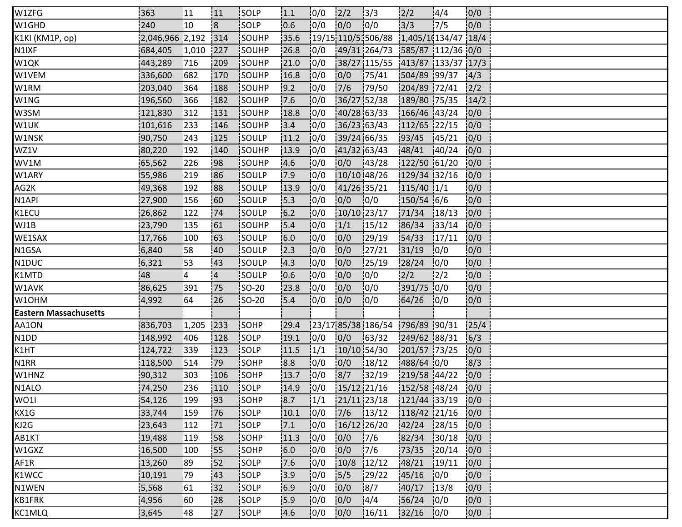| W1ZFG                        | 363             | 11       | 111            | <b>ISOLP</b>  | 1.1  | 0/0  | 2/2           | 13/3                            | 12/2                | 4/4    | 0/0  |
|------------------------------|-----------------|----------|----------------|---------------|------|------|---------------|---------------------------------|---------------------|--------|------|
| W1GHD                        | 240             | 10       | 8              | SOLP          | 10.6 | 0/0  | 0/0           | 10/0                            | 3/3                 | 17/5   | 0/0  |
| K1KI (KM1P, op)              | 2,046,966 2,192 |          | 314            | SOUHP         | 35.6 |      |               | 19/15 110/5 506/88              | 1,405/1(134/47 18/4 |        |      |
| N1IXF                        | 684,405         | 1,010    | 227            | <b>SOUHP</b>  | 26.8 | 0/0  |               | 49/31 264/73 585/87 112/36 0/0  |                     |        |      |
| W1QK                         | 443,289         | 716      | 209            | SOUHP         | 21.0 | 10/0 |               | 38/27 115/55 413/87 133/37 17/3 |                     |        |      |
| W1VEM                        | 336,600         | 682      | 170            | SOUHP         | 16.8 | 10/0 | 0/0           | 175/41                          | 504/89 99/37        |        | 4/3  |
| W1RM                         | 203,040         | 364      | 188            | SOUHP         | 19.2 | 0/0  | $7/6$         | 179/50                          | 204/89 72/41        |        | 2/2  |
| W1NG                         | 196,560         | 366      | 182            | SOUHP         | 7.6  | 0/0  | 36/27 52/38   |                                 | 189/80 75/35        |        | 14/2 |
| W3SM                         | 121,830         | 312      | 131            | SOUHP         | 18.8 | 10/0 | 40/28 63/33   |                                 | 166/46 43/24        |        | 0/0  |
| W1UK                         | 101,616         | 233      | 146            | <b>ISOUHP</b> | 3.4  | 10/0 | 36/23 63/43   |                                 | 112/65 22/15        |        | 0/0  |
| W1NSK                        | 90,750          | 243      | 125            | SOULP         | 11.2 | 10/0 | 39/24 66/35   |                                 | 93/45               | 145/21 | 0/0  |
| WZ1V                         | 80,220          | 192      | 140            | SOUHP         | 13.9 | 0/0  | 41/32 63/43   |                                 | 48/41               | 140/24 | 0/0  |
| WV1M                         | 65,562          | 226      | !98            | SOUHP         | 14.6 | 10/0 | 10/0          | 143/28                          | 122/50 61/20        |        | 10/0 |
| W1ARY                        | 55,986          | 219      | 186            | <b>SOULP</b>  | 17.9 | 10/0 | 10/10 48/26   |                                 | 129/34 32/16        |        | 0/0  |
| AG2K                         | 49,368          | 192      | 188            | isoulp        | 13.9 | 10/0 | 41/26 35/21   |                                 | $115/40$ $1/1$      |        | 0/0  |
| N <sub>1</sub> API           | 27,900          | 156      | 160            | SOULP         | 15.3 | 10/0 | 0/0           | 0/0                             | 150/54 6/6          |        | 0/0  |
| K1ECU                        | 26,862          | 122      | 74             | SOULP         | 6.2  | 10/0 | 10/10 23/17   |                                 | 71/34               | 18/13  | 0/0  |
| WJ1B                         | 23,790          | 135      | 161            | SOUHP         | 15.4 | 0/0  | 1/1           | 15/12                           | 86/34               | 133/14 | 0/0  |
| WE1SAX                       | 17,766          | 100      | 63             | SOULP         | 6.0  | 10/0 | 0/0           | 29/19                           | 54/33               | 17/11  | 0/0  |
| N1GSA                        | 6,840           | 58       | 40             | SOULP         | 2.3  | 0/0  | 0/0           | 27/21                           | 31/19               | 10/0   | 0/0  |
| N1DUC                        | 6,321           | 53]      | 43             | SOULP         | 14.3 | 0/0  | 0/0           | 125/19                          | 28/24               | 10/0   | 0/0  |
| K1MTD                        | 48              | <b>4</b> | $\overline{4}$ | SOULP         | 10.6 | 10/0 | 0/0           | 10/0                            | 2/2                 | 12/2   | 0/0  |
| W1AVK                        | 86,625          | 391      | 75             | <b>SO-20</b>  | 23.8 | 10/0 | 0/0           | 0/0                             | 391/75 0/0          |        | 0/0  |
| W10HM                        | 4,992           | 64       | 26             | SO-20         | 5.4  | 10/0 | 0/0           | 10/0                            | 64/26               | 10/0   | 0/0  |
| <b>Eastern Massachusetts</b> |                 |          |                |               |      |      |               |                                 |                     |        |      |
| AA1ON                        | 836,703         | 1,205    | 233            | SOHP          | 29.4 |      |               | 23/17 85/38 186/54 796/89 90/31 |                     |        | 25/4 |
| N1DD                         | 148,992         | 406      | 128            | SOLP          | 19.1 | 10/0 | 0/0           | 163/32                          | 249/62 88/31        |        | 6/3  |
| K1HT                         | 124,722         | 1339     | 123            | <b>SOLP</b>   | 11.5 | 1/1  | 10/10 54/30   |                                 | 201/57 73/25        |        | 0/0  |
| N1RR                         | 118,500         | 514      | 79             | SOHP          | 8.8  | 10/0 | 0/0           | 18/12                           | 488/64 0/0          |        | 8/3  |
| W1HNZ                        | 90,312          | 303      | 106            | SOHP          | 13.7 | 0/0  | 8/7           | 32/19                           | 219/58 44/22        |        | 0/0  |
| N1ALO                        | 74,250          | 236      | 110            | SOLP          | 14.9 | 0/0  | $15/12$ 21/16 |                                 | 152/58 48/24        |        | 0/0  |
| WO1I                         | 54,126          | 199      | 193            | <b>SOHP</b>   | 18.7 | 1/1  |               | $21/11$ $23/18$                 | 121/44 33/19        |        | 0/0  |
| KX1G                         | 33,744          | 159      | 176            | <b>ISOLP</b>  | 10.1 | 10/0 | 7/6           | 13/12                           | 118/42 21/16        |        | 0/0  |
| KJ2G                         | 23,643          | 112      | 71             | SOLP          | 7.1  | 0/0  | 16/12 26/20   |                                 | 42/24               | 28/15  | 0/0  |
| AB1KT                        | 19,488          | 119      | 58             | SOHP          | 11.3 | 0/0  | 0/0           | 17/6                            | 82/34               | 30/18  | 0/0  |
| W1GXZ                        | 16,500          | 100      | :55            | SOHP          | 6.0  | 10/0 | 0/0           | 17/6                            | 73/35               | 120/14 | 10/0 |
| AF1R                         | 13,260          | 89       | 52             | SOLP          | 7.6  | 0/0  | 10/8          | 12/12                           | 48/21               | 19/11  | 0/0  |
| K1WCC                        | 10,191          | :79      | 43             | <b>SOLP</b>   | 3.9  | 0/0  | 5/5           | 129/22                          | 45/16               | 10/0   | 0/0  |
| N1WEN                        | 5,568           | 61       | 32             | SOLP          | 6.9  | 0/0  | 0/0           | 8/7                             | 40/17               | 13/8   | 0/0  |
| KB1FRK                       | 4,956           | 60       | 28             | SOLP          | 15.9 | 0/0  | 0/0           | 14/4                            | 56/24               | 0/0    | 0/0  |
| KC1MLQ                       | 3,645           | 148      | 127            | <b>SOLP</b>   | 4.6  | 10/0 | 0/0           | 16/11                           | 32/16 0/0           |        | 0/0  |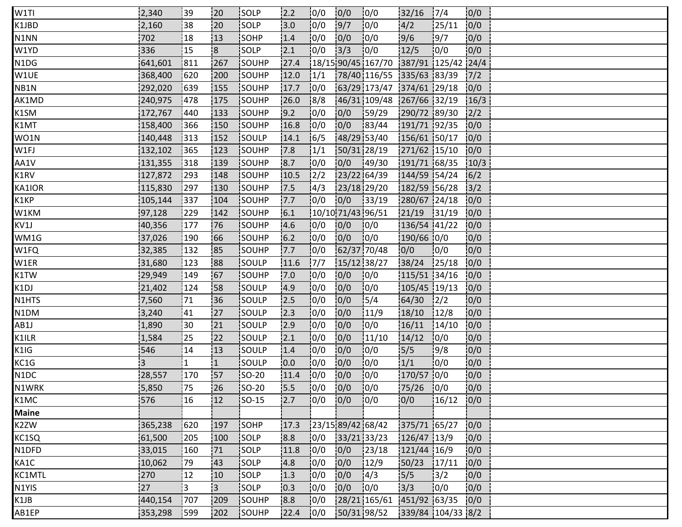| W1TI              | 2,340   | i 39       | 120            | <b>ISOLP</b>  | 2.2  | 10/0           | 0/0               | 10/0                                   | 32/16             | 17/4          | 0/0  |  |
|-------------------|---------|------------|----------------|---------------|------|----------------|-------------------|----------------------------------------|-------------------|---------------|------|--|
| K1JBD             | 2,160   | 38         | 20             | SOLP          | 3.0  | 10/0           | 9/7               | 0/0                                    | 4/2               | 125/11        | 0/0  |  |
| N1NN              | 702     | 18         | 13             | SOHP          | 1.4  | 0/0            | 0/0               | 0/0                                    | 9/6               | 9/7           | 0/0  |  |
| W1YD              | 336     | 15         | $\overline{8}$ | SOLP          | 2.1  | 0/0            | 3/3               | 10/0                                   | 12/5              | 10/0          | 0/0  |  |
| N1DG              | 641,601 | 1811       | 267            | SOUHP         | 27.4 |                |                   | $18/1590/451167/70$ 387/91 125/42 24/4 |                   |               |      |  |
| W1UE              | 368,400 | 620        | 200            | SOUHP         | 12.0 | 1/1            |                   | 78/40 116/55 335/63 83/39              |                   |               | 7/2  |  |
| NB1N              | 292,020 | 639        | 155            | SOUHP         | 17.7 | 0/0            |                   | 63/29 173/47 374/61 29/18              |                   |               | 0/0  |  |
| AK1MD             | 240,975 | 478        | 175            | SOUHP         | 26.0 | 8/8            |                   | 46/31 109/48 267/66 32/19              |                   |               | 16/3 |  |
| K1SM              | 172,767 | 440        | 133            | SOUHP         | 9.2  | 10/0           | 0/0               | 159/29                                 | 290/72 89/30      |               | 12/2 |  |
| K1MT              | 158,400 | 1366       | 150            | SOUHP         | 16.8 | 10/0           | 0/0               | 183/44                                 | 191/71 92/35      |               | 0/0  |  |
| WO1N              | 140,448 | 313        | 152            | SOULP         | 14.1 | 16/5           | 48/29 53/40       |                                        | 156/61 50/17      |               | 0/0  |  |
| W1FJ              | 132,102 | 365        | 123            | SOUHP         | 17.8 | 1/1            | 50/31 28/19       |                                        | 271/62 15/10      |               | 0/0  |  |
| AA1V              | 131,355 | 318        | 139            | <b>SOUHP</b>  | 8.7  | 10/0           | 0/0               | 149/30                                 | 191/71 68/35      |               | 10/3 |  |
| K1RV              | 127,872 | 1293       | 148            | SOUHP         | 10.5 | $\frac{12}{2}$ | 23/22 64/39       |                                        | 144/59 54/24      |               | 6/2  |  |
| KA1IOR            | 115,830 | 297        | 130            | <b>SOUHP</b>  | 17.5 | 4/3            | 23/18 29/20       |                                        | 182/59 56/28      |               | 3/2  |  |
| K1KP              | 105,144 | 337        | 104            | SOUHP         | 17.7 | 0/0            | 0/0               | 33/19                                  | 280/67 24/18      |               | 0/0  |  |
| W1KM              | 97,128  | 229        | 142            | SOUHP         | 6.1  |                | 10/10 71/43 96/51 |                                        | $ 21/19 $ 31/19   |               | 0/0  |  |
| KV1J              | 40,356  | 177        | !76            | <b>SOUHP</b>  | 4.6  | 10/0           | 0/0               | 10/0                                   | 136/54 41/22      |               | 0/0  |  |
| WM1G              | 37,026  | 190        | 66             | SOUHP         | 6.2  | 10/0           | 0/0               | 10/0                                   | 190/66 0/0        |               | 0/0  |  |
| W1FQ              | 32,385  | 132        | 85             | SOUHP         | 7.7  | 0/0            | 62/37 70/48       |                                        | 0/0               | 0/0           | 0/0  |  |
| W1ER              | 31,680  | 123        | 88             | SOULP         | 11.6 | 7/7            | 15/12 38/27       |                                        | 38/24             | 125/18        | 0/0  |  |
| K1TW              | 29,949  | 149        | 167            | SOUHP         | 17.0 | 0/0            | 0/0               | 0/0                                    | 115/51 34/16      |               | 0/0  |  |
| K1DJ              | 21,402  | 124        | 158            | <b>SOULP</b>  | 14.9 | 10/0           | 0/0               | 10/0                                   | 105/45 19/13      |               | 10/0 |  |
| N1HTS             | 7,560   | 171        | 136            | <b>SOULP</b>  | 12.5 | 0/0            | 0/0               | 15/4                                   | 64/30             | $\frac{1}{2}$ | 0/0  |  |
| N1DM              | 3,240   | 41         | 127            | SOULP         | 12.3 | 10/0           | 0/0               | 11/9                                   | 18/10             | 12/8          | 0/0  |  |
| AB1J              | 1,890   | :30        | 21             | SOULP         | 12.9 | 0/0            | 0/0               | 0/0                                    | 16/11             | 14/10         | 0/0  |  |
| K1ILR             | 1,584   | 25         | 22             | SOULP         | 12.1 | 10/0           | 0/0               | 11/10                                  | 14/12             | 10/0          | 0/0  |  |
| K1IG              | 546     | 14         | 13             | SOULP         | 1.4  | 10/0           | 0/0               | 10/0                                   | 5/5               | 19/8          | 0/0  |  |
| KC1G              | 3       | 11         | 1              | SOULP         | 0.0  | 0/0            | 0/0               | 0/0                                    | 1/1               | 10/0          | 0/0  |  |
| N <sub>1</sub> DC | 28,557  | 170        | 157            | $ SO-20 $     | 11.4 | 0/0            | 0/0               | 0/0                                    | 170/57 0/0        |               | 0/0  |  |
| N1WRK             | 5,850   | 75         | !26            | <b>SO-20</b>  | 15.5 | 10/0           | 0/0               | 10/0                                   | $75/26$ 0/0       |               | 0/0  |  |
| K1MC              | 576     | 16         | 12             | <b>SO-15</b>  | 2.7  | 10/0           | 0/0               | 10/0                                   | 0/0               | 16/12         | 0/0  |  |
| <b>Maine</b>      |         |            |                |               |      |                |                   |                                        |                   |               |      |  |
| K2ZW              | 365,238 | 620        | 197            | SOHP          | 17.3 |                |                   | 23/15 89/42 68/42                      | 375/71 65/27      |               | 0/0  |  |
| KC1SQ             | 61,500  | 205        | 100            | SOLP          | 8.8  | 0/0            | 33/21 33/23       |                                        | 126/47 13/9       |               | 0/0  |  |
| N1DFD             | 33,015  | 160        | 171            | <b>SOLP</b>   | 11.8 | 0/0            | 0/0               | 23/18                                  | 121/44 16/9       |               | 0/0  |  |
| KA1C              | 10,062  | 79         | 143            | <b>SOLP</b>   | 4.8  | 10/0           | 0/0               | 12/9                                   | 50/23             | 17/11         | 0/0  |  |
| KC1MTL            | 270     | 12         | 10             | SOLP          | 1.3  | 10/0           | 0/0               | $\frac{1}{4}$                          | 5/5               | 13/2          | 0/0  |  |
| N1YIS             | 27      | 3          | :3             | SOLP          | 0.3  | 0/0            | 0/0               | 0/0                                    | 3/3               | 0/0           | 0/0  |  |
| K1JB              | 440,154 | 707        | 209            | SOUHP         | 8.8  | 10/0           |                   | 28/21 165/61 451/92 63/35              |                   |               | 0/0  |  |
| AB1EP             | 353,298 | <b>599</b> | 202            | <b>ISOUHP</b> | 22.4 | 10/0           |                   | 50/31 98/52                            | 339/84 104/33 8/2 |               |      |  |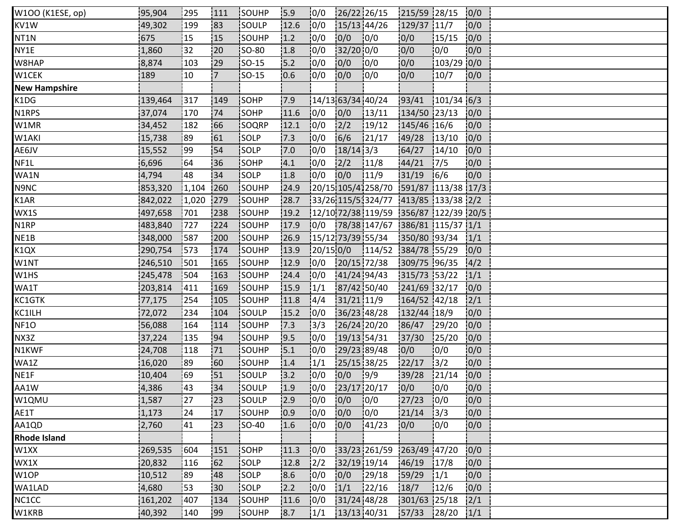| W100 (K1ESE, op)     | 95,904  | 1295  | 1111           | SOUHP        | 15.9 | 10/0      | 26/22 26/15         |                                                                                                                                                                    | 215/59 28/15 |              | 0/0  |  |  |
|----------------------|---------|-------|----------------|--------------|------|-----------|---------------------|--------------------------------------------------------------------------------------------------------------------------------------------------------------------|--------------|--------------|------|--|--|
| KV1W                 | 49,302  | 199   | 83             | SOULP        | 12.6 | 0/0       | 15/13 44/26         |                                                                                                                                                                    | 129/37 11/7  |              | 0/0  |  |  |
| NT1N                 | 675     | 15    | 15             | SOUHP        | 1.2  | 0/0       | 0/0                 | 0/0                                                                                                                                                                | 0/0          | 15/15        | 0/0  |  |  |
| NY1E                 | 1,860   | 32    | 20             | <b>SO-80</b> | 1.8  | 0/0       | $32/20$ 0/0         |                                                                                                                                                                    | 0/0          | 10/0         | 0/0  |  |  |
| W8HAP                | 8,874   | 103   | 29             | <b>SO-15</b> | 5.2  | 10/0      | 0/0                 | 10/0                                                                                                                                                               | 0/0          | $103/29$ 0/0 |      |  |  |
| W1CEK                | 189     | 10    | $\overline{7}$ | <b>SO-15</b> | 0.6  | 0/0       | 0/0                 | 10/0                                                                                                                                                               | 0/0          | 10/7         | 0/0  |  |  |
| <b>New Hampshire</b> |         |       |                |              |      |           |                     |                                                                                                                                                                    |              |              |      |  |  |
| K1DG                 | 139,464 | 317   | 149            | SOHP         | 17.9 |           | $14/13$ 63/34 40/24 |                                                                                                                                                                    | 93/41        | $101/34$ 6/3 |      |  |  |
| N1RPS                | 37,074  | 170   | 74             | SOHP         | 11.6 | 10/0      | 0/0                 | 13/11                                                                                                                                                              | 134/50 23/13 |              | 10/0 |  |  |
| W1MR                 | 34,452  | 182   | 66             | SOQRP        | 12.1 | 10/0      | 2/2                 | 19/12                                                                                                                                                              | 145/46 16/6  |              | 0/0  |  |  |
| W1AKI                | 15,738  | :89   | 61             | SOLP         | 7.3  | 0/0       | 6/6                 | 121/17                                                                                                                                                             | 49/28        | 13/10        | 0/0  |  |  |
| AE6JV                | 15,552  | 99    | 54             | SOLP         | 7.0  | 0/0       | $18/14$ 3/3         |                                                                                                                                                                    | 64/27        | 14/10        | 0/0  |  |  |
| NF1L                 | 6,696   | 64    | 136            | <b>SOHP</b>  | 4.1  | 10/0      | 2/2                 | 11/8                                                                                                                                                               | 44/21        | 17/5         | 0/0  |  |  |
| WA1N                 | 4,794   | 48    | 34             | <b>ISOLP</b> | 1.8  | 10/0      | 0/0                 | 11/9                                                                                                                                                               | 31/19        | 16/6         | 0/0  |  |  |
| N9NC                 | 853,320 | 1,104 | 260            | SOUHP        | 24.9 |           |                     | 20/15 105/41258/70 591/87 113/38 17/3                                                                                                                              |              |              |      |  |  |
| K1AR                 | 842,022 | 1,020 | 279            | SOUHP        | 28.7 |           |                     | 33/26 115/5 324/77 413/85 133/38 2/2                                                                                                                               |              |              |      |  |  |
| WX1S                 | 497,658 | 701   | 238            | SOUHP        | 19.2 |           |                     | $\left  \frac{12}{10} \right  \frac{72}{38} \left  \frac{119}{59} \right  \left  \frac{356}{87} \right  \left  \frac{122}{39} \right  \left  \frac{20}{5} \right $ |              |              |      |  |  |
| N1RP                 | 483,840 | 727   | 224            | SOUHP        | 17.9 | 0/0       |                     | 78/38 147/67 386/81 115/37 1/1                                                                                                                                     |              |              |      |  |  |
| NE1B                 | 348,000 | 587   | 200            | SOUHP        | 26.9 |           | 15/12 73/39 55/34   |                                                                                                                                                                    | 350/80 93/34 |              | 1/1  |  |  |
| K1QX                 | 290,754 | 573   | 174            | SOUHP        | 13.9 | 20/15 0/0 |                     | 114/52                                                                                                                                                             | 384/78 55/29 |              | 0/0  |  |  |
| W1NT                 | 246,510 | 501   | 165            | SOUHP        | 12.9 | 0/0       | 20/15 72/38         |                                                                                                                                                                    | 309/75 96/35 |              | 4/2  |  |  |
| W1HS                 | 245,478 | 504   | 163            | SOUHP        | 24.4 | 0/0       | 41/24 94/43         |                                                                                                                                                                    | 315/73 53/22 |              | 1/1  |  |  |
| WA1T                 | 203,814 | 411]  | 169            | SOUHP        | 15.9 | 1/1       | 87/42 50/40         |                                                                                                                                                                    | 241/69 32/17 |              | 0/0  |  |  |
| KC1GTK               | 77,175  | 254   | 105            | <b>SOUHP</b> | 11.8 | 14/4      | 31/21 11/9          |                                                                                                                                                                    | 164/52 42/18 |              | 2/1  |  |  |
| KC1ILH               | 72,072  | 234   | 104            | SOULP        | 15.2 | 0/0       | 36/23 48/28         |                                                                                                                                                                    | 132/44 18/9  |              | 0/0  |  |  |
| NF1O                 | 56,088  | 164   | 114            | SOUHP        | 7.3  | 3/3       | 26/24 20/20         |                                                                                                                                                                    | 86/47        | 129/20       | 0/0  |  |  |
| NX3Z                 | 37,224  | 135   | 94             | SOUHP        | 19.5 | 0/0       | 19/13 54/31         |                                                                                                                                                                    | 37/30        | 125/20       | 0/0  |  |  |
| N1KWF                | 24,708  | 118   | 71             | SOUHP        | 15.1 | 0/0       | 29/23 89/48         |                                                                                                                                                                    | 0/0          | 10/0         | 0/0  |  |  |
| WA1Z                 | 16,020  | :89   | 160            | SOUHP        | 1.4  | 1/1       | 25/15 38/25         |                                                                                                                                                                    | 22/17        | 13/2         | 0/0  |  |  |
| NE1F                 | 10,404  | 69    | 51             | SOULP        | 3.2  | 0/0       | 0/0                 | 9/9                                                                                                                                                                | 39/28        | 121/14       | 0/0  |  |  |
| AA1W                 | 4,386   | 43    | 34             | SOULP        | 1.9  | 0/0       | 23/17 20/17         |                                                                                                                                                                    | 0/0          | 10/0         | 10/0 |  |  |
| W1QMU                | 1,587   | 127   | 123            | SOULP        | 12.9 | 10/0      | 0/0                 | 10/0                                                                                                                                                               | 27/23        | 10/0         | 0/0  |  |  |
| AE1T                 | 1,173   | 24    | 17             | <b>SOUHP</b> | 10.9 | 10/0      | 0/0                 | 10/0                                                                                                                                                               | 21/14        | 13/3         | 0/0  |  |  |
| AA1QD                | 2,760   | 41    | 123            | <b>SO-40</b> | 1.6  | 0/0       | 0/0                 | 141/23                                                                                                                                                             | 0/0          | 0/0          | 0/0  |  |  |
| <b>Rhode Island</b>  |         |       |                |              |      |           |                     |                                                                                                                                                                    |              |              |      |  |  |
| W1XX                 | 269,535 | 604   | 151            | SOHP         | 11.3 | 10/0      |                     | 33/23 261/59                                                                                                                                                       | 263/49 47/20 |              | 10/0 |  |  |
| WX1X                 | 20,832  | 116   | 62             | SOLP         | 12.8 | 2/2       | 32/19 19/14         |                                                                                                                                                                    | 146/19       | 17/8         | 0/0  |  |  |
| W1OP                 | 10,512  | :89   | 48             | SOLP         | 8.6  | 0/0       | 0/0                 | 129/18                                                                                                                                                             | 159/29       | 1/1          | 0/0  |  |  |
| WA1LAD               | 4,680   | 53    | :30            | SOLP         | 2.2  | 10/0      | 1/1                 | 122/16                                                                                                                                                             | 18/7         | 12/6         | 0/0  |  |  |
| NC1CC                | 161,202 | 407   | 134            | SOUHP        | 11.6 | 10/0      | 31/24 48/28         |                                                                                                                                                                    | 301/63 25/18 |              | 2/1  |  |  |
| W1KRB                | 40,392  | 140   | 99             | <b>SOUHP</b> | 8.7  | 1/1       | 13/13 40/31         |                                                                                                                                                                    | 157/33       | 128/20       | 1/1  |  |  |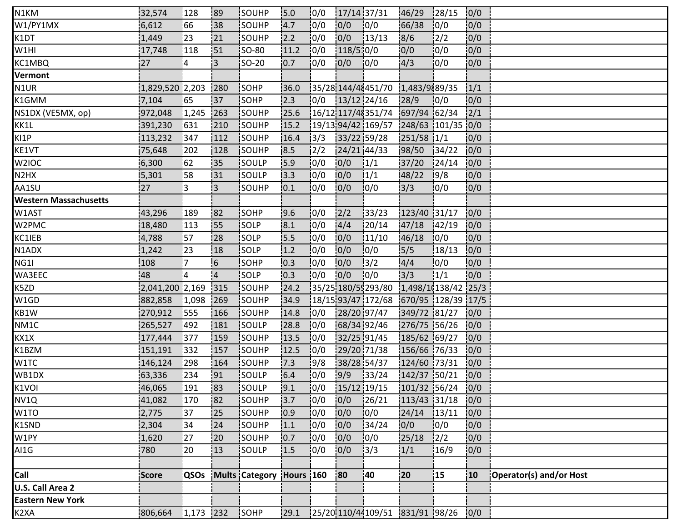| N1KM                         | 32,574            | 128         | 89             | <b>ISOUHP</b>            | 15.0 | 0/0           | 17/14 37/31   |                                           | 46/29         | 128/15        | 0/0          |                         |
|------------------------------|-------------------|-------------|----------------|--------------------------|------|---------------|---------------|-------------------------------------------|---------------|---------------|--------------|-------------------------|
| W1/PY1MX                     | 6,612             | 66          | 38             | SOUHP                    | 14.7 | 10/0          | 0/0           | 0/0                                       | 66/38         | 0/0           | 0/0          |                         |
| K1DT                         | 1,449             | 23          | 21             | SOUHP                    | 2.2  | 0/0           | 0/0           | 13/13                                     | 8/6           | $\frac{2}{2}$ | 0/0          |                         |
| W1HI                         | 17,748            | 118         | 151            | <b>SO-80</b>             | 11.2 | 10/0          | 118/510/0     |                                           | 0/0           | 10/0          | 0/0          |                         |
| KC1MBQ                       | 27                | 4           | $\overline{3}$ | <b>SO-20</b>             | 0.7  | 10/0          | 0/0           | 10/0                                      | 4/3           | 10/0          | 0/0          |                         |
| Vermont                      |                   |             |                |                          |      |               |               |                                           |               |               |              |                         |
| N1UR                         | $1,829,520$ 2,203 |             | 280            | SOHP                     | 36.0 |               |               | 35/28 144/48451/70 1.483/9889/35          |               |               | 1/1          |                         |
| K1GMM                        | 7,104             | 165         | !37            | SOHP                     | 2.3  | 0/0           | 13/12 24/16   |                                           | 28/9          | 10/0          | 0/0          |                         |
| NS1DX (VE5MX, op)            | 972,048           | 1,245       | 263            | SOUHP                    | 25.6 |               |               | 16/12 117/48351/74 697/94 62/34           |               |               | 2/1          |                         |
| KK1L                         | 391,230           | 631         | 210            | SOUHP                    | 15.2 |               |               | 19/1394/421169/571248/631101/3510/0       |               |               |              |                         |
| KI1P                         | 113,232           | 347         | 112            | SOUHP                    | 16.4 | 13/3          | 33/22 59/28   |                                           | $251/58$ 1/1  |               | 0/0          |                         |
| KE1VT                        | 75,648            | 202         | 128            | SOUHP                    | 8.5  | $\frac{1}{2}$ | 24/21 44/33   |                                           | 98/50         | 34/22         | 0/0          |                         |
| W2IOC                        | 6,300             | 62          | 35             | <b>SOULP</b>             | 15.9 | 10/0          | 0/0           | $\frac{1}{1}$                             | 37/20         | 124/14        | 0/0          |                         |
| N2HX                         | 5,301             | 58          | 131            | <b>SOULP</b>             | 13.3 | 10/0          | 0/0           | 1/1                                       | 48/22         | 19/8          | 0/0          |                         |
| AA1SU                        | 27                | 3           | i3             | <b>SOUHP</b>             | 10.1 | 0/0           | 0/0           | 10/0                                      | 3/3           | 10/0          | 0/0          |                         |
| <b>Western Massachusetts</b> |                   |             |                |                          |      |               |               |                                           |               |               |              |                         |
| W1AST                        | 43,296            | 189         | 82             | <b>SOHP</b>              | 19.6 | 0/0           | 2/2           | 133/23                                    | 123/40 31/17  |               | 0/0          |                         |
| W2PMC                        | 18,480            | 113         | 155            | <b>SOLP</b>              | 8.1  | 10/0          | 4/4           | 20/14                                     | 47/18         | 142/19        | 0/0          |                         |
| KC1IEB                       | 4,788             | 57          | 28             | <b>SOLP</b>              | 15.5 | 0/0           | 0/0           | 11/10                                     | 46/18         | 10/0          | 0/0          |                         |
| N1ADX                        | 1,242             | 123         | 18             | SOLP                     | 1.2  | 0/0           | 0/0           | 10/0                                      | 5/5           | 18/13         | 0/0          |                         |
| NG1I                         | 108               | 17          | 6              | SOHP                     | 10.3 | 0/0           | 0/0           | 3/2                                       | 4/4           | 0/0           | 0/0          |                         |
| WA3EEC                       | 48                | 4           | $\overline{4}$ | SOLP                     | 10.3 | 10/0          | 0/0           | 10/0                                      | 3/3           | 1/1           | 0/0          |                         |
| K5ZD                         | 2,041,200 2,169   |             | 315            | SOUHP                    | 24.2 |               |               | $ 35/25 180/59293/80 1,498/10138/42 25/3$ |               |               |              |                         |
| W1GD                         | 882,858           | 1,098       | 269            | <b>SOUHP</b>             | 34.9 |               |               | 18/15 93/47 172/68 670/95 128/39 17/5     |               |               |              |                         |
| KB1W                         | 270,912           | 1555        | 166            | SOUHP                    | 14.8 | 0/0           | 28/20 97/47   |                                           | 349/72 81/27  |               | 0/0          |                         |
| NM1C                         | 265,527           | 492         | 181            | SOULP                    | 28.8 | 0/0           | 68/34 92/46   |                                           | 276/75 56/26  |               | 0/0          |                         |
| KX1X                         | 177,444           | 377         | 159            | SOUHP                    | 13.5 | 10/0          | 32/25 91/45   |                                           | 185/62 69/27  |               | 0/0          |                         |
| K1BZM                        | 151,191           | 332         | 157            | SOUHP                    | 12.5 | 10/0          |               | 29/20 71/38                               | 156/66 76/33  |               | 0/0          |                         |
| W1TC                         | 146,124           | 298         | 164            | SOUHP                    | 17.3 | 9/8           | 38/28 54/37   |                                           | 124/60 73/31  |               | 0/0          |                         |
| WB1DX                        | 63,336            | 234         | 91             | SOULP                    | 6.4  | 0/0           | 9/9           | 33/24                                     | 142/37 50/21  |               | 0/0          |                         |
| K1VOI                        | 46,065            | 191         | 83             | SOULP                    | 9.1  | 0/0           | $15/12$ 19/15 |                                           | 101/32 56/24  |               | 0/0          |                         |
| NV1Q                         | 41,082            | 170         | 182            | SOUHP                    | 3.7  | 10/0          | 0/0           | 26/21                                     | 113/43 31/18  |               | 10/0         |                         |
| W1TO                         | 2,775             | 37          | 125            | <b>SOUHP</b>             | 0.9  | 10/0          | 0/0           | 10/0                                      | $24/14$ 13/11 |               | 0/0          |                         |
| K1SND                        | 2,304             | 34          | 24             | SOUHP                    | 1.1  | 0/0           | 0/0           | 134/24                                    | 0/0           | 0/0           | 0/0          |                         |
| W1PY                         | 1,620             | 27          | 20             | SOUHP                    | 0.7  | 0/0           | 0/0           | 0/0                                       | 25/18         | $\frac{1}{2}$ | 0/0          |                         |
| AI1G                         | 780               | !20         | 13             | SOULP                    | 1.5  | 0/0           | 0/0           | 3/3                                       | 1/1           | 16/9          | 0/0          |                         |
|                              |                   |             |                |                          |      |               |               |                                           |               |               |              |                         |
| Call                         | Score             | <b>QSOs</b> |                | Mults Category Hours 160 |      |               | 80            | 40                                        | 20            | 15            | $ 10\rangle$ | Operator(s) and/or Host |
| U.S. Call Area 2             |                   |             |                |                          |      |               |               |                                           |               |               |              |                         |
| <b>Eastern New York</b>      |                   |             |                |                          |      |               |               |                                           |               |               |              |                         |
| K <sub>2</sub> XA            | 806,664           | $1,173$ 232 |                | SOHP                     | 29.1 |               |               | 25/20 110/44 109/51 831/91 98/26          |               |               | 0/0          |                         |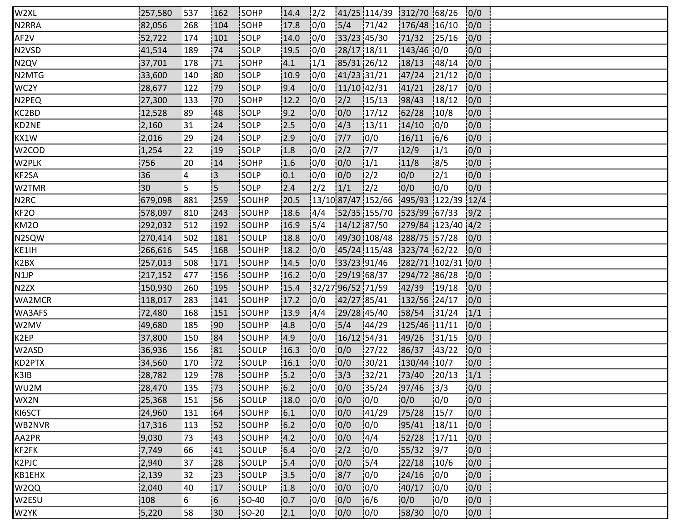| W2XL                           | 257,580 | 1537 | 1162           | <b>ISOHP</b> | 14.4             | $\frac{1}{2}$ |                   | 41/25 114/39 312/70 68/26             |                   |        | 0/0  |  |
|--------------------------------|---------|------|----------------|--------------|------------------|---------------|-------------------|---------------------------------------|-------------------|--------|------|--|
| N2RRA                          | 82,056  | 268  | 104            | SOHP         | 17.8             | 10/0          | 5/4               | 71/42                                 | 176/48 16/10      |        | 0/0  |  |
| AF2V                           | 52,722  | 174  | 101            | SOLP         | 14.0             | 0/0           | 33/23 45/30       |                                       | 71/32             | 125/16 | 0/0  |  |
| N <sub>2</sub> V <sub>SD</sub> | 41,514  | 189  | 74             | SOLP         | 19.5             | 10/0          | 28/17 18/11       |                                       | $143/46$ 0/0      |        | 10/0 |  |
| N2QV                           | 37,701  | 178  | 171            | <b>ISOHP</b> | 14.1             | 1/1           | 85/31 26/12       |                                       | 18/13             | 148/14 | 0/0  |  |
| N2MTG                          | 33,600  | 140  | 80             | <b>SOLP</b>  | 10.9             | 10/0          | 41/23 31/21       |                                       | 47/24             | 21/12  | 0/0  |  |
| WC2Y                           | 28,677  | 122  | 79             | SOLP         | 9.4              | 0/0           | 11/10 42/31       |                                       | 41/21             | 128/17 | 0/0  |  |
| N2PEQ                          | 27,300  | 133  | .70            | SOHP         | 12.2             | 10/0          | 2/2               | 15/13                                 | 98/43             | 18/12  | 0/0  |  |
| KC2BD                          | 12,528  | 89   | 48             | <b>SOLP</b>  | 19.2             | 10/0          | 0/0               | 17/12                                 | 62/28             | 10/8   | 0/0  |  |
| KD2NE                          | 2,160   | 31   | 24             | <b>SOLP</b>  | 2.5              | 10/0          | 4/3               | 13/11                                 | 14/10             | 10/0   | 10/0 |  |
| KX1W                           | 2,016   | 29   | 24             | SOLP         | 12.9             | 10/0          | 7/7               | 0/0                                   | 16/11             | 16/6   | 0/0  |  |
| W2COD                          | 1,254   | 22   | 19             | SOLP         | 1.8              | 0/0           | 2/2               | 17/7                                  | 12/9              | 1/1    | 0/0  |  |
| W2PLK                          | 756     | 20   | 14             | <b>SOHP</b>  | 1.6              | 10/0          | 0/0               | 1/1                                   | 11/8              | 8/5    | 0/0  |  |
| KF2SA                          | 36      | 14   | IЗ.            | SOLP         | 10.1             | 10/0          | 0/0               | $\frac{12}{2}$                        | 10/0              | 2/1    | 10/0 |  |
| W2TMR                          | 30      | 5    | 5              | <b>SOLP</b>  | 2.4              | $\frac{1}{2}$ | 1/1               | $\frac{1}{2}$                         | 0/0               | 10/0   | 0/0  |  |
| N <sub>2</sub> RC              | 679,098 | 881  | 259            | SOUHP        | 20.5             |               |                   | $13/1087/47152/66$ 495/93 122/39 12/4 |                   |        |      |  |
| KF2O                           | 578,097 | 810  | 243            | SOUHP        | 18.6             | 14/4          |                   | 52/35 155/70 523/99 67/33 9/2         |                   |        |      |  |
| KM2O                           | 292,032 | 512  | 192            | <b>SOUHP</b> | 16.9             | 15/4          | 14/12 87/50       |                                       | 279/84 123/40 4/2 |        |      |  |
| N2SQW                          | 270,414 | 1502 | 181            | SOULP        | 18.8             | 10/0          |                   | 49/30 108/48 288/75 57/28             |                   |        | 10/0 |  |
| KE1IH                          | 266,616 | 545  | 168            | SOUHP        | 18.2             | 10/0          |                   | 45/24 115/48 323/74 62/22             |                   |        | 0/0  |  |
| K2BX                           | 257,013 | 508  | 171            | SOUHP        | 14.5             | 0/0           | 33/23 91/46       |                                       | 282/71 102/31 0/0 |        |      |  |
| N1JP                           | 217,152 | 1477 | 156            | SOUHP        | 16.2             | 10/0          | 29/19 68/37       |                                       | 294/72 86/28      |        | 0/0  |  |
| N2ZX                           | 150,930 | 260  | 195            | <b>SOUHP</b> | 15.4             |               | 32/27 96/52 71/59 |                                       | 142/39            | 19/18  | 10/0 |  |
| WA2MCR                         | 118,017 | 1283 | 141            | <b>SOUHP</b> | 17.2             | 10/0          | 42/27 85/41       |                                       | 132/56 24/17      |        | 10/0 |  |
| WA3AFS                         | 72,480  | 168  | 151            | SOUHP        | 13.9             | 14/4          | 29/28 45/40       |                                       | 58/54             | 31/24  | 1/1  |  |
| W2MV                           | 49,680  | 185  | .90            | SOUHP        | 4.8              | 0/0           | 5/4               | 144/29                                | 125/46 11/11      |        | 0/0  |  |
| K2EP                           | 37,800  | 150  | 84             | SOUHP        | 14.9             | 10/0          | $16/12$ 54/31     |                                       | 49/26             | 131/15 | 0/0  |  |
| W2ASD                          | 36,936  | 156  | 181            | <b>SOULP</b> | 16.3             | 10/0          | 0/0               | 127/22                                | 86/37             | 143/22 | 10/0 |  |
| KD2PTX                         | 34,560  | 170  | 172            | SOULP        | 16.1             | 10/0          | 0/0               | 30/21                                 | 130/44 10/7       |        | 0/0  |  |
| K3IB                           | 28,782  | 129  | 78             | SOUHP        | 15.2             | 0/0           | 3/3               | 32/21                                 | 73/40             | 120/13 | 1/1  |  |
| WU2M                           | 28,470  | 135  | 173            | SOUHP        | 6.2              | 10/0          | 0/0               | 135/24                                | 97/46             | 3/3    | 10/0 |  |
| WX2N                           | 25,368  | 151  | 56             | <b>SOULP</b> | 18.0             | 10/0          | 0/0               | 10/0                                  | 10/0              | 10/0   | 0/0  |  |
| KI6SCT                         | 24,960  | 131  | 64             | <b>SOUHP</b> | 6.1              | 10/0          | 0/0               | 41/29                                 | 75/28             | 15/7   | 0/0  |  |
| WB2NVR                         | 17,316  | 113  | 152            | SOUHP        | $6.2$            | 0/0           | 0/0               | 10/0                                  | 95/41             | 18/11  | 0/0  |  |
| AA2PR                          | 9,030   | 73   | 43             | SOUHP        | 4.2              | 0/0           | 0/0               | 4/4                                   | 52/28             | 17/11  | 0/0  |  |
| KF2FK                          | 7,749   | 166  | 141            | SOULP        | 16.4             | 0/0           | 2/2               | 10/0                                  | 55/32             | 19/7   | 10/0 |  |
| K2PJC                          | 2,940   | 37   | 128            | SOULP        | 15.4             | 10/0          | 0/0               | 15/4                                  | 22/18             | 10/6   | 0/0  |  |
| KB1EHX                         | 2,139   | 32   | 23             | SOULP        | 13.5             | 0/0           | 8/7               | 10/0                                  | 24/16             | 10/0   | 0/0  |  |
| W2QQ                           | 2,040   | 40   | 17             | SOULP        | 1.8              | 0/0           | 0/0               | 10/0                                  | 40/17             | 10/0   | 0/0  |  |
| W2ESU                          | 108     | 5    | $\overline{6}$ | SO-40        | $\overline{0.7}$ | 0/0           | 0/0               | 16/6                                  | 0/0               | 10/0   | 10/0 |  |
| W2YK                           | 5,220   | 58   | 130            | $ SO-20 $    | 2.1              | 10/0          | 0/0               | 10/0                                  | 58/30             | 10/0   | 0/0  |  |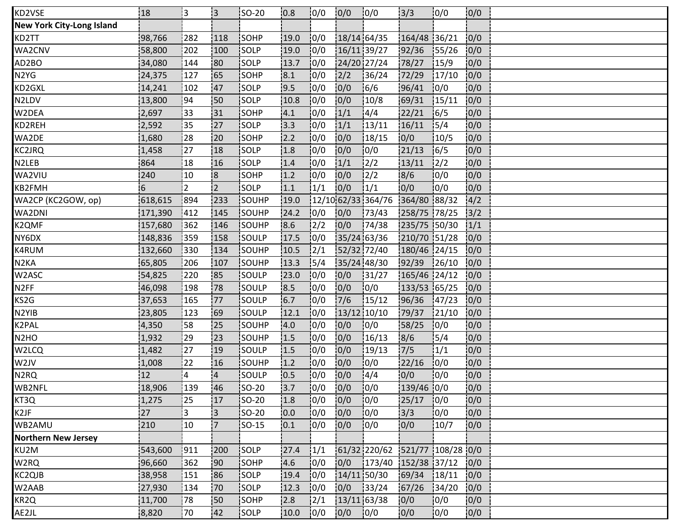| KD2VSE                           | 18      | 13             | i3.            | <b>SO-20</b> | 0.8  | 10/0             | 0/0         | 10/0                           | 3/3            | 10/0   | 0/0 |  |
|----------------------------------|---------|----------------|----------------|--------------|------|------------------|-------------|--------------------------------|----------------|--------|-----|--|
| <b>New York City-Long Island</b> |         |                |                |              |      |                  |             |                                |                |        |     |  |
| KD2TT                            | 98,766  | 282            | 118            | <b>SOHP</b>  | 19.0 | 0/0              | 18/14 64/35 |                                | 164/48 36/21   |        | 0/0 |  |
| WA2CNV                           | 58,800  | 202            | 100            | SOLP         | 19.0 | 10/0             | 16/11 39/27 |                                | 92/36          | 155/26 | 0/0 |  |
| AD2BO                            | 34,080  | 144            | 180            | <b>SOLP</b>  | 13.7 | 10/0             | 24/20 27/24 |                                | 78/27          | 15/9   | 0/0 |  |
| N2YG                             | 24,375  | 127            | <b>65</b>      | SOHP         | 8.1  | 10/0             | 2/2         | 36/24                          | 72/29          | 17/10  | 0/0 |  |
| KD2GXL                           | 14,241  | 102            | 47             | SOLP         | 19.5 | 0/0              | 0/0         | 16/6                           | 96/41          | 0/0    | 0/0 |  |
| N2LDV                            | 13,800  | 94             | :50            | SOLP         | 10.8 | 0/0              | 0/0         | 10/8                           | 69/31          | 15/11  | 0/0 |  |
| W2DEA                            | 2,697   | 33             | 131            | SOHP         | 4.1  | 10/0             | 1/1         | 14/4                           | 22/21          | 16/5   | 0/0 |  |
| KD2REH                           | 2,592   | 35             | 127            | isolp        | 3.3  | 10/0             | 1/1         | 13/11                          | 16/11          | 15/4   | 0/0 |  |
| WA2DE                            | 1,680   | 28             | 20             | SOHP         | 12.2 | 10/0             | 0/0         | 18/15                          | 0/0            | 10/5   | 0/0 |  |
| KC2JRQ                           | 1,458   | 27             | 18             | SOLP         | 1.8  | 0/0              | 0/0         | 0/0                            | 21/13          | 16/5   | 0/0 |  |
| N2LEB                            | 864     | 18             | 16             | <b>SOLP</b>  | 1.4  | 10/0             | 1/1         | 12/2                           | 13/11          | 12/2   | 0/0 |  |
| WA2VIU                           | 240     | 10             | <b>8</b>       | <b>SOHP</b>  | 1.2  | 10/0             | 0/0         | 12/2                           | 8/6            | 10/0   | 0/0 |  |
| KB2FMH                           | 6       | $\overline{2}$ | $\overline{2}$ | <b>SOLP</b>  | 1.1  | 1/1              | 0/0         | 1/1                            | 0/0            | 10/0   | 0/0 |  |
| WA2CP (KC2GOW, op)               | 618,615 | 894            | 233            | SOUHP        | 19.0 |                  |             | 12/10 62/33 364/76             | 364/80 88/32   |        | 4/2 |  |
| WA2DNI                           | 171,390 | 412            | 145            | SOUHP        | 24.2 | 0/0              | 0/0         | 173/43                         | 258/75 78/25   |        | 3/2 |  |
| K2QMF                            | 157,680 | 362            | 146            | SOUHP        | 8.6  | 12/2             | 0/0         | 174/38                         | 235/75 50/30   |        | 1/1 |  |
| NY6DX                            | 148,836 | 359            | 158            | SOULP        | 17.5 | 10/0             | 35/24 63/36 |                                | 210/70 51/28   |        | 0/0 |  |
| K4RUM                            | 132,660 | 330            | 134            | SOUHP        | 10.5 | $\frac{1}{2}$ /1 | 52/32 72/40 |                                | 180/46 24/15   |        | 0/0 |  |
| N <sub>2</sub> KA                | 65,805  | 206            | 107            | SOUHP        | 13.3 | 15/4             | 35/24 48/30 |                                | 92/39          | 126/10 | 0/0 |  |
| W2ASC                            | 54,825  | 220            | 85             | SOULP        | 23.0 | 0/0              | 0/0         | 131/27                         | $165/46$ 24/12 |        | 0/0 |  |
| N <sub>2</sub> FF                | 46,098  | 198            | 178            | SOULP        | 8.5  | 10/0             | 0/0         | 10/0                           | 133/53 65/25   |        | 0/0 |  |
| KS2G                             | 37,653  | 165            | 177            | <b>SOULP</b> | 6.7  | 0/0              | 7/6         | 15/12                          | 96/36          | 147/23 | 0/0 |  |
| N2YIB                            | 23,805  | 123            | 169            | SOULP        | 12.1 | 10/0             | 13/12 10/10 |                                | 79/37          | 121/10 | 0/0 |  |
| K2PAL                            | 4,350   | :58            | 25             | SOUHP        | 14.0 | 0/0              | 0/0         | 10/0                           | 58/25          | 10/0   | 0/0 |  |
| N2HO                             | 1,932   | 29             | 123            | SOUHP        | 1.5  | 0/0              | 0/0         | 16/13                          | 8/6            | 15/4   | 0/0 |  |
| W2LCQ                            | 1,482   | :27            | 19             | <b>SOULP</b> | 1.5  | 10/0             | 0/0         | 19/13                          | 7/5            | 1/1    | 0/0 |  |
| W2JV                             | 1,008   | 22             | 16             | SOUHP        | 1.2  | 10/0             | 0/0         | 10/0                           | 22/16          | 10/0   | 0/0 |  |
| N2RQ                             | 12      | $\overline{4}$ | $\overline{4}$ | SOULP        | 10.5 | 0/0              | 0/0         | 14/4                           | 0/0            | 10/0   | 0/0 |  |
| WB2NFL                           | 18,906  | 139            | 46             | <b>SO-20</b> | 13.7 | 10/0             | 0/0         | 10/0                           | 139/46 0/0     |        | 0/0 |  |
| KT3Q                             | 1,275   | 25             | 17             | <b>SO-20</b> | 1.8  | 0/0              | 0/0         | 10/0                           | 25/17          | 10/0   | 0/0 |  |
| K2JF                             | 27      | i3             | i3             | <b>SO-20</b> | 10.0 | 10/0             | 0/0         | 10/0                           | 3/3            | 10/0   | 0/0 |  |
| WB2AMU                           | 210     | 10             | 7              | $ SO-15 $    | 0.1  | 0/0              | 0/0         | 0/0                            | 0/0            | 10/7   | 0/0 |  |
| <b>Northern New Jersey</b>       |         |                |                |              |      |                  |             |                                |                |        |     |  |
| KU2M                             | 543,600 | !911           | 200            | SOLP         | 27.4 | 1/1              |             | 61/32 220/62 521/77 108/28 0/0 |                |        |     |  |
| W2RQ                             | 96,660  | 362            | 190            | SOHP         | 4.6  | 10/0             | 0/0         | $173/40$ 152/38 37/12          |                |        | 0/0 |  |
| KC2QJB                           | 38,958  | 151            | 86             | SOLP         | 19.4 | 10/0             | 14/11 50/30 |                                | 69/34          | 18/11  | 0/0 |  |
| W2AAB                            | 27,930  | 134            | 70             | SOLP         | 12.3 | 0/0              | 0/0         | 33/24                          | 67/26          | 34/20  | 0/0 |  |
| KR2Q                             | 11,700  | 178            | !50            | SOHP         | 2.8  | 12/1             | 13/11 63/38 |                                | 0/0            | 0/0    | 0/0 |  |
| AE2JL                            | 8,820   | 170            | 142            | <b>SOLP</b>  | 10.0 | 10/0             | 0/0         | 10/0                           | 0/0            | 10/0   | 0/0 |  |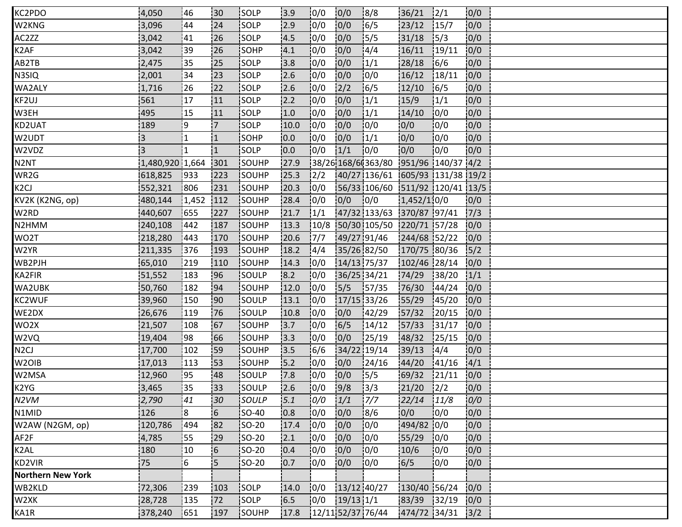| KC2PDO                   | 4,050           | 46             | :30            | <b>ISOLP</b> | 3.9   | 0/0  | 0/0           | 8/8                             | 36/21         | 2/1    | 0/0  |  |  |
|--------------------------|-----------------|----------------|----------------|--------------|-------|------|---------------|---------------------------------|---------------|--------|------|--|--|
| W2KNG                    | 3,096           | 44             | 24             | SOLP         | 2.9   | 0/0  | 0/0           | 16/5                            | 23/12         | 15/7   | 0/0  |  |  |
| AC2ZZ                    | 3,042           | 41             | 26             | SOLP         | 14.5  | 10/0 | 0/0           | 15/5                            | 31/18         | 15/3   | 0/0  |  |  |
| K2AF                     | 3,042           | 39             | 26             | SOHP         | 4.1   | 10/0 | 0/0           | 4/4                             | 16/11         | 19/11  | 0/0  |  |  |
| AB2TB                    | 2,475           | 35             | 125            | <b>SOLP</b>  | 3.8   | 10/0 | 0/0           | 1/1                             | 28/18         | 16/6   | 0/0  |  |  |
| N3SIQ                    | 2,001           | 34             | 123            | SOLP         | 2.6   | 10/0 | 0/0           | 10/0                            | 16/12         | 18/11  | 0/0  |  |  |
| <b>WA2ALY</b>            | 1,716           | 26             | 22             | SOLP         | 2.6   | 0/0  | 2/2           | 16/5                            | 12/10         | 16/5   | 0/0  |  |  |
| KF2UJ                    | 561             | 17             | 11             | SOLP         | 2.2   | 0/0  | 0/0           | 1/1                             | 15/9          | 1/1    | 0/0  |  |  |
| W3EH                     | 495             | 15             | 11             | <b>SOLP</b>  | 1.0   | 10/0 | 0/0           | 1/1                             | 14/10         | 10/0   | 0/0  |  |  |
| KD2UAT                   | 189             | 9              | 17             | <b>SOLP</b>  | 10.0  | 10/0 | 0/0           | 10/0                            | 0/0           | 10/0   | 0/0  |  |  |
| W2UDT                    | $\overline{3}$  | 1              | 1              | SOHP         | 0.0   | 0/0  | 0/0           | 1/1                             | 0/0           | 10/0   | 0/0  |  |  |
| W2VDZ                    | 3               | $\overline{1}$ | 1              | SOLP         | 0.0   | 0/0  | 1/1           | 10/0                            | 0/0           | 10/0   | 0/0  |  |  |
| N <sub>2</sub> NT        | 1,480,920 1,664 |                | 301            | <b>SOUHP</b> | 27.9  |      |               | 38/26 168/6 363/80              | 951/96 140/37 |        | 4/2  |  |  |
| WR2G                     | 618,825         | <b>1933</b>    | 1223           | SOUHP        | 125.3 | 2/2  |               | 40/27 136/61 605/93 131/38 19/2 |               |        |      |  |  |
| K <sub>2</sub> CJ        | 552,321         | 806            | 231            | <b>SOUHP</b> | 20.3  | 10/0 |               | 56/33 106/60 511/92 120/41 13/5 |               |        |      |  |  |
| KV2K (K2NG, op)          | 480,144         | 1,452          | 112            | SOUHP        | 28.4  | 10/0 | 0/0           | 0/0                             | 1,452/1,0/0   |        | 0/0  |  |  |
| W2RD                     | 440,607         | 655            | 227            | SOUHP        | 21.7  | 1/1  |               | 47/32 133/63 370/87 97/41       |               |        | 7/3  |  |  |
| N2HMM                    | 240,108         | 442            | 187            | SOUHP        | 13.3  | 10/8 |               | 50/30 105/50 220/71 57/28       |               |        | 0/0  |  |  |
| WO2T                     | 218,280         | 1443           | 170            | SOUHP        | 20.6  | 17/7 |               | 49/27 91/46                     | 244/68 52/22  |        | 0/0  |  |  |
| W2YR                     | 211,335         | 376            | 193            | SOUHP        | 18.2  | 14/4 |               | 35/26 82/50                     | 170/75 80/36  |        | 5/2  |  |  |
| WB2PJH                   | 65,010          | 219            | 110            | SOUHP        | 14.3  | 0/0  |               | 14/13 75/37                     | 102/46 28/14  |        | 0/0  |  |  |
| KA2FIR                   | 51,552          | 183            | 96             | SOULP        | 8.2   | 10/0 | 36/25 34/21   |                                 | 74/29         | 38/20  | 1/1  |  |  |
| WA2UBK                   | 50,760          | 182            | 94             | SOUHP        | 12.0  | 10/0 | 15/5          | 157/35                          | 76/30         | 144/24 | 0/0  |  |  |
| KC2WUF                   | 39,960          | 150            | 190            | <b>SOULP</b> | 13.1  | 0/0  | 17/15 33/26   |                                 | 55/29         | 145/20 | 0/0  |  |  |
| WE2DX                    | 26,676          | 119            | 76             | SOULP        | 10.8  | 10/0 | 0/0           | 142/29                          | 57/32         | 120/15 | 0/0  |  |  |
| WO2X                     | 21,507          | 108            | 67             | SOUHP        | 3.7   | 0/0  | 6/5           | 14/12                           | 57/33         | 131/17 | 0/0  |  |  |
| W2VQ                     | 19,404          | 98             | 66             | SOUHP        | 13.3  | 10/0 | 0/0           | 125/19                          | 48/32         | 125/15 | 0/0  |  |  |
| N <sub>2</sub> CJ        | 17,700          | 102            | '59            | <b>SOUHP</b> | 13.5  | 16/6 | 34/22 19/14   |                                 | 39/13         | 4/4    | 0/0  |  |  |
| W <sub>2</sub> OIB       | 17,013          | 113            | 53             | SOUHP        | 15.2  | 0/0  | 0/0           | 124/16                          | 44/20         | 141/16 | 4/1  |  |  |
| W2MSA                    | 12,960          | :95            | 48             | SOULP        | 7.8   | 0/0  | 0/0           | 15/5                            | 69/32         | 21/11  | 0/0  |  |  |
| K2YG                     | 3,465           | :35            | 133            | SOULP        | 12.6  | 0/0  | 9/8           | 13/3                            | 21/20         | 12/2   | 0/0  |  |  |
| N2VM                     | 2,790           | 41             | 30             | SOULP        | 5.1   | 0/0  | 1/1           | 17/7                            | 22/14         | 11/8   | 0/0  |  |  |
| N1MID                    | 126             | i8             | 6              | <b>SO-40</b> | 0.8   | 10/0 | 0/0           | 18/6                            | 0/0           | 10/0   | 0/0  |  |  |
| W2AW (N2GM, op)          | 120,786         | 494            | 82             | SO-20        | 17.4  | 0/0  | 0/0           | 10/0                            | 494/82 0/0    |        | 0/0  |  |  |
| AF2F                     | 4,785           | 55             | 29             | SO-20        | 2.1   | 0/0  | 0/0           | 10/0                            | 155/29        | 0/0    | 0/0  |  |  |
| K2AL                     | 180             | 10             | $\overline{6}$ | $ SO-20 $    | 10.4  | 10/0 | 0/0           | 10/0                            | 10/6          | 10/0   | 10/0 |  |  |
| KD2VIR                   | 75              | 6              | İ5.            | SO-20        | 0.7   | 0/0  | 0/0           | 10/0                            | 6/5           | 10/0   | 0/0  |  |  |
| <b>Northern New York</b> |                 |                |                |              |       |      |               |                                 |               |        |      |  |  |
| WB2KLD                   | 72,306          | 239            | 103            | SOLP         | 14.0  | 0/0  | $13/12$ 40/27 |                                 | 130/40 56/24  |        | 0/0  |  |  |
| W2XK                     | 28,728          | 135            | 72             | SOLP         | 16.5  | 0/0  | $19/13$ $1/1$ |                                 | 83/39 32/19   |        | 0/0  |  |  |
| KA1R                     | 378,240         | 1651           | 197            | <b>SOUHP</b> | 17.8  |      |               | 12/11 52/37 76/44               | 474/72 34/31  |        | 3/2  |  |  |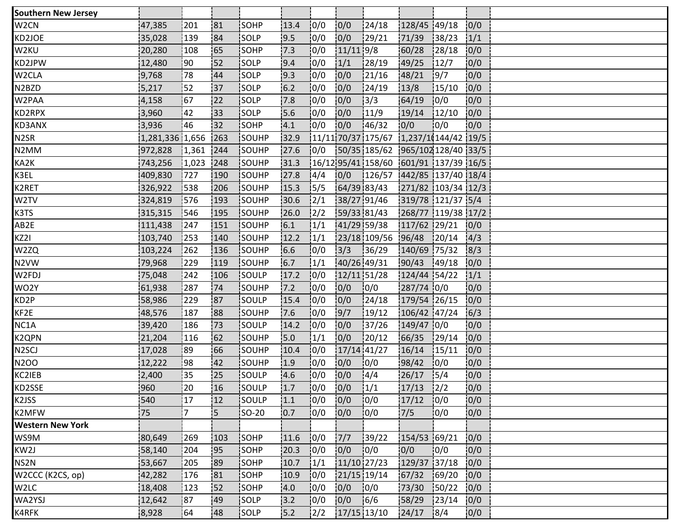| <b>Southern New Jersey</b> |                 |       |     |              |       |                |               |                                                     |                    |        |      |  |
|----------------------------|-----------------|-------|-----|--------------|-------|----------------|---------------|-----------------------------------------------------|--------------------|--------|------|--|
| W <sub>2</sub> CN          | 47,385          | 201   | 81  | SOHP         | 13.4  | 0/0            | 0/0           | 124/18                                              | 128/45 49/18       |        | 0/0  |  |
| KD2JOE                     | 35,028          | 139   | 84  | SOLP         | 9.5   | 0/0            | 0/0           | 129/21                                              | 71/39              | 38/23  | 1/1  |  |
| W2KU                       | 20,280          | 108   | 65  | SOHP         | 7.3   | 0/0            | $11/11$ 9/8   |                                                     | 60/28              | 128/18 | 0/0  |  |
| KD2JPW                     | 12,480          | :90   | :52 | <b>SOLP</b>  | 9.4   | 10/0           | 1/1           | 28/19                                               | 49/25              | 12/7   | 0/0  |  |
| W2CLA                      | 9,768           | 78    | 44  | SOLP         | 9.3   | 0/0            | 0/0           | 21/16                                               | 48/21              | 19/7   | 0/0  |  |
| N2BZD                      | 5,217           | 152   | 37  | SOLP         | $6.2$ | 0/0            | 0/0           | 124/19                                              | 13/8               | 15/10  | 0/0  |  |
| W2PAA                      | 4,158           | 167   | 22  | SOLP         | 7.8   | 0/0            | 0/0           | 13/3                                                | 64/19              | 10/0   | 0/0  |  |
| KD2RPX                     | 3,960           | 42    | 133 | SOLP         | 5.6   | 10/0           | 0/0           | 11/9                                                | 19/14              | 12/10  | 0/0  |  |
| KD3ANX                     | 3,936           | 46    | i32 | <b>SOHP</b>  | 4.1   | 10/0           | 0/0           | 146/32                                              | 0/0                | 10/0   | 0/0  |  |
| N <sub>2</sub> SR          | 1,281,336 1,656 |       | 263 | SOUHP        | 32.9  |                |               | $\frac{1}{11}{11}$ 70/37 175/67 1,237/1(144/42 19/5 |                    |        |      |  |
| N2MM                       | 972,828         | 1,361 | 244 | SOUHP        | 27.6  | 0/0            |               | 50/35 185/62 965/102 128/40 33/5                    |                    |        |      |  |
| KA2K                       | 743,256         | 1,023 | 248 | <b>SOUHP</b> | 31.3  |                |               | 16/12 95/41 158/60 601/91 137/39 16/5               |                    |        |      |  |
| K3EL                       | 409,830         | 1727  | 190 | <b>SOUHP</b> | 27.8  | 14/4           | 0/0           | $\frac{126}{57}$ $\frac{1442}{85}$ 137/40 18/4      |                    |        |      |  |
| K2RET                      | 326,922         | 538   | 206 | SOUHP        | 15.3  | 15/5           |               | 64/39 83/43                                         | 271/82 103/34 12/3 |        |      |  |
| W2TV                       | 324,819         | 1576  | 193 | SOUHP        | 30.6  | $\frac{2}{1}$  |               | 38/27 91/46                                         | 319/78 121/37 5/4  |        |      |  |
| K3TS                       | 315,315         | 546   | 195 | SOUHP        | 26.0  | $\frac{1}{2}$  |               | 59/33 81/43                                         | 268/77 119/38 17/2 |        |      |  |
| AB2E                       | 111,438         | 247   | 151 | SOUHP        | 6.1   | 1/1            |               | 41/29 59/38                                         | 117/62 29/21       |        | 0/0  |  |
| KZ2I                       | 103,740         | 253   | 140 | SOUHP        | 12.2  | 1/1            |               | 23/18 109/56                                        | 96/48              | 120/14 | 14/3 |  |
| W2ZQ                       | 103,224         | 262   | 136 | SOUHP        | 6.6   | 0/0            | 3/3           | 36/29                                               | 140/69 75/32       |        | 8/3  |  |
| N2VW                       | 79,968          | 229   | 119 | SOUHP        | 6.7   | 1/1            |               | 40/26 49/31                                         | 90/43 49/18        |        | 0/0  |  |
| W2FDJ                      | 75,048          | 242   | 106 | SOULP        | 17.2  | 0/0            |               | 12/11 51/28                                         | 124/44 54/22       |        | 1/1  |  |
| WO2Y                       | 61,938          | 287   | 74  | <b>SOUHP</b> | 17.2  | 10/0           | 0/0           | 10/0                                                | 287/74 0/0         |        | 0/0  |  |
| KD2P                       | 58,986          | 229   | 87  | <b>SOULP</b> | 15.4  | 10/0           | 0/0           | 124/18                                              | 179/54 26/15       |        | 0/0  |  |
| KF2E                       | 48,576          | 187   | 88  | SOUHP        | 7.6   | 0/0            | 9/7           | 19/12                                               | 106/42 47/24       |        | 6/3  |  |
| NC1A                       | 39,420          | 186   | 73  | SOULP        | 14.2  | 0/0            | 0/0           | 37/26                                               | 149/47 0/0         |        | 0/0  |  |
| K2QPN                      | 21,204          | 116   | 62  | SOUHP        | 15.0  | 1/1            | 0/0           | 20/12                                               | 66/35              | 129/14 | 0/0  |  |
| N <sub>2</sub> SCJ         | 17,028          | i 89  | 66  | SOUHP        | 10.4  | 10/0           | $17/14$ 41/27 |                                                     | 16/14              | 15/11  | 0/0  |  |
| N2OO                       | 12,222          | :98   | 42  | SOUHP        | 1.9   | 0/0            | 0/0           | 10/0                                                | 98/42              | 10/0   | 0/0  |  |
| KC2IEB                     | 2,400           | 35    | 25  | SOULP        | 4.6   | 0/0            | 0/0           | 4/4                                                 | 26/17              | 15/4   | 0/0  |  |
| KD2SSE                     | 960             | 20    | 16  | SOULP        | 1.7   | 10/0           | 0/0           | 1/1                                                 | 17/13              | 12/2   | 0/0  |  |
| K2JSS                      | 540             | 17    | 12  | <b>SOULP</b> | 1.1   | 10/0           | 0/0           | 10/0                                                | 17/12              | 10/0   | 0/0  |  |
| K2MFW                      | 75              | 17    | İ5  | <b>SO-20</b> | 10.7  | 10/0           | 10/0          | 10/0                                                | 7/5                | 10/0   | 0/0  |  |
| <b>Western New York</b>    |                 |       |     |              |       |                |               |                                                     |                    |        |      |  |
| WS9M                       | 80,649          | 269   | 103 | SOHP         | 11.6  | 0/0            | 7/7           | 139/22                                              | 154/53 69/21       |        | 0/0  |  |
| KW2J                       | 58,140          | 204   | !95 | SOHP         | 20.3  | 10/0           | 10/0          | 10/0                                                | 0/0                | 10/0   | 0/0  |  |
| NS2N                       | 53,667          | 205   | :89 | SOHP         | 10.7  | 1/1            | 11/10 27/23   |                                                     | 129/37 37/18       |        | 0/0  |  |
| W2CCC (K2CS, op)           | 42,282          | 176   | 81  | <b>SOHP</b>  | 10.9  | 10/0           | 21/15 19/14   |                                                     | 67/32              | 169/20 | 0/0  |  |
| W2LC                       | 18,408          | 123   | 52  | SOHP         | 4.0   | 0/0            | 0/0           | 0/0                                                 | 73/30              | 150/22 | 0/0  |  |
| WA2YSJ                     | 12,642          | 87    | 49  | SOLP         | 3.2   | 0/0            | 0/0           | 16/6                                                | 58/29              | 123/14 | 0/0  |  |
| K4RFK                      | 8,928           | 164   | 48  | <b>SOLP</b>  | 5.2   | $\frac{12}{2}$ | $17/15$ 13/10 |                                                     | 24/17              | 8/4    | 0/0  |  |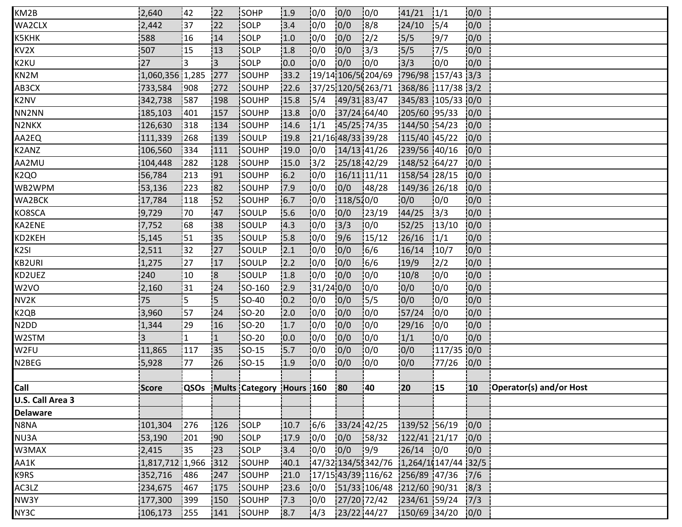| KM2B                          | 2,640             | 142            | 122            | <b>ISOHP</b>                  | 1.9  | 10/0      | 0/0       | 10/0                                             | 141/21            | 1/1           | 0/0          |                         |
|-------------------------------|-------------------|----------------|----------------|-------------------------------|------|-----------|-----------|--------------------------------------------------|-------------------|---------------|--------------|-------------------------|
| WA2CLX                        | 2,442             | 37             | 22             | SOLP                          | 3.4  | 10/0      | 0/0       | 8/8                                              | 24/10             | 15/4          | 0/0          |                         |
| K5KHK                         | 588               | 16             | 14             | SOLP                          | 1.0  | 0/0       | 0/0       | $\frac{2}{2}$                                    | 5/5               | 9/7           | 0/0          |                         |
| KV2X                          | 507               | 15             | 13             | SOLP                          | 1.8  | 10/0      | 0/0       | 3/3                                              | 5/5               | 17/5          | 0/0          |                         |
| K2KU                          | 27                | i3             | i3.            | <b>SOLP</b>                   | 0.0  | 10/0      | 0/0       | 10/0                                             | 3/3               | 10/0          | 0/0          |                         |
| KN2M                          | 1,060,356 1,285   |                | 277            | SOUHP                         | 33.2 |           |           | 19/14 106/5(204/69                               | 796/98 157/43 3/3 |               |              |                         |
| AB3CX                         | 733,584           | 908            | 272            | SOUHP                         | 22.6 |           |           | $\frac{1}{37}/25$ 120/5(263/71 368/86 117/38 3/2 |                   |               |              |                         |
| K2NV                          | 342,738           | 587            | 198            | SOUHP                         | 15.8 | 15/4      |           | 49/31 83/47                                      | 345/83 105/33 0/0 |               |              |                         |
| NN2NN                         | 185,103           | <b>401</b>     | 157            | SOUHP                         | 13.8 | 0/0       |           | 37/24 64/40                                      | 205/60 95/33      |               | 10/0         |                         |
| N2NKX                         | 126,630           | 318            | 134            | SOUHP                         | 14.6 | 1/1       |           | 45/25 74/35                                      | 144/50 54/23      |               | 0/0          |                         |
| AA2EQ                         | 111,339           | 268            | 139            | SOULP                         | 19.8 |           |           | 21/16 48/33 39/28                                | 115/40 45/22      |               | 0/0          |                         |
| K2ANZ                         | 106,560           | 334            | 111            | SOUHP                         | 19.0 | 10/0      |           | $14/13$ 41/26                                    | 239/56 40/16      |               | 0/0          |                         |
| AA2MU                         | 104,448           | 282            | 128            | SOUHP                         | 15.0 | 13/2      |           | 25/18 42/29                                      | 148/52 64/27      |               | 0/0          |                         |
| K2QO                          | 56,784            | 213            | 191            | <b>SOUHP</b>                  | 6.2  | 10/0      |           | 16/11 11/11                                      | 158/54 28/15      |               | 10/0         |                         |
| WB2WPM                        | 53,136            | 223            | 182            | SOUHP                         | 17.9 | 10/0      | 0/0       | 148/28                                           | 149/36 26/18      |               | 0/0          |                         |
| WA2BCK                        | 17,784            | 118            | 152            | SOUHP                         | 6.7  | 0/0       | 118/510/0 |                                                  | 0/0               | 0/0           | 0/0          |                         |
| KO8SCA                        | 9,729             | 70             | 47             | SOULP                         | 15.6 | 0/0       | 0/0       | 23/19                                            | 44/25             | 3/3           | 0/0          |                         |
| KA2ENE                        | 7,752             | 68             | 138            | <b>SOULP</b>                  | 14.3 | 10/0      | 3/3       | 10/0                                             | 52/25             | 13/10         | 0/0          |                         |
| KD2KEH                        | 5,145             | 51             | 35             | SOULP                         | 15.8 | 10/0      | 9/6       | 15/12                                            | 26/16             | 1/1           | 0/0          |                         |
| K2SI                          | 2,511             | 32             | 27             | SOULP                         | 2.1  | 0/0       | 0/0       | 6/6                                              | 16/14             | 10/7          | 0/0          |                         |
| KB2URI                        | 1,275             | 27             | 17             | SOULP                         | 2.2  | 0/0       | 0/0       | 16/6                                             | 19/9              | $\frac{1}{2}$ | 0/0          |                         |
| KD2UEZ                        | 240               | 10             | 8              | SOULP                         | 1.8  | 10/0      | 0/0       | 0/0                                              | 10/8              | 0/0           | 0/0          |                         |
| W <sub>2</sub> VO             | 2,160             | 31             | 24             | <b>SO-160</b>                 | 12.9 | 31/24 0/0 |           | 10/0                                             | 0/0               | 10/0          | 0/0          |                         |
| NV2K                          | 75                | is.            | :5             | <b>SO-40</b>                  | 0.2  | 10/0      | 0/0       | 15/5                                             | 0/0               | 10/0          | 0/0          |                         |
| K2QB                          | 3,960             | 57             | 24             | $ SO-20 $                     | 2.0  | 10/0      | 0/0       | 0/0                                              | 57/24             | 10/0          | 0/0          |                         |
| N <sub>2</sub> D <sub>D</sub> | 1,344             | 29             | 16             | $ SO-20 $                     | 1.7  | 0/0       | 0/0       | 10/0                                             | 29/16             | 0/0           | 0/0          |                         |
| W2STM                         | 3                 | $\overline{1}$ | $\overline{1}$ | <b>SO-20</b>                  | 10.0 | 10/0      | 0/0       | 10/0                                             | 1/1               | 10/0          | 0/0          |                         |
| W2FU                          | 11,865            | 117            | 135            | <b>SO-15</b>                  | 15.7 | 10/0      | 0/0       | 10/0                                             | 0/0               | $117/35$ 0/0  |              |                         |
| N2BEG                         | 5,928             | 77             | 26             | <b>SO-15</b>                  | 1.9  | 0/0       | 0/0       | 10/0                                             | 0/0               | 77/26         | 0/0          |                         |
|                               |                   |                |                |                               |      |           |           |                                                  |                   |               |              |                         |
| Call                          | Score             |                |                | QSOs Mults Category Hours 160 |      |           | 80        | 140                                              | 20                | 15            | $ 10\rangle$ | Operator(s) and/or Host |
| U.S. Call Area 3              |                   |                |                |                               |      |           |           |                                                  |                   |               |              |                         |
| <b>Delaware</b>               |                   |                |                |                               |      |           |           |                                                  |                   |               |              |                         |
| N8NA                          | 101,304           | 276            | 126            | SOLP                          | 10.7 | 16/6      |           | 33/24 42/25                                      | 139/52 56/19      |               | 0/0          |                         |
| NU3A                          | 53,190            | 201            | 90             | SOLP                          | 17.9 | 0/0       | 0/0       | 158/32                                           | $122/41$ 21/17    |               | 0/0          |                         |
| W3MAX                         | 2,415             | 135            | !23            | SOLP                          | 3.4  | 10/0      | 0/0       | 19/9                                             | $26/14$ 0/0       |               | 10/0         |                         |
| AA1K                          | $1,817,712$ 1,966 |                | 312            | SOUHP                         | 40.1 |           |           | 47/32 134/55342/76 1,264/10147/44 32/5           |                   |               |              |                         |
| K9RS                          | 352,716           | 486            | 247            | SOUHP                         | 21.0 |           |           | $\frac{1}{2}$ 17/15 43/39 116/62 256/89 47/36    |                   |               | 7/6          |                         |
| AC3LZ                         | 234,675           | 467            | 175            | SOUHP                         | 23.6 | 0/0       |           | 51/33 106/48 212/60 90/31                        |                   |               | 8/3          |                         |
| NW3Y                          | 177,300           | 399            | 150            | SOUHP                         | 7.3  | 0/0       |           | 27/20 72/42                                      | 234/61 59/24      |               | 7/3          |                         |
| NY3C                          | 106,173           | 1255           | 141            | SOUHP                         | 8.7  | 14/3      |           | 23/22 44/27                                      | 150/69 34/20      |               | 0/0          |                         |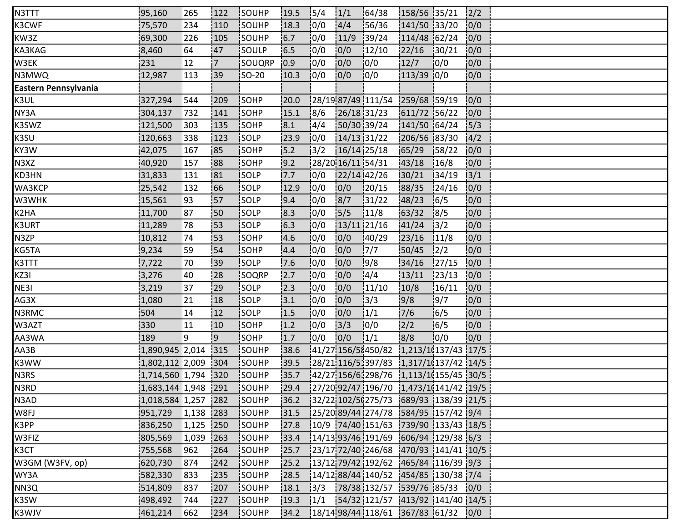| N3TTT                | 95,160              | 265         | 122 | <b>SOUHP</b> | 19.5  | 15/4           | 1/1  | 164/38                                                                                                        | 158/56 35/21 |               | 2/2  |  |
|----------------------|---------------------|-------------|-----|--------------|-------|----------------|------|---------------------------------------------------------------------------------------------------------------|--------------|---------------|------|--|
| K3CWF                | 75,570              | 234         | 110 | SOUHP        | 18.3  | 0/0            | 4/4  | 56/36                                                                                                         | 141/50 33/20 |               | 0/0  |  |
| KW3Z                 | 69,300              | 226         | 105 | SOUHP        | 6.7   | 0/0            | 11/9 | 139/24                                                                                                        | 114/48 62/24 |               | 0/0  |  |
| KA3KAG               | 8,460               | 64          | 47  | SOULP        | 6.5   | 0/0            | 0/0  | 12/10                                                                                                         | 22/16        | 30/21         | 10/0 |  |
| W3EK                 | 231                 | 12          | 17  | SOUQRP       | 10.9  | 0/0            | 0/0  | 0/0                                                                                                           | 12/7         | 0/0           | 0/0  |  |
| N3MWQ                | 12,987              | 113         | :39 | SO-20        | 10.3  | 0/0            | 0/0  | 10/0                                                                                                          | 113/39 0/0   |               | 0/0  |  |
| Eastern Pennsylvania |                     |             |     |              |       |                |      |                                                                                                               |              |               |      |  |
| K3UL                 | 327,294             | 544         | 209 | SOHP         | 20.0  |                |      | 28/19 87/49 111/54 259/68 59/19                                                                               |              |               | 0/0  |  |
| NY3A                 | 304,137             | 732         | 141 | SOHP         | 15.1  | 8/6            |      | 26/18 31/23                                                                                                   | 611/72 56/22 |               | 0/0  |  |
| K3SWZ                | 121,500             | 1303        | 135 | SOHP         | 8.1   | 4/4            |      | 50/30 39/24                                                                                                   | 141/50 64/24 |               | 15/3 |  |
| K3SU                 | 120,663             | 338         | 123 | $\vert$ SOLP | 23.9  | 0/0            |      | $14/13$ 31/22                                                                                                 | 206/56 83/30 |               | 4/2  |  |
| KY3W                 | 42,075              | 167         | 85  | SOHP         | 15.2  | 13/2           |      | 16/14 25/18                                                                                                   | 65/29        | 58/22         | 0/0  |  |
| N3XZ                 | 40,920              | 157         | 188 | SOHP         | 9.2   |                |      | 28/20 16/11 54/31                                                                                             | 43/18        | 16/8          | 10/0 |  |
| KD3HN                | 31,833              | 131         | 181 | <b>SOLP</b>  | 7.7   | 10/0           |      | 22/14 42/26                                                                                                   | 30/21        | 134/19        | 3/1  |  |
| WA3KCP               | 25,542              | 132         | 66  | <b>SOLP</b>  | 12.9  | 10/0           | 0/0  | 120/15                                                                                                        | 88/35        | 24/16         | 0/0  |  |
| W3WHK                | 15,561              | :93         | 157 | SOLP         | 9.4   | 10/0           | 8/7  | 31/22                                                                                                         | 48/23        | 16/5          | 0/0  |  |
| K2HA                 | 11,700              | <u> </u> 87 | :50 | SOLP         | 8.3   | 0/0            | 5/5  | 11/8                                                                                                          | 63/32        | 8/5           | 0/0  |  |
| K3URT                | 11,289              | 78          | 153 | <b>SOLP</b>  | 6.3   | 10/0           |      | 13/11 21/16                                                                                                   | 41/24        | 13/2          | 0/0  |  |
| N3ZP                 | 10,812              | 74          | 53  | SOHP         | 4.6   | 10/0           | 0/0  | 140/29                                                                                                        | 23/16        | 11/8          | 0/0  |  |
| KG5TA                | 9,234               | 59          | 54  | SOHP         | 4.4   | 0/0            | 0/0  | 7/7                                                                                                           | 50/45        | $\frac{1}{2}$ | 0/0  |  |
| K3TTT                | 7,722               | 170         | :39 | SOLP         | 7.6   | 0/0            | 0/0  | 9/8                                                                                                           | 34/16        | 127/15        | 0/0  |  |
| KZ3I                 | 3,276               | 40          | 28  | SOQRP        | 12.7  | 10/0           | 0/0  | 4/4                                                                                                           | 13/11        | 123/13        | 0/0  |  |
| NE3I                 | 3,219               | 37          | 29  | <b>SOLP</b>  | 2.3   | 10/0           | 0/0  | 11/10                                                                                                         | 10/8         | 16/11         | 0/0  |  |
| AG3X                 | 1,080               | 21          | 18  | <b>SOLP</b>  | 3.1   | 0/0            | 0/0  | 3/3                                                                                                           | 9/8          | 19/7          | 10/0 |  |
| N3RMC                | 504                 | 14          | 12  | SOLP         | 1.5   | 10/0           | 0/0  | 1/1                                                                                                           | 7/6          | 16/5          | 0/0  |  |
| W3AZT                | 330                 | 11          | 10  | SOHP         | 1.2   | 0/0            | 3/3  | 0/0                                                                                                           | 2/2          | 16/5          | 0/0  |  |
| AA3WA                | 189                 | i 9         | 9   | SOHP         | 1.7   | 0/0            | 0/0  | 1/1                                                                                                           | 8/8          | 0/0           | 0/0  |  |
| AA3B                 | 1,890,945 2,014 315 |             |     | SOUHP        | 38.6  |                |      | $141/271156/58450/82$ 1,213/1(137/43 17/5                                                                     |              |               |      |  |
| K3WW                 | 1,802,112 2,009     |             | 304 | SOUHP        | 39.5  |                |      | $ 28/21 116/51397/83 1,317/11137/42 14/5$                                                                     |              |               |      |  |
| N3RS                 | 1,714,560 1,794     |             | 320 | SOUHP        | 35.7  |                |      | $\frac{1}{2}$ 42/27 156/6 298/76 1,113/1 (155/45 30/5                                                         |              |               |      |  |
| N3RD                 | 1,683,144 1,948 291 |             |     | SOUHP        | 29.4  |                |      | 127/2092/47196/7011.473/10141/4219/5                                                                          |              |               |      |  |
| N3AD                 | 1,018,584 1,257 282 |             |     | SOUHP        | 136.2 |                |      | 32/22 102/5(275/73 689/93 138/39 21/5                                                                         |              |               |      |  |
| W8FJ                 | 951,729             | 1,138       | 283 | SOUHP        | 31.5  |                |      | 125/20189/441274/78 584/95 157/42 9/4                                                                         |              |               |      |  |
| K3PP                 | 836,250             | 1,125       | 250 | SOUHP        | 27.8  |                |      | $\frac{10}{9}$ 74/40 151/63 739/90 133/43 18/5                                                                |              |               |      |  |
| W3FIZ                | 805,569             | 1,039       | 263 | SOUHP        | 33.4  |                |      | $14/13$ 93/46 191/69 606/94 129/38 6/3                                                                        |              |               |      |  |
| K3CT                 | 755,568             | 1962        | 264 | SOUHP        | 25.7  |                |      | 23/17 72/40 246/68 470/93 141/41 10/5                                                                         |              |               |      |  |
| W3GM (W3FV, op)      | 620,730             | 874         | 242 | SOUHP        | 25.2  |                |      | $13/12$ 79/42 192/62 465/84 116/39 9/3                                                                        |              |               |      |  |
| WY3A                 | 582,330             | 833         | 235 | SOUHP        | 28.5  |                |      | $14/12$ 88/44 140/52 454/85 130/38 7/4                                                                        |              |               |      |  |
| NN3Q                 | 514,809             | 837         | 207 | SOUHP        | 18.1  | $\frac{13}{3}$ |      | 78/38 132/57 539/76 85/33 0/0                                                                                 |              |               |      |  |
| K3SW                 | 498,492             | 744         | 227 | SOUHP        | 19.3  |                |      | $\frac{1}{1}$ $\frac{1}{5}$ $\frac{54}{32}$ $\frac{121}{57}$ $\frac{141}{92}$ $\frac{141}{40}$ $\frac{14}{5}$ |              |               |      |  |
| K3WJV                | 461,214             | 1662        | 234 | <b>SOUHP</b> | 34.2  |                |      | 18/1498/44118/611367/83161/3210/0                                                                             |              |               |      |  |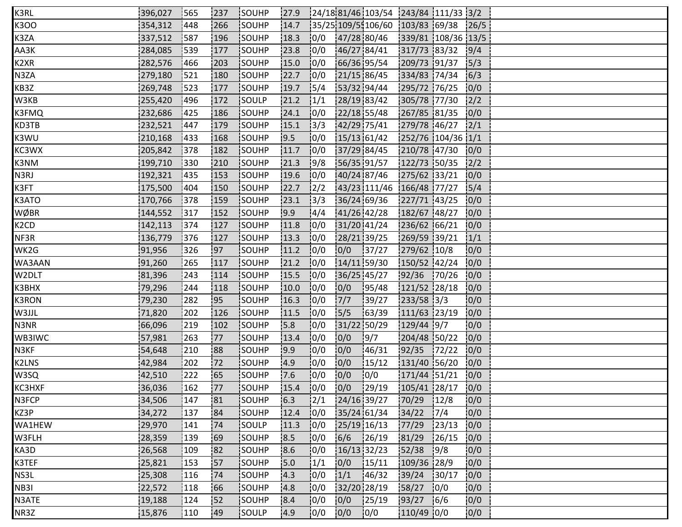| K3RL   | 396,027 | 1565          | 1237 | SOUHP         | 27.9 |               |               | 24/18 81/46 103/54 243/84 111/33 3/2             |                    |                  |      |  |
|--------|---------|---------------|------|---------------|------|---------------|---------------|--------------------------------------------------|--------------------|------------------|------|--|
| K3OO   | 354,312 | 448           | 266  | SOUHP         | 14.7 |               |               | $\frac{1}{35}/25$ 109/5 106/60 103/83 69/38 26/5 |                    |                  |      |  |
| K3ZA   | 337,512 | 587           | 196  | SOUHP         | 18.3 | 0/0           |               | 47/28 80/46                                      | 339/81 108/36 13/5 |                  |      |  |
| AA3K   | 284,085 | 539           | 177  | SOUHP         | 23.8 | 10/0          | 46/27 84/41   |                                                  | 317/73 83/32       |                  | 9/4  |  |
| K2XR   | 282,576 | 1466          | 203  | SOUHP         | 15.0 | 10/0          | 66/36 95/54   |                                                  | 209/73 91/37       |                  | 5/3  |  |
| N3ZA   | 279,180 | 521           | 180  | SOUHP         | 22.7 | 10/0          | 21/15 86/45   |                                                  | 334/83 74/34       |                  | 6/3  |  |
| KB3Z   | 269,748 | 1523          | 177  | SOUHP         | 19.7 | 15/4          | 53/32 94/44   |                                                  | 295/72 76/25       |                  | 0/0  |  |
| W3KB   | 255,420 | 496           | 172  | SOULP         | 21.2 | 1/1           | 28/19 83/42   |                                                  | 305/78 77/30       |                  | 2/2  |  |
| K3FMQ  | 232,686 | 1425          | 186  | SOUHP         | 24.1 | 10/0          | 22/18 55/48   |                                                  | 267/85 81/35       |                  | 10/0 |  |
| KD3TB  | 232,521 | 1447          | 179  | <b>SOUHP</b>  | 15.1 | 13/3          | 42/29 75/41   |                                                  | 279/78 46/27       |                  | 12/1 |  |
| K3WU   | 210,168 | 433           | 168  | SOUHP         | 9.5  | 10/0          | 15/13 61/42   |                                                  | 252/76 104/36 1/1  |                  |      |  |
| KC3WX  | 205,842 | 378           | 182  | SOUHP         | 11.7 | 0/0           | 37/29 84/45   |                                                  | 210/78 47/30       |                  | 0/0  |  |
| K3NM   | 199,710 | 330           | 210  | <b>ISOUHP</b> | 21.3 | 19/8          | 56/35 91/57   |                                                  | 122/73 50/35       |                  | 12/2 |  |
| N3RJ   | 192,321 | 1435          | 153  | SOUHP         | 19.6 | 10/0          |               | 40/24 87/46                                      | 275/62 33/21       |                  | 0/0  |  |
| K3FT   | 175,500 | 1404          | 150  | SOUHP         | 22.7 | $\frac{1}{2}$ |               | 43/23 111/46                                     | 166/48 77/27       |                  | 15/4 |  |
| K3ATO  | 170,766 | 378           | 159  | SOUHP         | 23.1 | 3/3           | 36/24 69/36   |                                                  | 227/71 43/25       |                  | 0/0  |  |
| WØBR   | 144,552 | 317           | 152  | SOUHP         | 19.9 | 14/4          | 41/26 42/28   |                                                  | 182/67 48/27       |                  | 0/0  |  |
| K2CD   | 142,113 | 1374          | 127  | <b>SOUHP</b>  | 11.8 | 10/0          | 31/20 41/24   |                                                  | 236/62 66/21       |                  | 0/0  |  |
| NF3R   | 136,779 | 376           | 127  | SOUHP         | 13.3 | 10/0          | 28/21 39/25   |                                                  | 269/59 39/21       |                  | 1/1  |  |
| WK2G   | 91,956  | 326           | 197  | SOUHP         | 11.2 | 10/0          | 0/0           | 137/27                                           | 279/62 10/8        |                  | 0/0  |  |
| WA3AAN | 91,260  | 265           | 117  | SOUHP         | 21.2 | 0/0           | 14/11 59/30   |                                                  | 150/52 42/24       |                  | 0/0  |  |
| W2DLT  | 81,396  | 243           | 114  | SOUHP         | 15.5 | 0/0           | 36/25 45/27   |                                                  | $92/36$ 70/26      |                  | 0/0  |  |
| K3BHX  | 79,296  | 244           | 118  | SOUHP         | 10.0 | 10/0          | 0/0           | 195/48                                           | 121/52 28/18       |                  | 0/0  |  |
| K3RON  | 79,230  | 1282          | :95  | <b>SOUHP</b>  | 16.3 | 10/0          | $7/7$         | 139/27                                           | 233/58 3/3         |                  | 0/0  |  |
| W3JJL  | 71,820  | 202           | 126  | SOUHP         | 11.5 | 10/0          | 15/5          | 163/39                                           | 111/63 23/19       |                  | 0/0  |  |
| N3NR   | 66,096  | 219           | 102  | SOUHP         | 15.8 | 0/0           | 31/22 50/29   |                                                  | $129/44$ 9/7       |                  | 0/0  |  |
| WB3IWC | 57,981  | 263           | 177  | SOUHP         | 13.4 | 10/0          | 0/0           | 9/7                                              | 204/48 50/22       |                  | 0/0  |  |
| N3KF   | 54,648  | 210           | 188  | SOUHP         | 9.9  | 10/0          | 0/0           | 146/31                                           | 92/35              | 172/22           | 0/0  |  |
| K2LNS  | 42,984  | 202           | 172  | SOUHP         | 14.9 | 0/0           | 0/0           | 15/12                                            | 131/40 56/20       |                  | 0/0  |  |
| W3SQ   | 42,510  | $ 222\rangle$ | 165  | SOUHP         | 7.6  | 0/0           | 0/0           | 0/0                                              | 171/44 51/21       |                  | 0/0  |  |
| KC3HXF | 36,036  | 162           | 177  | SOUHP         | 15.4 | 10/0          | 0/0           | 129/19                                           | 105/41 28/17       |                  | 0/0  |  |
| N3FCP  | 34,506  | 147           | 181  | SOUHP         | 6.3  | 12/1          | 24/16 39/27   |                                                  | 70/29 12/8         |                  | 0/0  |  |
| KZ3P   | 34,272  | <b>137</b>    | 84   | <b>ISOUHP</b> | 12.4 | 0/0           |               | 35/24 61/34                                      | 34/22              | 17/4             | 0/0  |  |
| WA1HEW | 29,970  | 141           | 74   | SOULP         | 11.3 | 0/0           | $25/19$ 16/13 |                                                  | 77/29              | 123/13           | 0/0  |  |
| W3FLH  | 28,359  | 139           | 69   | SOUHP         | 8.5  | 0/0           | $6/6$ 26/19   |                                                  | 81/29              | 126/15           | 0/0  |  |
| KA3D   | 26,568  | 109           | 82   | SOUHP         | 18.6 | 0/0           | $16/13$ 32/23 |                                                  | 52/38              | 9/8              | 10/0 |  |
| K3TEF  | 25,821  | 153           | 57   | SOUHP         | 15.0 | 1/1           | 0/0           | 15/11                                            | 109/36 28/9        |                  | 0/0  |  |
| NS3L   | 25,308  | 116           | 74   | <b>SOUHP</b>  | 14.3 | 10/0          | 1/1           | 146/32                                           | 39/24              | 130/17           | 0/0  |  |
| NB3I   | 22,572  | 118           | 66   | SOUHP         | 4.8  | 0/0           | 32/20 28/19   |                                                  | 58/27              | $\frac{1}{2}0/0$ | 0/0  |  |
| N3ATE  | 19,188  | 124           | 152  | SOUHP         | 8.4  | 0/0           | 0/0           | 125/19                                           | $93/27$ 6/6        |                  | 0/0  |  |
| NR3Z   | 15,876  | 110           | 149  | <b>ISOULP</b> | 4.9  | 0/0           | 0/0           | 0/0                                              | 110/49 0/0         |                  | 0/0  |  |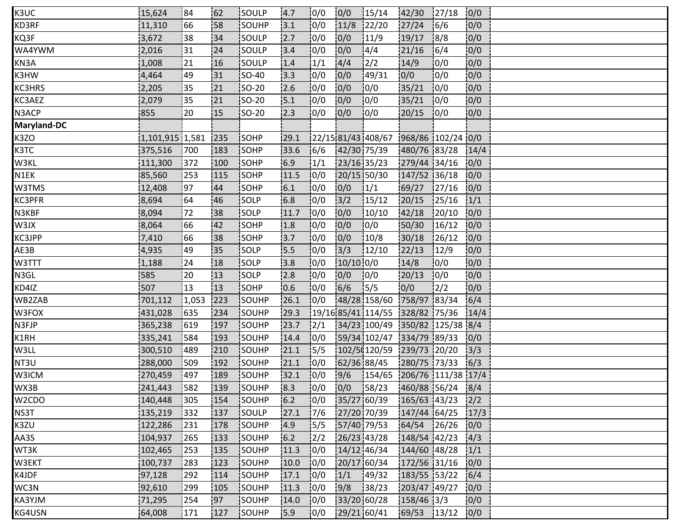| K3UC               | 15,624          | 184    | 62  | <b>ISOULP</b> | 14.7  | 10/0           | 0/0         | 15/14                                | 42/30            | 127/18        | 0/0  |  |
|--------------------|-----------------|--------|-----|---------------|-------|----------------|-------------|--------------------------------------|------------------|---------------|------|--|
| KD3RF              | 11,310          | 166    | 58  | SOUHP         | 3.1   | 10/0           | 11/8        | 122/20                               | 27/24            | 16/6          | 0/0  |  |
| KQ3F               | 3,672           | 38     | 34  | SOULP         | 2.7   | 0/0            | 0/0         | 11/9                                 | 19/17            | 8/8           | 0/0  |  |
| WA4YWM             | 2,016           | 31     | 24  | SOULP         | 3.4   | 10/0           | 0/0         | 4/4                                  | 21/16            | 16/4          | 0/0  |  |
| KN3A               | 1,008           | 21     | 16  | <b>SOULP</b>  | 1.4   | 1/1            | 4/4         | $\frac{1}{2}$                        | 14/9             | 10/0          | 0/0  |  |
| K3HW               | 4,464           | 49     | 31  | <b>SO-40</b>  | 3.3   | 0/0            | 0/0         | 149/31                               | 0/0              | 10/0          | 0/0  |  |
| KC3HRS             | 2,205           | 135    | 21  | $SO-20$       | 2.6   | 0/0            | 0/0         | 10/0                                 | 35/21            | 10/0          | 0/0  |  |
| KC3AEZ             | 2,079           | 35     | 21  | $ SO-20 $     | 15.1  | 0/0            | 0/0         | 0/0                                  | 35/21            | 0/0           | 0/0  |  |
| N3ACP              | 855             | 20     | 115 | <b>SO-20</b>  | 12.3  | 10/0           | 0/0         | 10/0                                 | 20/15            | 0/0           | 10/0 |  |
| <b>Maryland-DC</b> |                 |        |     |               |       |                |             |                                      |                  |               |      |  |
| K3ZO               | 1,101,915 1,581 |        | 235 | <b>SOHP</b>   | 29.1  |                |             | 22/15 81/43 408/67 968/86 102/24 0/0 |                  |               |      |  |
| K3TC               | 375,516         | 700    | 183 | SOHP          | 33.6  | 6/6            |             | 42/30 75/39                          | 480/76 83/28     |               | 14/4 |  |
| W3KL               | 111,300         | 372    | 100 | SOHP          | 6.9   | 1/1            | 23/16 35/23 |                                      | 279/44 34/16     |               | 10/0 |  |
| N1EK               | 85,560          | 253    | 115 | <b>SOHP</b>   | 11.5  | 10/0           |             | 20/15 50/30                          | 147/52 36/18     |               | 10/0 |  |
| W3TMS              | 12,408          | 97     | 44  | SOHP          | 6.1   | 10/0           | 0/0         | 1/1                                  | 69/27            | 27/16         | 0/0  |  |
| <b>KC3PFR</b>      | 8,694           | 64     | 46  | SOLP          | 6.8   | 0/0            | 3/2         | 15/12                                | 20/15            | 125/16        | 1/1  |  |
| N3KBF              | 8,094           | 72     | 38  | SOLP          | 11.7  | 10/0           | 0/0         | 10/10                                | 42/18            | 120/10        | 0/0  |  |
| W3JX               | 8,064           | 66     | 42  | SOHP          | 1.8   | 10/0           | 0/0         | 10/0                                 | 50/30            | 16/12         | 0/0  |  |
| KC3JPP             | 7,410           | 66     | 38  | SOHP          | 13.7  | 0/0            | 0/0         | 10/8                                 | 30/18            | 126/12        | 0/0  |  |
| AE3B               | 4,935           | 49     | 35  | SOLP          | 5.5   | 0/0            | 3/3         | 12/10                                | 22/13            | 12/9          | 0/0  |  |
| W3TTT              | 1,188           | 24     | 18  | SOLP          | 3.8   | 0/0            | $10/10$ 0/0 |                                      | 14/8             | 0/0           | 0/0  |  |
| N3GL               | 585             | 20     | 13  | SOLP          | 12.8  | 0/0            | 0/0         | 0/0                                  | 20/13            | 0/0           | 0/0  |  |
| KD4IZ              | 507             | 13     | 13  | SOHP          | 10.6  | 10/0           | 6/6         | 15/5                                 | 0/0              | $\frac{1}{2}$ | 0/0  |  |
| WB2ZAB             | 701,112         | 1,053  | 223 | <b>SOUHP</b>  | 26.1  | 10/0           |             | 48/28 158/60 758/97 83/34            |                  |               | 6/4  |  |
| W3FOX              | 431,028         | 635    | 234 | SOUHP         | 29.3  |                |             | 19/16 85/41 114/55 328/82 75/36      |                  |               | 14/4 |  |
| N3FJP              | 365,238         | 619    | 197 | SOUHP         | 23.7  | 12/1           |             | 34/23 100/49 350/82 125/38 8/4       |                  |               |      |  |
| K1RH               | 335,241         | 584    | 193 | SOUHP         | 14.4  | 0/0            |             | 59/34 102/47 334/79 89/33            |                  |               | 0/0  |  |
| W3LL               | 300,510         | 1489   | 210 | SOUHP         | 21.1  | 15/5           |             | $102/50120/59$ 239/73 20/20          |                  |               | 13/3 |  |
| NT3U               | 288,000         | 509    | 192 | SOUHP         | 21.1  | 10/0           | 62/36 88/45 |                                      | 280/75 73/33     |               | 6/3  |  |
| W3ICM              | 270,459         | 497    | 189 | SOUHP         | 32.1  | 0/0            | 9/6         | $154/65$ 206/76 111/38 17/4          |                  |               |      |  |
| WX3B               | 241,443         | 582    | 139 | SOUHP         | 8.3   | 0/0            | 0/0         | 158/23                               | 460/88 56/24 8/4 |               |      |  |
| W2CDO              | 140,448         | 305    | 154 | SOUHP         | 6.2   | 10/0           |             | 35/27 60/39                          | 165/63 43/23     |               | 12/2 |  |
| NS3T               | 135,219         | 1332   | 137 | SOULP         | 27.1  | 17/6           |             | 27/20 70/39                          | 147/44 64/25     |               | 17/3 |  |
| K3ZU               | 122,286         | $ 231$ | 178 | SOUHP         | 4.9   | 15/5           |             | 57/40 79/53                          | 64/54            | 126/26        | 0/0  |  |
| AA3S               | 104,937         | 265    | 133 | SOUHP         | $6.2$ | $\frac{12}{2}$ |             | 26/23 43/28                          | 148/54 42/23     |               | 4/3  |  |
| WT3K               | 102,465         | 253    | 135 | SOUHP         | 11.3  | 10/0           |             | 14/12 46/34                          | 144/60 48/28     |               | 1/1  |  |
| W3EKT              | 100,737         | 283    | 123 | SOUHP         | 10.0  | 10/0           |             | 20/17 60/34                          | 172/56 31/16     |               | 0/0  |  |
| K4JDF              | 97,128          | 292    | 114 | SOUHP         | 17.1  | 0/0            | 1/1         | 149/32                               | 183/55 53/22     |               | 6/4  |  |
| WC3N               | 92,610          | 299    | 105 | SOUHP         | 11.3  | 0/0            | 9/8         | 38/23                                | 203/47 49/27     |               | 0/0  |  |
| KA3YJM             | 71,295          | 254    | 97  | SOUHP         | 14.0  | 0/0            |             | 33/20 60/28                          | $158/46$ 3/3     |               | 0/0  |  |
| KG4USN             | 64,008          | 171    | 127 | SOUHP         | 15.9  | 10/0           |             | 29/21 60/41                          | 69/53 13/12      |               | 0/0  |  |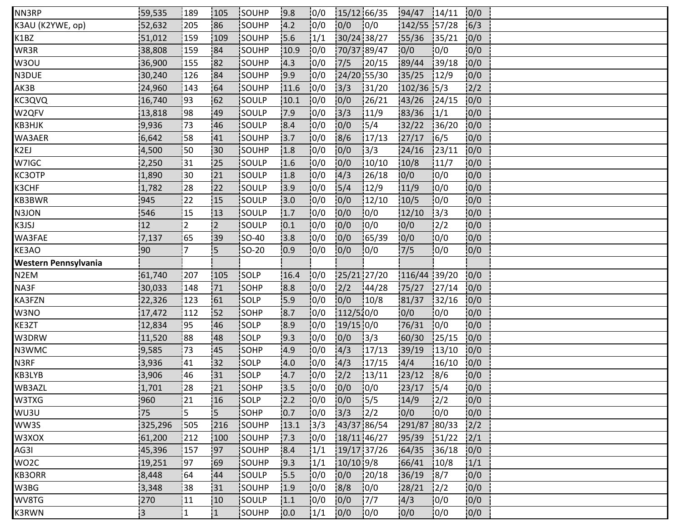| NN3RP                | 59,535         | 189            | 105            | <b>ISOUHP</b> | 9.8  | 0/0  | 15/12 66/35 |        | 94/47        | 14/11          | 0/0  |  |
|----------------------|----------------|----------------|----------------|---------------|------|------|-------------|--------|--------------|----------------|------|--|
| K3AU (K2YWE, op)     | 52,632         | 205            | 86             | SOUHP         | 4.2  | 0/0  | 0/0         | 0/0    | 142/55 57/28 |                | 6/3  |  |
| K1BZ                 | 51,012         | 159            | 109            | SOUHP         | 15.6 | 1/1  | 30/24 38/27 |        | 55/36        | 135/21         | 0/0  |  |
| WR3R                 | 38,808         | 159            | 84             | SOUHP         | 10.9 | 10/0 | 70/37 89/47 |        | 0/0          | 10/0           | 0/0  |  |
| W3OU                 | 36,900         | 155            | :82            | <b>SOUHP</b>  | 14.3 | 10/0 | 7/5         | 120/15 | 89/44        | 139/18         | 0/0  |  |
| N3DUE                | 30,240         | 126            | <b>84</b>      | SOUHP         | 9.9  | 0/0  | 24/20 55/30 |        | 35/25        | 12/9           | 0/0  |  |
| AK3B                 | 24,960         | 143            | 64             | SOUHP         | 11.6 | 0/0  | 3/3         | 131/20 | $102/36$ 5/3 |                | 2/2  |  |
| KC3QVQ               | 16,740         | 93             | 162            | SOULP         | 10.1 | 10/0 | 0/0         | 126/21 | 43/26        | 124/15         | 0/0  |  |
| W2QFV                | 13,818         | 98             | 49             | <b>SOULP</b>  | 17.9 | 10/0 | 13/3        | 11/9   | 83/36        | 1/1            | 0/0  |  |
| КВЗНЈК               | 9,936          | 73             | 146            | SOULP         | 8.4  | 10/0 | 0/0         | 15/4   | 32/22        | 36/20          | 0/0  |  |
| WA3AER               | 6,642          | 158            | 41             | SOUHP         | 3.7  | 0/0  | 8/6         | 17/13  | 27/17        | 16/5           | 0/0  |  |
| K2EJ                 | 4,500          | 150            | :30            | SOUHP         | 1.8  | 0/0  | 0/0         | 3/3    | 24/16        | 23/11          | 0/0  |  |
| W7IGC                | 2,250          | 31             | !25            | SOULP         | 1.6  | 0/0  | 0/0         | 10/10  | 10/8         | 11/7           | 0/0  |  |
| KC3OTP               | 1,890          | i 30           | 121            | <b>SOULP</b>  | 11.8 | 10/0 | 14/3        | 26/18  | 10/0         | 10/0           | 0/0  |  |
| K3CHF                | 1,782          | 28             | 22             | isoulp        | 3.9  | 10/0 | 15/4        | 12/9   | 11/9         | 10/0           | 0/0  |  |
| KB3BWR               | 945            | 22             | 15             | SOULP         | 3.0  | 0/0  | 0/0         | 12/10  | 10/5         | 10/0           | 0/0  |  |
| N3JON                | 546            | 15             | 13             | SOULP         | 1.7  | 0/0  | 0/0         | 10/0   | 12/10        | 3/3            | 0/0  |  |
| K3JSJ                | 12             | <u> 2</u>      | $\overline{2}$ | <b>SOULP</b>  | 0.1  | 10/0 | 0/0         | 10/0   | 0/0          | 12/2           | 0/0  |  |
| WA3FAE               | 7,137          | 65             | 39             | <b>SO-40</b>  | 3.8  | 10/0 | 0/0         | 65/39  | 10/0         | 10/0           | 0/0  |  |
| KE3AO                | 90             | $\overline{7}$ | 5              | SO-20         | 0.9  | 0/0  | 0/0         | 0/0    | 7/5          | 0/0            | 0/0  |  |
| Western Pennsylvania |                |                |                |               |      |      |             |        |              |                |      |  |
| N <sub>2</sub> EM    | 61,740         | 207            | 105            | SOLP          | 16.4 | 0/0  | 25/21 27/20 |        | 116/44 39/20 |                | 0/0  |  |
| NA3F                 | 30,033         | 148            | 71             | <b>SOHP</b>   | 8.8  | 10/0 | 2/2         | 144/28 | 75/27        | 127/14         | 10/0 |  |
| KA3FZN               | 22,326         | 123            | 61             | <b>SOLP</b>   | 15.9 | 0/0  | 0/0         | 10/8   | 81/37        | 32/16          | 0/0  |  |
| W3NO                 | 17,472         | 112            | 52             | SOHP          | 8.7  | 10/0 | 112/510/0   |        | 0/0          | 0/0            | 0/0  |  |
| KE3ZT                | 12,834         | 195            | 46             | SOLP          | 8.9  | 0/0  | $19/15$ 0/0 |        | 76/31        | 0/0            | 0/0  |  |
| W3DRW                | 11,520         | :88            | 48             | SOLP          | 19.3 | 10/0 | 0/0         | 13/3   | 60/30        | 125/15         | 0/0  |  |
| N3WMC                | 9,585          | 73             | 45             | SOHP          | 4.9  | 10/0 | 4/3         | 17/13  | 39/19        | 13/10          | 0/0  |  |
| N3RF                 | 3,936          | 41             | 132            | SOLP          | 4.0  | 0/0  | 4/3         | 17/15  | 4/4          | 16/10          | 0/0  |  |
| KB3LYB               | 3,906          | 46             | 31             | SOLP          | 4.7  | 0/0  | 2/2         | 13/11  | 23/12        | 8/6            | 0/0  |  |
| WB3AZL               | 1,701          | 28             | 21             | SOHP          | 13.5 | 10/0 | 0/0         | 10/0   | 23/17        | 15/4           | 0/0  |  |
| W3TXG                | 960            | 121            | 16             | SOLP          | 2.2  | 10/0 | 0/0         | 15/5   | 14/9         | $\frac{12}{2}$ | 10/0 |  |
| WU3U                 | 75             | l 5            | i5.            | <b>SOHP</b>   | 0.7  | 10/0 | 3/3         | 2/2    | 0/0          | 10/0           | 0/0  |  |
| WW3S                 | 325,296        | 505            | 216            | SOUHP         | 13.1 | 3/3  | 43/37 86/54 |        | 291/87 80/33 |                | 2/2  |  |
| W3XOX                | 61,200         | 212            | 100            | SOUHP         | 7.3  | 0/0  | 18/11 46/27 |        | 95/39        | 51/22          | 2/1  |  |
| AG3I                 | 45,396         | 157            | 197            | SOUHP         | 8.4  | 1/1  | 19/17 37/26 |        | 64/35        | 36/18          | 0/0  |  |
| WO2C                 | 19,251         | 97             | 69             | SOUHP         | 19.3 | 1/1  | $10/10$ 9/8 |        | 66/41        | 10/8           | 1/1  |  |
| KB3ORR               | 8,448          | 64             | 44             | SOULP         | 15.5 | 10/0 | 0/0         | 120/18 | 36/19        | 18/7           | 0/0  |  |
| W3BG                 | 3,348          | 38             | 31             | SOUHP         | 1.9  | 0/0  | 8/8         | 0/0    | 28/21        | $\frac{1}{2}$  | 0/0  |  |
| WV8TG                | 270            | 11             | 10             | SOULP         | 1.1  | 0/0  | 0/0         | 17/7   | 4/3          | 10/0           | 0/0  |  |
| K3RWN                | $\overline{3}$ | !1             | 1              | <b>SOUHP</b>  | 10.0 | 1/1  | 0/0         | 10/0   | 10/0         | 10/0           | 0/0  |  |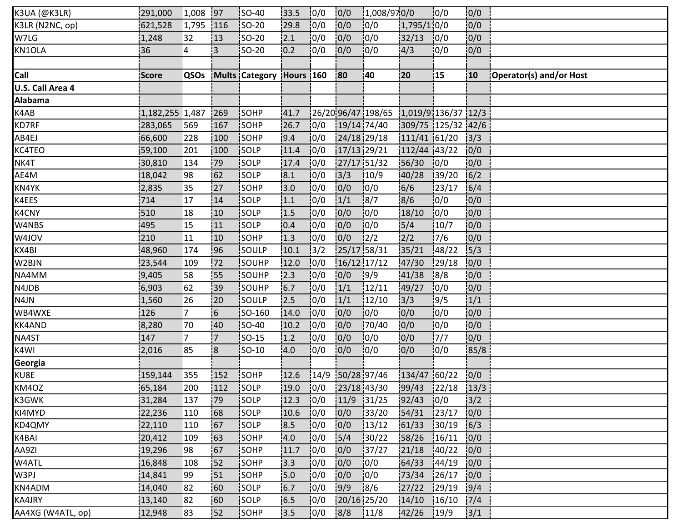| K3UA (@K3LR)      | 291,000         | $ 1,008 $ 97   |                          | <b>ISO-40</b>            | 33.5 | 10/0 | 0/0         | 1,008/970/0                             |                    | 10/0   | 0/0             |                         |
|-------------------|-----------------|----------------|--------------------------|--------------------------|------|------|-------------|-----------------------------------------|--------------------|--------|-----------------|-------------------------|
| K3LR (N2NC, op)   | 621,528         | 1,795          | 116                      | $ SO-20$                 | 29.8 | 10/0 | 0/0         | 0/0                                     | 1,795/110/0        |        | 0/0             |                         |
| W7LG              | 1,248           | 32             | 13                       | SO-20                    | 2.1  | 0/0  | 0/0         | 0/0                                     | 32/13              | 0/0    | 0/0             |                         |
| KN1OLA            | 36              | $\overline{A}$ | 3                        | <b>SO-20</b>             | 10.2 | 10/0 | 10/0        | 10/0                                    | 4/3                | 10/0   | 0/0             |                         |
|                   |                 |                |                          |                          |      |      |             |                                         |                    |        |                 |                         |
| Call              | Score           | QSOs           |                          | Mults Category Hours 160 |      |      | <b>80</b>   | 140                                     | 20                 | 15     | 10              | Operator(s) and/or Host |
| U.S. Call Area 4  |                 |                |                          |                          |      |      |             |                                         |                    |        |                 |                         |
| <b>Alabama</b>    |                 |                |                          |                          |      |      |             |                                         |                    |        |                 |                         |
| K4AB              | 1,182,255 1,487 |                | 269                      | SOHP                     | 41.7 |      |             | $126/2096/47198/65$ 1,019/91136/37 12/3 |                    |        |                 |                         |
| KD7RF             | 283,065         | 569            | 167                      | <b>SOHP</b>              | 26.7 | 10/0 | 19/14 74/40 |                                         | 309/75 125/32 42/6 |        |                 |                         |
| AB4EJ             | 66,600          | 228            | 100                      | SOHP                     | 9.4  | 0/0  | 24/18 29/18 |                                         | 111/41 61/20       |        | 3/3             |                         |
| KC4TEO            | 59,100          | 201            | 100                      | SOLP                     | 11.4 | 0/0  | 17/13 29/21 |                                         | 112/44 43/22       |        | 0/0             |                         |
| NK4T              | 30,810          | 134            | .79                      | <b>SOLP</b>              | 17.4 | 10/0 | 27/17 51/32 |                                         | 56/30              | 10/0   | 0/0             |                         |
| AE4M              | 18,042          | !98            | 62                       | SOLP                     | 8.1  | 10/0 | 3/3         | 10/9                                    | 40/28              | 139/20 | 6/2             |                         |
| KN4YK             | 2,835           | 35             | 127                      | SOHP                     | 3.0  | 0/0  | 0/0         | 0/0                                     | 6/6                | 23/17  | 6/4             |                         |
| K4EES             | 714             | 17             | 14                       | SOLP                     | 1.1  | 10/0 | 1/1         | 18/7                                    | 8/6                | 0/0    | 0/0             |                         |
| K4CNY             | 510             | !18            | 10                       | SOLP                     | 1.5  | 10/0 | 0/0         | 10/0                                    | 18/10              | 10/0   | 0/0             |                         |
| W4NBS             | 495             | 15             | 11                       | <b>SOLP</b>              | 0.4  | 10/0 | 0/0         | 10/0                                    | 5/4                | 10/7   | 0/0             |                         |
| W4JOV             | 210             | 11             | 10                       | <b>SOHP</b>              | 1.3  | 0/0  | 0/0         | 12/2                                    | 2/2                | 17/6   | 0/0             |                         |
| KX4BI             | 48,960          | 174            | 96                       | SOULP                    | 10.1 | 3/2  | 25/17 58/31 |                                         | 35/21              | 148/22 | $\frac{1}{5}/3$ |                         |
| W2BJN             | 23,544          | 109            | 172                      | SOUHP                    | 12.0 | 0/0  | 16/12 17/12 |                                         | 47/30              | 29/18  | 0/0             |                         |
| NA4MM             | 9,405           | :58            | 55                       | SOUHP                    | 12.3 | 0/0  | 0/0         | 19/9                                    | 41/38              | 8/8    | 0/0             |                         |
| N4JDB             | 6,903           | 62             | <b>39</b>                | <b>SOUHP</b>             | 6.7  | 10/0 | 1/1         | 12/11                                   | 49/27              | 10/0   | 0/0             |                         |
| N4JN              | 1,560           | 26             | 20                       | SOULP                    | 2.5  | 10/0 | 1/1         | 12/10                                   | 13/3               | 19/5   | 1/1             |                         |
| WB4WXE            | 126             | 7              | $\overline{\phantom{0}}$ | SO-160                   | 14.0 | 0/0  | 0/0         | 0/0                                     | 0/0                | 10/0   | 0/0             |                         |
| KK4AND            | 8,280           | 70             | 40                       | SO-40                    | 10.2 | 0/0  | 0/0         | 70/40                                   | 10/0               | 10/0   | 0/0             |                         |
| NA4ST             | 147             | $\overline{7}$ | $\overline{7}$           | <b>SO-15</b>             | 1.2  | 10/0 | 0/0         | 10/0                                    | 0/0                | 7/7    | 0/0             |                         |
| K4WI              | 2,016           | 85             | 8                        | SO-10                    | 4.0  | 10/0 | 0/0         | 10/0                                    | 0/0                | 10/0   | 85/8            |                         |
| Georgia           |                 |                |                          |                          |      |      |             |                                         |                    |        |                 |                         |
| KU8E              | 159,144         | 355            | 152                      | SOHP                     | 12.6 | 14/9 | 50/28 97/46 |                                         | 134/47 60/22       |        | 0/0             |                         |
| KM4OZ             | 65,184          | 200            | 112                      | SOLP                     | 19.0 | 0/0  | 23/18 43/30 |                                         | $99/43$ 22/18      |        | 13/3            |                         |
| K3GWK             | 31,284          | 137            | 79                       | <b>SOLP</b>              | 12.3 | 10/0 | 11/9        | 31/25                                   | 92/43              | 10/0   | 3/2             |                         |
| KI4MYD            | 22,236          | 110            | 168                      | <b>SOLP</b>              | 10.6 | 0/0  | 0/0         | 33/20                                   | 54/31              | 123/17 | 0/0             |                         |
| KD4QMY            | 22,110          | 110            | 67                       | SOLP                     | 8.5  | 0/0  | 0/0         | 13/12                                   | 61/33              | 30/19  | 6/3             |                         |
| K4BAI             | 20,412          | 109            | 63                       | SOHP                     | 4.0  | 0/0  | 5/4         | 30/22                                   | 58/26              | 16/11  | 0/0             |                         |
| AA9ZI             | 19,296          | :98            | 167                      | <b>SOHP</b>              | 11.7 | 0/0  | 0/0         | 137/27                                  | 21/18              | 140/22 | 0/0             |                         |
| W4ATL             | 16,848          | 108            | 52                       | SOHP                     | 13.3 | 0/0  | 0/0         | 0/0                                     | 64/33              | 144/19 | 10/0            |                         |
| W3PJ              | 14,841          | :99            | 151                      | SOHP                     | 5.0  | 0/0  | 0/0         | 10/0                                    | 73/34              | 126/17 | 10/0            |                         |
| KN4ADM            | 14,040          | 82             | 60                       | SOLP                     | 6.7  | 0/0  | 9/9         | 8/6                                     | 27/22              | 129/19 | 9/4             |                         |
| KA4JRY            | 13,140          | <b>82</b>      | !60                      | SOLP                     | 6.5  | 0/0  | 20/16 25/20 |                                         | 14/10              | 16/10  | 7/4             |                         |
| AA4XG (W4ATL, op) | 12,948          | 183            | <b>52</b>                | SOHP                     | 13.5 | 10/0 | 8/8         | 11/8                                    | 42/26              | 19/9   | 3/1             |                         |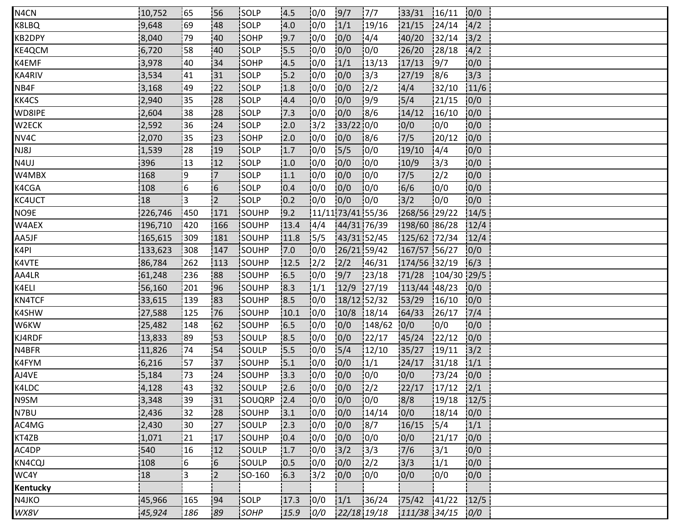| N4CN     | 10,752  | 165  | <b>156</b>     | <b>ISOLP</b> | 14.5 | 10/0          | 9/7                 | 17/7          | 33/31        | 16/11         | 0/0            |  |  |
|----------|---------|------|----------------|--------------|------|---------------|---------------------|---------------|--------------|---------------|----------------|--|--|
| K8LBQ    | 9,648   | 69   | 48             | SOLP         | 4.0  | 10/0          | 1/1                 | 19/16         | 21/15        | 124/14        | 4/2            |  |  |
| KB2DPY   | 8,040   | 79   | 40             | SOHP         | 19.7 | 10/0          | 0/0                 | 14/4          | 40/20        | 132/14        | 3/2            |  |  |
| KE4QCM   | 6,720   | 58   | 40             | SOLP         | 15.5 | 0/0           | 0/0                 | 10/0          | 26/20        | 128/18        | 14/2           |  |  |
| K4EMF    | 3,978   | 40   | 134            | <b>SOHP</b>  | 4.5  | 0/0           | 1/1                 | 13/13         | 17/13        | 19/7          | 0/0            |  |  |
| KA4RIV   | 3,534   | 41   | 131            | SOLP         | 15.2 | 10/0          | 0/0                 | 13/3          | 27/19        | 18/6          | 3/3            |  |  |
| NB4F     | 3,168   | :49  | 122            | SOLP         | 1.8  | 0/0           | 0/0                 | $\frac{2}{2}$ | 4/4          | 32/10         | 11/6           |  |  |
| KK4CS    | 2,940   | 35   | 28             | SOLP         | 4.4  | 0/0           | 0/0                 | 19/9          | 5/4          | 121/15        | 0/0            |  |  |
| WD8IPE   | 2,604   | 38   | 128            | <b>SOLP</b>  | 17.3 | 10/0          | 0/0                 | 18/6          | 14/12        | 16/10         | 0/0            |  |  |
| W2ECK    | 2,592   | 36   | 24             | <b>SOLP</b>  | 2.0  | $\frac{1}{3}$ | 33/22 0/0           |               | 0/0          | 10/0          | 0/0            |  |  |
| NV4C     | 2,070   | 135  | 23             | SOHP         | 2.0  | 10/0          | 0/0                 | 18/6          | 7/5          | 120/12        | 0/0            |  |  |
| NJ8J     | 1,539   | 28   | 19             | SOLP         | 1.7  | 0/0           | 5/5                 | 0/0           | 19/10        | 14/4          | 0/0            |  |  |
| N4UJ     | 396     | !13  | 12             | <b>SOLP</b>  | 1.0  | 10/0          | 0/0                 | 10/0          | 10/9         | 3/3           | 10/0           |  |  |
| W4MBX    | 168     | 19   | $7^{\circ}$    | <b>ISOLP</b> | 1.1  | 10/0          | 0/0                 | 10/0          | 7/5          | 12/2          | 0/0            |  |  |
| K4CGA    | 108     | 16   | 6              | <b>SOLP</b>  | 10.4 | 10/0          | 0/0                 | 10/0          | 6/6          | 10/0          | 0/0            |  |  |
| KC4UCT   | 18      | ¦з   | $\overline{2}$ | SOLP         | 10.2 | 0/0           | 0/0                 | 10/0          | $3/2$        | 10/0          | 0/0            |  |  |
| NO9E     | 226,746 | 450  | 171            | SOUHP        | 19.2 |               | $11/11$ 73/41 55/36 |               | 268/56 29/22 |               | 14/5           |  |  |
| W4AEX    | 196,710 | 420  | 166            | SOUHP        | 13.4 | 14/4          | 44/31 76/39         |               | 198/60 86/28 |               | 12/4           |  |  |
| AA5JF    | 165,615 | 1309 | 181            | SOUHP        | 11.8 | 15/5          | 43/31 52/45         |               | 125/62 72/34 |               | 12/4           |  |  |
| K4PI     | 133,623 | 308  | 147            | SOUHP        | 7.0  | 0/0           | 26/21 59/42         |               | 167/57 56/27 |               | 0/0            |  |  |
| K4VTE    | 86,784  | 262  | 113            | SOUHP        | 12.5 | 12/2          | 2/2                 | 146/31        | 174/56 32/19 |               | 6/3            |  |  |
| AA4LR    | 61,248  | 236  | 188            | SOUHP        | 16.5 | 10/0          | 9/7                 | 123/18        | 71/28        | $104/30$ 29/5 |                |  |  |
| K4ELI    | 56,160  | 201  | 96             | <b>SOUHP</b> | 8.3  | 1/1           | 12/9                | 127/19        | 113/44 48/23 |               | 10/0           |  |  |
| KN4TCF   | 33,615  | 139  | 183            | SOUHP        | 18.5 | 10/0          | 18/12 52/32         |               | 53/29        | 16/10         | 0/0            |  |  |
| K4SHW    | 27,588  | 125  | 76             | SOUHP        | 10.1 | 10/0          | 10/8                | 18/14         | 64/33        | 126/17        | 7/4            |  |  |
| W6KW     | 25,482  | 148  | 62             | SOUHP        | 6.5  | 0/0           | 0/0                 | 148/62        | 0/0          | 10/0          | 0/0            |  |  |
| KJ4RDF   | 13,833  | 89   | 153            | SOULP        | 18.5 | 0/0           | 0/0                 | 22/17         | 45/24        | 122/12        | 0/0            |  |  |
| N4BFR    | 11,826  | 174  | 54             | <b>SOULP</b> | 15.5 | 10/0          | 5/4                 | 12/10         | 35/27        | 19/11         | $\frac{13}{2}$ |  |  |
| K4FYM    | 6,216   | 157  | 137            | SOUHP        | 15.1 | 10/0          | 0/0                 | 1/1           | 24/17        | 31/18         | 1/1            |  |  |
| AJ4VE    | 5,184   | 73   | 24             | SOUHP        | 13.3 | 0/0           | 0/0                 | 0/0           | 0/0          | 73/24         | 0/0            |  |  |
| K4LDC    | 4,128   | 143  | 132            | SOULP        | 12.6 | 0/0           | 0/0                 | 12/2          | 22/17        | 17/12         | 2/1            |  |  |
| N9SM     | 3,348   | 39   | 31             | SOUQRP       | 2.4  | 10/0          | 0/0                 | 10/0          | 8/8          | 19/18         | 12/5           |  |  |
| N7BU     | 2,436   | 32   | 28             | <b>SOUHP</b> | 3.1  | 10/0          | 0/0                 | 14/14         | 0/0          | 18/14         | 0/0            |  |  |
| AC4MG    | 2,430   | 30   | 27             | SOULP        | 2.3  | 0/0           | 0/0                 | 8/7           | 16/15        | 15/4          | 1/1            |  |  |
| KT4ZB    | 1,071   | 21   | 17             | SOUHP        | 0.4  | 0/0           | 0/0                 | 10/0          | 0/0          | 21/17         | 0/0            |  |  |
| AC4DP    | 540     | 16   | 12             | SOULP        | 1.7  | 10/0          | $3/2$               | 3/3           | 7/6          | 13/1          | 10/0           |  |  |
| KN4CQJ   | 108     | 6    | 6              | SOULP        | 0.5  | 10/0          | 0/0                 | 12/2          | 3/3          | 1/1           | 0/0            |  |  |
| WC4Y     | 18      | :3   | $\overline{2}$ | SO-160       | 6.3  | 13/2          | 0/0                 | 10/0          | 0/0          | 10/0          | 0/0            |  |  |
| Kentucky |         |      |                |              |      |               |                     |               |              |               |                |  |  |
| N4JKO    | 45,966  | 165  | 194            | SOLP         | 17.3 | 0/0           | 1/1                 | 136/24        | 75/42        | 141/22        | 12/5           |  |  |
| WX8V     | 45,924  | 186  | 89             | SOHP         | 15.9 | 0/0           | 22/18 19/18         |               | 111/38 34/15 |               | 0/0            |  |  |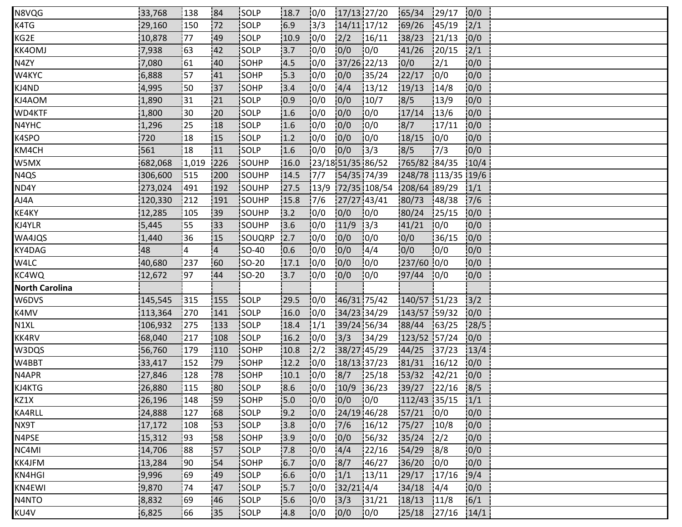| N8VQG                 | 33,768  | 138   | 184            | <b>ISOLP</b> | 18.7 | 10/0          | $17/13$ 27/20     |              | 65/34              | 129/17         | 0/0  |
|-----------------------|---------|-------|----------------|--------------|------|---------------|-------------------|--------------|--------------------|----------------|------|
| K4TG                  | 29,160  | 150   | 172            | SOLP         | 6.9  | 3/3           | 14/11 17/12       |              | 69/26              | 145/19         | 2/1  |
| KG2E                  | 10,878  | 77    | 49             | SOLP         | 10.9 | 0/0           | 2/2               | 16/11        | 38/23              | 121/13         | 0/0  |
| <b>KK4OMJ</b>         | 7,938   | 63    | 42             | SOLP         | 3.7  | 10/0          | 0/0               | 10/0         | 41/26              | 120/15         | 12/1 |
| N4ZY                  | 7,080   | 61    | 40             | <b>SOHP</b>  | 4.5  | 0/0           | 37/26 22/13       |              | 0/0                | $\frac{2}{1}$  | 0/0  |
| W4KYC                 | 6,888   | 157   | 141            | <b>SOHP</b>  | 15.3 | 10/0          | 0/0               | 135/24       | 22/17              | 10/0           | 0/0  |
| KJ4ND                 | 4,995   | 50    | :37            | SOHP         | 13.4 | 0/0           | 4/4               | 13/12        | 19/13              | 14/8           | 0/0  |
| KJ4AOM                | 1,890   | 31    | 21             | SOLP         | 10.9 | 0/0           | 0/0               | 10/7         | 8/5                | 13/9           | 0/0  |
| WD4KTF                | 1,800   | i 30  | 120            | <b>SOLP</b>  | 1.6  | 10/0          | 0/0               | 10/0         | 17/14              | 13/6           | 0/0  |
| N4YHC                 | 1,296   | 25    | 18             | <b>SOLP</b>  | 1.6  | 10/0          | 0/0               | 10/0         | 8/7                | 17/11          | 0/0  |
| K4SPO                 | 720     | 18    | 15             | SOLP         | 1.2  | 10/0          | 0/0               | 10/0         | 18/15              | 10/0           | 0/0  |
| KM4CH                 | 561     | 18    | 11             | SOLP         | 1.6  | 0/0           | 0/0               | 3/3          | 8/5                | 17/3           | 0/0  |
| W5MX                  | 682,068 | 1,019 | 226            | SOUHP        | 16.0 |               | 23/18 51/35 86/52 |              | 765/82 84/35       |                | 10/4 |
| N <sub>4QS</sub>      | 306,600 | 515   | 1200           | SOUHP        | 14.5 | 17/7          | 54/35 74/39       |              | 248/78 113/35 19/6 |                |      |
| ND4Y                  | 273,024 | 1491  | 192            | <b>SOUHP</b> | 27.5 | 13/9          |                   | 72/35 108/54 | 208/64 89/29       |                | 1/1  |
| AJ4A                  | 120,330 | 212   | 191            | SOUHP        | 15.8 | 7/6           | 27/27 43/41       |              | 80/73              | 48/38          | 7/6  |
| KE4KY                 | 12,285  | 105   | 39             | SOUHP        | 3.2  | 0/0           | 0/0               | 0/0          | 80/24              | 125/15         | 0/0  |
| KJ4YLR                | 5,445   | 55    | 33             | SOUHP        | 13.6 | 10/0          | 11/9              | 13/3         | 41/21              | 10/0           | 0/0  |
| WA4JQS                | 1,440   | 36    | 15             | SOUQRP       | 12.7 | 10/0          | 0/0               | 10/0         | 0/0                | 36/15          | 0/0  |
| KY4DAG                | 48      | 14    | $\overline{A}$ | SO-40        | 10.6 | 0/0           | 0/0               | 14/4         | 0/0                | 10/0           | 0/0  |
| W4LC                  | 40,680  | 237   | 160            | $ SO-20 $    | 17.1 | 0/0           | 0/0               | 0/0          | 237/60 0/0         |                | 0/0  |
| KC4WQ                 | 12,672  | 197   | 44             | <b>SO-20</b> | 13.7 | 10/0          | 0/0               | 10/0         | 97/44              | 10/0           | 0/0  |
| <b>North Carolina</b> |         |       |                |              |      |               |                   |              |                    |                |      |
| W6DVS                 | 145,545 | 1315  | 155            | <b>SOLP</b>  | 29.5 | 10/0          | 46/31 75/42       |              | 140/57 51/23       |                | 3/2  |
| K4MV                  | 113,364 | 270   | 141            | SOLP         | 16.0 | 0/0           | 34/23 34/29       |              | 143/57 59/32       |                | 0/0  |
| N1XL                  | 106,932 | 275   | 133            | SOLP         | 18.4 | $\frac{1}{1}$ | 39/24 56/34       |              | 88/44              | 63/25          | 28/5 |
| KK4RV                 | 68,040  | 217   | 108            | SOLP         | 16.2 | 10/0          | 3/3               | 134/29       | 123/52 57/24       |                | 0/0  |
| W3DQS                 | 56,760  | 179   | 110            | <b>SOHP</b>  | 10.8 | $\frac{1}{2}$ | 38/27 45/29       |              | 44/25              | 137/23         | 13/4 |
| W4BBT                 | 33,417  | 152   | 179            | SOHP         | 12.2 | 10/0          | $18/13$ 37/23     |              | 81/31              | 16/12          | 0/0  |
| N4APR                 | 27,846  | 128   | 178            | SOHP         | 10.1 | 0/0           | 8/7               | 125/18       | 53/32              | 142/21         | 0/0  |
| KJ4KTG                | 26,880  | 115   | 180            | SOLP         | 8.6  | 10/0          | $10/9$ 36/23      |              | 39/27              | 122/16         | 8/5  |
| KZ1X                  | 26,196  | 148   | !59            | SOHP         | 5.0  | 0/0           | 0/0               | 10/0         | $112/43$ 35/15     |                | 1/1  |
| KA4RLL                | 24,888  | 127   | 68             | <b>SOLP</b>  | 9.2  | 10/0          | 24/19 46/28       |              | 157/21             | 10/0           | 0/0  |
| NX9T                  | 17,172  | 108   | 53             | SOLP         | 3.8  | 0/0           | 7/6               | 16/12        | 75/27              | 10/8           | 0/0  |
| N4PSE                 | 15,312  | 93    | 58             | SOHP         | 13.9 | 0/0           | 0/0               | 156/32       | 35/24              | $\frac{12}{2}$ | 0/0  |
| NC4MI                 | 14,706  | 88    | 57             | SOLP         | 17.8 | 0/0           | 4/4               | 22/16        | 54/29              | 8/8            | 0/0  |
| KK4JFM                | 13,284  | 90    | 54             | SOHP         | 6.7  | 10/0          | 8/7               | 146/27       | 36/20              | 10/0           | 0/0  |
| KN4HGI                | 9,996   | 169   | 49             | <b>SOLP</b>  | 6.6  | 10/0          | 1/1               | 13/11        | 29/17              | 17/16          | 9/4  |
| KN4EWI                | 9,870   | 74    | 47             | SOLP         | 15.7 | 0/0           | $32/21$ $4/4$     |              | 34/18              | 14/4           | 0/0  |
| N4NTO                 | 8,832   | 169   | 46             | SOLP         | 15.6 | 0/0           | 3/3               | 31/21        | 18/13              | 11/8           | 6/1  |
| KU4V                  | 6,825   | 66    | 135            | <b>SOLP</b>  | 14.8 | 10/0          | 0/0               | 10/0         | 25/18              | 127/16         | 14/1 |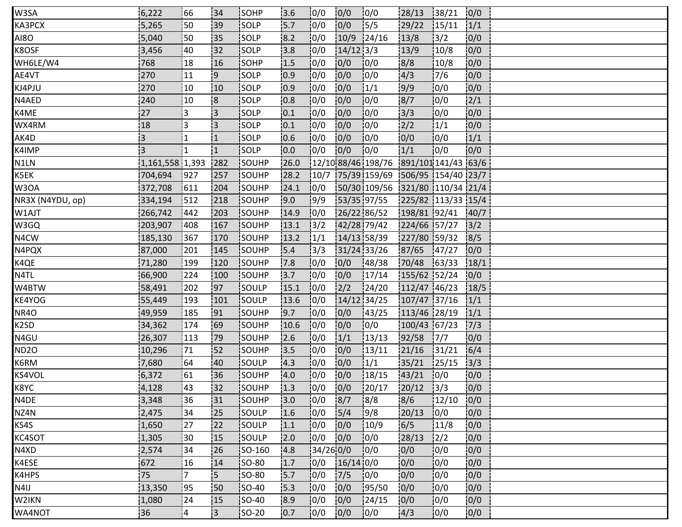| W3SA             | 6,222           | 66             | 34                      | <b>SOHP</b>  | 13.6  | 10/0           | 0/0         | 10/0                                                          | 128/13             | 38/21         | 0/0  |  |
|------------------|-----------------|----------------|-------------------------|--------------|-------|----------------|-------------|---------------------------------------------------------------|--------------------|---------------|------|--|
| KA3PCX           | 5,265           | 50             | 39                      | SOLP         | 5.7   | 10/0           | 0/0         | 15/5                                                          | 29/22              | 15/11         | 1/1  |  |
| AI8O             | 5,040           | 50             | 135                     | SOLP         | 8.2   | 10/0           | 10/9        | 124/16                                                        | 13/8               | 3/2           | 0/0  |  |
| K8OSF            | 3,456           | 40             | 32                      | <b>SOLP</b>  | 3.8   | 10/0           | $14/12$ 3/3 |                                                               | 13/9               | 10/8          | 0/0  |  |
| WH6LE/W4         | 768             | 18             | 16                      | SOHP         | 1.5   | 10/0           | 0/0         | 10/0                                                          | 8/8                | 10/8          | 0/0  |  |
| AE4VT            | 270             | 11             | '9                      | <b>SOLP</b>  | 10.9  | 10/0           | 0/0         | 10/0                                                          | 4/3                | 17/6          | 0/0  |  |
| KJ4PJU           | 270             | 10             | 10                      | SOLP         | 10.9  | 0/0            | 0/0         | 1/1                                                           | 9/9                | 10/0          | 0/0  |  |
| N4AED            | 240             | 10             | $\overline{\mathbf{8}}$ | SOLP         | 10.8  | 0/0            | 0/0         | 10/0                                                          | 8/7                | 10/0          | 2/1  |  |
| K4ME             | 27              | ļ3             | і3                      | <b>SOLP</b>  | 10.1  | 10/0           | 0/0         | 10/0                                                          | 13/3               | 10/0          | 0/0  |  |
| WX4RM            | 18              | į3             | i3                      | <b>SOLP</b>  | 0.1   | 10/0           | 10/0        | 10/0                                                          | 12/2               | 1/1           | 0/0  |  |
| AK4D             | $\overline{3}$  | 11             | $\overline{1}$          | SOLP         | 0.6   | 10/0           | 0/0         | 10/0                                                          | 0/0                | 10/0          | 1/1  |  |
| K4IMP            | 3               | $\mathbf{1}$   | $\overline{1}$          | SOLP         | 0.0   | 0/0            | 0/0         | 10/0                                                          | 1/1                | 10/0          | 0/0  |  |
| N1LN             | 1,161,558 1,393 |                | 282                     | SOUHP        | 26.0  |                |             | 12/10 88/46 198/76 891/101 141/43 63/6                        |                    |               |      |  |
| K5EK             | 704,694         | 1927           | 1257                    | SOUHP        | 128.2 |                |             | $\left  \frac{10}{7} \right $ 75/39 159/69 506/95 154/40 23/7 |                    |               |      |  |
| W3OA             | 372,708         | 611            | 204                     | <b>SOUHP</b> | 24.1  | 10/0           |             | 50/30109/56 321/80 110/34 21/4                                |                    |               |      |  |
| NR3X (N4YDU, op) | 334,194         | 1512           | 218                     | SOUHP        | 9.0   | 9/9            | 53/35 97/55 |                                                               | 225/82 113/33 15/4 |               |      |  |
| W1AJT            | 266,742         | 442            | 203                     | SOUHP        | 14.9  | 10/0           | 26/22 86/52 |                                                               | 198/81 92/41       |               | 40/7 |  |
| W3GQ             | 203,907         | 408            | 167                     | SOUHP        | 13.1  | $\frac{13}{2}$ | 42/28 79/42 |                                                               | 224/66 57/27       |               | 3/2  |  |
| N4CW             | 185,130         | 367            | 170                     | <b>SOUHP</b> | 13.2  | 1/1            | 14/13 58/39 |                                                               | 227/80 59/32       |               | 8/5  |  |
| N4PQX            | 87,000          | 201            | 145                     | SOUHP        | 5.4   | 13/3           | 31/24 33/26 |                                                               | 87/65              | 147/27        | 0/0  |  |
| K4QE             | 71,280          | 199            | 120                     | SOUHP        | 17.8  | 0/0            | 0/0         | 48/38                                                         | 70/48              | 63/33         | 18/1 |  |
| N4TL             | 66,900          | 224            | !100                    | SOUHP        | 13.7  | 10/0           | 0/0         | 17/14                                                         | 155/62 52/24       |               | 0/0  |  |
| W4BTW            | 58,491          | 202            | 97                      | <b>SOULP</b> | 15.1  | 10/0           | 2/2         | 24/20                                                         | 112/47 46/23       |               | 18/5 |  |
| KE4YOG           | 55,449          | 193            | 101                     | <b>SOULP</b> | 13.6  | 10/0           | 14/12 34/25 |                                                               | 107/47 37/16       |               | 1/1  |  |
| NR4O             | 49,959          | 185            | 91                      | SOUHP        | 9.7   | 0/0            | 0/0         | 143/25                                                        | 113/46 28/19       |               | 1/1  |  |
| K2SD             | 34,362          | 174            | 69                      | SOUHP        | 10.6  | 0/0            | 0/0         | 0/0                                                           | 100/43 67/23       |               | 7/3  |  |
| N4GU             | 26,307          | 113            | 79                      | SOUHP        | 12.6  | 10/0           | 1/1         | 13/13                                                         | 92/58              | 17/7          | 0/0  |  |
| <b>ND20</b>      | 10,296          | 171            | 52                      | <b>SOUHP</b> | 13.5  | 10/0           | 0/0         | 13/11                                                         | 121/16             | 131/21        | 6/4  |  |
| K6RM             | 7,680           | 64             | 40                      | SOULP        | 14.3  | 10/0           | 0/0         | 1/1                                                           | 35/21              | 125/15        | 3/3  |  |
| KS4VOL           | 6,372           | 61             | 36                      | SOUHP        | 4.0   | 0/0            | 0/0         | 18/15                                                         | 43/21              | 0/0           | 0/0  |  |
| K8YC             | 4,128           | 143            | 132                     | SOUHP        | 1.3   | 10/0           | 0/0         | 120/17                                                        | 20/12              | 3/3           | 0/0  |  |
| N4DE             | 3,348           | 36             | 31                      | <b>SOUHP</b> | 13.0  | 10/0           | 8/7         | 18/8                                                          | 8/6                | 12/10         | 0/0  |  |
| NZ4N             | 2,475           | 34             | 25                      | <b>SOULP</b> | 1.6   | 10/0           | 5/4         | 19/8                                                          | 20/13              | 0/0           | 0/0  |  |
| KS4S             | 1,650           | 27             | 22                      | SOULP        | 1.1   | 0/0            | 0/0         | 10/9                                                          | 16/5               | 11/8          | 0/0  |  |
| KC4SOT           | 1,305           | 30             | 15                      | SOULP        | 2.0   | 0/0            | 0/0         | 0/0                                                           | 28/13              | $\frac{1}{2}$ | 0/0  |  |
| N4XD             | 2,574           | 34             | !26                     | SO-160       | 4.8   | 34/26 0/0      |             | 10/0                                                          | 10/0               | 10/0          | 10/0 |  |
| K4ESE            | 672             | 16             | 14                      | <b>SO-80</b> | 1.7   | 10/0           | $16/14$ 0/0 |                                                               | 0/0                | 0/0           | 0/0  |  |
| K4HPS            | 75              | 7              | 5                       | <b>SO-80</b> | 15.7  | 10/0           | 7/5         | 10/0                                                          | 0/0                | 10/0          | 0/0  |  |
| N4IJ             | 13,350          | 95             | 150                     | $ SO-40 $    | 15.3  | 0/0            | 0/0         | 195/50                                                        | 0/0                | 0/0           | 0/0  |  |
| W2IKN            | 1,080           | 24             | 15                      | SO-40        | 8.9   | 0/0            | 0/0         | 124/15                                                        | 0/0                | 10/0          | 0/0  |  |
| WA4NOT           | 36              | <sup>1</sup> 4 | IЗ.                     | $ SO-20 $    | 0.7   | 10/0           | 0/0         | 10/0                                                          | 4/3                | 10/0          | 0/0  |  |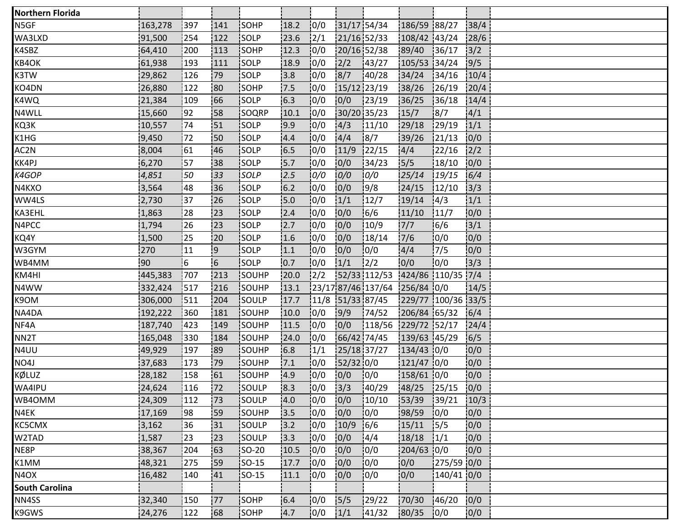| <b>Northern Florida</b> |         |      |                |              |      |               |               |                               |                    |                |      |
|-------------------------|---------|------|----------------|--------------|------|---------------|---------------|-------------------------------|--------------------|----------------|------|
| N5GF                    | 163,278 | 397  | 141            | SOHP         | 18.2 | 0/0           |               | 31/17 54/34                   | 186/59 88/27       |                | 38/4 |
| WA3LXD                  | 91,500  | 254  | 122            | SOLP         | 23.6 | $\frac{2}{1}$ | 21/16 52/33   |                               | 108/42 43/24       |                | 28/6 |
| K4SBZ                   | 64,410  | 200  | 113            | SOHP         | 12.3 | 10/0          |               | 20/16 52/38                   | 89/40              | 136/17         | 3/2  |
| KB4OK                   | 61,938  | 193  | 111            | SOLP         | 18.9 | 10/0          | $\frac{2}{2}$ | 143/27                        | 105/53 34/24       |                | 9/5  |
| K3TW                    | 29,862  | 126  | :79            | SOLP         | 3.8  | 0/0           | 8/7           | 140/28                        | 34/24              | 134/16         | 10/4 |
| KO4DN                   | 26,880  | 122  | 80             | SOHP         | 7.5  | 0/0           | 15/12 23/19   |                               | 38/26              | 126/19         | 20/4 |
| K4WQ                    | 21,384  | 109  | 66             | SOLP         | 6.3  | 0/0           | 0/0           | 123/19                        | 36/25              | 136/18         | 14/4 |
| N4WLL                   | 15,660  | 192  | 158            | SOQRP        | 10.1 | 10/0          | 30/20 35/23   |                               | 15/7               | $\frac{18}{7}$ | 4/1  |
| KQ3K                    | 10,557  | 74   | 51             | <b>SOLP</b>  | 9.9  | 10/0          | 4/3           | 11/10                         | 29/18              | 129/19         | 1/1  |
| K1HG                    | 9,450   | 172  | 50             | SOLP         | 4.4  | 10/0          | 4/4           | 8/7                           | 39/26              | 121/13         | 0/0  |
| AC2N                    | 8,004   | 61   | 46             | SOLP         | 6.5  | 0/0           | 11/9          | 22/15                         | 4/4                | 22/16          | 2/2  |
| KK4PJ                   | 6,270   | 57   | !38            | SOLP         | 5.7  | 10/0          | 0/0           | 134/23                        | 15/5               | 18/10          | 10/0 |
| K4GOP                   | 4,851   | 50   | 133            | SOLP         | 2.5  | 0/0           | 0/0           | 0/0                           | 25/14              | 19/15          | 6/4  |
| N4KXO                   | 3,564   | 48   | i36            | <b>SOLP</b>  | 6.2  | 10/0          | 0/0           | 9/8                           | 24/15              | 12/10          | 3/3  |
| WW4LS                   | 2,730   | 37   | 26             | SOLP         | 15.0 | 0/0           | 1/1           | 12/7                          | 19/14              | 4/3            | 1/1  |
| KA3EHL                  | 1,863   | 28   | 123            | SOLP         | 12.4 | 0/0           | 0/0           | 16/6                          | 11/10              | 11/7           | 0/0  |
| N4PCC                   | 1,794   | 26   | 23             | SOLP         | 2.7  | 0/0           | 0/0           | 10/9                          | 7/7                | 16/6           | 3/1  |
| KQ4Y                    | 1,500   | 25   | 20             | SOLP         | 1.6  | 10/0          | 0/0           | 18/14                         | 7/6                | 10/0           | 0/0  |
| W3GYM                   | 270     | 11   | 19             | SOLP         | 1.1  | 0/0           | 0/0           | 0/0                           | 4/4                | 17/5           | 0/0  |
| WB4MM                   | 90      | 16   | $\overline{6}$ | SOLP         | 0.7  | 0/0           | 1/1           | $\frac{2}{2}$                 | 0/0                | 0/0            | 3/3  |
| KM4HI                   | 445,383 | .707 | 213            | SOUHP        | 20.0 | 12/2          |               | 52/33 112/53                  | 424/86 110/35 7/4  |                |      |
| N4WW                    | 332,424 | 517  | 216            | <b>SOUHP</b> | 13.1 |               |               | 23/17 87/46 137/64 256/84 0/0 |                    |                | 14/5 |
| K9OM                    | 306,000 | 1511 | 204            | <b>SOULP</b> | 17.7 |               |               | $11/8$ 51/33 87/45            | 229/77 100/36 33/5 |                |      |
| NA4DA                   | 192,222 | 360  | 181            | SOUHP        | 10.0 | 0/0           | 9/9           | 74/52                         | 206/84 65/32       |                | 6/4  |
| NF4A                    | 187,740 | 423  | 149            | SOUHP        | 11.5 | 10/0          | 0/0           | 118/56                        | 229/72 52/17       |                | 24/4 |
| NN <sub>2</sub> T       | 165,048 | 330  | 184            | SOUHP        | 24.0 | 10/0          |               | 66/42 74/45                   | 139/63 45/29       |                | 16/5 |
| N4UU                    | 49,929  | 197  | 89             | SOUHP        | 16.8 | 1/1           | 25/18 37/27   |                               | $134/43$ 0/0       |                | 0/0  |
| NO4J                    | 37,683  | 173  | :79            | SOUHP        | 7.1  | 10/0          | 52/32 0/0     |                               | 121/47 0/0         |                | 0/0  |
| KØLUZ                   | 28,182  | 158  | 61             | SOUHP        | 4.9  | 0/0           | 0/0           | 0/0                           | 158/61 0/0         |                | 0/0  |
| WA4IPU                  | 24,624  | 116  | 72             | SOULP        | 8.3  | 0/0           | 3/3           | 140/29                        | 48/25 25/15        |                | 0/0  |
| WB4OMM                  | 24,309  | 112  | 173            | SOULP        | 4.0  | 10/0          | 0/0           | 10/10                         | 153/39             | 139/21         | 10/3 |
| N4EK                    | 17,169  | !98  | i59            | <b>SOUHP</b> | 13.5 | 10/0          | 0/0           | 10/0                          | 98/59              | 10/0           | 0/0  |
| KC5CMX                  | 3,162   | 36   | 31             | SOULP        | 3.2  | 0/0           | 10/9          | 16/6                          | 15/11              | 15/5           | 0/0  |
| W2TAD                   | 1,587   | 123  | 23             | SOULP        | 3.3  | 0/0           | 0/0           | 14/4                          | 18/18              | 1/1            | 10/0 |
| NE8P                    | 38,367  | 204  | 63             | <b>SO-20</b> | 10.5 | 0/0           | 0/0           | 10/0                          | 204/63 0/0         |                | 0/0  |
| K1MM                    | 48,321  | 275  | :59            | SO-15        | 17.7 | 0/0           | 0/0           | 10/0                          | 0/0                | 275/59 0/0     |      |
| N4OX                    | 16,482  | 140  | 41             | <b>SO-15</b> | 11.1 | 10/0          | 0/0           | 10/0                          | 0/0                | 140/41 0/0     |      |
| <b>South Carolina</b>   |         |      |                |              |      |               |               |                               |                    |                |      |
| NN4SS                   | 32,340  | 150  | 77             | SOHP         | 6.4  | 0/0           | $5/5$         | 129/22                        | 70/30              | 146/20         | 0/0  |
| K9GWS                   | 24,276  | 122  | 68             | SOHP         | 4.7  | 10/0          | 1/1           | 41/32                         | 80/35              | 10/0           | 0/0  |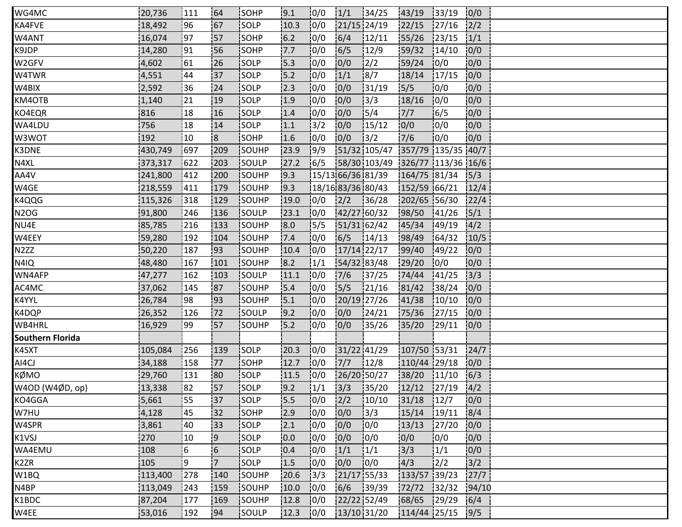| WG4MC                   | 20,736  | 111] | 64                      | <b>ISOHP</b> | 9.1   | 0/0           | 1/1               | 134/25                          | 43/19           | 33/19  | 0/0           |  |
|-------------------------|---------|------|-------------------------|--------------|-------|---------------|-------------------|---------------------------------|-----------------|--------|---------------|--|
| KA4FVE                  | 18,492  | :96  | 167                     | SOLP         | 10.3  | 0/0           | 21/15 24/19       |                                 | 22/15           | 27/16  | 2/2           |  |
| W4ANT                   | 16,074  | 197  | 57                      | SOHP         | $6.2$ | 0/0           | 6/4               | 12/11                           | 55/26           | 123/15 | 1/1           |  |
| K9JDP                   | 14,280  | 91   | 56                      | SOHP         | 7.7   | 0/0           | 6/5               | 12/9                            | 59/32           | 14/10  | 10/0          |  |
| W2GFV                   | 4,602   | 61   | 126                     | <b>SOLP</b>  | 15.3  | 10/0          | 0/0               | 12/2                            | 59/24           | 10/0   | 0/0           |  |
| W4TWR                   | 4,551   | 44   | i37                     | SOLP         | 15.2  | 10/0          | 1/1               | 18/7                            | 18/14           | 17/15  | 0/0           |  |
| W4BIX                   | 2,592   | 36   | 24                      | SOLP         | 12.3  | 0/0           | 0/0               | 131/19                          | 5/5             | 10/0   | 0/0           |  |
| KM4OTB                  | 1,140   | 21   | :19                     | SOLP         | 1.9   | 0/0           | 0/0               | 3/3                             | 18/16           | 10/0   | 0/0           |  |
| KO4EQR                  | 816     | 18   | 16                      | <b>SOLP</b>  | 1.4   | 10/0          | 0/0               | 15/4                            | 7/7             | 16/5   | 0/0           |  |
| WA4LDU                  | 756     | 18   | 14                      | <b>ISOLP</b> | 1.1   | $\frac{1}{3}$ | 0/0               | 15/12                           | 0/0             | 10/0   | 0/0           |  |
| W3WOT                   | 192     | 10   | $\overline{\mathbf{8}}$ | SOHP         | 1.6   | 0/0           | 0/0               | $\frac{1}{3}$ /2                | 7/6             | 10/0   | 0/0           |  |
| K3DNE                   | 430,749 | 697  | 209                     | SOUHP        | 23.9  | 9/9           |                   | 51/32 105/47 357/79 135/35 40/7 |                 |        |               |  |
| N4XL                    | 373,317 | 622  | 203                     | SOULP        | 27.2  | 16/5          |                   | 58/30 103/49 326/77 113/36 16/6 |                 |        |               |  |
| AA4V                    | 241,800 | 1412 | 200                     | SOUHP        | 19.3  |               |                   | 15/13 66/36 81/39               | 164/75 81/34    |        | 15/3          |  |
| W4GE                    | 218,559 | 411  | 179                     | SOUHP        | 19.3  |               | 18/16 83/36 80/43 |                                 | 152/59 66/21    |        | 12/4          |  |
| K4QQG                   | 115,326 | 318  | 129                     | SOUHP        | 19.0  | 0/0           | 2/2               | 36/28                           | 202/65 56/30    |        | 22/4          |  |
| <b>N2OG</b>             | 91,800  | 246  | 136                     | SOULP        | 23.1  | 10/0          | 42/27 60/32       |                                 | 98/50           | 141/26 | 5/1           |  |
| NU4E                    | 85,785  | 216  | 133                     | SOUHP        | 18.0  | 15/5          | 51/31 62/42       |                                 | 45/34           | 149/19 | 14/2          |  |
| W4EEY                   | 59,280  | 192  | 104                     | SOUHP        | 7.4   | 10/0          | 6/5               | 14/13                           | 98/49           | 164/32 | 10/5          |  |
| N <sub>2</sub> ZZ       | 50,220  | 187  | :93                     | SOUHP        | 10.4  | 0/0           | 17/14 22/17       |                                 | 99/40           | 149/22 | 0/0           |  |
| N4IQ                    | 48,480  | 167  | 101                     | SOUHP        | 8.2   | 1/1           | 54/32 83/48       |                                 | 29/20           | 0/0    | 0/0           |  |
| WN4AFP                  | 47,277  | 162  | 103                     | SOULP        | 11.1  | 0/0           | 7/6               | 137/25                          | 74/44           | 141/25 | $\frac{1}{3}$ |  |
| AC4MC                   | 37,062  | 145  | 87                      | <b>SOUHP</b> | 15.4  | 10/0          | 5/5               | 121/16                          | 81/42           | 38/24  | 0/0           |  |
| K4YYL                   | 26,784  | :98  | i93                     | <b>SOUHP</b> | 15.1  | 10/0          | 20/19 27/26       |                                 | 41/38           | 10/10  | 0/0           |  |
| K4DQP                   | 26,352  | 126  | 72                      | SOULP        | 9.2   | 0/0           | 0/0               | 124/21                          | 75/36           | 127/15 | 0/0           |  |
| WB4HRL                  | 16,929  | :99  | 57                      | SOUHP        | 5.2   | 0/0           | 0/0               | 35/26                           | 35/20           | 129/11 | 0/0           |  |
| <b>Southern Florida</b> |         |      |                         |              |       |               |                   |                                 |                 |        |               |  |
| K4SXT                   | 105,084 | 1256 | 139                     | <b>SOLP</b>  | 120.3 | 10/0          | 31/22 41/29       |                                 | 107/50 53/31    |        | 24/7          |  |
| AI4CJ                   | 34,188  | 158  | 77                      | SOHP         | 12.7  | 10/0          | 7/7               | 12/8                            | 110/44 29/18    |        | 0/0           |  |
| KØMO                    | 29,760  | 131  | 80                      | SOLP         | 11.5  | 10/0          | 26/20 50/27       |                                 | 38/20           | 11/10  | 6/3           |  |
| W4OD (W4ØD, op)         | 13,338  | 82   | 57                      | SOLP         | 9.2   | 1/1           | 3/3               | 35/20                           | $12/12$ $27/19$ |        | 4/2           |  |
| KO4GGA                  | 5,661   | 55]  | 137                     | SOLP         | 15.5  | 10/0          | 2/2               | 10/10                           | 31/18           | 12/7   | 10/0          |  |
| W7HU                    | 4,128   | 45   | i32                     | <b>SOHP</b>  | 12.9  | 10/0          | 0/0               | 13/3                            | 15/14           | 19/11  | 8/4           |  |
| W4SPR                   | 3,861   | 40   | :33                     | SOLP         | 2.1   | 0/0           | 0/0               | 0/0                             | 13/13           | 127/20 | 0/0           |  |
| K1VSJ                   | 270     | 10   | 9                       | SOLP         | 0.0   | 0/0           | 0/0               | 10/0                            | 0/0             | 0/0    | 0/0           |  |
| WA4EMU                  | 108     | i 6  | $\overline{6}$          | SOLP         | 10.4  | 10/0          | 1/1               | 1/1                             | 13/3            | 1/1    | 10/0          |  |
| K2ZR                    | 105     | ļ9   | '7                      | SOLP         | 1.5   | 0/0           | 0/0               | 10/0                            | 4/3             | 12/2   | 3/2           |  |
| W1BQ                    | 113,400 | 278  | 140                     | SOUHP        | 20.6  | 13/3          | 21/17 55/33       |                                 | 133/57 39/23    |        | 27/7          |  |
| N4BP                    | 113,049 | 243  | 159                     | SOUHP        | 10.0  | 0/0           | 6/6               | 39/39                           | 72/72           | 32/32  | 94/10         |  |
| K1BDC                   | 87,204  | 177  | 169                     | SOUHP        | 12.8  | 0/0           | 22/22 52/49       |                                 | 68/65           | 129/29 | 6/4           |  |
| W4EE                    | 53,016  | 192  | 94                      | SOULP        | 12.3  | 10/0          | 13/10 31/20       |                                 | 114/44 25/15    |        | 9/5           |  |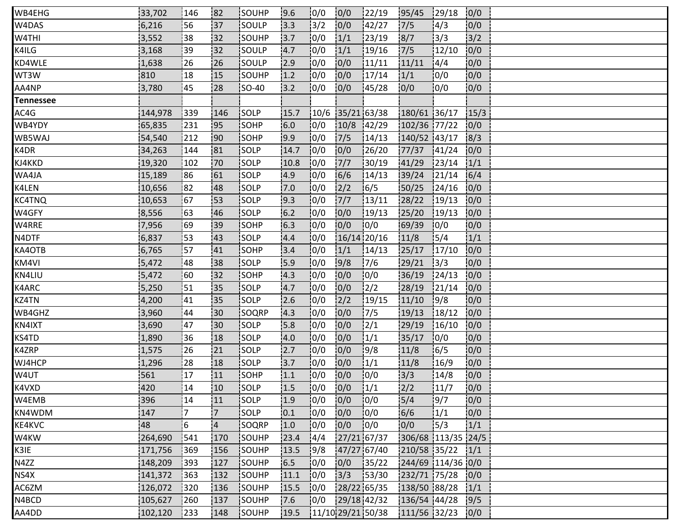| WB4EHG    | 33,702  | 146            | 182            | <b>ISOUHP</b> | 9.6  | 10/0 | 0/0         | 122/19              | 95/45              | 129/18        | 0/0  |  |
|-----------|---------|----------------|----------------|---------------|------|------|-------------|---------------------|--------------------|---------------|------|--|
| W4DAS     | 6,216   | 56             | 137            | SOULP         | 13.3 | 13/2 | 0/0         | 142/27              | 7/5                | $\frac{1}{4}$ | 0/0  |  |
| W4THI     | 3,552   | 38             | 32             | SOUHP         | 13.7 | 10/0 | 1/1         | 123/19              | 8/7                | 13/3          | 3/2  |  |
| K4ILG     | 3,168   | 39             | 132            | SOULP         | 4.7  | 10/0 | 1/1         | 19/16               | 7/5                | 12/10         | 10/0 |  |
| KD4WLE    | 1,638   | 26             | 26             | <b>SOULP</b>  | 2.9  | 10/0 | 0/0         | 11/11               | 11/11              | 14/4          | 0/0  |  |
| WT3W      | 810     | 18             | 15             | SOUHP         | 1.2  | 10/0 | 0/0         | 17/14               | 1/1                | 10/0          | 0/0  |  |
| AA4NP     | 3,780   | :45            | 128            | $ SO-40$      | 13.2 | 0/0  | 0/0         | 145/28              | 10/0               | 0/0           | 0/0  |  |
| Tennessee |         |                |                |               |      |      |             |                     |                    |               |      |  |
| AC4G      | 144,978 | 339            | 146            | <b>SOLP</b>   | 15.7 |      |             | $10/6$ 35/21 63/38  | 180/61 36/17       |               | 15/3 |  |
| WB4YDY    | 65,835  | 231            | 195            | <b>SOHP</b>   | 6.0  | 10/0 | 10/8        | 142/29              | 102/36 77/22       |               | 0/0  |  |
| WB5WAJ    | 54,540  | 212            | 190            | SOHP          | 9.9  | 0/0  | 7/5         | 14/13               | 140/52 43/17       |               | 8/3  |  |
| K4DR      | 34,263  | 144            | 81             | SOLP          | 14.7 | 0/0  | 0/0         | 26/20               | 77/37              | 141/24        | 0/0  |  |
| KJ4KKD    | 19,320  | 102            | !70            | <b>SOLP</b>   | 10.8 | 0/0  | 7/7         | 30/19               | 41/29              | 123/14        | 1/1  |  |
| WA4JA     | 15,189  | 86             | 61             | SOLP          | 14.9 | 10/0 | 6/6         | 14/13               | 139/24             | 121/14        | 16/4 |  |
| K4LEN     | 10,656  | 82             | 48             | <b>SOLP</b>   | 7.0  | 10/0 | 2/2         | 16/5                | 50/25              | 24/16         | 0/0  |  |
| KC4TNQ    | 10,653  | 67             | 153            | SOLP          | 9.3  | 0/0  | $7/7$       | 13/11               | 28/22              | 19/13         | 0/0  |  |
| W4GFY     | 8,556   | 63             | 46             | SOLP          | 6.2  | 0/0  | 0/0         | 19/13               | 25/20              | 19/13         | 0/0  |  |
| W4RRE     | 7,956   | 69             | 139            | <b>SOHP</b>   | 16.3 | 10/0 | 0/0         | 10/0                | 69/39              | 10/0          | 0/0  |  |
| N4DTF     | 6,837   | <b>53</b>      | 143            | <b>SOLP</b>   | 4.4  | 10/0 | 16/14 20/16 |                     | 11/8               | 15/4          | 1/1  |  |
| KA4OTB    | 6,765   | 57             | 41             | SOHP          | 3.4  | 0/0  | 1/1         | 14/13               | 25/17              | 17/10         | 0/0  |  |
| KM4VI     | 5,472   | 48             | 38             | SOLP          | 15.9 | 0/0  | 9/8         | 17/6                | 29/21              | 13/3          | 0/0  |  |
| KN4LIU    | 5,472   | 160            | 132            | SOHP          | 14.3 | 10/0 | 0/0         | 10/0                | 36/19              | 124/13        | 0/0  |  |
| K4ARC     | 5,250   | 51             | <u> 135</u>    | <b>SOLP</b>   | 4.7  | 10/0 | 0/0         | $\frac{1}{2}$       | 28/19              | 121/14        | 0/0  |  |
| KZ4TN     | 4,200   | 41             | i35            | <b>SOLP</b>   | 2.6  | 10/0 | 2/2         | 19/15               | 11/10              | 9/8           | 0/0  |  |
| WB4GHZ    | 3,960   | 44             | 30             | SOQRP         | 14.3 | 0/0  | 0/0         | 17/5                | 19/13              | 18/12         | 0/0  |  |
| KN4IXT    | 3,690   | 147            | 30             | <b>SOLP</b>   | 15.8 | 0/0  | 0/0         | $\frac{1}{2}$ /1    | 29/19              | 16/10         | 0/0  |  |
| KS4TD     | 1,890   | 36             | 18             | <b>SOLP</b>   | 14.0 | 10/0 | 0/0         | 1/1                 | 35/17              | 10/0          | 0/0  |  |
| K4ZRP     | 1,575   | 26             | 121            | <b>SOLP</b>   | 12.7 | 10/0 | 0/0         | 19/8                | 11/8               | 16/5          | 0/0  |  |
| WJ4HCP    | 1,296   | 28             | 18             | SOLP          | 3.7  | 0/0  | 0/0         | 1/1                 | 11/8               | 16/9          | 0/0  |  |
| W4UT      | 561     | 17             | 11             | SOHP          | 1.1  | 0/0  | 0/0         | 10/0                | 3/3                | 14/8          | 0/0  |  |
| K4VXD     | 420     | 14             | 10             | SOLP          | 1.5  | 10/0 | 0/0         | 1/1                 | 2/2                | 11/7          | 0/0  |  |
| W4EMB     | 396     | 14             | 11             | SOLP          | 1.9  | 10/0 | 0/0         | 10/0                | 15/4               | 19/7          | 0/0  |  |
| KN4WDM    | 147     | $\overline{7}$ | 7              | <b>SOLP</b>   | 10.1 | 10/0 | 0/0         | 0/0                 | 6/6                | 1/1           | 10/0 |  |
| KE4KVC    | 48      | $\overline{6}$ | $\overline{4}$ | SOQRP         | 1.0  | 0/0  | 0/0         | 0/0                 | 0/0                | 15/3          | 1/1  |  |
| W4KW      | 264,690 | 541            | 170            | SOUHP         | 23.4 | 14/4 | 27/21 67/37 |                     | 306/68 113/35 24/5 |               |      |  |
| K3IE      | 171,756 | 369            | 156            | SOUHP         | 13.5 | 9/8  | 47/27 67/40 |                     | 210/58 35/22       |               | 1/1  |  |
| N4ZZ      | 148,209 | 393            | 127            | SOUHP         | 16.5 | 10/0 | 0/0         | 135/22              | 244/69 114/36 0/0  |               |      |  |
| NS4X      | 141,372 | 363            | 132            | SOUHP         | 11.1 | 10/0 | 3/3         | 153/30              | 232/71 75/28       |               | 0/0  |  |
| AC6ZM     | 126,072 | 320            | 136            | SOUHP         | 15.5 | 0/0  | 28/22 65/35 |                     | 138/50 88/28       |               | 1/1  |  |
| N4BCD     | 105,627 | 260            | 137            | SOUHP         | 7.6  | 0/0  |             | 29/18 42/32         | 136/54 44/28       |               | 9/5  |  |
| AA4DD     | 102,120 | 233            | 148            | SOUHP         | 19.5 |      |             | $11/10$ 29/21 50/38 | 111/56 32/23       |               | 0/0  |  |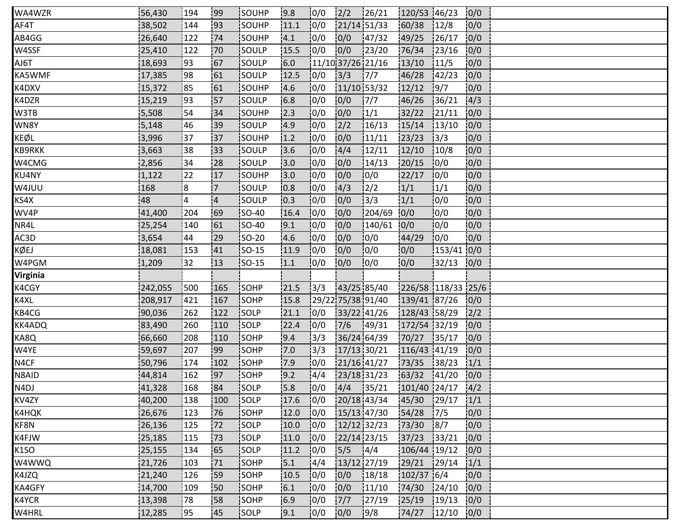| WA4WZR            | 56,430  | 194            | <b>99</b>      | <b>SOUHP</b> | 9.8  | 10/0          | 2/2         | 126/21             | 120/53 46/23       |                  | 0/0  |  |
|-------------------|---------|----------------|----------------|--------------|------|---------------|-------------|--------------------|--------------------|------------------|------|--|
| AF4T              | 38,502  | 144            | 93             | SOUHP        | 11.1 | 0/0           |             | $21/14$ 51/33      | 60/38              | 12/8             | 0/0  |  |
| AB4GG             | 26,640  | 122            | 74             | SOUHP        | 4.1  | 0/0           | 0/0         | 147/32             | 49/25              | 126/17           | 0/0  |  |
| W4SSF             | 25,410  | 122            | 170            | SOULP        | 15.5 | 0/0           | 0/0         | 123/20             | 76/34              | 123/16           | 0/0  |  |
| T <sub>O</sub> LA | 18,693  | <u>!93</u>     | 67             | SOULP        | 6.0  |               |             | 11/10 37/26 21/16  | 13/10              | 11/5             | 0/0  |  |
| KA5WMF            | 17,385  | :98            | 61             | SOULP        | 12.5 | 0/0           | 3/3         | $\frac{1}{7}$      | 46/28              | 42/23            | 0/0  |  |
| K4DXV             | 15,372  | 85             | 61             | SOUHP        | 4.6  | 0/0           |             | 11/10 53/32        | 12/12              | $\frac{1}{9}$ /7 | 0/0  |  |
| K4DZR             | 15,219  | :93            | 57             | SOULP        | 6.8  | 0/0           | 0/0         | 17/7               | 46/26              | 36/21            | 4/3  |  |
| W3TB              | 5,508   | 54             | 34             | SOUHP        | 12.3 | 10/0          | 0/0         | 1/1                | 32/22              | 121/11           | 0/0  |  |
| WN8Y              | 5,148   | 46             | i39            | isoulp       | 4.9  | 10/0          | 2/2         | 16/13              | 15/14              | 13/10            | 0/0  |  |
| KEØL              | 3,996   | 137            | 37             | SOUHP        | 1.2  | 0/0           | 0/0         | 11/11              | 23/23              | 13/3             | 0/0  |  |
| KB9RKK            | 3,663   | 38             | 33             | SOULP        | 3.6  | 0/0           | 4/4         | 12/11              | 12/10              | 10/8             | 0/0  |  |
| W4CMG             | 2,856   | 34             | !28            | SOULP        | 13.0 | 0/0           | 0/0         | 14/13              | 20/15              | 10/0             | 10/0 |  |
| KU4NY             | 1,122   | 122            | 17             | SOUHP        | 13.0 | 10/0          | 10/0        | 10/0               | 122/17             | 10/0             | 10/0 |  |
| W4JUU             | 168     | $\overline{8}$ | $\overline{7}$ | <b>SOULP</b> | 0.8  | 0/0           | 4/3         | $\frac{1}{2}$      | 1/1                | 1/1              | 0/0  |  |
| KS4X              | 48      | $\overline{4}$ | $\overline{4}$ | SOULP        | 0.3  | 0/0           | 0/0         | 13/3               | 1/1                | 10/0             | 0/0  |  |
| WV4P              | 41,400  | 204            | 69             | <b>SO-40</b> | 16.4 | 0/0           | 0/0         | 1204/69            | 0/0                | 10/0             | 0/0  |  |
| NR4L              | 25,254  | 140            | 61             | <b>SO-40</b> | 9.1  | 0/0           | 0/0         | 140/61             | 0/0                | 0/0              | 0/0  |  |
| AC3D              | 3,654   | 44             | 29             | SO-20        | 4.6  | 10/0          | 0/0         | 10/0               | 44/29              | 10/0             | 0/0  |  |
| KØEJ              | 18,081  | 153            | 41             | $ SO-15 $    | 11.9 | 0/0           | 0/0         | 0/0                | 0/0                | $153/41$ 0/0     |      |  |
| W4PGM             | 1,209   | 32             | 13             | $ SO-15 $    | 1.1  | 0/0           | 0/0         | 10/0               | 0/0                | 32/13            | 0/0  |  |
| Virginia          |         |                |                |              |      |               |             |                    |                    |                  |      |  |
| K4CGY             | 242,055 | 500            | 165            | SOHP         | 21.5 | 13/3          |             | 43/25 85/40        | 226/58 118/33 25/6 |                  |      |  |
| K4XL              | 208,917 | 1421           | 167            | <b>SOHP</b>  | 15.8 |               |             | 129/22 75/38 91/40 | 139/41 87/26       |                  | 10/0 |  |
| KB4CG             | 90,036  | 262            | 122            | SOLP         | 21.1 | 0/0           |             | 33/22 41/26        | 128/43 58/29       |                  | 2/2  |  |
| KK4ADQ            | 83,490  | 260            | 110            | SOLP         | 22.4 | 0/0           | 7/6         | 149/31             | 172/54 32/19       |                  | 0/0  |  |
| KA8Q              | 66,660  | 208            | 110            | SOHP         | 9.4  | 13/3          |             | 36/24 64/39        | 70/27              | 135/17           | 0/0  |  |
| W4YE              | 59,697  | 207            | :99            | <b>SOHP</b>  | 7.0  | 13/3          |             | $17/13$ 30/21      | 116/43 41/19       |                  | 0/0  |  |
| N4CF              | 50,796  | 174            | 102            | SOHP         | 7.9  | 0/0           | 21/16 41/27 |                    | 73/35              | 138/23           | 1/1  |  |
| N8AID             | 44,814  | 162            | 97             | SOHP         | 9.2  | $\frac{1}{4}$ |             | 23/18 31/23        | 63/32              | 141/20           | 0/0  |  |
| N4DJ              | 41,328  | 168            | 84             | SOLP         | 5.8  | 0/0           |             | $4/4$ 35/21        | 101/40 24/17       |                  | 4/2  |  |
| KV4ZY             | 40,200  | 138            | 100            | SOLP         | 17.6 | 10/0          |             | 20/18 43/34        | 45/30              | 129/17           | 1/1  |  |
| K4HQK             | 26,676  | 123            | 76             | SOHP         | 12.0 | 10/0          |             | $15/13$ 47/30      | 154/28             | 17/5             | 0/0  |  |
| KF8N              | 26,136  | 125            | 172            | SOLP         | 10.0 | 0/0           |             | 12/12 32/23        | 73/30              | 8/7              | 0/0  |  |
| K4FJW             | 25,185  | 115            | 73             | SOLP         | 11.0 | 0/0           |             | 22/14 23/15        | 37/23              | 33/21            | 0/0  |  |
| K1SO              | 25,155  | 134            | 65             | SOLP         | 11.2 | 0/0           | 15/5        | 14/4               | 106/44 19/12       |                  | 0/0  |  |
| W4WWQ             | 21,726  | 103            | 71             | SOHP         | 5.1  | 4/4           | 13/12 27/19 |                    | 29/21              | 129/14           | 1/1  |  |
| K4JZQ             | 21,240  | 126            | 59             | SOHP         | 10.5 | 10/0          | 0/0         | 18/18              | 102/37.6/4         |                  | 0/0  |  |
| KA4GFY            | 14,700  | 109            | 50             | SOHP         | 6.1  | 0/0           | 0/0         | 11/10              | 74/30              | 124/10           | 0/0  |  |
| K4YCR             | 13,398  | 78             | 58             | SOHP         | 6.9  | 0/0           | $7/7$       | 27/19              | $25/19$ 19/13      |                  | 0/0  |  |
| W4HRL             | 12,285  | <b>95</b>      | 145            | <b>SOLP</b>  | 9.1  | 10/0          | 0/0         | 19/8               | 74/27              | 12/10            | 0/0  |  |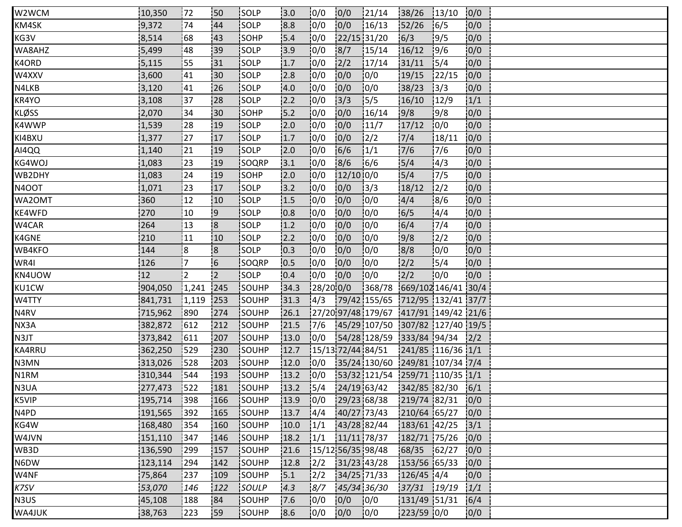| W2WCM         | 10,350  | 172        | <b>150</b>     | <b>ISOLP</b>  | 3.0  | 10/0          | 0/0           | 121/14                                              | 38/26                | 13/10          | 0/0  |
|---------------|---------|------------|----------------|---------------|------|---------------|---------------|-----------------------------------------------------|----------------------|----------------|------|
| KM4SK         | 9,372   | 174        | 44             | SOLP          | 8.8  | 0/0           | 0/0           | 16/13                                               | 52/26                | 16/5           | 0/0  |
| KG3V          | 8,514   | 68         | 43             | SOHP          | 15.4 | 0/0           |               | 22/15 31/20                                         | 6/3                  | 9/5            | 0/0  |
| WA8AHZ        | 5,499   | 48         | 139            | SOLP          | 3.9  | 0/0           | 8/7           | 15/14                                               | 16/12                | 19/6           | 0/0  |
| K4ORD         | 5,115   | i 55       | 131            | <b>SOLP</b>   | 1.7  | 0/0           | $\frac{2}{2}$ | 17/14                                               | 31/11                | 15/4           | 0/0  |
| W4XXV         | 3,600   | 41         | i30            | SOLP          | 2.8  | 0/0           | 0/0           | 0/0                                                 | 19/15                | 122/15         | 0/0  |
| N4LKB         | 3,120   | 41         | 26             | SOLP          | 4.0  | 0/0           | 0/0           | 0/0                                                 | 38/23                | 3/3            | 0/0  |
| KR4YO         | 3,108   | 37         | .28            | SOLP          | 2.2  | 10/0          | $3/3$         | 15/5                                                | 16/10                | 12/9           | 1/1  |
| <b>KLØSS</b>  | 2,070   | l34        | 130            | SOHP          | 15.2 | 10/0          | 0/0           | 16/14                                               | 9/8                  | 19/8           | 0/0  |
| K4WWP         | 1,539   | 28         | 19             | <b>ISOLP</b>  | 2.0  | 0/0           | 0/0           | 11/7                                                | 17/12                | 10/0           | 0/0  |
| KI4BXU        | 1,377   | 127        | 17             | SOLP          | 1.7  | 0/0           | 0/0           | $\frac{1}{2}$                                       | 7/4                  | 18/11          | 0/0  |
| AI4QQ         | 1,140   | 21         | 19             | SOLP          | 2.0  | 0/0           | 6/6           | 1/1                                                 | 7/6                  | 7/6            | 0/0  |
| KG4WOJ        | 1,083   | 23         | 19             | SOQRP         | 13.1 | 10/0          | 8/6           | 16/6                                                | 5/4                  | 14/3           | 0/0  |
| WB2DHY        | 1,083   | 124        | 19             | SOHP          | 12.0 | 10/0          | 12/1010/0     |                                                     | 15/4                 | 17/5           | 10/0 |
| <b>N4OOT</b>  | 1,071   | 23         | 17             | <b>SOLP</b>   | 3.2  | 0/0           | 0/0           | 13/3                                                | 18/12                | $\frac{12}{2}$ | 0/0  |
| WA2OMT        | 360     | 12         | 10             | SOLP          | 1.5  | 0/0           | 0/0           | 10/0                                                | 4/4                  | 8/6            | 0/0  |
| <b>KE4WFD</b> | 270     | 10         | <b>9</b>       | SOLP          | 0.8  | 10/0          | 0/0           | 10/0                                                | 16/5                 | 14/4           | 0/0  |
| W4CAR         | 264     | 13         | $\overline{8}$ | SOLP          | 1.2  | 10/0          | 0/0           | 10/0                                                | 6/4                  | 17/4           | 0/0  |
| K4GNE         | 210     | 11         | 10             | <b>SOLP</b>   | 2.2  | 10/0          | 0/0           | 10/0                                                | 9/8                  | $\frac{1}{2}$  | 0/0  |
| WB4KFO        | 144     | ¦8         | $\mathsf{R}$   | SOLP          | 0.3  | 0/0           | 0/0           | 10/0                                                | 8/8                  | 0/0            | 0/0  |
| WR4I          | 126     | 17         | $\overline{6}$ | SOQRP         | 0.5  | 0/0           | 0/0           | 10/0                                                | 2/2                  | 15/4           | 0/0  |
| KN4UOW        | 12      | 2          | $\overline{2}$ | SOLP          | 10.4 | 0/0           | 0/0           | 10/0                                                | 2/2                  | 10/0           | 0/0  |
| KU1CW         | 904,050 | 1,241      | 245            | SOUHP         | 34.3 | 28/20 0/0     |               | 368/78 669/102146/41 30/4                           |                      |                |      |
| W4TTY         | 841,731 | 1,119      | 253            | <b>ISOUHP</b> | 31.3 | 14/3          |               | 179/42 155/65 1712/95 132/41 37/7                   |                      |                |      |
| N4RV          | 715,962 | 890        | 274            | SOUHP         | 26.1 |               |               | $\frac{1}{27}{20}$ 97/48 179/67 1417/91 149/42 21/6 |                      |                |      |
| NX3A          | 382,872 | 612        | 212            | SOUHP         | 21.5 | 17/6          |               | 45/29 107/50 307/82 127/40 19/5                     |                      |                |      |
| N3JT          | 373,842 | 611        | 207            | SOUHP         | 13.0 | 0/0           |               | 54/28 128/59 333/84 94/34 2/2                       |                      |                |      |
| KA4RRU        | 362,250 | <b>529</b> | 230            | <b>ISOUHP</b> | 12.7 |               |               | 15/13 72/44 84/51                                   | $1241/85$ 116/36 1/1 |                |      |
| N3MN          | 313,026 | 528        | 203            | SOUHP         | 12.0 | 0/0           |               | 35/24 130/60 249/81 107/34 7/4                      |                      |                |      |
| N1RM          | 310,344 | 544        | 193            | SOUHP         | 13.2 | 0/0           |               | 53/32 121/54 259/71 110/35 1/1                      |                      |                |      |
| N3UA          | 277,473 | 1522       | 181            | SOUHP         | 13.2 | 15/4          |               | 24/19 63/42 342/85 82/30 6/1                        |                      |                |      |
| K5VIP         | 195,714 | 398        | 166            | SOUHP         | 13.9 | 0/0           |               | 29/23 68/38                                         | 219/74 82/31         |                | 10/0 |
| N4PD          | 191,565 | 1392       | 165            | <b>ISOUHP</b> | 13.7 | 4/4           |               | 40/27 73/43                                         | 210/64 65/27         |                | 0/0  |
| KG4W          | 168,480 | 354        | 160            | SOUHP         | 10.0 | 1/1           |               | 43/28 82/44                                         | 183/61 42/25         |                | 3/1  |
| W4JVN         | 151,110 | 347        | 146            | SOUHP         | 18.2 | 1/1           |               | 11/11 78/37                                         | 182/71 75/26         |                | 0/0  |
| WB3D          | 136,590 | 299        | 157            | <b>SOUHP</b>  | 21.6 |               |               | 15/12 56/35 98/48                                   | 68/35 62/27          |                | 0/0  |
| N6DW          | 123,114 | 294        | 142            | SOUHP         | 12.8 | 12/2          |               | 31/23 43/28                                         | 153/56 65/33         |                | 0/0  |
| W4NF          | 75,864  | 237        | 109            | SOUHP         | 15.1 | $\frac{1}{2}$ | 34/25 71/33   |                                                     | $126/45$ 4/4         |                | 10/0 |
| K7SV          | 53,070  | 146        | 122            | SOULP         | 4.3  | 8/7           |               | 45/34 36/30                                         | 37/31 19/19          |                | 1/1  |
| N3US          | 45,108  | 188        | 84             | SOUHP         | 7.6  | 0/0           | 0/0           | 0/0                                                 | 131/49 51/31         |                | 6/4  |
| WA4JUK        | 38,763  | 223        | !59            | <b>ISOUHP</b> | 8.6  | 10/0          | 0/0           | 10/0                                                | 223/59 0/0           |                | 0/0  |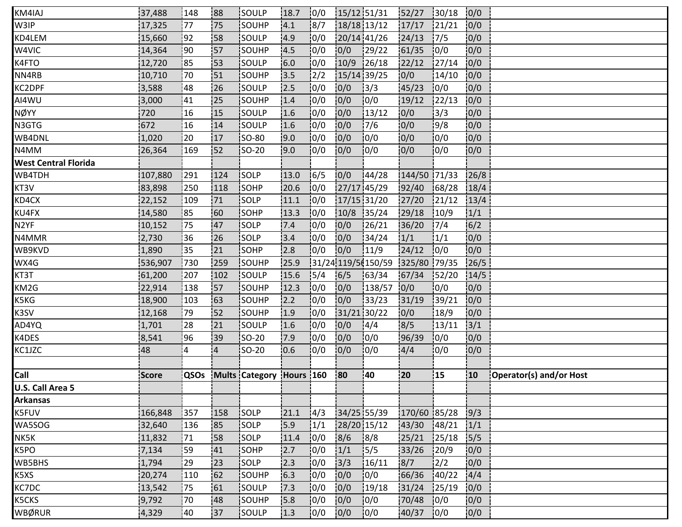| K5CKS                       | 9,792        | 70   | 48             | SOUHP                    | 15.8 | 0/0           | 0/0         | 0/0                 | 70/48        | 0/0    | 0/0  |                         |
|-----------------------------|--------------|------|----------------|--------------------------|------|---------------|-------------|---------------------|--------------|--------|------|-------------------------|
| KC7DC                       | 13,542       | 175  | 61             | SOULP                    | 17.3 | 0/0           | 0/0         | 19/18               | 31/24        | 125/19 | 0/0  |                         |
| K5XS                        | 20,274       | 110  | 62             | SOUHP                    | 6.3  | 10/0          | 0/0         | 10/0                | 66/36        | 140/22 | 4/4  |                         |
| WB5BHS                      | 1,794        | 29   | 23             | SOLP                     | 2.3  | 0/0           | 3/3         | 16/11               | 8/7          | 2/2    | 0/0  |                         |
| K5PO                        | 7,134        | 59   | 41             | SOHP                     | 2.7  | 0/0           | 1/1         | 15/5                | 33/26        | 120/9  | 10/0 |                         |
| NK5K                        | 11,832       | 71   | 58             | SOLP                     | 11.4 | 0/0           | 8/6         | 8/8                 | 25/21        | 25/18  | 5/5  |                         |
| WA5SOG                      | 32,640       | 136  | 85             | SOLP                     | 15.9 | $\frac{1}{1}$ | 28/20 15/12 |                     | 43/30        | 148/21 | 1/1  |                         |
| K5FUV                       | 166,848      | 357  | 158            | SOLP                     | 21.1 | 4/3           | 34/25 55/39 |                     | 170/60 85/28 |        | 9/3  |                         |
| <b>Arkansas</b>             |              |      |                |                          |      |               |             |                     |              |        |      |                         |
| U.S. Call Area 5            |              |      |                |                          |      |               |             |                     |              |        |      |                         |
| Call                        | <b>Score</b> | QSOs |                | Mults Category Hours 160 |      |               | 80          | 40                  | 20           | 15     | 10   | Operator(s) and/or Host |
|                             |              |      |                |                          |      |               |             |                     |              |        |      |                         |
| KC1JZC                      | 48           | 4    | $\overline{4}$ | <b>SO-20</b>             | 10.6 | 10/0          | 0/0         | 10/0                | 4/4          | 10/0   | 0/0  |                         |
| K4DES                       | 8,541        | 96   | :39            | <b>SO-20</b>             | 7.9  | 10/0          | 0/0         | 10/0                | 96/39        | 10/0   | 0/0  |                         |
| AD4YQ                       | 1,701        | 28   | 21             | SOULP                    | 1.6  | 0/0           | 0/0         | 14/4                | 8/5          | 13/11  | 3/1  |                         |
| K3SV                        | 12,168       | 179  | 52             | SOUHP                    | 1.9  | 0/0           | 31/21 30/22 |                     | 0/0          | 18/9   | 0/0  |                         |
| K5KG                        | 18,900       | 103  | 63             | <b>SOUHP</b>             | 2.2  | 0/0           | 0/0         | 33/23               | 31/19        | 139/21 | 0/0  |                         |
| KM2G                        | 22,914       | 138  | 57             | SOUHP                    | 12.3 | 10/0          | 0/0         | 138/57              | 0/0          | 10/0   | 0/0  |                         |
| KT3T                        | 61,200       | 207  | 102            | SOULP                    | 15.6 | 15/4          | 6/5         | 163/34              | 67/34        | 152/20 | 14/5 |                         |
| WX4G                        | 536,907      | 730  | 259            | SOUHP                    | 25.9 |               |             | 31/24 119/5 (150/59 | 325/80 79/35 |        | 26/5 |                         |
| WB9KVD                      | 1,890        | 35   | 21             | SOHP                     | 2.8  | 0/0           | 0/0         | 11/9                | 24/12        | 10/0   | 0/0  |                         |
| N4MMR                       | 2,730        | 36   | 26             | <b>SOLP</b>              | 3.4  | 10/0          | 0/0         | 34/24               | 1/1          | 1/1    | 0/0  |                         |
| N <sub>2</sub> YF           | 10,152       | 75   | 47             | SOLP                     | 7.4  | 10/0          | 0/0         | 26/21               | 36/20        | 17/4   | 6/2  |                         |
| KU4FX                       | 14,580       | 85   | :60            | SOHP                     | 13.3 | 10/0          | 10/8        | 135/24              | 29/18        | 10/9   | 1/1  |                         |
| KD4CX                       | 22,152       | 109  | 71             | SOLP                     | 11.1 | 10/0          | 17/15 31/20 |                     | 27/20        | 121/12 | 13/4 |                         |
| KT3V                        | 83,898       | 250  | 118            | <b>SOHP</b>              | 20.6 | 0/0           | 27/17 45/29 |                     | 92/40        | 68/28  | 18/4 |                         |
| WB4TDH                      | 107,880      | 291  | 124            | <b>SOLP</b>              | 13.0 | 16/5          | 0/0         | 144/28              | 144/50 71/33 |        | 26/8 |                         |
| <b>West Central Florida</b> |              |      |                |                          |      |               |             |                     |              |        |      |                         |
| N4MM                        | 26,364       | 169  | 52             | SO-20                    | 9.0  | 0/0           | 0/0         | 10/0                | 0/0          | 10/0   | 0/0  |                         |
| WB4DNL                      | 1,020        | 20   | 17             | <b>SO-80</b>             | 9.0  | 0/0           | 0/0         | 10/0                | 0/0          | 10/0   | 0/0  |                         |
| N3GTG                       | 672          | 16   | 14             | <b>ISOULP</b>            | 1.6  | 10/0          | 0/0         | 7/6                 | 0/0          | 19/8   | 0/0  |                         |
| NØYY                        | 720          | 16   | 15             | <b>SOULP</b>             | 1.6  | 10/0          | 0/0         | 13/12               | 0/0          | 13/3   | 0/0  |                         |
| AI4WU                       | 3,000        | 41   | 25             | SOUHP                    | 1.4  | 0/0           | 0/0         | 0/0                 | 19/12        | 122/13 | 0/0  |                         |
| KC2DPF                      | 3,588        | 48   | 26             | SOULP                    | 12.5 | 0/0           | 0/0         | 3/3                 | 45/23        | 0/0    | 0/0  |                         |
| NN4RB                       | 10,710       | 70   | 151            | SOUHP                    | 13.5 | 12/2          | 15/14 39/25 |                     | 0/0          | 14/10  | 0/0  |                         |
| K4FTO                       | 12,720       | 85   | i53            | SOULP                    | 6.0  | 10/0          | 10/9        | 126/18              | 22/12        | 127/14 | 0/0  |                         |
| W4VIC                       | 14,364       | 90   | 157            | SOUHP                    | 4.5  | 10/0          | 0/0         | 129/22              | 61/35        | 10/0   | 0/0  |                         |
| KD4LEM                      | 15,660       | 192  | 58             | SOULP                    | 4.9  | 0/0           | 20/14 41/26 |                     | 24/13        | 17/5   | 0/0  |                         |
| W3IP                        | 17,325       | 177  | 75             | SOUHP                    | 4.1  | 8/7           | 18/18 13/12 |                     | 17/17        | 21/21  | 0/0  |                         |
| KM4IAJ                      | 37,488       | 148  | 88             | <b>ISOULP</b>            | 18.7 | 10/0          | 15/12 51/31 |                     | 152/27       | 130/18 | 0/0  |                         |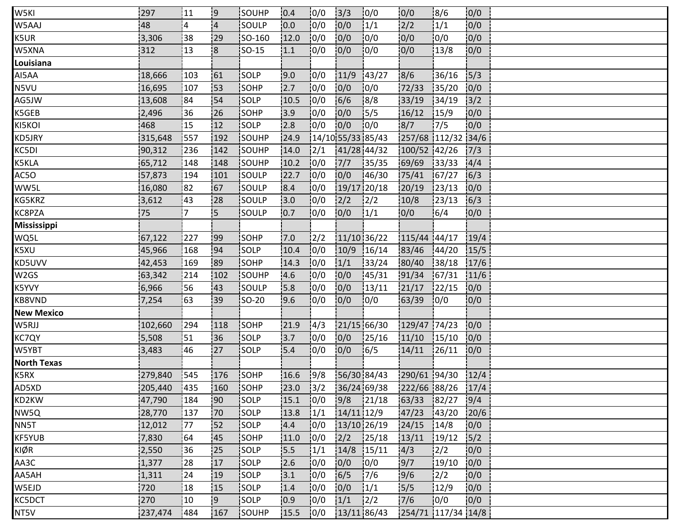| W5KI               | 297     | 11             | :9             | <b>ISOUHP</b> | 0.4  | 10/0             | 3/3               | 10/0          | 0/0                | 18/6          | 0/0  |  |
|--------------------|---------|----------------|----------------|---------------|------|------------------|-------------------|---------------|--------------------|---------------|------|--|
| W5AAJ              | 48      | $\overline{4}$ | $\overline{4}$ | SOULP         | 0.0  | 10/0             | 0/0               | 1/1           | 2/2                | 1/1           | 0/0  |  |
| K5UR               | 3,306   | 38             | 29             | SO-160        | 12.0 | 0/0              | 0/0               | 0/0           | 0/0                | 0/0           | 0/0  |  |
| W5XNA              | 312     | 13             | $\overline{8}$ | <b>SO-15</b>  | 1.1  | 0/0              | 0/0               | 10/0          | 0/0                | 13/8          | 0/0  |  |
| Louisiana          |         |                |                |               |      |                  |                   |               |                    |               |      |  |
| AI5AA              | 18,666  | 103            | 161            | <b>SOLP</b>   | 9.0  | 10/0             | 11/9              | 43/27         | 8/6                | 36/16         | 5/3  |  |
| N5VU               | 16,695  | 107            | :53            | SOHP          | 2.7  | 0/0              | 0/0               | 10/0          | 72/33              | 35/20         | 0/0  |  |
| AG5JW              | 13,608  | 84             | 54             | SOLP          | 10.5 | 0/0              | 6/6               | 8/8           | 33/19              | 134/19        | 3/2  |  |
| K5GEB              | 2,496   | 36             | 26             | <b>SOHP</b>   | 13.9 | 10/0             | 0/0               | 15/5          | 16/12              | 15/9          | 0/0  |  |
| KI5KOI             | 468     | 15             | 12             | <b>SOLP</b>   | 2.8  | 10/0             | 0/0               | 10/0          | 8/7                | 17/5          | 0/0  |  |
| KD5JRY             | 315,648 | 557            | 192            | SOUHP         | 24.9 |                  | 14/10 55/33 85/43 |               | 257/68 112/32 34/6 |               |      |  |
| KC5DI              | 90,312  | 236            | 142            | SOUHP         | 14.0 | $\frac{2}{1}$    | 41/28 44/32       |               | 100/52 42/26       |               | 7/3  |  |
| K5KLA              | 65,712  | 148            | 148            | SOUHP         | 10.2 | 10/0             | 7/7               | 135/35        | 69/69              | 33/33         | 4/4  |  |
| AC5O               | 57,873  | 194            | 101            | <b>SOULP</b>  | 22.7 | 10/0             | 0/0               | 146/30        | 75/41              | 167/27        | 16/3 |  |
| WW5L               | 16,080  | 82             | 67             | SOULP         | 8.4  | 10/0             | 19/17 20/18       |               | 20/19              | 23/13         | 0/0  |  |
| KG5KRZ             | 3,612   | 43             | 28             | SOULP         | 3.0  | 0/0              | 2/2               | 12/2          | 10/8               | 123/13        | 6/3  |  |
| KC8PZA             | 75      | '7             | !5             | SOULP         | 10.7 | 0/0              | 0/0               | 1/1           | 0/0                | 16/4          | 0/0  |  |
| <b>Mississippi</b> |         |                |                |               |      |                  |                   |               |                    |               |      |  |
| WQ5L               | 67,122  | 227            | <b>99</b>      | <b>SOHP</b>   | 7.0  | 12/2             | 11/10 36/22       |               | 115/44 44/17       |               | 19/4 |  |
| K5XU               | 45,966  | 168            | 94             | SOLP          | 10.4 | 10/0             | 10/9              | 16/14         | 83/46              | 144/20        | 15/5 |  |
| KD5UVV             | 42,453  | 169            | 89             | SOHP          | 14.3 | 0/0              | 1/1               | 33/24         | 80/40              | 38/18         | 17/6 |  |
| W2GS               | 63,342  | 214            | 102            | SOUHP         | 4.6  | 10/0             | 0/0               | 145/31        | 91/34              | 167/31        | 11/6 |  |
| K5YVY              | 6,966   | 56             | 43             | <b>SOULP</b>  | 15.8 | 10/0             | 0/0               | 13/11         | 21/17              | 122/15        | 0/0  |  |
| KB8VND             | 7,254   | 63             | 39             | <b>SO-20</b>  | 9.6  | 0/0              | 0/0               | 10/0          | 63/39              | 10/0          | 0/0  |  |
| <b>New Mexico</b>  |         |                |                |               |      |                  |                   |               |                    |               |      |  |
| W5RJJ              | 102,660 | 294            | 118            | SOHP          | 21.9 | 4/3              | 21/15.66/30       |               | 129/47 74/23       |               | 0/0  |  |
| KC7QY              | 5,508   | 51             | 36             | SOLP          | 13.7 | 0/0              | 0/0               | 125/16        | 11/10              | 15/10         | 0/0  |  |
| W5YBT              | 3,483   | 46             | 27             | <b>SOLP</b>   | 5.4  | 10/0             | 0/0               | 16/5          | 14/11              | 126/11        | 0/0  |  |
| <b>North Texas</b> |         |                |                |               |      |                  |                   |               |                    |               |      |  |
| K5RX               | 279,840 | 545            | 176            | SOHP          | 16.6 | $\frac{1}{9}$ /8 | 56/30 84/43       |               | 290/61 94/30       |               | 12/4 |  |
| AD5XD              | 205,440 | 1435           | 160            | SOHP          | 23.0 | 3/2              | 36/24 69/38       |               | 222/66 88/26       |               | 17/4 |  |
| KD2KW              | 47,790  | 184            | !90            | <b>SOLP</b>   | 15.1 | 0/0              | 9/8               | 121/18        | 63/33              | 182/27        | 9/4  |  |
| NW5Q               | 28,770  | 137            | 170            | <b>SOLP</b>   | 13.8 | 1/1              | 14/11 12/9        |               | 47/23              | 143/20        | 20/6 |  |
| NN5T               | 12,012  | 177            | 152            | SOLP          | 4.4  | 10/0             | 13/10 26/19       |               | 24/15              | 14/8          | 0/0  |  |
| KF5YUB             | 7,830   | 64             | 45             | SOHP          | 11.0 | 0/0              | 2/2               | 125/18        | 13/11              | 19/12         | 5/2  |  |
| KIØR               | 2,550   | 36             | 25             | SOLP          | 15.5 | 1/1              | 14/8              | 15/11         | 14/3               | $\frac{2}{2}$ | 10/0 |  |
| AA3C               | 1,377   | 28             | 17             | SOLP          | 2.6  | 10/0             | 0/0               | 10/0          | 9/7                | 19/10         | 0/0  |  |
| AA5AH              | 1,311   | 24             | 19             | SOLP          | 3.1  | 10/0             | 6/5               | 17/6          | 9/6                | $\frac{1}{2}$ | 0/0  |  |
| W5EJD              | 720     | 18             | 15             | SOLP          | 1.4  | 0/0              | 0/0               | 1/1           | 5/5                | 12/9          | 0/0  |  |
| KC5DCT             | 270     | 10             | <u>!9</u>      | SOLP          | 10.9 | 0/0              | 1/1               | $\frac{1}{2}$ | 7/6                | 10/0          | 0/0  |  |
| NT5V               | 237,474 | 1484           | 167            | <b>SOUHP</b>  | 15.5 | 0/0              | 13/11 86/43       |               | 254/71 117/34 14/8 |               |      |  |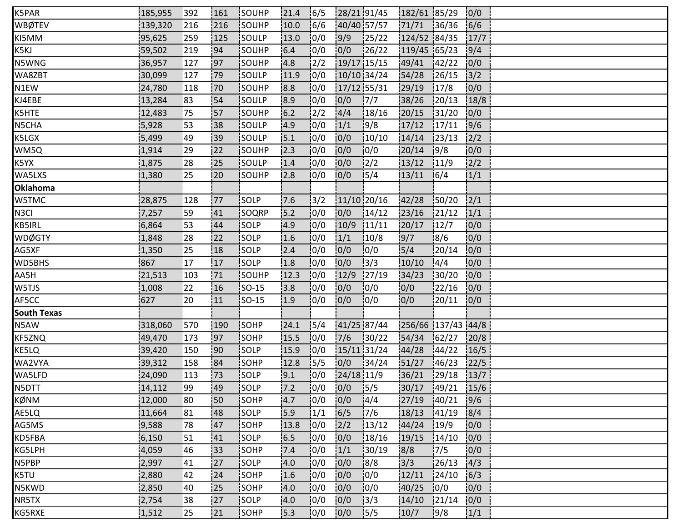| K5PAR              | 185,955 | 392       | 161 | SOUHP         | 21.4  | 16/5           | 28/21 91/45 |               | 182/61 85/29       |        | 0/0  |  |  |
|--------------------|---------|-----------|-----|---------------|-------|----------------|-------------|---------------|--------------------|--------|------|--|--|
| <b>WBØTEV</b>      | 139,320 | 216       | 216 | SOUHP         | 10.0  | 16/6           | 40/40 57/57 |               | 71/71 36/36        |        | 6/6  |  |  |
| KI5MM              | 95,625  | 259       | 125 | SOULP         | 13.0  | 0/0            | 9/9         | 125/22        | 124/52 84/35       |        | 17/7 |  |  |
| K5KJ               | 59,502  | 219       | 94  | SOUHP         | 6.4   | 10/0           | 0/0         | 126/22        | $119/45$ 65/23     |        | 9/4  |  |  |
| N5WNG              | 36,957  | 127       | 97  | SOUHP         | 4.8   | 2/2            | 19/17 15/15 |               | 49/41              | 142/22 | 0/0  |  |  |
| WA8ZBT             | 30,099  | 127       | :79 | SOULP         | 11.9  | 0/0            | 10/10 34/24 |               | 54/28              | 126/15 | 3/2  |  |  |
| N1EW               | 24,780  | 118       | 70  | SOUHP         | 8.8   | 0/0            | 17/12 55/31 |               | 29/19              | 17/8   | 0/0  |  |  |
| KJ4EBE             | 13,284  | 83        | 54  | SOULP         | 8.9   | 0/0            | 0/0         | 17/7          | 38/26              | 120/13 | 18/8 |  |  |
| K5HTE              | 12,483  | 175       | 57  | <b>ISOUHP</b> | 16.2  | $\frac{12}{2}$ | 4/4         | 18/16         | 20/15              | 31/20  | 0/0  |  |  |
| N5CHA              | 5,928   | 53        | :38 | <b>SOULP</b>  | 4.9   | 0/0            | 1/1         | 19/8          | 17/12              | 17/11  | 9/6  |  |  |
| K5LGX              | 5,499   | 49        | 39  | SOULP         | 5.1   | 0/0            | 0/0         | 10/10         | 14/14              | 123/13 | 2/2  |  |  |
| WM5Q               | 1,914   | 29        | 22  | SOUHP         | 12.3  | 0/0            | 0/0         | 0/0           | 20/14              | 19/8   | 0/0  |  |  |
| K5YX               | 1,875   | 28        | 125 | SOULP         | 1.4   | 10/0           | 0/0         | $\frac{1}{2}$ | 13/12              | 11/9   | 2/2  |  |  |
| WA5LXS             | 1,380   | 125       | 20  | <b>SOUHP</b>  | 2.8   | 10/0           | 10/0        | 15/4          | 13/11              | 16/4   | 1/1  |  |  |
| <b>Oklahoma</b>    |         |           |     |               |       |                |             |               |                    |        |      |  |  |
| W5TMC              | 28,875  | 128       | 177 | SOLP          | 7.6   | 13/2           |             | 11/10 20/16   | 42/28              | 150/20 | 2/1  |  |  |
| N <sub>3</sub> CI  | 7,257   | 59        | 41  | SOQRP         | 15.2  | 0/0            | 0/0         | 14/12         | 23/16              | 121/12 | 1/1  |  |  |
| <b>KB5IRL</b>      | 6,864   | 53        | 44  | <b>SOLP</b>   | 4.9   | 10/0           | 10/9        | 11/11         | 20/17              | 12/7   | 0/0  |  |  |
| <b>WDØGTY</b>      | 1,848   | 28        | 22  | SOLP          | 1.6   | 10/0           | 1/1         | 10/8          | 9/7                | 18/6   | 0/0  |  |  |
| AG5XF              | 1,350   | 25        | 18  | SOLP          | 2.4   | 0/0            | 0/0         | 0/0           | 5/4                | 20/14  | 0/0  |  |  |
| WD5BHS             | 867     | 17        | 17  | SOLP          | 1.8   | 0/0            | 0/0         | 3/3           | 10/10              | 14/4   | 0/0  |  |  |
| AA5H               | 21,513  | 103       | 71  | SOUHP         | 12.3  | 10/0           | 12/9        | 27/19         | 34/23              | 130/20 | 0/0  |  |  |
| W5TJS              | 1,008   | 22        | 16  | <b>SO-15</b>  | 3.8   | 0/0            | 0/0         | 10/0          | 10/0               | 22/16  | 10/0 |  |  |
| AF5CC              | 627     | 120       | 11  | <b>SO-15</b>  | 1.9   | 10/0           | 0/0         | 10/0          | 0/0                | 20/11  | 0/0  |  |  |
| <b>South Texas</b> |         |           |     |               |       |                |             |               |                    |        |      |  |  |
| N5AW               | 318,060 | 570       | 190 | SOHP          | 24.1  | 5/4            |             | 41/25 87/44   | 256/66 137/43 44/8 |        |      |  |  |
| KF5ZNQ             | 49,470  | 173       | 97  | SOHP          | 15.5  | 10/0           | 7/6         | 130/22        | 54/34              | 162/27 | 20/8 |  |  |
| KE5LQ              | 39,420  | 150       | '90 | <b>SOLP</b>   | 15.9  | 10/0           | 15/11 31/24 |               | 44/28              | 144/22 | 16/5 |  |  |
| WA2VYA             | 39,312  | 158       | 84  | SOHP          | 12.8  | 15/5           | 0/0         | 34/24         | 51/27              | 146/23 | 22/5 |  |  |
| WA5LFD             | 24,090  | 113       | :73 | SOLP          | 9.1   | 0/0            | 24/18 11/9  |               | 36/21              | 129/18 | 13/7 |  |  |
| N5DTT              | 14,112  | <b>99</b> | 49  | <b>ISOLP</b>  | $7.2$ | 10/0           | $0/0$ 5/5   |               | 30/17 49/21        |        | 15/6 |  |  |
| KØNM               | 12,000  | 180       | !50 | <b>SOHP</b>   | 4.7   | 10/0           | 0/0         | 14/4          | 27/19              | 140/21 | 9/6  |  |  |
| AE5LQ              | 11,664  | 181       | 48  | <b>ISOLP</b>  | 5.9   | 1/1            | 6/5         | 17/6          | 18/13              | 141/19 | 8/4  |  |  |
| AG5MS              | 9,588   | 78        | 47  | SOHP          | 13.8  | 0/0            | 2/2         | 13/12         | 44/24              | 19/9   | 0/0  |  |  |
| KD5FBA             | 6,150   | 51        | 41  | SOLP          | 6.5   | 0/0            | 0/0         | 18/16         | 19/15              | 14/10  | 0/0  |  |  |
| KG5LPH             | 4,059   | 46        | 33  | SOHP          | 7.4   | 0/0            | 1/1         | 30/19         | 8/8                | 17/5   | 0/0  |  |  |
| N5PBP              | 2,997   | 41        | 127 | SOLP          | 4.0   | 10/0           | 0/0         | 18/8          | 3/3                | 26/13  | 14/3 |  |  |
| K5TU               | 2,880   | 42        | 24  | <b>SOHP</b>   | 1.6   | 0/0            | 0/0         | 10/0          | 12/11              | 124/10 | 6/3  |  |  |
| N5KWD              | 2,850   | 40        | 25  | SOHP          | 4.0   | 0/0            | 0/0         | 0/0           | 40/25              | 10/0   | 0/0  |  |  |
| NR5TX              | 2,754   | 38        | 27  | SOLP          | 4.0   | 0/0            | 0/0         | 13/3          | 14/10              | 121/14 | 0/0  |  |  |
| KG5RXE             | 1,512   | 125       | 21  | <b>SOHP</b>   | 5.3   | 10/0           | 0/0         | 15/5          | 10/7               | 9/8    | 1/1  |  |  |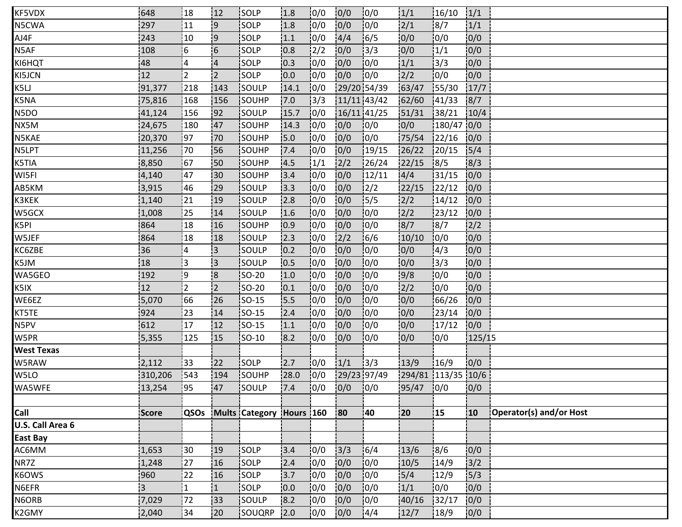| KF5VDX            | 648            | 18             | 12                      | <b>ISOLP</b>   | 1.8       | 10/0          | 0/0         | 10/0             | 1/1                | 16/10      | 1/1    |                         |
|-------------------|----------------|----------------|-------------------------|----------------|-----------|---------------|-------------|------------------|--------------------|------------|--------|-------------------------|
| N5CWA             | 297            | 11             | وا                      | SOLP           | 1.8       | 10/0          | 0/0         | 10/0             | 2/1                | 8/7        | 1/1    |                         |
| AJ4F              | 243            | 10             | 9                       | SOLP           | 1.1       | 0/0           | 4/4         | 16/5             | 0/0                | 0/0        | 0/0    |                         |
| N5AF              | 108            | i 6            | 6                       | SOLP           | 0.8       | $\frac{1}{2}$ | 0/0         | 13/3             | 0/0                | 1/1        | 0/0    |                         |
| KI6HQT            | 48             | 4              | $\overline{4}$          | <b>SOLP</b>    | 10.3      | 10/0          | 0/0         | 10/0             | 1/1                | 13/3       | 0/0    |                         |
| KI5JCN            | 12             | 12             | $\overline{2}$          | SOLP           | 0.0       | 0/0           | 0/0         | 10/0             | 2/2                | 0/0        | 0/0    |                         |
| K5LJ              | 91,377         | 218            | 143                     | SOULP          | 14.1      | 0/0           | 29/20 54/39 |                  | 63/47              | 155/30     | 17/7   |                         |
| K5NA              | 75,816         | 168            | 156                     | SOUHP          | 7.0       | 3/3           | 11/11 43/42 |                  | 62/60              | 141/33     | 8/7    |                         |
| N5DO              | 41,124         | 156            | 192                     | <b>SOULP</b>   | 15.7      | 10/0          | 16/11 41/25 |                  | 151/31             | 138/21     | 10/4   |                         |
| NX5M              | 24,675         | 180            | 47                      | <b>SOUHP</b>   | 14.3      | 10/0          | 0/0         | 10/0             | 0/0                | 180/47 0/0 |        |                         |
| N5KAE             | 20,370         | 97             | 70                      | SOUHP          | 5.0       | 10/0          | 0/0         | 10/0             | 75/54              | 122/16     | 0/0    |                         |
| N5LPT             | 11,256         | 70             | 56                      | SOUHP          | 7.4       | 0/0           | 0/0         | 19/15            | 26/22              | 120/15     | 5/4    |                         |
| K5TIA             | 8,850          | 67             | 150                     | <b>SOUHP</b>   | 14.5      | 1/1           | 2/2         | 26/24            | 22/15              | 8/5        | 18/3   |                         |
| WI5FI             | 4,140          | 147            | 130                     | <b>i</b> souhp | 13.4      | 10/0          | 0/0         | 12/11            | 14/4               | 131/15     | 0/0    |                         |
| AB5KM             | 3,915          | 46             | 29                      | isoulp         | 13.3      | 0/0           | 0/0         | $\frac{1}{2}$    | 22/15              | 122/12     | 0/0    |                         |
| K3KEK             | 1,140          | 21             | 19                      | SOULP          | 2.8       | 0/0           | 0/0         | 15/5             | 2/2                | 14/12      | 0/0    |                         |
| W5GCX             | 1,008          | 25             | 14                      | SOULP          | 1.6       | 0/0           | 0/0         | 10/0             | 2/2                | 23/12      | 0/0    |                         |
| K5PI              | 864            | 18             | 16                      | SOUHP          | 0.9       | 10/0          | 0/0         | 10/0             | 8/7                | 18/7       | 2/2    |                         |
| W5JEF             | 864            | 18             | 18                      | <b>SOULP</b>   | 12.3      | 10/0          | 2/2         | 16/6             | 10/10              | 10/0       | 0/0    |                         |
| KC6ZBE            | 36             | 14             | i3.                     | SOULP          | 0.2       | 0/0           | 0/0         | 0/0              | 0/0                | 4/3        | 0/0    |                         |
| K5JM              | 18             | l3             | 3                       | SOULP          | 10.5      | 0/0           | 0/0         | 10/0             | 0/0                | 13/3       | 0/0    |                         |
| WA5GEO            | 192            | 9              | $\overline{\mathbf{8}}$ | <b>SO-20</b>   | 1.0       | 10/0          | 0/0         | 10/0             | 9/8                | 10/0       | 0/0    |                         |
| K5IX              | 12             | 12.            | i <sub>2</sub>          | SO-20          | 10.1      | 10/0          | 0/0         | 10/0             | 2/2                | 10/0       | 0/0    |                         |
| WE6EZ             | 5,070          | 66             | 26                      | <b>SO-15</b>   | 15.5      | 0/0           | 0/0         | 10/0             | 0/0                | 66/26      | 0/0    |                         |
| KT5TE             | 924            | 23             | 14                      | SO-15          | 2.4       | 0/0           | 0/0         | 0/0              | 0/0                | 123/14     | 0/0    |                         |
| N5PV              | 612            | 17             | 12                      | <b>SO-15</b>   | 1.1       | 0/0           | 0/0         | 10/0             | 0/0                | 17/12      | 0/0    |                         |
| W5PR              | 5,355          | 125            | 15                      | SO-10          | 8.2       | 0/0           | 0/0         | 10/0             | 0/0                | 10/0       | 125/15 |                         |
| <b>West Texas</b> |                |                |                         |                |           |               |             |                  |                    |            |        |                         |
| W5RAW             | 2,112          | 33             | 122                     | SOLP           | 2.7       | 10/0          | 1/1         | 13/3             | 13/9               | 16/9       | 0/0    |                         |
| W5LO              | 310,206        | 1543           | 194                     | SOUHP          | 28.0      | 10/0          | 29/23 97/49 |                  | 294/81 113/35 10/6 |            |        |                         |
| WA5WFE            | 13,254         | 195            | 47                      | SOULP          | 7.4       | 10/0          | 0/0         | $\frac{1}{2}0/0$ | 95/47 0/0          |            | 0/0    |                         |
|                   |                |                |                         |                |           |               |             |                  |                    |            |        |                         |
| Call              | <b>Score</b>   | <b>QSOs</b>    |                         | Mults Category | Hours 160 |               | 180         | 140              | 120                | 15         | 10     | Operator(s) and/or Host |
| U.S. Call Area 6  |                |                |                         |                |           |               |             |                  |                    |            |        |                         |
| <b>East Bay</b>   |                |                |                         |                |           |               |             |                  |                    |            |        |                         |
| AC6MM             | 1,653          | 30             | 19                      | SOLP           | 3.4       | 0/0           | $3/3$       | 16/4             | 13/6               | 8/6        | 0/0    |                         |
| NR7Z              | 1,248          | 27             | 16                      | SOLP           | 2.4       | 0/0           | 0/0         | 10/0             | 10/5               | 14/9       | 3/2    |                         |
| K6OWS             | 960            | 122            | 16                      | SOLP           | 3.7       | 0/0           | 0/0         | 10/0             | 5/4                | 12/9       | 5/3    |                         |
| N6EFR             | $\overline{3}$ | $\overline{1}$ | $\overline{1}$          | SOLP           | 0.0       | 0/0           | 0/0         | 0/0              | 1/1                | 0/0        | 0/0    |                         |
| N6ORB             | 7,029          | 72             | 33                      | SOULP          | 18.2      | 0/0           | 0/0         | 10/0             | 40/16              | 32/17      | 0/0    |                         |
| K2GMY             | 2,040          | 34             | 120                     | SOUQRP         | 2.0       | 10/0          | 0/0         | 4/4              | 12/7               | 18/9       | 0/0    |                         |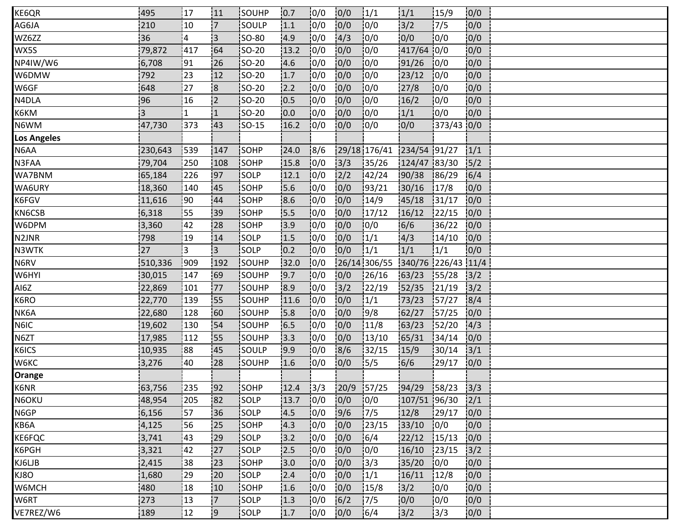| KE6QR              | 495     | 17             | 11             | <b>ISOUHP</b> | 10.7 | 10/0           | 0/0        | $\frac{1}{1}$             | 1/1                | 15/9       | 0/0  |  |  |
|--------------------|---------|----------------|----------------|---------------|------|----------------|------------|---------------------------|--------------------|------------|------|--|--|
| AG6JA              | 210     | 10             | $\overline{7}$ | SOULP         | 1.1  | 0/0            | 0/0        | 10/0                      | $3/2$              | 17/5       | 0/0  |  |  |
| WZ6ZZ              | 36      | $\overline{4}$ | ¦3             | <b>SO-80</b>  | 4.9  | 0/0            | 4/3        | 10/0                      | 0/0                | 10/0       | 0/0  |  |  |
| WX5S               | 79,872  | 417            | 64             | SO-20         | 13.2 | 0/0            | 0/0        | 10/0                      | 417/64 0/0         |            | 0/0  |  |  |
| NP4IW/W6           | 6,708   | 91             | 26             | SO-20         | 4.6  | 10/0           | 0/0        | 10/0                      | 91/26              | 10/0       | 0/0  |  |  |
| W6DMW              | 792     | 23             | 12             | <b>SO-20</b>  | 1.7  | 10/0           | 0/0        | 10/0                      | 23/12              | 10/0       | 0/0  |  |  |
| W6GF               | 648     | 27             | $\overline{8}$ | $ SO-20$      | 12.2 | 0/0            | 0/0        | 0/0                       | 27/8               | 10/0       | 0/0  |  |  |
| N4DLA              | 96      | 16             | 2              | <b>SO-20</b>  | 10.5 | 0/0            | 0/0        | 0/0                       | 16/2               | 10/0       | 0/0  |  |  |
| К6КМ               | İ3      | ا 1            | ا 1            | <b>SO-20</b>  | 10.0 | 10/0           | 0/0        | 10/0                      | 1/1                | 10/0       | 0/0  |  |  |
| N6WM               | 47,730  | 373            | 43             | <b>SO-15</b>  | 16.2 | 10/0           | 0/0        | 10/0                      | 0/0                | 373/43 0/0 |      |  |  |
| <b>Los Angeles</b> |         |                |                |               |      |                |            |                           |                    |            |      |  |  |
| N6AA               | 230,643 | 539            | 147            | SOHP          | 24.0 | 8/6            |            | 29/18 176/41 234/54 91/27 |                    |            | 1/1  |  |  |
| N3FAA              | 79,704  | 250            | !108           | SOHP          | 15.8 | 10/0           | 3/3        | 135/26                    | 124/47 83/30       |            | 15/2 |  |  |
| WA7BNM             | 65,184  | 226            | 197            | SOLP          | 12.1 | 10/0           | 2/2        | 142/24                    | 90/38              | 186/29     | 6/4  |  |  |
| WA6URY             | 18,360  | 140            | 145            | <b>SOHP</b>   | 5.6  | 0/0            | 0/0        | 93/21                     | 30/16              | 17/8       | 0/0  |  |  |
| K6FGV              | 11,616  | :90            | 44             | SOHP          | 8.6  | 0/0            | 0/0        | 14/9                      | 45/18              | 31/17      | 0/0  |  |  |
| KN6CSB             | 6,318   | 55             | 39             | SOHP          | 15.5 | 0/0            | 0/0        | 17/12                     | 16/12              | 122/15     | 0/0  |  |  |
| W6DPM              | 3,360   | 42             | 28             | SOHP          | 3.9  | 0/0            | 0/0        | 0/0                       | 6/6                | 36/22      | 0/0  |  |  |
| N2JNR              | 798     | 19             | 14             | <b>SOLP</b>   | 1.5  | 10/0           | 0/0        | 1/1                       | 4/3                | 14/10      | 0/0  |  |  |
| N3WTK              | 27      | 3              | i3.            | SOLP          | 0.2  | 0/0            | 0/0        | 1/1                       | 1/1                | 1/1        | 0/0  |  |  |
| N6RV               | 510,336 | 909            | 192            | SOUHP         | 32.0 | 0/0            |            | 26/14 306/55              | 340/76 226/43 11/4 |            |      |  |  |
| W6HYI              | 30,015  | 147            | 169            | SOUHP         | 19.7 | 10/0           | 0/0        | 126/16                    | 63/23              | 155/28     | 3/2  |  |  |
| AI6Z               | 22,869  | 101            | 177            | <b>SOUHP</b>  | 8.9  | 10/0           | 3/2        | 22/19                     | 152/35             | 121/19     | 3/2  |  |  |
| K6RO               | 22,770  | 139            | <b>S5</b>      | SOUHP         | 11.6 | 10/0           | 0/0        | 1/1                       | 73/23              | 157/27     | 8/4  |  |  |
| NK6A               | 22,680  | 128            | 60             | SOUHP         | 15.8 | 10/0           | 0/0        | 9/8                       | 62/27              | 157/25     | 0/0  |  |  |
| N6IC               | 19,602  | 130            | 54             | SOUHP         | 16.5 | 0/0            | 0/0        | 11/8                      | 63/23              | 152/20     | 4/3  |  |  |
| N6ZT               | 17,985  | 112            | 155            | SOUHP         | 13.3 | 10/0           | 0/0        | 13/10                     | 165/31             | 34/14      | 0/0  |  |  |
| K6ICS              | 10,935  | 88             | 45             | <b>SOULP</b>  | 9.9  | 10/0           | 8/6        | 32/15                     | 15/9               | 30/14      | 3/1  |  |  |
| W6KC               | 3,276   | 40             | 28             | SOUHP         | 1.6  | 0/0            | 0/0        | 15/5                      | 6/6                | 29/17      | 0/0  |  |  |
| Orange             |         |                |                |               |      |                |            |                           |                    |            |      |  |  |
| K6NR               | 63,756  | 235            | !92            | SOHP          | 12.4 | $\frac{13}{3}$ | 20/9 57/25 |                           | 94/29              | 158/23     | 3/3  |  |  |
| N6OKU              | 48,954  | 205            | 82             | SOLP          | 13.7 | 10/0           | 0/0        | 10/0                      | 107/51 96/30       |            | 2/1  |  |  |
| N6GP               | 6,156   | 57             | i36            | <b>SOLP</b>   | 4.5  | 10/0           | 9/6        | 17/5                      | 12/8               | 129/17     | 0/0  |  |  |
| KB6A               | 4,125   | 56             | 25             | SOHP          | 14.3 | 0/0            | 0/0        | 123/15                    | 33/10              | 0/0        | 0/0  |  |  |
| KE6FQC             | 3,741   | 43             | 29             | SOLP          | 3.2  | 0/0            | 0/0        | 16/4                      | 22/12              | 15/13      | 0/0  |  |  |
| K6PGH              | 3,321   | 142            | 27             | SOLP          | 12.5 | 10/0           | 0/0        | 10/0                      | 16/10              | 123/15     | 3/2  |  |  |
| KJ6LJB             | 2,415   | 38             | 23             | SOHP          | 3.0  | 10/0           | 0/0        | 13/3                      | 35/20              | 10/0       | 0/0  |  |  |
| KJ8O               | 1,680   | :29            | 20             | SOLP          | 2.4  | 10/0           | 0/0        | 1/1                       | 16/11              | 12/8       | 0/0  |  |  |
| W6MCH              | 480     | 18             | 10             | SOHP          | 1.6  | 0/0            | 0/0        | 15/8                      | 3/2                | 0/0        | 0/0  |  |  |
| W6RT               | 273     | 13             | 17             | SOLP          | 1.3  | 0/0            | $6/2$      | 17/5                      | 0/0                | 0/0        | 0/0  |  |  |
| VE7REZ/W6          | 189     | 12             | <u>i9.</u>     | <b>SOLP</b>   | 1.7  | 10/0           | 0/0        | 16/4                      | 3/2                | 13/3       | 0/0  |  |  |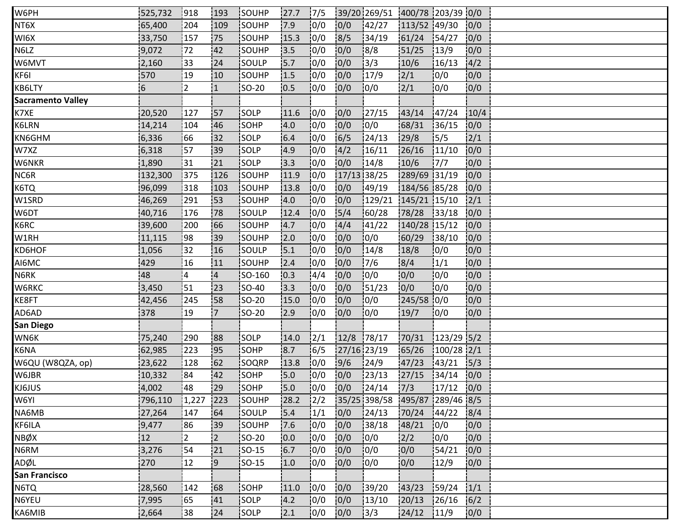| W6PH                     | 525,732 | 918       | 193            | SOUHP        | 27.7 | 17/5           |             | 39/201269/51 400/78 203/39 0/0 |              |              |      |  |
|--------------------------|---------|-----------|----------------|--------------|------|----------------|-------------|--------------------------------|--------------|--------------|------|--|
| NT6X                     | 65,400  | 204       | 109            | SOUHP        | 17.9 | 0/0            | 0/0         | 142/27                         | 113/52 49/30 |              | 0/0  |  |
| WI6X                     | 33,750  | 157       | 75             | SOUHP        | 15.3 | 0/0            | 8/5         | 134/19                         | 61/24        | 154/27       | 10/0 |  |
| N6LZ                     | 9,072   | 72        | 42             | SOUHP        | 3.5  | 0/0            | 0/0         | 8/8                            | 51/25        | 13/9         | 0/0  |  |
| W6MVT                    | 2,160   | 33        | 124            | SOULP        | 5.7  | 0/0            | 0/0         | 13/3                           | 10/6         | 16/13        | 4/2  |  |
| KF6I                     | 570     | 19        | 10             | SOUHP        | 1.5  | 0/0            | 0/0         | 17/9                           | 2/1          | 10/0         | 0/0  |  |
| KB6LTY                   | 6       | :2        | $\overline{1}$ | $ SO-20 $    | 10.5 | 0/0            | 0/0         | 0/0                            | 2/1          | 0/0          | 0/0  |  |
| <b>Sacramento Valley</b> |         |           |                |              |      |                |             |                                |              |              |      |  |
| K7XE                     | 20,520  | 127       | 157            | SOLP         | 11.6 | 10/0           | 0/0         | 127/15                         | 43/14        | 147/24       | 10/4 |  |
| K6LRN                    | 14,214  | 104       | 146            | SOHP         | 4.0  | 10/0           | 0/0         | 0/0                            | 68/31        | 136/15       | 0/0  |  |
| KN6GHM                   | 6,336   | 66        | 32             | SOLP         | 6.4  | 10/0           | 6/5         | 24/13                          | 29/8         | 15/5         | 2/1  |  |
| W7XZ                     | 6,318   | 157       | 39             | SOLP         | 4.9  | 0/0            | 4/2         | 16/11                          | 26/16        | 11/10        | 0/0  |  |
| W6NKR                    | 1,890   | 31        | !21            | <b>SOLP</b>  | 13.3 | 10/0           | 0/0         | 14/8                           | 10/6         | 17/7         | 0/0  |  |
| NC6R                     | 132,300 | 375       | 126            | SOUHP        | 11.9 | 0/0            | 17/13 38/25 |                                | 289/69 31/19 |              | 0/0  |  |
| K6TQ                     | 96,099  | 318       | 103            | <b>SOUHP</b> | 13.8 | 0/0            | 0/0         | 49/19                          | 184/56 85/28 |              | 0/0  |  |
| W1SRD                    | 46,269  | 291       | 153            | SOUHP        | 4.0  | 0/0            | 0/0         | 129/21                         | 145/21 15/10 |              | 2/1  |  |
| W6DT                     | 40,716  | 176       | 78             | SOULP        | 12.4 | 0/0            | 5/4         | 60/28                          | 78/28        | 33/18        | 10/0 |  |
| K6RC                     | 39,600  | 200       | 166            | SOUHP        | 14.7 | 10/0           | 4/4         | 141/22                         | 140/28 15/12 |              | 0/0  |  |
| W1RH                     | 11,115  | <b>98</b> | 39             | SOUHP        | 2.0  | 10/0           | 0/0         | 10/0                           | 60/29        | 38/10        | 0/0  |  |
| KD6HOF                   | 1,056   | 32        | 16             | SOULP        | 5.1  | 0/0            | 0/0         | 14/8                           | 18/8         | 0/0          | 0/0  |  |
| AI6MC                    | 429     | 16        | 11             | SOUHP        | 2.4  | 0/0            | 0/0         | 7/6                            | 8/4          | 1/1          | 0/0  |  |
| N6RK                     | 48      | 14        | $\overline{a}$ | SO-160       | 10.3 | 14/4           | 0/0         | 0/0                            | 0/0          | 10/0         | 0/0  |  |
| W6RKC                    | 3,450   | 51        | 123            | <b>SO-40</b> | 13.3 | 10/0           | 0/0         | 51/23                          | 0/0          | 10/0         | 0/0  |  |
| KE8FT                    | 42,456  | 245       | 158            | SO-20        | 15.0 | 10/0           | 0/0         | 0/0                            | 245/58 0/0   |              | 0/0  |  |
| AD6AD                    | 378     | 19        | $\overline{7}$ | SO-20        | 2.9  | 0/0            | 0/0         | 0/0                            | 19/7         | 0/0          | 0/0  |  |
| San Diego                |         |           |                |              |      |                |             |                                |              |              |      |  |
| WN6K                     | 75,240  | 290       | 88             | <b>SOLP</b>  | 14.0 | 12/1           | 12/8        | 178/17                         | 70/31        | $123/29$ 5/2 |      |  |
| K6NA                     | 62,985  | 1223      | 95             | <b>SOHP</b>  | 8.7  | 16/5           | 27/16 23/19 |                                | 65/26        | $100/28$ 2/1 |      |  |
| W6QU (W8QZA, op)         | 23,622  | 128       | 162            | SOQRP        | 13.8 | 10/0           | 9/6         | 124/9                          | 47/23        | 143/21       | 5/3  |  |
| W6JBR                    | 10,332  | 84        | 42             | SOHP         | 15.0 | 0/0            | 0/0         | 23/13                          | 27/15        | 34/14        | 0/0  |  |
| KJ6JUS                   | 4,002   | 148       | 29             | SOHP         | 5.0  | 10/0           | 0/0         | 124/14                         | 7/3          | 17/12        | 0/0  |  |
| W6YI                     | 796,110 | 1,227     | 223            | SOUHP        | 28.2 | $\frac{12}{2}$ |             | 35/25 398/58 495/87 289/46 8/5 |              |              |      |  |
| NA6MB                    | 27,264  | 147       | 64             | SOULP        | 15.4 | 1/1            | 0/0         | 124/13                         | 70/24        | 144/22       | 8/4  |  |
| KF6ILA                   | 9,477   | 86        | :39            | SOUHP        | 7.6  | 0/0            | 0/0         | 38/18                          | 48/21        | 0/0          | 0/0  |  |
| NBØX                     | 12      | 2         | 2              | <b>SO-20</b> | 0.0  | 0/0            | 0/0         | 0/0                            | 2/2          | 0/0          | 0/0  |  |
| N6RM                     | 3,276   | 54        | 21             | $ SO-15 $    | 16.7 | 10/0           | 0/0         | 0/0                            | 10/0         | 154/21       | 10/0 |  |
| ADØL                     | 270     | 12        | '9             | $SO-15$      | 1.0  | 0/0            | 0/0         | 10/0                           | 0/0          | 12/9         | 0/0  |  |
| <b>San Francisco</b>     |         |           |                |              |      |                |             |                                |              |              |      |  |
| N6TQ                     | 28,560  | 142       | 68             | SOHP         | 11.0 | 0/0            | 0/0         | 139/20                         | 43/23        | 159/24       | 1/1  |  |
| N6YEU                    | 7,995   | 65        | 41             | SOLP         | 4.2  | 0/0            | 0/0         | 13/10                          | 20/13        | 126/16       | 6/2  |  |
| KA6MIB                   | 2,664   | 38        | 24             | <b>SOLP</b>  | 12.1 | 10/0           | 0/0         | 3/3                            | 24/12        | 11/9         | 0/0  |  |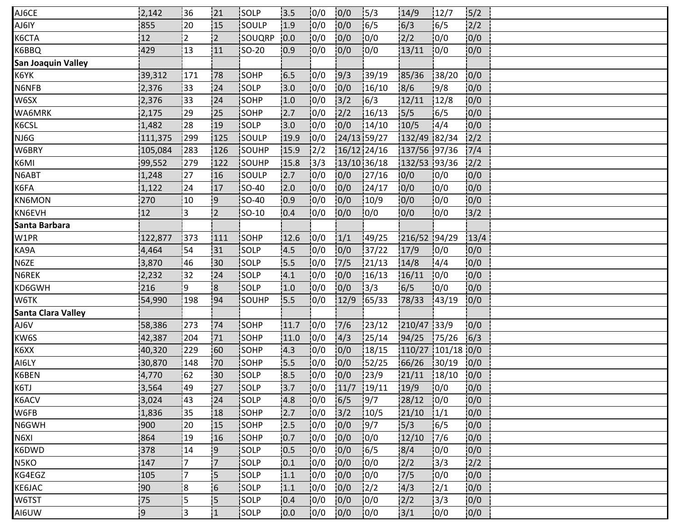| AJ6CE                     | 2,142    | 136            | 21                       | <b>ISOLP</b> | 13.5 | 0/0           | 0/0         | $\frac{15}{3}$ | 14/9              | 12/7   | 5/2  |  |
|---------------------------|----------|----------------|--------------------------|--------------|------|---------------|-------------|----------------|-------------------|--------|------|--|
| AJ6IY                     | 855      | 20             | 15                       | SOULP        | 1.9  | 10/0          | 0/0         | 16/5           | 6/3               | 16/5   | 2/2  |  |
| K6CTA                     | 12       | $\overline{2}$ | $\overline{2}$           | SOUQRP       | 0.0  | 0/0           | 0/0         | 10/0           | 2/2               | 10/0   | 0/0  |  |
| K6BBQ                     | 429      | 13             | 11                       | SO-20        | 0.9  | 0/0           | 0/0         | 10/0           | 13/11             | 10/0   | 0/0  |  |
| <b>San Joaquin Valley</b> |          |                |                          |              |      |               |             |                |                   |        |      |  |
| K6YK                      | 39,312   | 171            | 78                       | SOHP         | 6.5  | 0/0           | 9/3         | 139/19         | 85/36             | 38/20  | 0/0  |  |
| N6NFB                     | 2,376    | :33            | 24                       | SOLP         | 3.0  | 0/0           | 0/0         | 16/10          | 8/6               | 19/8   | 0/0  |  |
| W6SX                      | 2,376    | 33             | 24                       | SOHP         | 1.0  | 0/0           | 3/2         | 16/3           | 12/11             | 12/8   | 0/0  |  |
| WA6MRK                    | 2,175    | 29             | 25                       | SOHP         | 12.7 | 10/0          | 2/2         | 16/13          | 5/5               | 6/5    | 0/0  |  |
| K6CSL                     | 1,482    | $\frac{1}{28}$ | 19                       | SOLP         | 3.0  | 0/0           | 0/0         | 14/10          | 10/5              | 14/4   | 0/0  |  |
| NJ6G                      | 111,375  | 299            | 125                      | SOULP        | 19.9 | 0/0           | 24/13 59/27 |                | 132/49 82/34      |        | 2/2  |  |
| W6BRY                     | 105,084  | 283            | 126                      | SOUHP        | 15.9 | $\frac{2}{2}$ | 16/12 24/16 |                | 137/56 97/36      |        | 7/4  |  |
| K6MI                      | 99,552   | 279            | 122                      | SOUHP        | 15.8 | 3/3           | 13/10 36/18 |                | 132/53 93/36      |        | 2/2  |  |
| N6ABT                     | 1,248    | 127            | 16                       | <b>SOULP</b> | 2.7  | 10/0          | 0/0         | 127/16         | 10/0              | 10/0   | 0/0  |  |
| K6FA                      | 1,122    | 24             | 17                       | <b>SO-40</b> | 2.0  | 10/0          | 0/0         | 124/17         | 0/0               | 10/0   | 0/0  |  |
| <b>KN6MON</b>             | 270      | $ 10\rangle$   | 9                        | $ SO-40 $    | 10.9 | 0/0           | 0/0         | 10/9           | 10/0              | 10/0   | 0/0  |  |
| KN6EVH                    | 12       | l3             | $\overline{2}$           | SO-10        | 0.4  | 0/0           | 0/0         | 0/0            | 0/0               | 10/0   | 3/2  |  |
| Santa Barbara             |          |                |                          |              |      |               |             |                |                   |        |      |  |
| W1PR                      | 122,877  | 373            | 111                      | SOHP         | 12.6 | 10/0          | 1/1         | 149/25         | 216/52 94/29      |        | 13/4 |  |
| KA9A                      | 4,464    | 54             | 31                       | SOLP         | 4.5  | 0/0           | 0/0         | 137/22         | 17/9              | 0/0    | 0/0  |  |
| N6ZE                      | 3,870    | 46             | 30                       | SOLP         | 5.5  | 0/0           | 7/5         | 21/13          | 14/8              | 4/4    | 0/0  |  |
| N6REK                     | 2,232    | 32             | 24                       | SOLP         | 4.1  | 0/0           | 0/0         | 16/13          | 16/11             | 0/0    | 0/0  |  |
| KD6GWH                    | 216      | i9.            | 8!                       | <b>SOLP</b>  | 1.0  | 10/0          | 0/0         | 13/3           | 16/5              | 10/0   | 0/0  |  |
| W6TK                      | 54,990   | 198            | 94                       | <b>SOUHP</b> | 15.5 | 10/0          | 12/9        | 165/33         | 78/33             | 143/19 | 0/0  |  |
| Santa Clara Valley        |          |                |                          |              |      |               |             |                |                   |        |      |  |
| AJ6V                      | 58,386   | 273            | 74                       | SOHP         | 11.7 | 0/0           | 7/6         | 123/12         | 210/47 33/9       |        | 0/0  |  |
| KW6S                      | 42,387   | 204            | 71                       | SOHP         | 11.0 | 10/0          | 4/3         | 25/14          | 94/25             | 175/26 | 6/3  |  |
| K6XX                      | 40,320   | 229            | 60                       | SOHP         | 4.3  | 10/0          | 0/0         | 18/15          | 110/27 101/18 0/0 |        |      |  |
| AI6LY                     | 30,870   | 148            | 70                       | SOHP         | 15.5 | 0/0           | 0/0         | 152/25         | 66/26             | 30/19  | 0/0  |  |
| K6BEN                     | 4,770    | 62             | 30                       | <b>SOLP</b>  | 8.5  | 0/0           | 0/0         | 23/9           | 21/11             | 18/10  | 0/0  |  |
| K6TJ                      | 3,564    | 49             | 27                       | <b>SOLP</b>  | 3.7  | 0/0           | 11/7        | 19/11          | 19/9              | 10/0   | 0/0  |  |
| K6ACV                     | 3,024    | 143            | 24                       | <b>SOLP</b>  | 4.8  | 10/0          | 16/5        | 19/7           | 28/12             | 10/0   | 0/0  |  |
| W6FB                      | 1,836    | 35             | 18                       | <b>SOHP</b>  | 2.7  | 10/0          | 3/2         | 10/5           | 21/10             | 1/1    | 10/0 |  |
| N6GWH                     | 900      | 20             | 15                       | SOHP         | 2.5  | 0/0           | 0/0         | 19/7           | 15/3              | 16/5   | 0/0  |  |
| N6XI                      | 864      | 19             | 16                       | SOHP         | 0.7  | 0/0           | 0/0         | 0/0            | 12/10             | 17/6   | 0/0  |  |
| K6DWD                     | 378      | 14             | 9                        | SOLP         | 10.5 | 0/0           | 0/0         | 16/5           | 8/4               | 10/0   | 0/0  |  |
| N5KO                      | 147      | 7              | 17                       | SOLP         | 10.1 | 10/0          | 0/0         | 10/0           | 2/2               | 3/3    | 2/2  |  |
| KG4EGZ                    | 105      | '7             | 5                        | <b>SOLP</b>  | 1.1  | 10/0          | 0/0         | 10/0           | 7/5               | 0/0    | 0/0  |  |
| KE6JAC                    | 90       | 8              | $\overline{\phantom{0}}$ | SOLP         | 1.1  | 0/0           | 0/0         | $\frac{1}{2}$  | 4/3               | 12/1   | 0/0  |  |
| W6TST                     | 75       | 5              | 5                        | SOLP         | 0.4  | 10/0          | 0/0         | 10/0           | 12/2              | 13/3   | 10/0 |  |
| AI6UW                     | <b>9</b> | İ3             | 1                        | <b>SOLP</b>  | 0.0  | 10/0          | 0/0         | 10/0           | 3/1               | 10/0   | 0/0  |  |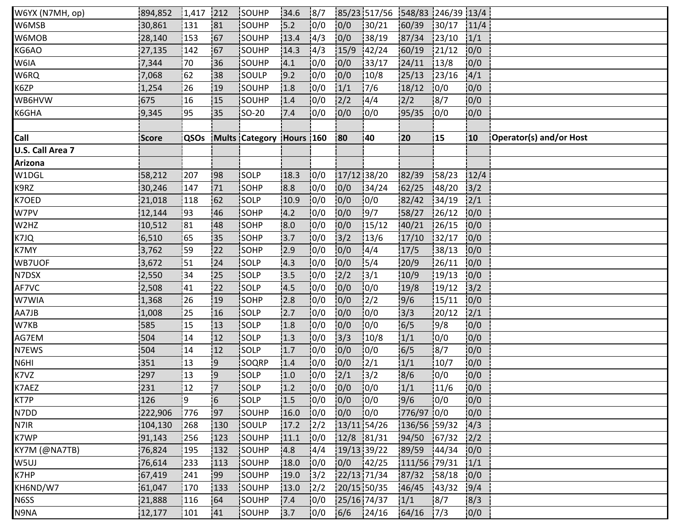| W6YX (N7MH, op)  | 894,852 | $1,417$ 212 |                | <b>ISOUHP</b>                 | 34.6 | 8/7           |               | 85/23 517/56 548/83 246/39 13/4 |              |        |      |                         |
|------------------|---------|-------------|----------------|-------------------------------|------|---------------|---------------|---------------------------------|--------------|--------|------|-------------------------|
| W6MSB            | 30,861  | 131         | 81             | SOUHP                         | 15.2 | 10/0          | 0/0           | 30/21                           | 60/39        | 30/17  | 11/4 |                         |
| W6MOB            | 28,140  | 153         | 167            | SOUHP                         | 13.4 | 4/3           | 0/0           | 38/19                           | 87/34        | 23/10  | 1/1  |                         |
| KG6AO            | 27,135  | 142         | 167            | SOUHP                         | 14.3 | 14/3          | 15/9          | 142/24                          | 60/19        | 21/12  | 0/0  |                         |
| W6IA             | 7,344   | 70          | 36             | <b>SOUHP</b>                  | 14.1 | 10/0          | 0/0           | 133/17                          | 24/11        | 13/8   | 0/0  |                         |
| W6RQ             | 7,068   | 62          | :38            | SOULP                         | 19.2 | 0/0           | 0/0           | 10/8                            | 25/13        | 23/16  | 4/1  |                         |
| K6ZP             | 1,254   | 26          | 19             | SOUHP                         | 1.8  | 0/0           | 1/1           | 7/6                             | 18/12        | 0/0    | 0/0  |                         |
| WB6HVW           | 675     | 16          | 15             | SOUHP                         | 1.4  | 10/0          | 2/2           | 4/4                             | 12/2         | 18/7   | 0/0  |                         |
| K6GHA            | 9,345   | 95          | 35             | <b>SO-20</b>                  | 7.4  | 0/0           | 0/0           | 10/0                            | 95/35        | 10/0   | 0/0  |                         |
|                  |         |             |                |                               |      |               |               |                                 |              |        |      |                         |
| Call             | Score   |             |                | QSOs Mults Category Hours 160 |      |               | <b>80</b>     | 40                              | 20           | 15     | 10   | Operator(s) and/or Host |
| U.S. Call Area 7 |         |             |                |                               |      |               |               |                                 |              |        |      |                         |
| Arizona          |         |             |                |                               |      |               |               |                                 |              |        |      |                         |
| W1DGL            | 58,212  | 207         | 198            | <b>SOLP</b>                   | 18.3 | 10/0          | 17/12 38/20   |                                 | 82/39        | 158/23 | 12/4 |                         |
| K9RZ             | 30,246  | 147         | 71             | SOHP                          | 8.8  | 10/0          | 0/0           | 34/24                           | 62/25        | 148/20 | 3/2  |                         |
| K7OED            | 21,018  | 118         | 162            | SOLP                          | 10.9 | 10/0          | 0/0           | 0/0                             | 82/42        | 34/19  | 2/1  |                         |
| W7PV             | 12,144  | :93         | 46             | SOHP                          | 4.2  | 0/0           | 0/0           | 9/7                             | 58/27        | 126/12 | 0/0  |                         |
| W2HZ             | 10,512  | 81          | 48             | <b>SOHP</b>                   | 8.0  | 10/0          | 10/0          | 15/12                           | 40/21        | 126/15 | 0/0  |                         |
| K7JQ             | 6,510   | 65          | 35             | SOHP                          | 3.7  | 10/0          | $\frac{1}{3}$ | 13/6                            | 17/10        | 132/17 | 0/0  |                         |
| K7MY             | 3,762   | 59          | 22             | SOHP                          | 2.9  | 0/0           | 0/0           | 14/4                            | 17/5         | 38/13  | 0/0  |                         |
| WB7UOF           | 3,672   | 51          | 24             | SOLP                          | 4.3  | 0/0           | 0/0           | 15/4                            | 20/9         | 26/11  | 0/0  |                         |
| N7DSX            | 2,550   | 34          | 25             | SOLP                          | 3.5  | 0/0           | 2/2           | $\frac{1}{3}$ /1                | 10/9         | 19/13  | 0/0  |                         |
| AF7VC            | 2,508   | 41          | 22             | <b>SOLP</b>                   | 14.5 | 10/0          | 0/0           | 10/0                            | 19/8         | 19/12  | 3/2  |                         |
| W7WIA            | 1,368   | 26          | 19             | SOHP                          | 2.8  | 10/0          | 0/0           | 2/2                             | 9/6          | 15/11  | 0/0  |                         |
| AA7JB            | 1,008   | 25          | 16             | SOLP                          | 2.7  | 0/0           | 0/0           | 10/0                            | 3/3          | 120/12 | 2/1  |                         |
| W7KB             | 585     | 15          | 13             | SOLP                          | 1.8  | 0/0           | 0/0           | 10/0                            | 6/5          | 9/8    | 0/0  |                         |
| AG7EM            | 504     | 14          | 12             | SOLP                          | 1.3  | 10/0          | 3/3           | 10/8                            | 1/1          | 0/0    | 0/0  |                         |
| N7EWS            | 504     | 14          | 12             | SOLP                          | 1.7  | 10/0          | 0/0           | 10/0                            | 6/5          | 8/7    | 0/0  |                         |
| N6HI             | 351     | 13          | '9             | SOQRP                         | 1.4  | 0/0           | 0/0           | 12/1                            | 1/1          | 10/7   | 0/0  |                         |
| K7VZ             | 297     | 13          | و!             | SOLP                          | 1.0  | 0/0           | 2/1           | 3/2                             | 8/6          | 0/0    | 0/0  |                         |
| K7AEZ            | 231     | 12          | $\overline{7}$ | <b>SOLP</b>                   | 1.2  | 10/0          | 0/0           | 10/0                            | 1/1          | 11/6   | 0/0  |                         |
| KT7P             | 126     | 19          | 6              | <b>SOLP</b>                   | 1.5  | 10/0          | 0/0           | 0/0                             | 9/6          | 10/0   | 0/0  |                         |
| N7DD             | 222,906 | 776         | :97            | <b>SOUHP</b>                  | 16.0 | 10/0          | 0/0           | 10/0                            | 776/97 0/0   |        | 0/0  |                         |
| N7IR             | 104,130 | 268         | 130            | SOULP                         | 17.2 | 12/2          | 13/11 54/26   |                                 | 136/56 59/32 |        | 4/3  |                         |
| K7WP             | 91,143  | 256         | 123            | SOUHP                         | 11.1 | 0/0           | 12/8 81/31    |                                 | 94/50        | 67/32  | 2/2  |                         |
| KY7M (@NA7TB)    | 76,824  | 195         | 132            | SOUHP                         | 4.8  | 14/4          | 19/13 39/22   |                                 | 89/59        | 144/34 | 0/0  |                         |
| W5UJ             | 76,614  | 233         | 113            | SOUHP                         | 18.0 | 10/0          | 0/0           | 142/25                          | 111/56 79/31 |        | 1/1  |                         |
| K7HP             | 67,419  | 241         | <b>99</b>      | SOUHP                         | 19.0 | 13/2          | 22/13 71/34   |                                 | 87/32        | 158/18 | 0/0  |                         |
| KH6ND/W7         | 61,047  | 170         | 133            | SOUHP                         | 13.0 | $\frac{1}{2}$ | 20/15 50/35   |                                 | 46/45        | 143/32 | 9/4  |                         |
| N6SS             | 21,888  | 116         | 164            | SOUHP                         | 7.4  | 10/0          | 25/16 74/37   |                                 | 1/1          | 8/7    | 8/3  |                         |
| N9NA             | 12,177  | 101         | <b>141</b>     | <b>SOUHP</b>                  | 13.7 | 10/0          | 6/6           | 124/16                          | 64/16        | 17/3   | 0/0  |                         |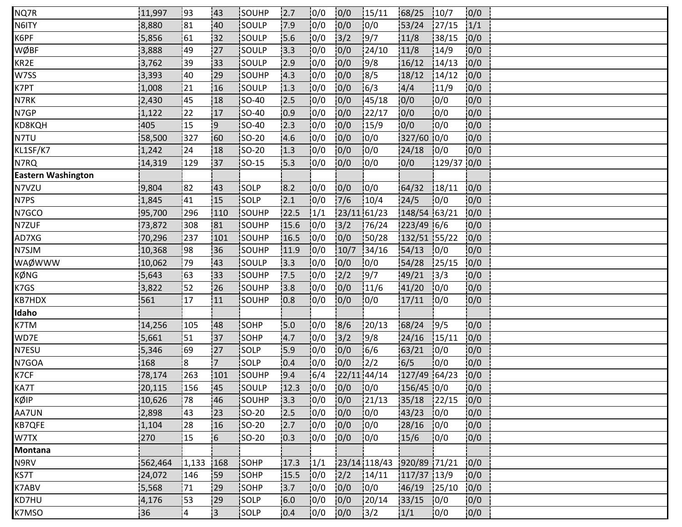| NQ7R                      | 11,997  | <u> 93</u> | 143            | <b>ISOUHP</b> | 2.7  | 10/0 | 0/0           | 15/11                     | 68/25        | 10/7   | 0/0  |  |
|---------------------------|---------|------------|----------------|---------------|------|------|---------------|---------------------------|--------------|--------|------|--|
| N6ITY                     | 8,880   | 81         | 40             | SOULP         | 17.9 | 0/0  | 0/0           | 0/0                       | 53/24        | 127/15 | 1/1  |  |
| K6PF                      | 5,856   | 61         | 32             | SOULP         | 15.6 | 10/0 | 3/2           | 9/7                       | 11/8         | 38/15  | 0/0  |  |
| WØBF                      | 3,888   | 49         | 27             | SOULP         | 3.3  | 0/0  | 0/0           | 24/10                     | 11/8         | 14/9   | 0/0  |  |
| KR2E                      | 3,762   | 39         | 33             | SOULP         | 2.9  | 0/0  | 0/0           | 9/8                       | 16/12        | 14/13  | 0/0  |  |
| W7SS                      | 3,393   | 40         | 29             | SOUHP         | 4.3  | 0/0  | 0/0           | 18/5                      | 18/12        | 14/12  | 0/0  |  |
| K7PT                      | 1,008   | 21         | 16             | SOULP         | 1.3  | 0/0  | 0/0           | 16/3                      | 4/4          | 11/9   | 0/0  |  |
| N7RK                      | 2,430   | 45         | 18             | SO-40         | 2.5  | 0/0  | 0/0           | 145/18                    | 0/0          | 0/0    | 0/0  |  |
| N7GP                      | 1,122   | 22         | 17             | <b>SO-40</b>  | 10.9 | 10/0 | 0/0           | 122/17                    | 0/0          | 10/0   | 0/0  |  |
| KD8KQH                    | 405     | 15         | :9             | SO-40         | 2.3  | 10/0 | 0/0           | 15/9                      | 0/0          | 10/0   | 0/0  |  |
| N7TU                      | 58,500  | 327        | 160            | $ SO-20$      | 4.6  | 10/0 | 0/0           | 0/0                       | 327/60 0/0   |        | 0/0  |  |
| KL1SF/K7                  | 1,242   | 24         | 18             | $ SO-20$      | 1.3  | 0/0  | 0/0           | 0/0                       | 24/18        | 0/0    | 0/0  |  |
| N7RQ                      | 14,319  | 129        | 137            | <b>SO-15</b>  | 15.3 | 10/0 | 0/0           | 10/0                      | 0/0          | 129/37 | 0/0  |  |
| <b>Eastern Washington</b> |         |            |                |               |      |      |               |                           |              |        |      |  |
| N7VZU                     | 9,804   | 82         | <b>43</b>      | <b>SOLP</b>   | 18.2 | 0/0  | 0/0           | 0/0                       | 64/32        | 18/11  | 0/0  |  |
| N7PS                      | 1,845   | 41         | 15             | SOLP          | 2.1  | 10/0 | $7/6$         | 10/4                      | 24/5         | 10/0   | 0/0  |  |
| N7GCO                     | 95,700  | 296        | 110            | SOUHP         | 22.5 | 1/1  | 23/11 61/23   |                           | 148/54 63/21 |        | 0/0  |  |
| N7ZUF                     | 73,872  | 308        | 81             | SOUHP         | 15.6 | 10/0 | 3/2           | 76/24                     | 223/49 6/6   |        | 0/0  |  |
| AD7XG                     | 70,296  | 237        | 101            | SOUHP         | 16.5 | 10/0 | 0/0           | 50/28                     | 132/51 55/22 |        | 0/0  |  |
| N7SJM                     | 10,368  | 98         | 36             | SOUHP         | 11.9 | 10/0 | 10/7          | 34/16                     | 54/13        | 10/0   | 0/0  |  |
| WAØWWW                    | 10,062  | 79         | 43             | SOULP         | 13.3 | 0/0  | 0/0           | 0/0                       | 54/28        | 125/15 | 0/0  |  |
| KØNG                      | 5,643   | 63         | 33             | SOUHP         | 17.5 | 10/0 | 2/2           | 9/7                       | 49/21        | 13/3   | 0/0  |  |
| K7GS                      | 3,822   | 52         | 26             | <b>SOUHP</b>  | 13.8 | 10/0 | 0/0           | 11/6                      | 41/20        | 10/0   | 0/0  |  |
| KB7HDX                    | 561     | 17         | 11             | <b>SOUHP</b>  | 10.8 | 0/0  | 0/0           | 10/0                      | 17/11        | 10/0   | 0/0  |  |
| Idaho                     |         |            |                |               |      |      |               |                           |              |        |      |  |
| K7TM                      | 14,256  | 105        | 48             | <b>SOHP</b>   | 15.0 | 0/0  | 8/6           | 120/13                    | 68/24        | 9/5    | 0/0  |  |
| WD7E                      | 5,661   | 51         | 137            | SOHP          | 4.7  | 0/0  | $3/2$         | 9/8                       | 24/16        | 15/11  | 0/0  |  |
| N7ESU                     | 5,346   | 69         | 127            | <b>SOLP</b>   | 15.9 | 10/0 | 0/0           | 16/6                      | 63/21        | 10/0   | 0/0  |  |
| N7GOA                     | 168     | ¦8         | $\overline{7}$ | SOLP          | 0.4  | 10/0 | 0/0           | 12/2                      | 6/5          | 10/0   | 0/0  |  |
| K7CF                      | 78,174  | 263        | 101            | SOUHP         | 9.4  | 16/4 | $22/11$ 44/14 |                           | 127/49 64/23 |        | 0/0  |  |
| KA7T                      | 20,115  | 156        | 145            | SOULP         | 12.3 | 10/0 | 0/0           | 10/0                      | $156/45$ 0/0 |        | 0/0  |  |
| KØIP                      | 10,626  | 78         | 46             | SOUHP         | 13.3 | 0/0  | 0/0           | 121/13                    | 35/18        | 122/15 | 0/0  |  |
| AA7UN                     | 2,898   | 43         | 23             | SO-20         | 2.5  | 10/0 | 0/0           | 10/0                      | 43/23        | 10/0   | 0/0  |  |
| KB7QFE                    | 1,104   | 28         | 16             | $ SO-20$      | 2.7  | 10/0 | 0/0           | 0/0                       | 28/16        | 0/0    | 0/0  |  |
| W7TX                      | 270     | 15         | $\overline{6}$ | <b>SO-20</b>  | 0.3  | 0/0  | 0/0           | 10/0                      | 15/6         | 0/0    | 0/0  |  |
| Montana                   |         |            |                |               |      |      |               |                           |              |        |      |  |
| N9RV                      | 562,464 | 1,133      | 168            | SOHP          | 17.3 | 1/1  |               | 23/14 118/43 920/89 71/21 |              |        | 10/0 |  |
| KS7T                      | 24,072  | 146        | <b>59</b>      | SOHP          | 15.5 | 0/0  | 2/2           | 14/11                     | 117/37 13/9  |        | 0/0  |  |
| K7ABV                     | 5,568   | 71         | 29             | SOHP          | 13.7 | 0/0  | 0/0           | 0/0                       | 46/19        | 125/10 | 0/0  |  |
| KD7HU                     | 4,176   | 53         | 29             | SOLP          | 6.0  | 0/0  | 0/0           | 120/14                    | 33/15        | 0/0    | 0/0  |  |
| K7MSO                     | 36      | 4          | ļЗ             | <b>SOLP</b>   | 0.4  | 10/0 | 0/0           | 3/2                       | 1/1          | 10/0   | 0/0  |  |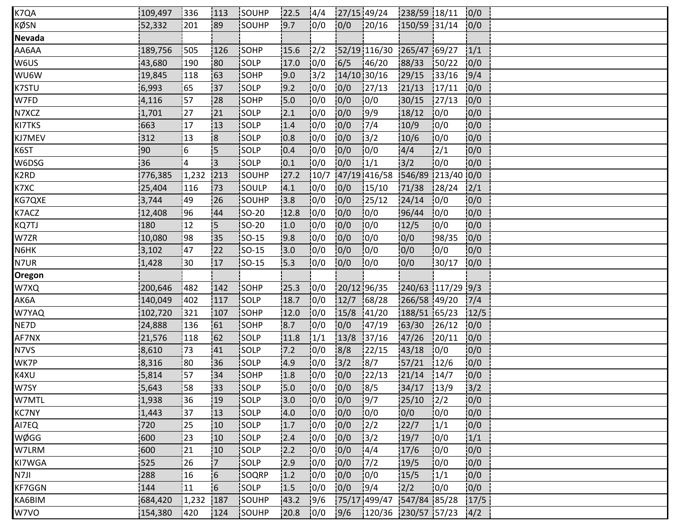| K7QA          | 109,497 | 336   | 113                      | <b>SOUHP</b> | 22.5 | 14/4          | 27/15 49/24 |                           | 238/59 18/11      |                | 0/0  |  |
|---------------|---------|-------|--------------------------|--------------|------|---------------|-------------|---------------------------|-------------------|----------------|------|--|
| KØSN          | 52,332  | 201   | :89                      | SOUHP        | 9.7  | 0/0           | 0/0         | 120/16                    | 150/59 31/14      |                | 0/0  |  |
| <b>Nevada</b> |         |       |                          |              |      |               |             |                           |                   |                |      |  |
| AA6AA         | 189,756 | 505   | 126                      | SOHP         | 15.6 | $\frac{1}{2}$ |             | 52/19 116/30 265/47 69/27 |                   |                | 1/1  |  |
| W6US          | 43,680  | 190   | <b>80</b>                | <b>SOLP</b>  | 17.0 | 10/0          | 6/5         | 146/20                    | 88/33             | 150/22         | 0/0  |  |
| WU6W          | 19,845  | 118   | 63                       | SOHP         | 9.0  | 13/2          | 14/10 30/16 |                           | 29/15             | 33/16          | 9/4  |  |
| K7STU         | 6,993   | 65    | 37                       | SOLP         | 9.2  | 0/0           | 0/0         | 127/13                    | 21/13             | 17/11          | 0/0  |  |
| W7FD          | 4,116   | 57    | 28                       | SOHP         | 15.0 | 0/0           | 0/0         | 0/0                       | 30/15             | 127/13         | 0/0  |  |
| N7XCZ         | 1,701   | 127   | 21                       | SOLP         | 2.1  | 0/0           | 0/0         | 9/9                       | 18/12             | 10/0           | 0/0  |  |
| KI7TKS        | 663     | 17    | 13                       | SOLP         | 1.4  | 10/0          | 0/0         | 7/4                       | 10/9              | 0/0            | 0/0  |  |
| KJ7MEV        | 312     | 13    | 8                        | SOLP         | 0.8  | 10/0          | 0/0         | 13/2                      | 10/6              | 10/0           | 0/0  |  |
| K6ST          | 90      | 16    | 5                        | SOLP         | 0.4  | 0/0           | 0/0         | 0/0                       | 4/4               | 12/1           | 0/0  |  |
| W6DSG         | 36      | 14    | ļЗ                       | <b>SOLP</b>  | 0.1  | 10/0          | 10/0        | 1/1                       | 13/2              | 10/0           | 0/0  |  |
| K2RD          | 776,385 | 1,232 | 213                      | <b>SOUHP</b> | 27.2 | 10/7          |             | 47/19 416/58              | 546/89 213/40 0/0 |                |      |  |
| K7XC          | 25,404  | 116   | 73                       | isoulp       | 4.1  | 10/0          | 0/0         | 15/10                     | 71/38             | 128/24         | 2/1  |  |
| KG7QXE        | 3,744   | 49    | 26                       | SOUHP        | 3.8  | 0/0           | 0/0         | 25/12                     | 24/14             | 10/0           | 0/0  |  |
| K7ACZ         | 12,408  | 96    | 44                       | SO-20        | 12.8 | 0/0           | 0/0         | 0/0                       | 96/44             | 0/0            | 0/0  |  |
| KQ7TJ         | 180     | 12    | 15                       | <b>SO-20</b> | 1.0  | 10/0          | 0/0         | 10/0                      | 12/5              | 10/0           | 0/0  |  |
| W7ZR          | 10,080  | 198   | 35                       | <b>SO-15</b> | 9.8  | 10/0          | 0/0         | 10/0                      | 0/0               | 98/35          | 0/0  |  |
| N6HK          | 3,102   | 47    | 22                       | SO-15        | 3.0  | 10/0          | 0/0         | 10/0                      | 0/0               | 0/0            | 0/0  |  |
| N7UR          | 1,428   | :30   | 17                       | $ SO-15 $    | 15.3 | 10/0          | 0/0         | 10/0                      | 0/0               | 30/17          | 0/0  |  |
| <b>Oregon</b> |         |       |                          |              |      |               |             |                           |                   |                |      |  |
| W7XQ          | 200,646 | 482   | 142                      | SOHP         | 25.3 | 0/0           | 20/12 96/35 |                           | 240/63 117/29 9/3 |                |      |  |
| AK6A          | 140,049 | 1402  | 117                      | SOLP         | 18.7 | 0/0           | 12/7        | 168/28                    | 266/58 49/20      |                | 7/4  |  |
| W7YAQ         | 102,720 | 321   | 107                      | SOHP         | 12.0 | 10/0          | 15/8        | 141/20                    | 188/51 65/23      |                | 12/5 |  |
| NE7D          | 24,888  | 136   | 61                       | SOHP         | 8.7  | 0/0           | 0/0         | 147/19                    | 63/30             | 126/12         | 0/0  |  |
| AF7NX         | 21,576  | 118   | 162                      | <b>SOLP</b>  | 11.8 | 1/1           | 13/8        | 137/16                    | 47/26             | 120/11         | 0/0  |  |
| N7VS          | 8,610   | 73    | 41                       | <b>SOLP</b>  | 17.2 | 10/0          | 8/8         | 122/15                    | 43/18             | 0/0            | 0/0  |  |
| WK7P          | 8,316   | :80   | 36                       | SOLP         | 4.9  | 0/0           | 3/2         | 18/7                      | 57/21             | 12/6           | 0/0  |  |
| K4XU          | 5,814   | 57    | 134                      | SOHP         | 1.8  | 0/0           | 0/0         | 22/13                     | 21/14             | 14/7           | 0/0  |  |
| W7SY          | 5,643   | 58    | 33                       | <b>SOLP</b>  | 5.0  | 10/0          | 0/0         | 8/5                       | 34/17             | 13/9           | 3/2  |  |
| W7MTL         | 1,938   | 36    | !19                      | <b>SOLP</b>  | 13.0 | 10/0          | 0/0         | 19/7                      | 25/10             | $\frac{12}{2}$ | 0/0  |  |
| <b>KC7NY</b>  | 1,443   | 137   | 13                       | <b>SOLP</b>  | 4.0  | 10/0          | 0/0         | 10/0                      | 0/0               | 10/0           | 0/0  |  |
| AI7EQ         | 720     | 25    | 10                       | SOLP         | 1.7  | 0/0           | 0/0         | $\frac{1}{2}$             | 22/7              | 1/1            | 0/0  |  |
| WØGG          | 600     | 23    | 10                       | SOLP         | 2.4  | 0/0           | 0/0         | 3/2                       | 19/7              | 10/0           | 1/1  |  |
| W7LRM         | 600     | 21    | 10                       | SOLP         | 2.2  | 0/0           | 0/0         | 4/4                       | 17/6              | 0/0            | 10/0 |  |
| KI7WGA        | 525     | 26    | 17                       | <b>SOLP</b>  | 12.9 | 10/0          | 0/0         | 17/2                      | 19/5              | 0/0            | 0/0  |  |
| N7JI          | 288     | 16    | $\overline{\phantom{0}}$ | SOQRP        | 1.2  | 10/0          | 0/0         | 10/0                      | 15/5              | 1/1            | 0/0  |  |
| <b>KF7GGN</b> | 144     | 11    | $\overline{6}$           | SOLP         | 1.5  | 0/0           | 0/0         | 19/4                      | 2/2               | 10/0           | 0/0  |  |
| KA6BIM        | 684,420 | 1,232 | 187                      | SOUHP        | 43.2 | 9/6           |             | 75/17 499/47 547/84 85/28 |                   |                | 17/5 |  |
| W7VO          | 154,380 | 1420  | 124                      | SOUHP        | 20.8 | 10/0          | 9/6         | 120/36 230/57 57/23       |                   |                | 4/2  |  |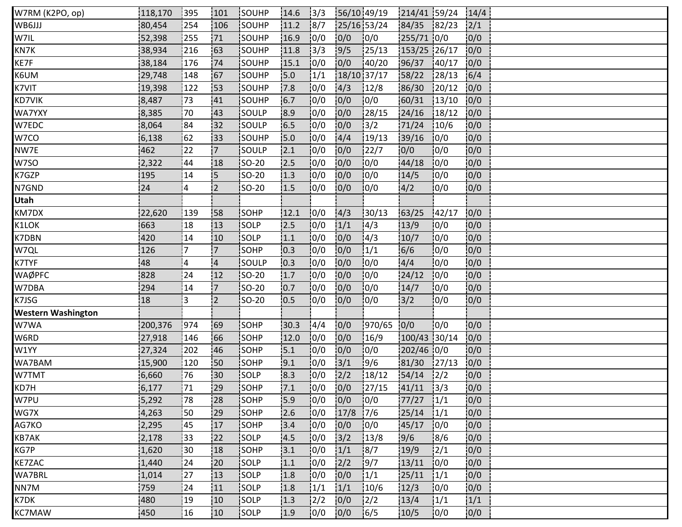| W7RM (K2PO, op)           | 118,170 | 1395        | 101            | <b>ISOUHP</b> | 14.6 | 3/3           | 56/10 49/19 |               | 214/41 59/24   |               | 14/4 |  |
|---------------------------|---------|-------------|----------------|---------------|------|---------------|-------------|---------------|----------------|---------------|------|--|
| WB6JJJ                    | 80,454  | 254         | 106            | SOUHP         | 11.2 | 8/7           | 25/16 53/24 |               | 84/35 82/23    |               | 2/1  |  |
| W7IL                      | 52,398  | 255         | 71             | SOUHP         | 16.9 | 0/0           | 0/0         | 0/0           | 255/71 0/0     |               | 0/0  |  |
| KN7K                      | 38,934  | 216         | 163            | SOUHP         | 11.8 | 3/3           | 9/5         | 25/13         | $153/25$ 26/17 |               | 0/0  |  |
| KE7F                      | 38,184  | 176         | 74             | SOUHP         | 15.1 | 10/0          | 0/0         | 140/20        | 96/37          | 140/17        | 0/0  |  |
| K6UM                      | 29,748  | 148         | 67             | SOUHP         | 15.0 | 1/1           | 18/10 37/17 |               | 58/22          | 28/13         | 6/4  |  |
| K7VIT                     | 19,398  | 122         | 53             | SOUHP         | 17.8 | 0/0           | 4/3         | 12/8          | 86/30          | 120/12        | 0/0  |  |
| <b>KD7VIK</b>             | 8,487   | 73          | 41             | SOUHP         | 6.7  | 10/0          | 0/0         | 10/0          | 60/31          | 13/10         | 0/0  |  |
| WA7YXY                    | 8,385   | 70          | 143            | <b>SOULP</b>  | 18.9 | 0/0           | 0/0         | 28/15         | 24/16          | 18/12         | 0/0  |  |
| W7EDC                     | 8,064   | <u> </u> 84 | 132            | SOULP         | 6.5  | 0/0           | 0/0         | $\frac{1}{3}$ | 71/24          | 10/6          | 0/0  |  |
| W7CO                      | 6,138   | 62          | 33             | SOUHP         | 15.0 | 10/0          | 4/4         | 19/13         | 39/16          | 10/0          | 0/0  |  |
| NW7E                      | 462     | 22          | $\overline{7}$ | SOULP         | 2.1  | 0/0           | 0/0         | 122/7         | 0/0            | 0/0           | 0/0  |  |
| W7SO                      | 2,322   | 44          | 18             | <b>SO-20</b>  | 12.5 | 10/0          | 0/0         | 10/0          | 44/18          | 10/0          | 0/0  |  |
| K7GZP                     | 195     | 14          | <b>5</b>       | <b>ISO-20</b> | 1.3  | 10/0          | 0/0         | 10/0          | 14/5           | 10/0          | 0/0  |  |
| N7GND                     | 24      | 14          | 2              | SO-20         | 1.5  | 0/0           | 0/0         | 10/0          | 4/2            | 10/0          | 0/0  |  |
| Utah                      |         |             |                |               |      |               |             |               |                |               |      |  |
| KM7DX                     | 22,620  | :139        | :58            | SOHP          | 12.1 | 0/0           | 4/3         | 130/13        | 63/25          | 142/17        | 0/0  |  |
| K1LOK                     | 663     | 18          | 13             | <b>SOLP</b>   | 12.5 | 0/0           | 1/1         | 14/3          | 13/9           | 10/0          | 0/0  |  |
| K7DBN                     | 420     | 14          | 10             | SOLP          | 1.1  | 10/0          | 0/0         | 4/3           | 10/7           | 10/0          | 0/0  |  |
| W7QL                      | 126     | 7           | $\overline{7}$ | SOHP          | 0.3  | 0/0           | 0/0         | 1/1           | 6/6            | 10/0          | 0/0  |  |
| K7TYF                     | 48      | ¦4          | $\overline{4}$ | SOULP         | 10.3 | 0/0           | 0/0         | 0/0           | 4/4            | 10/0          | 0/0  |  |
| WAØPFC                    | 828     | 24          | 12             | $ SO-20 $     | 1.7  | 0/0           | 0/0         | 0/0           | 24/12          | 0/0           | 0/0  |  |
| W7DBA                     | 294     | 14          | $\overline{7}$ | <b>SO-20</b>  | 10.7 | 10/0          | 0/0         | 10/0          | 14/7           | 10/0          | 0/0  |  |
| K7JSG                     | 18      | i3          | $\overline{2}$ | <b>SO-20</b>  | 0.5  | 0/0           | 0/0         | 10/0          | 3/2            | 10/0          | 0/0  |  |
| <b>Western Washington</b> |         |             |                |               |      |               |             |               |                |               |      |  |
| W7WA                      | 200,376 | 974         | 69             | SOHP          | 30.3 | 4/4           | 0/0         | 970/65        | 0/0            | 0/0           | 0/0  |  |
| W6RD                      | 27,918  | 146         | 66             | SOHP          | 12.0 | 10/0          | 0/0         | 16/9          | 100/43 30/14   |               | 0/0  |  |
| W1YY                      | 27,324  | 202         | 46             | SOHP          | 5.1  | 10/0          | 0/0         | 10/0          | 202/46 0/0     |               | 0/0  |  |
| WA7BAM                    | 15,900  | 120         | i50            | SOHP          | 9.1  | 0/0           | 3/1         | 9/6           | 81/30          | 127/13        | 0/0  |  |
| W7TMT                     | 6,660   | 76          | 30             | SOLP          | 8.3  | 0/0           | 2/2         | 18/12         | 54/14          | $\frac{1}{2}$ | 0/0  |  |
| KD7H                      | 6,177   | 71          | 29             | SOHP          | 7.1  | 0/0           | 0/0         | 127/15        | 41/11          | $\frac{1}{3}$ | 0/0  |  |
| W7PU                      | 5,292   | 78          | !28            | SOHP          | 15.9 | 10/0          | 0/0         | 10/0          | 77/27          | 1/1           | 10/0 |  |
| WG7X                      | 4,263   | i 50        | 129            | <b>SOHP</b>   | 12.6 | 10/0          | 17/8        | 17/6          | 125/14         | $\frac{1}{1}$ | 0/0  |  |
| AG7KO                     | 2,295   | 145         | 17             | SOHP          | 3.4  | 0/0           | 0/0         | 0/0           | 45/17          | 10/0          | 0/0  |  |
| KB7AK                     | 2,178   | 33          | 22             | SOLP          | 4.5  | 0/0           | $3/2$       | 13/8          | 9/6            | 8/6           | 0/0  |  |
| KG7P                      | 1,620   | 130         | 18             | <b>SOHP</b>   | 13.1 | 0/0           | 1/1         | 8/7           | 19/9           | 2/1           | 10/0 |  |
| KE7ZAC                    | 1,440   | 24          | 20             | SOLP          | 1.1  | 10/0          | 2/2         | 19/7          | 13/11          | 10/0          | 0/0  |  |
| WA7BRL                    | 1,014   | 27          | 13             | SOLP          | 1.8  | 10/0          | 0/0         | 1/1           | 25/11          | 1/1           | 0/0  |  |
| NN7M                      | 759     | 24          | 11             | SOLP          | 1.8  | 1/1           | 1/1         | 10/6          | 12/3           | 10/0          | 0/0  |  |
| K7DK                      | 480     | 19          | 10             | SOLP          | 1.3  | $\frac{1}{2}$ | 0/0         | $\frac{1}{2}$ | 13/4           | 1/1           | 1/1  |  |
| <b>KC7MAW</b>             | 450     | 16          | 10             | <b>SOLP</b>   | 1.9  | 10/0          | 0/0         | 16/5          | 10/5           | 10/0          | 0/0  |  |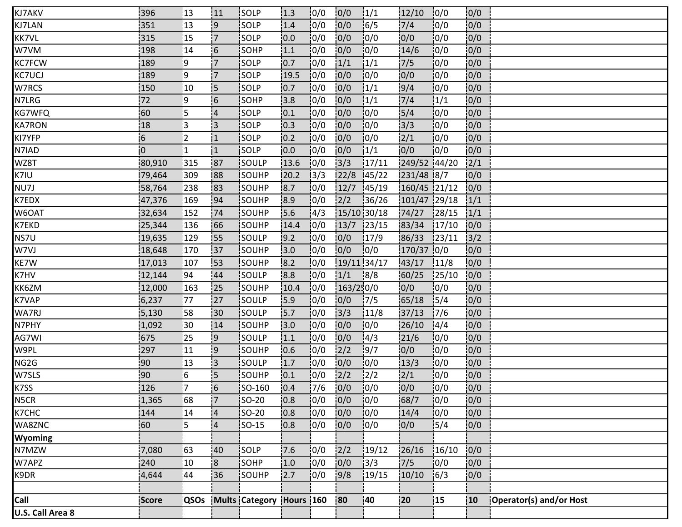| KJ7AKV           | i396           | 13           | 111                      | <b>ISOLP</b>             | 1.3   | 10/0          | 0/0         | 1/1           | 12/10        | 10/0   | 0/0  |                         |
|------------------|----------------|--------------|--------------------------|--------------------------|-------|---------------|-------------|---------------|--------------|--------|------|-------------------------|
| KJ7LAN           | 351            | 13           | و!                       | SOLP                     | 1.4   | 10/0          | 0/0         | 16/5          | 7/4          | 10/0   | 0/0  |                         |
| KK7VL            | 315            | 15           | '7                       | SOLP                     | 10.0  | 10/0          | 0/0         | 10/0          | 0/0          | 10/0   | 0/0  |                         |
| W7VM             | 198            | 14           | 6                        | SOHP                     | 1.1   | 0/0           | 0/0         | 10/0          | 14/6         | 10/0   | 0/0  |                         |
| KC7FCW           | 189            | وا           | 17                       | <b>SOLP</b>              | 10.7  | 10/0          | 1/1         | 1/1           | 7/5          | 10/0   | 0/0  |                         |
| <b>KC7UCJ</b>    | 189            | ļ9           | 17                       | SOLP                     | 19.5  | 10/0          | 0/0         | 10/0          | 0/0          | 10/0   | 0/0  |                         |
| W7RCS            | 150            | 10           | 15                       | <b>SOLP</b>              | 10.7  | 0/0           | 0/0         | 1/1           | 9/4          | 10/0   | 0/0  |                         |
| N7LRG            | 72             | و¦           | $\overline{\phantom{0}}$ | SOHP                     | 13.8  | 0/0           | 0/0         | 1/1           | 7/4          | 1/1    | 0/0  |                         |
| KG7WFQ           | 60             | İ5           | $\overline{4}$           | <b>SOLP</b>              | 10.1  | 10/0          | 0/0         | 10/0          | 5/4          | 10/0   | 0/0  |                         |
| <b>KA7RON</b>    | 18             | į3           | i3                       | isolp                    | 10.3  | 10/0          | 0/0         | 10/0          | 3/3          | 10/0   | 0/0  |                         |
| KI7YFP           | 6              | 2            | $\overline{1}$           | SOLP                     | 0.2   | 10/0          | 0/0         | 10/0          | 2/1          | 10/0   | 0/0  |                         |
| N7IAD            | $\overline{0}$ | $\mathbf{1}$ | $\vert$ 1                | SOLP                     | 0.0   | 0/0           | 0/0         | 1/1           | 0/0          | 10/0   | 0/0  |                         |
| WZ8T             | 80,910         | 315          | !87                      | <b>SOULP</b>             | 13.6  | 10/0          | 3/3         | 17/11         | 249/52 44/20 |        | 12/1 |                         |
| K7IU             | 79,464         | 309          | 188                      | SOUHP                    | 120.2 | 3/3           | 22/8        | 145/22        | 231/48 8/7   |        | 0/0  |                         |
| NU7J             | 58,764         | 238          | 183                      | <b>SOUHP</b>             | 8.7   | 10/0          | 12/7        | 145/19        | 160/45 21/12 |        | 0/0  |                         |
| K7EDX            | 47,376         | 169          | 94                       | SOUHP                    | 8.9   | 0/0           | 2/2         | 36/26         | 101/47 29/18 |        | 1/1  |                         |
| W6OAT            | 32,634         | 152          | 74                       | SOUHP                    | 15.6  | $\frac{1}{4}$ | 15/10 30/18 |               | 74/27        | 128/15 | 1/1  |                         |
| K7EKD            | 25,344         | 136          | 166                      | SOUHP                    | 14.4  | 10/0          | 13/7        | 123/15        | 83/34        | 17/10  | 0/0  |                         |
| NS7U             | 19,635         | 129          | <b>55</b>                | <b>SOULP</b>             | 9.2   | 10/0          | 0/0         | 17/9          | 86/33        | 123/11 | 3/2  |                         |
| W7VJ             | 18,648         | 170          | 37                       | SOUHP                    | 3.0   | 0/0           | 0/0         | 0/0           | 170/37 0/0   |        | 0/0  |                         |
| KE7W             | 17,013         | 107          | 153                      | SOUHP                    | 8.2   | 0/0           | 19/11 34/17 |               | 43/17        | 11/8   | 0/0  |                         |
| K7HV             | 12,144         | 194          | 44                       | SOULP                    | 8.8   | 10/0          | 1/1         | 8/8           | 60/25        | 125/10 | 0/0  |                         |
| KK6ZM            | 12,000         | 163          | 125                      | <b>SOUHP</b>             | 10.4  | 10/0          | 163/250/0   |               | 0/0          | 10/0   | 0/0  |                         |
| K7VAP            | 6,237          | 77           | 27                       | <b>SOULP</b>             | 15.9  | 10/0          | 0/0         | 17/5          | 65/18        | 15/4   | 0/0  |                         |
| WA7RJ            | 5,130          | 158          | 30                       | SOULP                    | 15.7  | 10/0          | 3/3         | 11/8          | 37/13        | 17/6   | 0/0  |                         |
| N7PHY            | 1,092          | 130          | 14                       | SOUHP                    | 13.0  | 0/0           | 0/0         | 10/0          | 26/10        | 14/4   | 0/0  |                         |
| AG7WI            | 675            | 25           | 9                        | SOULP                    | 1.1   | 10/0          | 0/0         | 4/3           | 121/6        | 10/0   | 0/0  |                         |
| W9PL             | 297            | 111          | :9                       | <b>SOUHP</b>             | 10.6  | 10/0          | 2/2         | 9/7           | 0/0          | 10/0   | 0/0  |                         |
| NG2G             | 90             | 13           | iз                       | <b>SOULP</b>             | 1.7   | 10/0          | 0/0         | 10/0          | 13/3         | 10/0   | 0/0  |                         |
| W7SLS            | 90             | 16           | 5                        | SOUHP                    | 10.1  | 0/0           | 2/2         | $\frac{1}{2}$ | 2/1          | 10/0   | 0/0  |                         |
| K7SS             | 126            | !7           | 6                        | <b>SO-160</b>            | 10.4  | 17/6          | 0/0         | 10/0          | 0/0          | 10/0   | 0/0  |                         |
| N5CR             | 1,365          | 68           | 17                       | <b>SO-20</b>             | 10.8  | 10/0          | 0/0         | 10/0          | 68/7         | 10/0   | 0/0  |                         |
| K7CHC            | 144            | 14           | $\overline{4}$           | SO-20                    | 0.8   | 10/0          | 0/0         | 10/0          | 14/4         | 10/0   | 0/0  |                         |
| WA8ZNC           | 60             | 5            | $\overline{A}$           | $SO-15$                  | 0.8   | 0/0           | 0/0         | 0/0           | 0/0          | 5/4    | 0/0  |                         |
| Wyoming          |                |              |                          |                          |       |               |             |               |              |        |      |                         |
| N7MZW            | 7,080          | 63           | 40                       | SOLP                     | 17.6  | 10/0          | 2/2         | 19/12         | 26/16        | 16/10  | 0/0  |                         |
| W7APZ            | 240            | 10           | 8                        | SOHP                     | 1.0   | 0/0           | 0/0         | 3/3           | 7/5          | 10/0   | 0/0  |                         |
| K9DR             | 4,644          | 44           | 36                       | SOUHP                    | 2.7   | 0/0           | 9/8         | 19/15         | 10/10        | 16/3   | 0/0  |                         |
|                  |                |              |                          |                          |       |               |             |               |              |        |      |                         |
| Call             | Score          | <b>QSOs</b>  |                          | Mults Category Hours 160 |       |               | 80          | 40            | 20           | 15     | 10   | Operator(s) and/or Host |
| U.S. Call Area 8 |                |              |                          |                          |       |               |             |               |              |        |      |                         |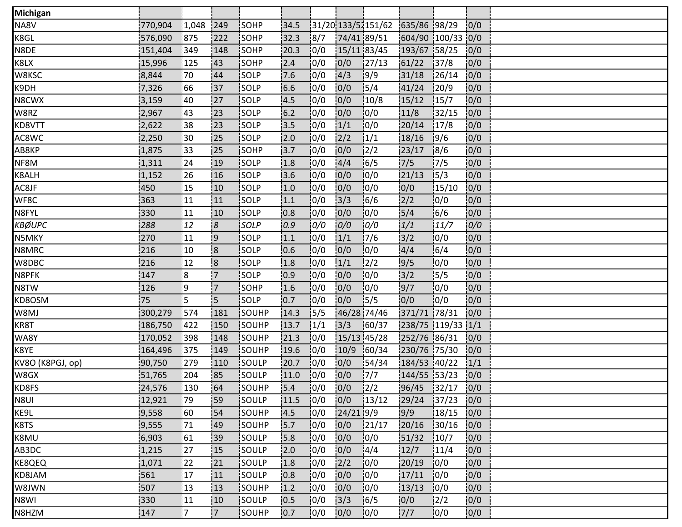| <b>Michigan</b>  |         |                 |                         |               |      |      |             |                                 |                   |               |      |  |
|------------------|---------|-----------------|-------------------------|---------------|------|------|-------------|---------------------------------|-------------------|---------------|------|--|
| NA8V             | 770,904 | 1,048           | 249                     | SOHP          | 34.5 |      |             | 31/20 133/51151/62 635/86 98/29 |                   |               | 0/0  |  |
| K8GL             | 576,090 | 875             | 222                     | SOHP          | 32.3 | 8/7  |             | 74/41 89/51                     | 604/90 100/33 0/0 |               |      |  |
| N8DE             | 151,404 | 349             | 148                     | SOHP          | 20.3 | 0/0  |             | 15/11 83/45                     | 193/67 58/25      |               | 0/0  |  |
| K8LX             | 15,996  | 125             | 143                     | SOHP          | 2.4  | 10/0 | 0/0         | 127/13                          | 61/22             | 137/8         | 0/0  |  |
| W8KSC            | 8,844   | 70              | 44                      | SOLP          | 7.6  | 0/0  | 4/3         | 9/9                             | 31/18             | 126/14        | 0/0  |  |
| K9DH             | 7,326   | 66              | 137                     | SOLP          | 6.6  | 0/0  | 0/0         | 15/4                            | 41/24             | 120/9         | 0/0  |  |
| N8CWX            | 3,159   | 40              | 27                      | SOLP          | 4.5  | 0/0  | 0/0         | 10/8                            | 15/12             | 15/7          | 0/0  |  |
| W8RZ             | 2,967   | 143             | 123                     | SOLP          | 6.2  | 10/0 | 0/0         | 10/0                            | 11/8              | 132/15        | 0/0  |  |
| KD8VTT           | 2,622   | 38              | 23                      | <b>SOLP</b>   | 13.5 | 0/0  | 1/1         | 10/0                            | 20/14             | 17/8          | 0/0  |  |
| AC8WC            | 2,250   | $\overline{30}$ | 25                      | SOLP          | 2.0  | 10/0 | 2/2         | 1/1                             | 18/16             | 19/6          | 0/0  |  |
| AB8KP            | 1,875   | 33              | 25                      | SOHP          | 3.7  | 0/0  | 0/0         | 12/2                            | 23/17             | 8/6           | 0/0  |  |
| NF8M             | 1,311   | 24              | 19                      | SOLP          | 1.8  | 10/0 | 4/4         | 16/5                            | 17/5              | 17/5          | 0/0  |  |
| K8ALH            | 1,152   | 26              | 16                      | <b>SOLP</b>   | 13.6 | 10/0 | 0/0         | 10/0                            | 121/13            | 15/3          | 0/0  |  |
| AC8JF            | 450     | 15              | 10                      | <b>SOLP</b>   | 1.0  | 0/0  | 0/0         | 10/0                            | 10/0              | 15/10         | 0/0  |  |
| WF8C             | 363     | 11              | 11                      | SOLP          | 1.1  | 0/0  | 3/3         | 16/6                            | 2/2               | 10/0          | 0/0  |  |
| N8FYL            | 330     | 11              | 10                      | SOLP          | 10.8 | 0/0  | 0/0         | 10/0                            | 5/4               | 6/6           | 0/0  |  |
| <b>KBØUPC</b>    | 288     | 12              | $\overline{8}$          | <b>SOLP</b>   | 0.9  | 0/0  | 0/0         | 0/0                             | 1/1               | 11/7          | 0/0  |  |
| N5MKY            | 270     | !11             | 9                       | <b>SOLP</b>   | 1.1  | 10/0 | 1/1         | 17/6                            | 3/2               | 0/0           | 0/0  |  |
| N8MRC            | 216     | 10              | $\overline{\mathbf{8}}$ | SOLP          | 0.6  | 0/0  | 0/0         | 10/0                            | 4/4               | 16/4          | 0/0  |  |
| W8DBC            | 216     | 12              | 18                      | SOLP          | 1.8  | 0/0  | 1/1         | $\frac{1}{2}$                   | 19/5              | 0/0           | 0/0  |  |
| N8PFK            | 147     | 18              | :7                      | SOLP          | 10.9 | 0/0  | 0/0         | 10/0                            | $3/2$             | 15/5          | 0/0  |  |
| N8TW             | 126     | و¦              | 17.                     | SOHP          | 1.6  | 10/0 | 0/0         | 10/0                            | 9/7               | 10/0          | 0/0  |  |
| KD8OSM           | 75      | 5               | i5.                     | <b>SOLP</b>   | 0.7  | 0/0  | 0/0         | 15/5                            | 0/0               | 0/0           | 0/0  |  |
| W8MJ             | 300,279 | 1574            | 181                     | SOUHP         | 14.3 | 15/5 | 46/28 74/46 |                                 | 371/71 78/31      |               | 0/0  |  |
| KR8T             | 186,750 | 422             | 150                     | SOUHP         | 13.7 | 1/1  | 3/3         | 60/37                           | 238/75 119/33 1/1 |               |      |  |
| WA8Y             | 170,052 | 398             | 148                     | SOUHP         | 21.3 | 10/0 |             | $15/13$ 45/28                   | 252/76 86/31      |               | 0/0  |  |
| K8YE             | 164,496 | 375             | 149                     | SOUHP         | 19.6 | 10/0 | 10/9        | 160/34                          | 230/76 75/30      |               | 0/0  |  |
| KV8O (K8PGJ, op) | 90,750  | 279             | 110                     | SOULP         | 20.7 | 10/0 | 0/0         | 154/34                          | 184/53 40/22      |               | 1/1  |  |
| W8GX             | 51,765  | 204             | 85                      | SOULP         | 11.0 | 0/0  | 0/0         | 7/7                             | 144/55 53/23      |               | 0/0  |  |
| KD8FS            | 24,576  | 130             | 64                      | SOUHP         | 15.4 | 0/0  | 0/0         | $\frac{1}{2}$                   | 96/45 32/17       |               | 0/0  |  |
| N8UI             | 12,921  | 179             | !59                     | <b>SOULP</b>  | 11.5 | 0/0  | 0/0         | 13/12                           | 29/24             | 37/23         | 0/0  |  |
| KE9L             | 19,558  | 160             | <b>54</b>               | <b>SOUHP</b>  | 14.5 | 10/0 | $24/21$ 9/9 |                                 | 9/9               | 18/15         | 0/0  |  |
| K8TS             | 19,555  | 71              | 49                      | SOUHP         | 15.7 | 0/0  | 0/0         | 121/17                          | 20/16             | 30/16         | 0/0  |  |
| K8MU             | 6,903   | 61              | :39                     | SOULP         | 5.8  | 0/0  | 0/0         | 0/0                             | 51/32             | 10/7          | 0/0  |  |
| AB3DC            | 1,215   | 27              | 15                      | SOULP         | 12.0 | 0/0  | 0/0         | 14/4                            | 12/7              | 11/4          | 10/0 |  |
| KE8QEQ           | 1,071   | 22              | 21                      | SOULP         | 1.8  | 10/0 | 2/2         | 0/0                             | 20/19             | 10/0          | 0/0  |  |
| KD8JAM           | 561     | 17              | 11                      | SOULP         | 0.8  | 10/0 | 0/0         | 10/0                            | 17/11             | 10/0          | 10/0 |  |
| W8JWN            | 507     | 13              | 13                      | SOUHP         | 1.2  | 0/0  | 0/0         | 10/0                            | 13/13             | 0/0           | 0/0  |  |
| N8WI             | 330     | 11              | 10                      | SOULP         | 10.5 | 0/0  | $3/3$       | 16/5                            | 0/0               | $\frac{2}{2}$ | 0/0  |  |
| N8HZM            | 147     | 17              | $\overline{7}$          | <b>ISOUHP</b> | 0.7  | 10/0 | 0/0         | 10/0                            | 7/7               | 10/0          | 0/0  |  |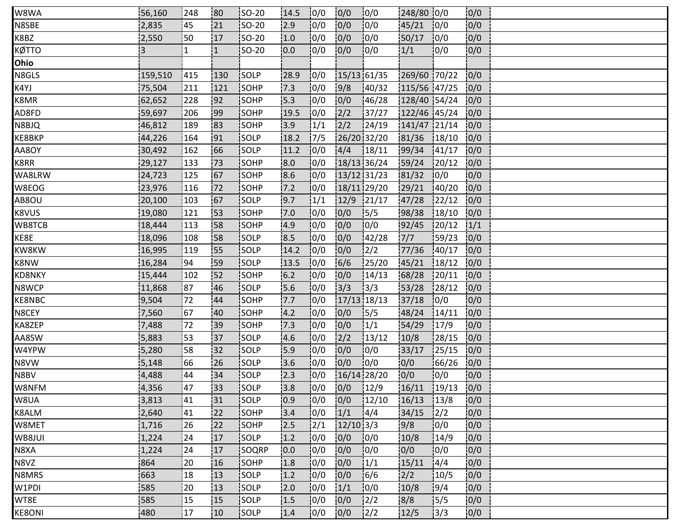| W8WA          | 56,160         | 248            | 180          | <b>ISO-20</b> | 14.5  | 10/0          | 0/0           | 10/0          | 248/80 0/0   |        | 0/0  |  |
|---------------|----------------|----------------|--------------|---------------|-------|---------------|---------------|---------------|--------------|--------|------|--|
| N8SBE         | 2,835          | 45             | 21           | $ SO-20$      | 2.9   | 0/0           | 0/0           | 0/0           | 45/21        | 10/0   | 0/0  |  |
| K8BZ          | 2,550          | 50             | 17           | $ SO-20$      | 1.0   | 0/0           | 0/0           | 10/0          | 50/17        | 0/0    | 0/0  |  |
| кøтто         | $\overline{3}$ | $\overline{1}$ | $\mathbf{1}$ | <b>SO-20</b>  | 0.0   | 0/0           | 0/0           | 10/0          | 1/1          | 10/0   | 0/0  |  |
| Ohio          |                |                |              |               |       |               |               |               |              |        |      |  |
| N8GLS         | 159,510        | 415            | 130          | SOLP          | 28.9  | 0/0           | $15/13$ 61/35 |               | 269/60 70/22 |        | 0/0  |  |
| K4YJ          | 75,504         | 211            | 121          | SOHP          | 7.3   | 10/0          | 9/8           | 140/32        | 115/56 47/25 |        | 0/0  |  |
| K8MR          | 62,652         | 228            | 92           | SOHP          | 15.3  | 10/0          | 0/0           | 146/28        | 128/40 54/24 |        | 0/0  |  |
| AD8FD         | 59,697         | 206            | 199          | SOHP          | 19.5  | 10/0          | 2/2           | 137/27        | 122/46 45/24 |        | 0/0  |  |
| N8BJQ         | 46,812         | 189            | 183          | <b>İ</b> SOHP | 13.9  | 1/1           | 2/2           | 124/19        | 141/47 21/14 |        | 0/0  |  |
| KE8BKP        | 44,226         | 164            | 91           | SOLP          | 18.2  | 17/5          | 26/20 32/20   |               | 81/36        | 18/10  | 0/0  |  |
| AA8OY         | 30,492         | 162            | 66           | SOLP          | 11.2  | 0/0           | 4/4           | 18/11         | 99/34        | 141/17 | 0/0  |  |
| K8RR          | 29,127         | 133            | 173          | <b>SOHP</b>   | 8.0   | 10/0          | 18/13 36/24   |               | 59/24        | 120/12 | 0/0  |  |
| WA8LRW        | 24,723         | 125            | 67           | SOHP          | 8.6   | 10/0          | 13/12 31/23   |               | 181/32       | 10/0   | 0/0  |  |
| W8EOG         | 23,976         | 116            | 72           | <b>SOHP</b>   | 7.2   | 10/0          | 18/11 29/20   |               | 29/21        | 140/20 | 0/0  |  |
| AB8OU         | 20,100         | 103            | 67           | SOLP          | 9.7   | 1/1           | 12/9          | 121/17        | 47/28        | 122/12 | 0/0  |  |
| K8VUS         | 19,080         | 121            | 153          | SOHP          | 7.0   | 0/0           | 0/0           | 15/5          | 98/38        | 18/10  | 0/0  |  |
| WB8TCB        | 18,444         | 113            | :58          | SOHP          | 4.9   | 10/0          | 0/0           | 10/0          | 92/45        | 120/12 | 1/1  |  |
| KE8E          | 18,096         | 108            | 158          | <b>SOLP</b>   | 8.5   | 10/0          | 0/0           | 42/28         | 7/7          | 59/23  | 10/0 |  |
| KW8KW         | 16,995         | 119            | 55           | SOLP          | 14.2  | 10/0          | 0/0           | $\frac{1}{2}$ | 77/36        | 140/17 | 0/0  |  |
| K8NW          | 16,284         | 94             | 59           | <b>SOLP</b>   | 13.5  | 10/0          | $6/6$         | 25/20         | 45/21        | 18/12  | 0/0  |  |
| <b>KD8NKY</b> | 15,444         | 102            | 52           | SOHP          | $6.2$ | 0/0           | 0/0           | 14/13         | 68/28        | 120/11 | 0/0  |  |
| N8WCP         | 11,868         | 87             | 46           | <b>ISOLP</b>  | 5.6   | 10/0          | 3/3           | 13/3          | 53/28        | 128/12 | 10/0 |  |
| KE8NBC        | 9,504          | 72             | 44           | <b>SOHP</b>   | 7.7   | 10/0          | $17/13$ 18/13 |               | 37/18        | 0/0    | 0/0  |  |
| N8CEY         | 7,560          | 167            | :40          | SOHP          | 4.2   | 0/0           | 0/0           | 15/5          | 48/24        | 14/11  | 0/0  |  |
| KA8ZEP        | 7,488          | 172            | 39           | SOHP          | 17.3  | 10/0          | 0/0           | 1/1           | 54/29        | 17/9   | 0/0  |  |
| AA8SW         | 5,883          | 53             | 137          | SOLP          | 4.6   | 10/0          | 2/2           | 13/12         | 10/8         | 28/15  | 0/0  |  |
| W4YPW         | 5,280          | 58             | 132          | <b>SOLP</b>   | 5.9   | 10/0          | 10/0          | 10/0          | 33/17        | 125/15 | 10/0 |  |
| N8VW          | 5,148          | 66             | 26           | SOLP          | 3.6   | 10/0          | 0/0           | 0/0           | 0/0          | 66/26  | 0/0  |  |
| N8BV          | 4,488          | 44             | 34           | SOLP          | 12.3  | 0/0           | 16/14 28/20   |               | 0/0          | 0/0    | 0/0  |  |
| W8NFM         | 4,356          | 47             | 33           | SOLP          | 3.8   | 0/0           | 0/0           | 12/9          | 16/11        | 19/13  | 0/0  |  |
| W8UA          | 3,813          | 141            | 31           | SOLP          | 10.9  | 10/0          | 0/0           | 12/10         | 16/13        | 13/8   | 0/0  |  |
| K8ALM         | 2,640          | 141            | 122          | <b>ISOHP</b>  | 13.4  | 10/0          | 1/1           | 14/4          | 34/15        | 12/2   | 0/0  |  |
| W8MET         | 1,716          | 26             | 22           | <b>SOHP</b>   | 2.5   | $\frac{1}{2}$ | $12/10$ 3/3   |               | 9/8          | 0/0    | 0/0  |  |
| WB8JUI        | 1,224          | 24             | 17           | SOLP          | 1.2   | 0/0           | 0/0           | 0/0           | 10/8         | 14/9   | 0/0  |  |
| N8XA          | 1,224          | 24             | 17           | SOQRP         | 10.0  | 0/0           | 0/0           | 10/0          | 10/0         | 10/0   | 10/0 |  |
| N8VZ          | 864            | 20             | 16           | SOHP          | 1.8   | 10/0          | 0/0           | 1/1           | 15/11        | 14/4   | 0/0  |  |
| N8MRS         | 663            | 18             | 13           | SOLP          | 1.2   | 10/0          | 0/0           | 16/6          | 2/2          | 10/5   | 0/0  |  |
| W1PDI         | 585            | 20             | 13           | SOLP          | 2.0   | 0/0           | 1/1           | 10/0          | 10/8         | 19/4   | 0/0  |  |
| WT8E          | 585            | :15            | 15           | SOLP          | 1.5   | 0/0           | 0/0           | $\frac{2}{2}$ | 8/8          | 15/5   | 0/0  |  |
| <b>KE8ONI</b> | 480            | 17             | 10           | <b>SOLP</b>   | 1.4   | 10/0          | 0/0           | $\frac{1}{2}$ | 12/5         | 13/3   | 0/0  |  |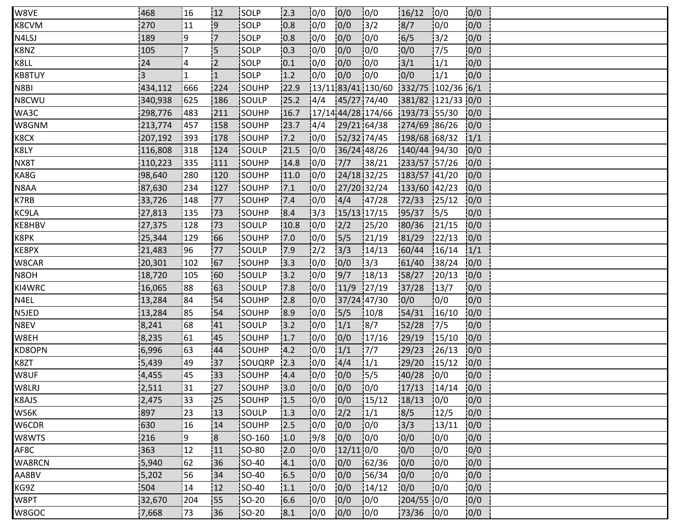| W8VE   | 468            | 16]            | 12             | <b>ISOLP</b>  | 2.3   | 0/0           | 0/0         | 0/0                                   | 16/12             | 10/0   | 0/0  |  |
|--------|----------------|----------------|----------------|---------------|-------|---------------|-------------|---------------------------------------|-------------------|--------|------|--|
| K8CVM  | 270            | 11             | 9              | SOLP          | 0.8   | 0/0           | 0/0         | $\frac{1}{3}$                         | 8/7               | 0/0    | 0/0  |  |
| N4LSJ  | 189            | 9              | .7             | SOLP          | 0.8   | 0/0           | 0/0         | 10/0                                  | 6/5               | 3/2    | 0/0  |  |
| K8NZ   | 105            | 7              | 5              | SOLP          | 0.3   | 10/0          | 0/0         | 10/0                                  | 0/0               | 7/5    | 0/0  |  |
| K8LL   | 24             | $\overline{4}$ | $\overline{2}$ | <b>SOLP</b>   | 0.1   | 10/0          | 0/0         | 10/0                                  | 3/1               | 1/1    | 0/0  |  |
| KB8TUY | $\overline{3}$ | 1              | '1             | SOLP          | 1.2   | 0/0           | 0/0         | 10/0                                  | 0/0               | 1/1    | 0/0  |  |
| N8BI   | 434,112        | 666            | 224            | SOUHP         | 22.9  |               |             | $13/1183/411130/60$ 332/75 102/36 6/1 |                   |        |      |  |
| N8CWU  | 340,938        | 625            | 186            | SOULP         | 25.2  | 14/4          |             | 45/27 74/40                           | 381/82 121/33 0/0 |        |      |  |
| WA3C   | 298,776        | 1483           | 211            | <b>ISOUHP</b> | 16.7  |               |             | $17/14$ 44/28 174/66 193/73 55/30     |                   |        | 10/0 |  |
| W8GNM  | 213,774        | 457            | 158            | SOUHP         | 23.7  | 14/4          |             | 29/21 64/38                           | 274/69 86/26      |        | 0/0  |  |
| K8CX   | 207,192        | 393            | 178            | SOUHP         | $7.2$ | 0/0           |             | 52/32 74/45                           | 198/68 68/32      |        | 1/1  |  |
| K8LY   | 116,808        | 318            | 124            | SOULP         | 21.5  | 0/0           |             | 36/24 48/26                           | 140/44 94/30      |        | 0/0  |  |
| NX8T   | 110,223        | 335            | 111            | SOUHP         | 14.8  | 0/0           | 7/7         | 38/21                                 | 233/57 57/26      |        | 0/0  |  |
| KA8G   | 98,640         | 280            | 120            | <b>SOUHP</b>  | 11.0  | 10/0          | 24/18 32/25 |                                       | 183/57 41/20      |        | 0/0  |  |
| N8AA   | 87,630         | 234            | 127            | <b>SOUHP</b>  | 7.1   | 10/0          | 27/20 32/24 |                                       | 133/60 42/23      |        | 0/0  |  |
| K7RB   | 33,726         | 148            | 77             | SOUHP         | 7.4   | 0/0           | 4/4         | 147/28                                | 72/33             | 125/12 | 0/0  |  |
| KC9LA  | 27,813         | 135            | 73             | SOUHP         | 8.4   | 3/3           | 15/13 17/15 |                                       | 95/37             | 15/5   | 0/0  |  |
| KE8HBV | 27,375         | 128            | '73            | <b>SOULP</b>  | 10.8  | 10/0          | 2/2         | 125/20                                | 80/36             | 121/15 | 0/0  |  |
| K8PK   | 25,344         | 129            | 66             | SOUHP         | 17.0  | 0/0           | 5/5         | 121/19                                | 81/29             | 122/13 | 0/0  |  |
| KE8PX  | 21,483         | 96             | 77             | SOULP         | 17.9  | $\frac{1}{2}$ | 3/3         | 14/13                                 | 60/44             | 16/14  | 1/1  |  |
| W8CAR  | 20,301         | 102            | 67             | SOUHP         | 3.3   | 0/0           | 0/0         | 3/3                                   | 61/40             | 38/24  | 0/0  |  |
| N8OH   | 18,720         | 105            | 60             | SOULP         | 13.2  | 0/0           | 9/7         | 18/13                                 | 58/27             | 120/13 | 0/0  |  |
| KI4WRC | 16,065         | 88             | 63             | <b>SOULP</b>  | 7.8   | 10/0          | 11/9        | 127/19                                | 37/28             | 13/7   | 10/0 |  |
| N4EL   | 13,284         | :84            | 54             | <b>SOUHP</b>  | 12.8  | 10/0          | 37/24 47/30 |                                       | 10/0              | 10/0   | 0/0  |  |
| N5JED  | 13,284         | 85             | 54             | SOUHP         | 8.9   | 0/0           | 5/5         | 10/8                                  | 54/31             | 16/10  | 0/0  |  |
| N8EV   | 8,241          | 68             | 41             | SOULP         | 3.2   | 0/0           | 1/1         | 8/7                                   | 52/28             | 17/5   | 0/0  |  |
| W8EH   | 8,235          | 61             | :45            | SOUHP         | 1.7   | 0/0           | 0/0         | 17/16                                 | 29/19             | 15/10  | 0/0  |  |
| KD8OPN | 6,996          | 63             | 44             | <b>SOUHP</b>  | 4.2   | 10/0          | 1/1         | 17/7                                  | 29/23             | 126/13 | 0/0  |  |
| K8ZT   | 5,439          | 49             | 137            | SOUQRP        | 12.3  | 0/0           | 4/4         | 1/1                                   | 29/20             | 15/12  | 0/0  |  |
| W8UF   | 4,455          | 45             | 33             | SOUHP         | 4.4   | 0/0           | 0/0         | 15/5                                  | 40/28             | 0/0    | 0/0  |  |
| W8LRJ  | 2,511          | 131            | 27             | SOUHP         | 3.0   | 10/0          | 0/0         | 10/0                                  | 17/13             | 14/14  | 0/0  |  |
| K8AJS  | 2,475          | 33             | !25            | SOUHP         | 1.5   | 10/0          | 0/0         | 15/12                                 | 18/13             | 10/0   | 0/0  |  |
| WS6K   | 897            | 23             | 13             | <b>SOULP</b>  | 1.3   | 0/0           | 2/2         | 1/1                                   | 18/5              | 12/5   | 0/0  |  |
| W6CDR  | 630            | 16             | 14             | SOUHP         | 2.5   | 0/0           | 0/0         | 10/0                                  | 3/3               | 13/11  | 0/0  |  |
| W8WTS  | 216            | و              | 8              | SO-160        | 1.0   | 9/8           | 0/0         | 0/0                                   | 0/0               | 0/0    | 0/0  |  |
| AF8C   | 363            | 12             | 11             | <b>SO-80</b>  | 2.0   | 0/0           | $12/11$ 0/0 |                                       | 0/0               | 0/0    | 10/0 |  |
| WA8RCN | 5,940          | 62             | 36             | <b>SO-40</b>  | 4.1   | 0/0           | 0/0         | 162/36                                | 10/0              | 0/0    | 0/0  |  |
| AA8BV  | 5,202          | 56             | 34             | <b>SO-40</b>  | 6.5   | 0/0           | 0/0         | 156/34                                | 0/0               | 10/0   | 0/0  |  |
| KG9Z   | 504            | 14             | 12             | <b>SO-40</b>  | 1.1   | 0/0           | 0/0         | 14/12                                 | 0/0               | 0/0    | 0/0  |  |
| W8PT   | 32,670         | 204            | <b>S5</b>      | SO-20         | 16.6  | 0/0           | 0/0         | 10/0                                  | 204/55 0/0        |        | 0/0  |  |
| W8GOC  | 7,668          | 173            | 36             | <b>SO-20</b>  | 8.1   | 0/0           | 0/0         | 10/0                                  | 73/36             | 10/0   | 0/0  |  |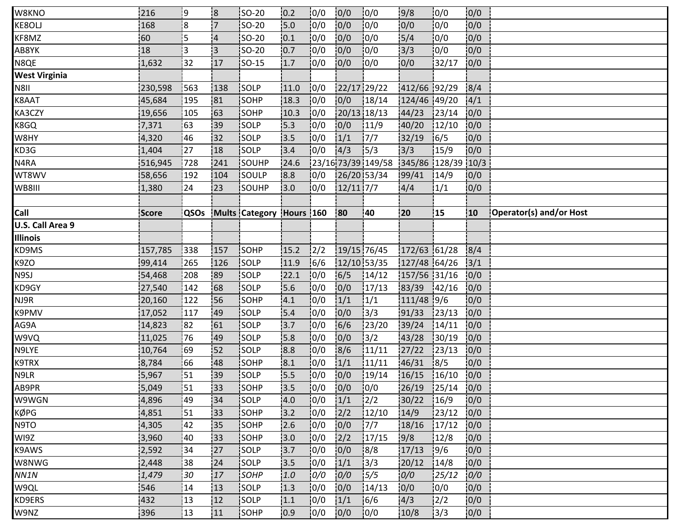| W8KNO                | 216     | 19                      | 18                      | <b>ISO-20</b>            | 0.2  | 0/0           | 0/0         | 10/0               | 9/8           | 10/0   | 0/0             |                         |
|----------------------|---------|-------------------------|-------------------------|--------------------------|------|---------------|-------------|--------------------|---------------|--------|-----------------|-------------------------|
| KE8OLJ               | 168     | $\overline{\mathbf{8}}$ | $\overline{7}$          | SO-20                    | 15.0 | 0/0           | 0/0         | 10/0               | 0/0           | 10/0   | 0/0             |                         |
| KF8MZ                | 60      | 5                       | $\overline{\mathbf{4}}$ | SO-20                    | 0.1  | 0/0           | 0/0         | 10/0               | 5/4           | 10/0   | 0/0             |                         |
| AB8YK                | 18      | 3                       | '3                      | <b>SO-20</b>             | 0.7  | 0/0           | 0/0         | 10/0               | 3/3           | 10/0   | 0/0             |                         |
| N8QE                 | 1,632   | 32                      | 17                      | <b>SO-15</b>             | 1.7  | 10/0          | 0/0         | $\overline{10}/0$  | 0/0           | 32/17  | 0/0             |                         |
| <b>West Virginia</b> |         |                         |                         |                          |      |               |             |                    |               |        |                 |                         |
| N8II                 | 230,598 | 563                     | 138                     | SOLP                     | 11.0 | 0/0           |             | 22/17 29/22        | 412/66 92/29  |        | 8/4             |                         |
| K8AAT                | 45,684  | 195                     | 81                      | SOHP                     | 18.3 | 0/0           | 0/0         | 18/14              | 124/46 49/20  |        | 4/1             |                         |
| KA3CZY               | 19,656  | 105                     | 63                      | SOHP                     | 10.3 | 0/0           | 20/13 18/13 |                    | 44/23         | 123/14 | 0/0             |                         |
| K8GQ                 | 7,371   | 63                      | i39                     | SOLP                     | 15.3 | 10/0          | 0/0         | 11/9               | 40/20         | 12/10  | 0/0             |                         |
| W8HY                 | 4,320   | 46                      | 32                      | SOLP                     | 3.5  | 0/0           | 1/1         | 7/7                | 32/19         | 16/5   | 0/0             |                         |
| KD3G                 | 1,404   | 27                      | 18                      | SOLP                     | 3.4  | 0/0           | 4/3         | 15/3               | 3/3           | 15/9   | 0/0             |                         |
| N4RA                 | 516,945 | 728                     | 241                     | SOUHP                    | 24.6 |               |             | 23/16 73/39 149/58 | 345/86 128/39 |        | 10/3            |                         |
| WT8WV                | 58,656  | 192                     | 104                     | SOULP                    | 8.8  | 10/0          |             | 26/20153/34        | 99/41         | 14/9   | 10/0            |                         |
| WB8III               | 1,380   | 24                      | 123                     | SOUHP                    | 3.0  | 0/0           | $12/11$ 7/7 |                    | 4/4           | 1/1    | 0/0             |                         |
|                      |         |                         |                         |                          |      |               |             |                    |               |        |                 |                         |
| Call                 | Score   | QSOs                    |                         | Mults Category Hours 160 |      |               | 80          | 40                 | 20            | 15     | 10 <sub>1</sub> | Operator(s) and/or Host |
| U.S. Call Area 9     |         |                         |                         |                          |      |               |             |                    |               |        |                 |                         |
| <b>Illinois</b>      |         |                         |                         |                          |      |               |             |                    |               |        |                 |                         |
| KD9MS                | 157,785 | 338                     | 157                     | SOHP                     | 15.2 | $\frac{1}{2}$ |             | 19/15 76/45        | 172/63 61/28  |        | 8/4             |                         |
| K9ZO                 | 99,414  | 265                     | 126                     | SOLP                     | 11.9 | 16/6          |             | 12/10 53/35        | 127/48 64/26  |        | 3/1             |                         |
| N9SJ                 | 54,468  | 208                     | 89                      | SOLP                     | 22.1 | 0/0           | 6/5         | 14/12              | 157/56 31/16  |        | 0/0             |                         |
| KD9GY                | 27,540  | 142                     | 68                      | SOLP                     | 15.6 | 10/0          | 0/0         | 17/13              | 83/39         | 142/16 | 10/0            |                         |
| NJ9R                 | 20,160  | 122                     | 56                      | <b>SOHP</b>              | 4.1  | 10/0          | 1/1         | 1/1                | 111/48 9/6    |        | 0/0             |                         |
| K9PMV                | 17,052  | 117                     | 49                      | SOLP                     | 5.4  | 0/0           | 0/0         | 3/3                | 91/33         | 23/13  | 0/0             |                         |
| AG9A                 | 14,823  | 82                      | 61                      | SOLP                     | 3.7  | 0/0           | 6/6         | 123/20             | 39/24         | 14/11  | 0/0             |                         |
| W9VQ                 | 11,025  | 76                      | 49                      | SOLP                     | 15.8 | 0/0           | 0/0         | 3/2                | 43/28         | 130/19 | 0/0             |                         |
| N9LYE                | 10,764  | 69                      | 152                     | SOLP                     | 8.8  | 0/0           | 8/6         | 11/11              | 27/22         | 123/13 | 0/0             |                         |
| K9TRX                | 8,784   | 66                      | 48                      | SOHP                     | 8.1  | 0/0           | 1/1         | 11/11              | 46/31         | 8/5    | 0/0             |                         |
| N9LR                 | 5,967   | 51                      | 39                      | SOLP                     | 15.5 | 0/0           | 0/0         | 19/14              | 16/15         | 16/10  | 0/0             |                         |
| AB9PR                | 5,049   | 51                      | 33                      | SOHP                     | 13.5 | 10/0          | 0/0         | 10/0               | 26/19         | 125/14 | 0/0             |                         |
| W9WGN                | 4,896   | 49                      | :34                     | SOLP                     | 4.0  | 10/0          | 1/1         | $\frac{1}{2}$      | 30/22         | 16/9   | 0/0             |                         |
| KØPG                 | 4,851   | :51                     | i33                     | <b>ISOHP</b>             | 3.2  | 10/0          | 2/2         | 12/10              | 14/9          | 123/12 | 0/0             |                         |
| N9TO                 | 4,305   | 42                      | 35                      | SOHP                     | 2.6  | 0/0           | 0/0         | 7/7                | 18/16         | 17/12  | 0/0             |                         |
| WI9Z                 | 3,960   | 40                      | 33                      | <b>SOHP</b>              | 3.0  | 0/0           | 2/2         | 17/15              | 9/8           | 12/8   | 0/0             |                         |
| K9AWS                | 2,592   | 34                      | 27                      | SOLP                     | 3.7  | 0/0           | 0/0         | 8/8                | 17/13         | 19/6   | 0/0             |                         |
| W8NWG                | 2,448   | 38                      | 24                      | SOLP                     | 13.5 | 0/0           | 1/1         | 13/3               | 20/12         | 14/8   | 0/0             |                         |
| NN1N                 | 1,479   | 30                      | 17                      | SOHP                     | 1.0  | 0/0           | 0/0         | 15/5               | 0/0           | 25/12  | 0/0             |                         |
| W9QL                 | 546     | 14                      | 13                      | SOLP                     | 1.3  | 0/0           | 0/0         | 14/13              | 0/0           | 10/0   | 0/0             |                         |
| KD9ERS               | 432     | 13                      | 12                      | SOLP                     | 1.1  | 0/0           | 1/1         | 16/6               | 4/3           | 12/2   | 10/0            |                         |
| W9NZ                 | 396     | 13                      | 11                      | SOHP                     | 10.9 | 10/0          | 0/0         | 10/0               | 10/8          | 13/3   | 0/0             |                         |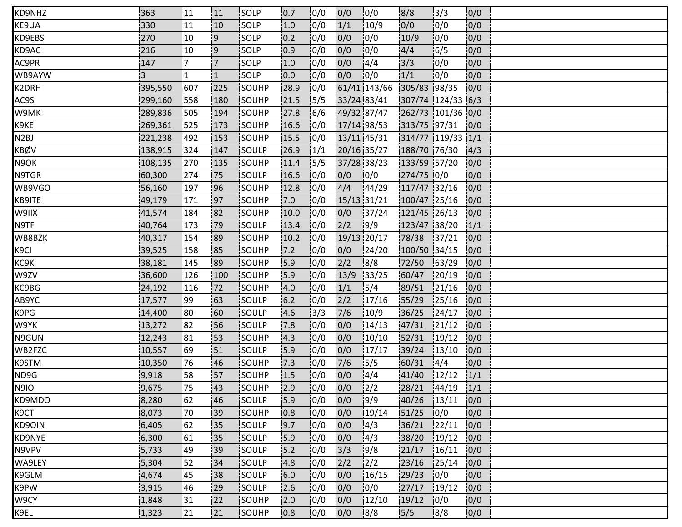| KD9NHZ            | 363            | <b>111</b>     | 111            | <b>ISOLP</b>  | 0.7  | 0/0           | 0/0         | 10/0          | 18/8              | 3/3    | 0/0  |  |
|-------------------|----------------|----------------|----------------|---------------|------|---------------|-------------|---------------|-------------------|--------|------|--|
| KE9UA             | 330            | 11             | 10             | SOLP          | 1.0  | 0/0           | 1/1         | 10/9          | 0/0               | 10/0   | 0/0  |  |
| KD9EBS            | 270            | 10             | 9              | <b>SOLP</b>   | 0.2  | 0/0           | 0/0         | 10/0          | 10/9              | 0/0    | 0/0  |  |
| KD9AC             | 216            | 10             | :9             | SOLP          | 0.9  | 10/0          | 0/0         | 10/0          | 4/4               | 16/5   | 0/0  |  |
| AC9PR             | 147            | $\overline{7}$ | $\overline{7}$ | <b>SOLP</b>   | 1.0  | 10/0          | 0/0         | 14/4          | 3/3               | 10/0   | 0/0  |  |
| WB9AYW            | $\overline{3}$ | 1              | $\mathbf{1}$   | SOLP          | 0.0  | 0/0           | 0/0         | 10/0          | 1/1               | 10/0   | 0/0  |  |
| K2DRH             | 395,550        | 1607           | 225            | SOUHP         | 28.9 | 0/0           |             | 61/41 143/66  | 305/83 98/35      |        | 0/0  |  |
| AC9S              | 299,160        | 558            | 180            | SOUHP         | 21.5 | 15/5          | 33/24 83/41 |               | 307/74 124/33 6/3 |        |      |  |
| W9MK              | 289,836        | 505            | 194            | SOUHP         | 27.8 | 16/6          | 49/32 87/47 |               | 262/73 101/36 0/0 |        |      |  |
| K9KE              | 269,361        | 525            | 173            | <b>ISOUHP</b> | 16.6 | 0/0           | 17/14 98/53 |               | 313/75 97/31 0/0  |        |      |  |
| N <sub>2</sub> BJ | 221,238        | 1492           | 153            | SOUHP         | 15.5 | 0/0           | 13/11 45/31 |               | 314/77 119/33 1/1 |        |      |  |
| KBØV              | 138,915        | 324            | 147            | SOULP         | 26.9 | $\frac{1}{1}$ | 20/16 35/27 |               | 188/70 76/30      |        | 4/3  |  |
| N9OK              | 108,135        | 270            | 135            | SOUHP         | 11.4 | 15/5          | 37/28 38/23 |               | 133/59 57/20      |        | 0/0  |  |
| N9TGR             | 60,300         | 1274           | 75             | <b>SOULP</b>  | 16.6 | 10/0          | 0/0         | 10/0          | 274/75 0/0        |        | 10/0 |  |
| WB9VGO            | 56,160         | 197            | i96            | <b>SOUHP</b>  | 12.8 | 10/0          | 4/4         | 144/29        | 117/47 32/16      |        | 0/0  |  |
| KB9ITE            | 49,179         | 171            | 97             | SOUHP         | 7.0  | 0/0           | 15/13 31/21 |               | 100/47 25/16      |        | 0/0  |  |
| W9IIX             | 41,574         | 184            | 82             | SOUHP         | 10.0 | 0/0           | 0/0         | 37/24         | 121/45 26/13      |        | 0/0  |  |
| N9TF              | 40,764         | 173            | !79            | <b>SOULP</b>  | 13.4 | 10/0          | 2/2         | 19/9          | 123/47 38/20      |        | 1/1  |  |
| WB8BZK            | 40,317         | 154            | 89             | <b>SOUHP</b>  | 10.2 | 10/0          | 19/13 20/17 |               | 78/38             | 37/21  | 0/0  |  |
| K <sub>9CI</sub>  | 39,525         | 158            | 85             | SOUHP         | 7.2  | 0/0           | 0/0         | 124/20        | 100/50 34/15      |        | 0/0  |  |
| KC9K              | 38,181         | 145            | 89             | SOUHP         | 15.9 | 0/0           | 2/2         | 8/8           | 72/50             | 163/29 | 0/0  |  |
| W9ZV              | 36,600         | 126            | 100            | SOUHP         | 15.9 | 0/0           | 13/9        | 33/25         | 60/47             | 20/19  | 0/0  |  |
| KC9BG             | 24,192         | 116            | 72             | <b>SOUHP</b>  | 4.0  | 10/0          | 1/1         | 15/4          | 89/51             | 121/16 | 10/0 |  |
| AB9YC             | 17,577         | 199            | 163            | <b>SOULP</b>  | 6.2  | 10/0          | 2/2         | 17/16         | 155/29            | 125/16 | 0/0  |  |
| K9PG              | 14,400         | 80             | 160            | SOULP         | 4.6  | 3/3           | 7/6         | 10/9          | 36/25             | 124/17 | 0/0  |  |
| W9YK              | 13,272         | 82             | 56             | SOULP         | 17.8 | 0/0           | 0/0         | 14/13         | 47/31             | 121/12 | 0/0  |  |
| N9GUN             | 12,243         | 181            | 153            | SOUHP         | 4.3  | 10/0          | 0/0         | 10/10         | 52/31             | 19/12  | 0/0  |  |
| WB2FZC            | 10,557         | 69             | 151            | <b>SOULP</b>  | 15.9 | 10/0          | 0/0         | 17/17         | 39/24             | 13/10  | 0/0  |  |
| K9STM             | 10,350         | 76             | 46             | SOUHP         | 7.3  | 0/0           | 7/6         | 15/5          | 60/31             | 14/4   | 0/0  |  |
| ND9G              | 9,918          | :58            | 57             | SOUHP         | 1.5  | 0/0           | 0/0         | 14/4          | 41/40             | 12/12  | 1/1  |  |
| <b>N9IO</b>       | 9,675          | 75             | 43             | SOUHP         | 12.9 | 10/0          | 0/0         | $\frac{1}{2}$ | 28/21             | 144/19 | 1/1  |  |
| KD9MDO            | 8,280          | 162            | :46            | <b>SOULP</b>  | 15.9 | 10/0          | 0/0         | 19/9          | 40/26             | 13/11  | 10/0 |  |
| K9CT              | 8,073          | 170            | :39            | <b>ISOUHP</b> | 0.8  | 10/0          | 0/0         | 19/14         | 151/25            | 0/0    | 0/0  |  |
| KD9OIN            | 6,405          | 62             | 35             | SOULP         | 9.7  | 0/0           | 0/0         | 4/3           | 36/21             | 122/11 | 0/0  |  |
| KD9NYE            | 6,300          | 61             | 35             | SOULP         | 15.9 | 0/0           | 0/0         | 4/3           | 38/20             | 19/12  | 0/0  |  |
| N9VPV             | 5,733          | :49            | 39             | SOULP         | 15.2 | 0/0           | 3/3         | 9/8           | 21/17             | 16/11  | 0/0  |  |
| WA9LEY            | 5,304          | 52             | 34             | <b>SOULP</b>  | 14.8 | 0/0           | 2/2         | 12/2          | 23/16             | 125/14 | 0/0  |  |
| K9GLM             | 4,674          | 45             | 38             | SOULP         | 6.0  | 0/0           | 0/0         | 16/15         | 29/23             | 10/0   | 0/0  |  |
| K9PW              | 3,915          | 46             | 29             | SOULP         | 2.6  | 0/0           | 0/0         | 10/0          | 27/17             | 19/12  | 0/0  |  |
| W9CY              | 1,848          | 31             | 22             | SOUHP         | 2.0  | 0/0           | 0/0         | 12/10         | 19/12             | 10/0   | 0/0  |  |
| K9EL              | 1,323          | 21             | 21             | <b>ISOUHP</b> | 0.8  | 0/0           | 0/0         | 8/8           | 5/5               | 18/8   | 0/0  |  |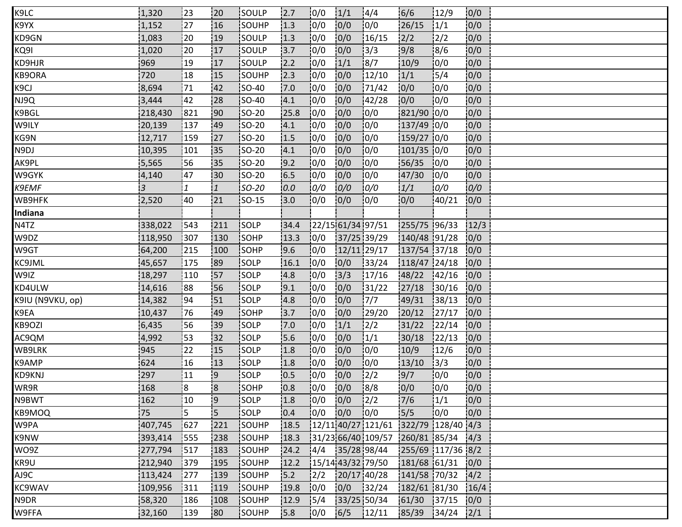| K9LC              | 1,320          | 123          | !20            | <b>ISOULP</b> | 2.7  | 0/0  | 1/1                 | 14/4                                   | 16/6              | 12/9   | 0/0  |  |  |
|-------------------|----------------|--------------|----------------|---------------|------|------|---------------------|----------------------------------------|-------------------|--------|------|--|--|
| K9YX              | 1,152          | 27           | 16             | SOUHP         | 1.3  | 0/0  | 0/0                 | 0/0                                    | 26/15             | 1/1    | 0/0  |  |  |
| KD9GN             | 1,083          | 20           | 19             | SOULP         | 1.3  | 10/0 | 0/0                 | 16/15                                  | 2/2               | 2/2    | 0/0  |  |  |
| KQ9I              | 1,020          | 20           | 17             | SOULP         | 3.7  | 0/0  | 0/0                 | 3/3                                    | 9/8               | 18/6   | 0/0  |  |  |
| KD9HJR            | 969            | <u>  19</u>  | 17             | SOULP         | 2.2  | 0/0  | 1/1                 | 18/7                                   | 10/9              | 10/0   | 0/0  |  |  |
| KB9ORA            | 720            | 18           | 15             | SOUHP         | 12.3 | 0/0  | 0/0                 | 12/10                                  | 1/1               | 15/4   | 0/0  |  |  |
| K <sub>9</sub> CJ | 8,694          | 71           | 42             | <b>SO-40</b>  | 7.0  | 0/0  | 0/0                 | 171/42                                 | 0/0               | 10/0   | 0/0  |  |  |
| NJ9Q              | 3,444          | 42           | 28             | $SO-40$       | 4.1  | 0/0  | 0/0                 | 142/28                                 | 0/0               | 10/0   | 0/0  |  |  |
| K9BGL             | 218,430        | 821          | <b>90</b>      | <b>SO-20</b>  | 25.8 | 10/0 | 0/0                 | 0/0                                    | 821/90 0/0        |        | 0/0  |  |  |
| W9ILY             | 20,139         | 137          | 49             | <b>SO-20</b>  | 4.1  | 10/0 | 0/0                 | 10/0                                   | 137/49 0/0        |        | 0/0  |  |  |
| KG9N              | 12,717         | 159          | 27             | <b>SO-20</b>  | 1.5  | 0/0  | 0/0                 | 0/0                                    | 159/27 0/0        |        | 0/0  |  |  |
| N9DJ              | 10,395         | 101          | 35             | SO-20         | 4.1  | 0/0  | 0/0                 | 10/0                                   | 101/35 0/0        |        | 0/0  |  |  |
| AK9PL             | 5,565          | 56           | 135            | <b>SO-20</b>  | 9.2  | 10/0 | 0/0                 | 10/0                                   | 56/35             | 10/0   | 10/0 |  |  |
| W9GYK             | 4,140          | 47           | 130            | <b>SO-20</b>  | 16.5 | 10/0 | 0/0                 | 10/0                                   | 47/30             | 10/0   | 0/0  |  |  |
| K9EMF             | $\overline{3}$ | $\mathbf{1}$ | 11             | SO-20         | 0.0  | 0/0  | 0/0                 | 0/0                                    | 1/1               | 0/0    | 0/0  |  |  |
| WB9HFK            | 2,520          | 40           | 21             | $ SO-15 $     | 3.0  | 0/0  | 0/0                 | 10/0                                   | 0/0               | 140/21 | 0/0  |  |  |
| Indiana           |                |              |                |               |      |      |                     |                                        |                   |        |      |  |  |
| N4TZ              | 338,022        | 543          | 211            | SOLP          | 34.4 |      | 22/15 61/34 97/51   |                                        | 255/75 96/33      |        | 12/3 |  |  |
| W9DZ              | 118,950        | 307          | 130            | <b>SOHP</b>   | 13.3 | 0/0  | 37/25 39/29         |                                        | 140/48 91/28      |        | 0/0  |  |  |
| W9GT              | 64,200         | 215          | 100            | SOHP          | 9.6  | 0/0  | 12/11 29/17         |                                        | 137/54 37/18      |        | 0/0  |  |  |
| KC9JML            | 45,657         | 175          | 89             | SOLP          | 16.1 | 0/0  | 0/0                 | 33/24                                  | 118/47 24/18      |        | 0/0  |  |  |
| W9IZ              | 18,297         | 110          | <b>57</b>      | SOLP          | 4.8  | 10/0 | 3/3                 | 17/16                                  | 48/22             | 142/16 | 0/0  |  |  |
| KD4ULW            | 14,616         | 88           | <b>56</b>      | SOLP          | 9.1  | 10/0 | 0/0                 | 31/22                                  | 27/18             | 30/16  | 0/0  |  |  |
| K9IU (N9VKU, op)  | 14,382         | 94           | 51             | <b>SOLP</b>   | 4.8  | 10/0 | 0/0                 | 7/7                                    | 49/31             | 138/13 | 0/0  |  |  |
| K9EA              | 10,437         | 76           | 49             | SOHP          | 3.7  | 0/0  | 0/0                 | 129/20                                 | 20/12             | 127/17 | 0/0  |  |  |
| KB9OZI            | 6,435          | 56           | 39             | SOLP          | 7.0  | 0/0  | 1/1                 | $\frac{2}{2}$                          | 31/22             | 122/14 | 0/0  |  |  |
| AC9QM             | 4,992          | 53           | 132            | SOLP          | 5.6  | 10/0 | 0/0                 | 1/1                                    | 30/18             | 122/13 | 0/0  |  |  |
| WB9LRK            | 945            | :22          | 15             | <b>SOLP</b>   | 1.8  | 0/0  | 0/0                 | 10/0                                   | 10/9              | 12/6   | 0/0  |  |  |
| K9AMP             | 624            | 16           | 13             | SOLP          | 1.8  | 0/0  | 0/0                 | 10/0                                   | 13/10             | 13/3   | 0/0  |  |  |
| KD9KNJ            | 297            | 11           | <u>9</u>       | SOLP          | 0.5  | 0/0  | 0/0                 | $\frac{1}{2}$                          | 9/7               | 10/0   | 0/0  |  |  |
| WR9R              | 168            | 8            | $\overline{8}$ | SOHP          | 0.8  | 0/0  | 0/0                 | 18/8                                   | 0/0               | 10/0   | 0/0  |  |  |
| N9BWT             | 162            | 10           | 9              | SOLP          | 1.8  | 10/0 | 0/0                 | $\frac{12}{2}$                         | 17/6              | 1/1    | 0/0  |  |  |
| KB9MOQ            | 75             | 5            | i5             | <b>SOLP</b>   | 0.4  | 0/0  | 10/0                | 10/0                                   | 5/5               | 10/0   | 0/0  |  |  |
| W9PA              | 407,745        | 1627         | 221            | SOUHP         | 18.5 |      |                     | $12/11$ 40/27 121/61 322/79 128/40 4/3 |                   |        |      |  |  |
| K9NW              | 393,414        | 555          | 238            | SOUHP         | 18.3 |      |                     | 31/23 66/40 109/57 260/81 85/34        |                   |        | 4/3  |  |  |
| WO9Z              | 277,794        | 1517         | 183            | SOUHP         | 24.2 |      | 4/4   35/28 98/44   |                                        | 255/69 117/36 8/2 |        |      |  |  |
| KR9U              | 212,940        | 379          | 195            | SOUHP         | 12.2 |      | $15/14$ 43/32 79/50 |                                        | 181/68 61/31      |        | 0/0  |  |  |
| AJ9C              | 113,424        | 1277         | 139            | SOUHP         | 15.2 | 12/2 |                     | 20/17 40/28                            | 141/58 70/32      |        | 4/2  |  |  |
| KC9WAV            | 109,956        | 311          | 119            | SOUHP         | 19.8 | 0/0  | 0/0                 | 32/24                                  | 182/61 81/30      |        | 16/4 |  |  |
| N9DR              | 58,320         | 186          | 108            | SOUHP         | 12.9 | 15/4 | 33/25 50/34         |                                        | 61/30             | 137/15 | 0/0  |  |  |
| W9FFA             | 32,160         | 139          | 180            | <b>SOUHP</b>  | 15.8 | 10/0 | 6/5                 | 12/11                                  | 85/39             | 34/24  | 2/1  |  |  |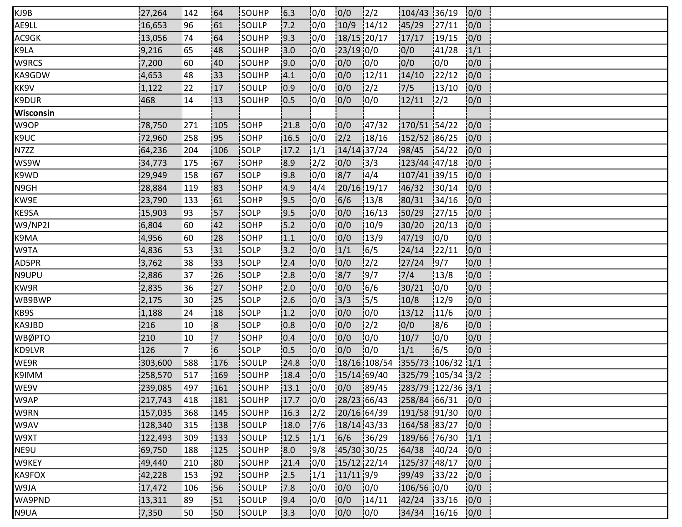| KJ9B           | 27,264  | 142             | '64            | <b>ISOUHP</b> | 6.3  | 0/0            | 0/0           | $\frac{12}{2}$ | 104/43 36/19      |               | 0/0  |  |
|----------------|---------|-----------------|----------------|---------------|------|----------------|---------------|----------------|-------------------|---------------|------|--|
| AE9LL          | 16,653  | 96              | 161            | SOULP         | 7.2  | 10/0           | 10/9          | 14/12          | 45/29             | 127/11        | 0/0  |  |
| AC9GK          | 13,056  | 74              | 64             | SOUHP         | 9.3  | 10/0           | 18/15 20/17   |                | 17/17             | 19/15         | 0/0  |  |
| K9LA           | 9,216   | 65              | 48             | SOUHP         | 13.0 | 10/0           | $23/19$ 0/0   |                | 10/0              | 141/28        | 1/1  |  |
| W9RCS          | 7,200   | 60              | 40             | SOUHP         | 9.0  | 10/0           | 0/0           | 10/0           | 0/0               | 0/0           | 0/0  |  |
| KA9GDW         | 4,653   | 48              | i33            | SOUHP         | 4.1  | 10/0           | 0/0           | 12/11          | 14/10             | 122/12        | 0/0  |  |
| KK9V           | 1,122   | 122             | 17             | SOULP         | 10.9 | 0/0            | 0/0           | $\frac{1}{2}$  | 7/5               | 13/10         | 0/0  |  |
| K9DUR          | 468     | 14              | 13             | SOUHP         | 10.5 | 0/0            | 0/0           | 0/0            | 12/11             | $\frac{1}{2}$ | 10/0 |  |
| Wisconsin      |         |                 |                |               |      |                |               |                |                   |               |      |  |
| W9OP           | 78,750  | 271             | 105            | <b>SOHP</b>   | 21.8 | 10/0           | 0/0           | 147/32         | 170/51 54/22      |               | 0/0  |  |
| K9UC           | 72,960  | 258             | 195            | <b>SOHP</b>   | 16.5 | 10/0           | 2/2           | 18/16          | 152/52 86/25      |               | 0/0  |  |
| N7ZZ           | 64,236  | 204             | 106            | SOLP          | 17.2 | $\frac{1}{1}$  | 14/14 37/24   |                | 98/45             | 154/22        | 0/0  |  |
| WS9W           | 34,773  | 175             | 167            | <b>SOHP</b>   | 8.9  | $\frac{12}{2}$ | 0/0           | 13/3           | 123/44 47/18      |               | 10/0 |  |
| K9WD           | 29,949  | 158             | 167            | <b>SOLP</b>   | 19.8 | 10/0           | 8/7           | 14/4           | 107/41 39/15      |               | 10/0 |  |
| N9GH           | 28,884  | 119             | 183            | <b>SOHP</b>   | 14.9 | 14/4           | 20/16 19/17   |                | 46/32             | 30/14         | 0/0  |  |
| KW9E           | 23,790  | 133             | 161            | SOHP          | 9.5  | 0/0            | 6/6           | 13/8           | 80/31             | 34/16         | 0/0  |  |
| KE9SA          | 15,903  | 93              | 157            | SOLP          | 19.5 | 0/0            | 0/0           | 16/13          | 50/29             | 127/15        | 0/0  |  |
| <b>W9/NP2I</b> | 6,804   | 60              | 42             | <b>SOHP</b>   | 15.2 | 10/0           | 0/0           | 10/9           | 30/20             | 120/13        | 0/0  |  |
| K9MA           | 4,956   | :60             | 28             | SOHP          | 1.1  | 10/0           | 0/0           | 13/9           | 47/19             | 0/0           | 0/0  |  |
| W9TA           | 4,836   | 53              | 31             | SOLP          | 3.2  | 0/0            | 1/1           | 16/5           | 24/14             | 122/11        | 0/0  |  |
| AD5PR          | 3,762   | 38              | 33             | SOLP          | 2.4  | 0/0            | 0/0           | $\frac{1}{2}$  | 27/24             | 19/7          | 0/0  |  |
| N9UPU          | 2,886   | 37              | 26             | SOLP          | 2.8  | 10/0           | 8/7           | 19/7           | 7/4               | 13/8          | 0/0  |  |
| KW9R           | 2,835   | 36              | 27             | <b>SOHP</b>   | 2.0  | 10/0           | 10/0          | 16/6           | 30/21             | 10/0          | 0/0  |  |
| WB9BWP         | 2,175   | 30 <sub>1</sub> | 25             | SOLP          | 2.6  | 10/0           | 3/3           | 15/5           | 10/8              | 12/9          | 0/0  |  |
| KB9S           | 1,188   | 24              | 18             | SOLP          | 1.2  | 0/0            | 0/0           | 0/0            | 13/12             | 11/6          | 0/0  |  |
| KA9JBD         | 216     | 10              | 8              | SOLP          | 0.8  | 0/0            | 0/0           | $\frac{1}{2}$  | 0/0               | 8/6           | 0/0  |  |
| <b>WBØPTO</b>  | 210     | 10              | $\overline{7}$ | SOHP          | 0.4  | 10/0           | 0/0           | 10/0           | 10/7              | 10/0          | 0/0  |  |
| KD9LVR         | 126     | 17.             | 6              | <b>SOLP</b>   | 10.5 | 10/0           | 0/0           | 10/0           | 1/1               | 16/5          | 0/0  |  |
| WE9R           | 303,600 | 588             | 176            | SOULP         | 24.8 | 10/0           |               | 18/16 108/54   | 355/73 106/32 1/1 |               |      |  |
| K9IMM          | 258,570 | 517             | 169            | SOUHP         | 18.4 | 0/0            | 15/14 69/40   |                | 325/79 105/34 3/2 |               |      |  |
| WE9V           | 239,085 | 1497            | 161            | SOUHP         | 13.1 | 10/0           | $0/0$ 89/45   |                | 283/79 122/36 3/1 |               |      |  |
| W9AP           | 217,743 | 418             | 181            | <b>ISOUHP</b> | 17.7 | 0/0            | 28/23 66/43   |                | 258/84 66/31      |               | 10/0 |  |
| W9RN           | 157,035 | 368             | 145            | SOUHP         | 16.3 | $\frac{1}{2}$  | 20/16 64/39   |                | 191/58 91/30      |               | 0/0  |  |
| W9AV           | 128,340 | 315             | 138            | SOULP         | 18.0 | 17/6           | $18/14$ 43/33 |                | 164/58 83/27      |               | 0/0  |  |
| W9XT           | 122,493 | 309             | 133            | SOULP         | 12.5 | $\frac{1}{1}$  | 6/6           | 36/29          | 189/66 76/30      |               | 1/1  |  |
| NE9U           | 69,750  | 188             | 125            | SOUHP         | 8.0  | 19/8           | 45/30 30/25   |                | 64/38             | 140/24        | 10/0 |  |
| W9KEY          | 49,440  | 210             | 180            | SOUHP         | 21.4 | 10/0           | 15/12 22/14   |                | 125/37 48/17      |               | 10/0 |  |
| KA9FOX         | 42,228  | 153             | 92             | SOUHP         | 12.5 | 1/1            | $11/11$ 9/9   |                | 99/49             | 33/22         | 0/0  |  |
| W9JA           | 17,472  | 106             | :56            | SOULP         | 7.8  | 0/0            | 0/0           | 0/0            | 106/56 0/0        |               | 0/0  |  |
| WA9PND         | 13,311  | <b>89</b>       | 151            | SOULP         | 9.4  | 0/0            | 0/0           | 14/11          | 42/24 33/16       |               | 0/0  |  |
| N9UA           | 7,350   | 50              | 150            | SOULP         | 13.3 | 10/0           | 0/0           | 10/0           | 34/34             | 16/16         | 0/0  |  |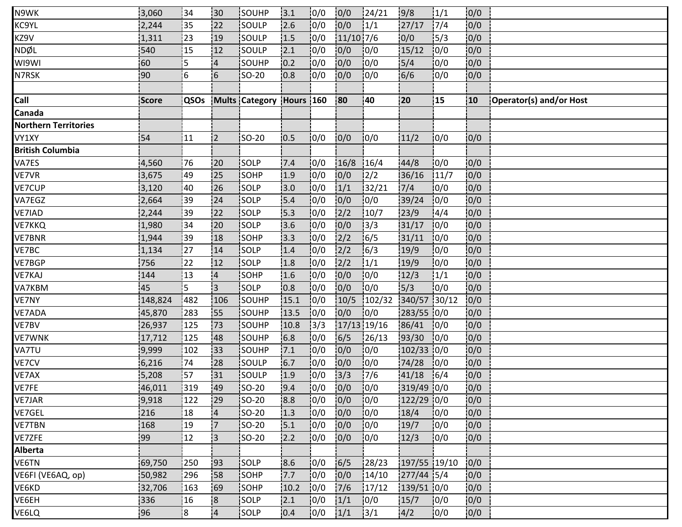| N9WK                        | 3,060        | 34            | 30                      | <b>ISOUHP</b>            | 13.1 | 0/0  | 0/0           | 124/21       | 9/8          | 1/1  | 0/0  |                         |
|-----------------------------|--------------|---------------|-------------------------|--------------------------|------|------|---------------|--------------|--------------|------|------|-------------------------|
| KC9YL                       | 2,244        | 35            | 122                     | SOULP                    | 2.6  | 10/0 | 0/0           | 1/1          | 27/17        | 17/4 | 0/0  |                         |
| KZ9V                        | 1,311        | 23            | 19                      | SOULP                    | 1.5  | 10/0 | $11/10$ 7/6   |              | 0/0          | 15/3 | 0/0  |                         |
| NDØL                        | 540          | 15            | 12                      | SOULP                    | 2.1  | 0/0  | 0/0           | 10/0         | 15/12        | 10/0 | 0/0  |                         |
| WI9WI                       | 60           | 5             | $\overline{4}$          | SOUHP                    | 0.2  | 0/0  | 0/0           | 10/0         | 5/4          | 10/0 | 0/0  |                         |
| N7RSK                       | 90           | 6             | 6                       | SO-20                    | 0.8  | 0/0  | 0/0           | 10/0         | 6/6          | 0/0  | 0/0  |                         |
|                             |              |               |                         |                          |      |      |               |              |              |      |      |                         |
| Call                        | <b>Score</b> | QSOs          |                         | Mults Category Hours 160 |      |      | 80            | $ 40\rangle$ | 20           | !15  | 10   | Operator(s) and/or Host |
| Canada                      |              |               |                         |                          |      |      |               |              |              |      |      |                         |
| <b>Northern Territories</b> |              |               |                         |                          |      |      |               |              |              |      |      |                         |
| VY1XY                       | 54           | 11            | $\overline{2}$          | SO-20                    | 10.5 | 0/0  | 0/0           | 0/0          | 11/2         | 0/0  | 0/0  |                         |
| <b>British Columbia</b>     |              |               |                         |                          |      |      |               |              |              |      |      |                         |
| VA7ES                       | 4,560        | 76            | 20                      | <b>SOLP</b>              | 7.4  | 10/0 | 16/8          | 16/4         | 144/8        | 10/0 | 0/0  |                         |
| VE7VR                       | 3,675        | 49            | 125                     | SOHP                     | 1.9  | 10/0 | 0/0           | 12/2         | 36/16        | 11/7 | 0/0  |                         |
| VE7CUP                      | 3,120        | 40            | 26                      | SOLP                     | 3.0  | 10/0 | 1/1           | 32/21        | 7/4          | 10/0 | 0/0  |                         |
| VA7EGZ                      | 2,664        | 39            | 24                      | SOLP                     | 15.4 | 10/0 | 0/0           | 10/0         | 39/24        | 10/0 | 0/0  |                         |
| VE7IAD                      | 2,244        | 39            | 22                      | SOLP                     | 15.3 | 10/0 | $\frac{2}{2}$ | 10/7         | 23/9         | 14/4 | 0/0  |                         |
| VE7KKQ                      | 1,980        | 34            | 20                      | <b>SOLP</b>              | 3.6  | 10/0 | 0/0           | 13/3         | 31/17        | 10/0 | 0/0  |                         |
| <b>VE7BNR</b>               | 1,944        | 39            | 18                      | SOHP                     | 13.3 | 0/0  | 2/2           | 16/5         | 31/11        | 10/0 | 0/0  |                         |
| VE7BC                       | 1,134        | 27            | 14                      | SOLP                     | 1.4  | 10/0 | $\frac{2}{2}$ | 16/3         | 19/9         | 10/0 | 0/0  |                         |
| VE7BGP                      | 756          | 22            | 12                      | SOLP                     | 1.8  | 10/0 | 2/2           | 1/1          | 19/9         | 10/0 | 0/0  |                         |
| VE7KAJ                      | 144          | 13            | $\overline{a}$          | SOHP                     | 1.6  | 10/0 | 0/0           | 10/0         | 12/3         | 1/1  | 0/0  |                         |
| VA7KBM                      | 45           | 5             | İ3                      | SOLP                     | 0.8  | 10/0 | 0/0           | 10/0         | 15/3         | 10/0 | 0/0  |                         |
| VE7NY                       | 148,824      | 1482          | 106                     | <b>SOUHP</b>             | 15.1 | 0/0  | 10/5          | 102/32       | 340/57 30/12 |      | 0/0  |                         |
| VE7ADA                      | 45,870       | 283           | 155                     | SOUHP                    | 13.5 | 10/0 | 0/0           | 0/0          | 283/55 0/0   |      | 0/0  |                         |
| VE7BV                       | 26,937       | 125           | 173                     | SOUHP                    | 10.8 | 3/3  | 17/13 19/16   |              | 86/41        | 0/0  | 0/0  |                         |
| <b>VE7WNK</b>               | 17,712       | 125           | :48                     | SOUHP                    | 16.8 | 10/0 | 6/5           | 26/13        | 93/30        | 10/0 | 0/0  |                         |
| VA7TU                       | 9,999        | 102           | 133                     | <b>SOUHP</b>             | 7.1  | 0/0  | 0/0           | 10/0         | 102/33 0/0   |      | 0/0  |                         |
| VE7CV                       | 6,216        | 74            | 28                      | SOULP                    | 6.7  | 0/0  | 0/0           | 10/0         | 74/28        | 10/0 | 0/0  |                         |
| VE7AX                       | 5,208        | 57            | 31                      | SOULP                    | 1.9  | 0/0  | 3/3           | 7/6          | 41/18        | 16/4 | 0/0  |                         |
| VE7FE                       | 46,011       | 319           | 149                     | <b>SO-20</b>             | 9.4  | 0/0  | 0/0           | 10/0         | 319/49 0/0   |      | 0/0  |                         |
| VE7JAR                      | 9,918        | 122           | 29                      | <b>SO-20</b>             | 8.8  | 10/0 | 0/0           | 10/0         | $122/29$ 0/0 |      | 0/0  |                         |
| VE7GEL                      | 216          | 18            | 4                       | <b>SO-20</b>             | 1.3  | 0/0  | 0/0           | 10/0         | 18/4         | 10/0 | 10/0 |                         |
| <b>VE7TBN</b>               | 168          | 19            | $\overline{7}$          | <b>SO-20</b>             | 5.1  | 0/0  | 0/0           | 0/0          | 19/7         | 0/0  | 0/0  |                         |
| VE7ZFE                      | 99           | 12            | l3                      | SO-20                    | 2.2  | 0/0  | 0/0           | 0/0          | 12/3         | 0/0  | 0/0  |                         |
| <b>Alberta</b>              |              |               |                         |                          |      |      |               |              |              |      |      |                         |
| VE6TN                       | 69,750       | 250           | 193                     | SOLP                     | 8.6  | 10/0 | 6/5           | 28/23        | 197/55 19/10 |      | 0/0  |                         |
| VE6FI (VE6AQ, op)           | 50,982       | 296           | :58                     | SOHP                     | 7.7  | 10/0 | 0/0           | 14/10        | $277/44$ 5/4 |      | 10/0 |                         |
| VE6KD                       | 32,706       | 163           | 169                     | SOHP                     | 10.2 | 0/0  | 7/6           | 17/12        | 139/51 0/0   |      | 0/0  |                         |
| VE6EH                       | 336          | 16            | $\overline{\mathbf{8}}$ | SOLP                     | 2.1  | 10/0 | 1/1           | 10/0         | 15/7         | 10/0 | 0/0  |                         |
| VE6LQ                       | 96           | $\mathbf{18}$ | 4                       | <b>SOLP</b>              | 0.4  | 10/0 | 1/1           | 3/1          | 14/2         | 10/0 | 0/0  |                         |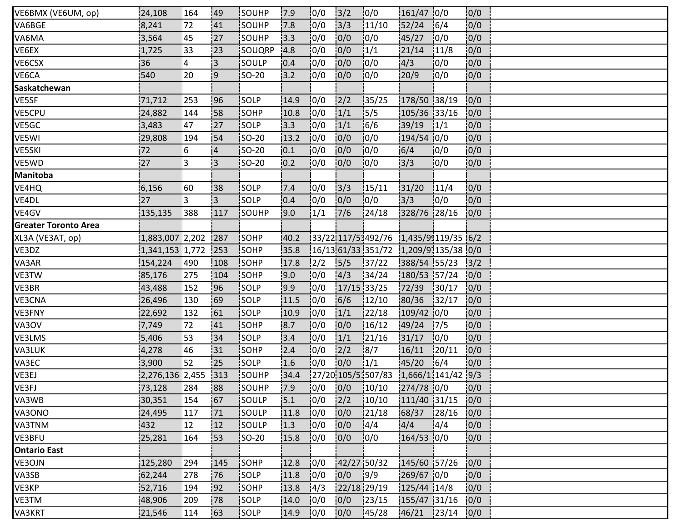| VE6BMX (VE6UM, op)          | 24,108          | 164            | 49             | <b>SOUHP</b> | 17.9 | 10/0          | $3/2$       | 0/0                                   | 161/47 0/0         |        | 0/0  |  |
|-----------------------------|-----------------|----------------|----------------|--------------|------|---------------|-------------|---------------------------------------|--------------------|--------|------|--|
| VA6BGE                      | 8,241           | 172            | 41             | SOUHP        | 17.8 | 0/0           | 3/3         | 11/10                                 | 52/24              | 16/4   | 0/0  |  |
| VA6MA                       | 3,564           | 45             | 27             | SOUHP        | 3.3  | 10/0          | 0/0         | 0/0                                   | 45/27              | 10/0   | 0/0  |  |
| VE6EX                       | 1,725           | 33             | 123            | SOUQRP       | 4.8  | 10/0          | 0/0         | 1/1                                   | 21/14              | 11/8   | 0/0  |  |
| VE6CSX                      | 36              | $\overline{4}$ | i3             | <b>SOULP</b> | 0.4  | 10/0          | 0/0         | 10/0                                  | 4/3                | 10/0   | 0/0  |  |
| VE6CA                       | 540             | 20             | :9             | SO-20        | 3.2  | 0/0           | 0/0         | 0/0                                   | 20/9               | 10/0   | 0/0  |  |
| Saskatchewan                |                 |                |                |              |      |               |             |                                       |                    |        |      |  |
| VE5SF                       | 71,712          | 253            | 96             | SOLP         | 14.9 | 10/0          | 2/2         | 135/25                                | 178/50 38/19       |        | 0/0  |  |
| VE5CPU                      | 24,882          | 144            | 58             | SOHP         | 10.8 | 10/0          | 1/1         | 15/5                                  | 105/36 33/16       |        | 0/0  |  |
| VE5GC                       | 3,483           | 47             | 127            | SOLP         | 3.3  | 10/0          | 1/1         | 16/6                                  | 39/19              | 1/1    | 0/0  |  |
| VE5WI                       | 29,808          | 194            | 54             | <b>SO-20</b> | 13.2 | 10/0          | 0/0         | 10/0                                  | 194/54 0/0         |        | 0/0  |  |
| <b>VE5SKI</b>               | 72              | 16             | $\overline{4}$ | $ SO-20 $    | 0.1  | 0/0           | 0/0         | 10/0                                  | 6/4                | 10/0   | 0/0  |  |
| VE5WD                       | 27              | ļЗ             | 3              | <b>SO-20</b> | 0.2  | 10/0          | 0/0         | 10/0                                  | 13/3               | 10/0   | 0/0  |  |
| <b>Manitoba</b>             |                 |                |                |              |      |               |             |                                       |                    |        |      |  |
| VE4HQ                       | 6,156           | 160            | 38             | <b>SOLP</b>  | 7.4  | 10/0          | 3/3         | 15/11                                 | 31/20              | 11/4   | 0/0  |  |
| VE4DL                       | 27              | 3              | IЗ.            | SOLP         | 0.4  | 0/0           | 0/0         | 0/0                                   | 3/3                | 0/0    | 0/0  |  |
| VE4GV                       | 135,135         | 388            | 117            | SOUHP        | 9.0  | 1/1           | 7/6         | 124/18                                | 328/76 28/16       |        | 0/0  |  |
| <b>Greater Toronto Area</b> |                 |                |                |              |      |               |             |                                       |                    |        |      |  |
| XL3A (VE3AT, op)            | 1,883,007 2,202 |                | 287            | <b>SOHP</b>  | 40.2 |               |             | 33/22 117/53492/76 1.435/93119/35 6/2 |                    |        |      |  |
| VE3DZ                       | 1,341,153 1,772 |                | 253            | SOHP         | 35.8 |               |             | 16/1361/331351/7211,209/91135/3810/0  |                    |        |      |  |
| VA3AR                       | 154,224         | 490            | 108            | SOHP         | 17.8 | $\frac{2}{2}$ | 5/5         | 37/22                                 | 388/54 55/23       |        | 3/2  |  |
| VE3TW                       | 85,176          | 275            | 104            | SOHP         | 9.0  | 0/0           | 4/3         | 134/24                                | 180/53 57/24       |        | 0/0  |  |
| VE3BR                       | 43,488          | 152            | 96             | <b>SOLP</b>  | 9.9  | 10/0          | 17/15 33/25 |                                       | 72/39              | 130/17 | 0/0  |  |
| VE3CNA                      | 26,496          | 130            | 69             | <b>SOLP</b>  | 11.5 | 10/0          | 6/6         | 12/10                                 | 80/36              | 132/17 | 10/0 |  |
| <b>VE3FNY</b>               | 22,692          | 132            | 61             | SOLP         | 10.9 | 10/0          | 1/1         | 122/18                                | $109/42$ 0/0       |        | 0/0  |  |
| VA3OV                       | 7,749           | 172            | 41             | SOHP         | 8.7  | 0/0           | 0/0         | 16/12                                 | 49/24              | 17/5   | 0/0  |  |
| VE3LMS                      | 5,406           | 53             | 34             | <b>SOLP</b>  | 3.4  | 10/0          | 1/1         | 121/16                                | 31/17              | 10/0   | 0/0  |  |
| VA3LUK                      | 4,278           | 46             | 31             | SOHP         | 2.4  | 10/0          | 2/2         | 18/7                                  | 16/11              | 120/11 | 10/0 |  |
| VA3EC                       | 3,900           | 152            | 25             | SOLP         | 1.6  | 10/0          | 0/0         | 1/1                                   | 45/20              | 6/4    | 0/0  |  |
| VE3EJ                       | 2,276,136 2,455 |                | 313            | SOUHP        | 34.4 |               |             | 27/20 105/51507/83                    | 1,666/1,141/42 9/3 |        |      |  |
| VE3FJ                       | 73,128          | 284            | 88             | SOUHP        | 17.9 | 10/0          |             | $0/0$ $10/10$                         | 274/78 0/0         |        | 0/0  |  |
| VA3WB                       | 30,351          | 154            | 67             | <b>SOULP</b> | 15.1 | 10/0          | 2/2         | 10/10                                 | 111/40 31/15       |        | 10/0 |  |
| VA3ONO                      | 24,495          | 117            | 71             | <b>SOULP</b> | 11.8 | 10/0          | 0/0         | 21/18                                 | 68/37              | 28/16  | 0/0  |  |
| VA3TNM                      | 432             | 12             | 12             | SOULP        | 1.3  | 10/0          | 0/0         | 14/4                                  | 4/4                | 14/4   | 0/0  |  |
| VE3BFU                      | 25,281          | 164            | 53             | $ SO-20 $    | 15.8 | 0/0           | 0/0         | 0/0                                   | $164/53$ 0/0       |        | 0/0  |  |
| <b>Ontario East</b>         |                 |                |                |              |      |               |             |                                       |                    |        |      |  |
| VE3OJN                      | 125,280         | 294            | 145            | SOHP         | 12.8 | 10/0          | 42/27 50/32 |                                       | 145/60 57/26       |        | 0/0  |  |
| VA3SB                       | 62,244          | 278            | 76             | <b>SOLP</b>  | 11.8 | 10/0          | 0/0         | 19/9                                  | 269/67 0/0         |        | 0/0  |  |
| VE3KP                       | 52,716          | 194            | 92             | SOHP         | 13.8 | 4/3           | 22/18 29/19 |                                       | 125/44 14/8        |        | 0/0  |  |
| VE3TM                       | 48,906          | 209            | 78             | SOLP         | 14.0 | 0/0           | 0/0         | 123/15                                | 155/47 31/16       |        | 0/0  |  |
| VA3KRT                      | 21,546          | 114            | 63             | <b>SOLP</b>  | 14.9 | 10/0          | 0/0         | 145/28                                | 46/21 23/14        |        | 0/0  |  |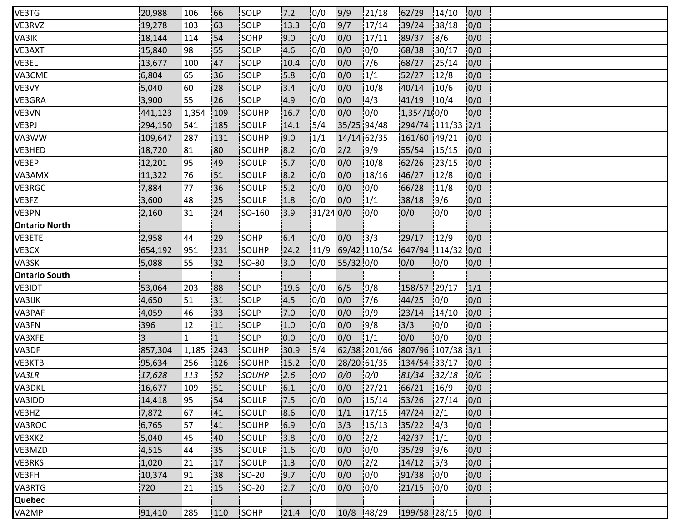| VE3TG                | 20,988  | 106         | 66           | <b>ISOLP</b> | 7.2  | 0/0      | 9/9         | 121/18                         | 62/29             | 14/10         | 0/0  |  |
|----------------------|---------|-------------|--------------|--------------|------|----------|-------------|--------------------------------|-------------------|---------------|------|--|
| VE3RVZ               | 19,278  | 103         | 163          | SOLP         | 13.3 | 0/0      | 9/7         | 17/14                          | 39/24             | 38/18         | 0/0  |  |
| VA3IK                | 18,144  | 114         | 54           | SOHP         | 9.0  | 0/0      | 0/0         | 17/11                          | 89/37             | 8/6           | 0/0  |  |
| VE3AXT               | 15,840  | 98          | 55           | SOLP         | 4.6  | 0/0      | 0/0         | 10/0                           | 68/38             | 130/17        | 0/0  |  |
| VE3EL                | 13,677  | 100         | 47           | <b>SOLP</b>  | 10.4 | 10/0     | 0/0         | 17/6                           | 68/27             | 125/14        | 0/0  |  |
| VA3CME               | 6,804   | 65          | <b>36</b>    | SOLP         | 5.8  | 10/0     | 0/0         | 1/1                            | 52/27             | 12/8          | 0/0  |  |
| VE3VY                | 5,040   | :60         | 28           | SOLP         | 3.4  | 0/0      | 0/0         | 10/8                           | 40/14             | 10/6          | 0/0  |  |
| VE3GRA               | 3,900   | 55          | 26           | SOLP         | 14.9 | 0/0      | 0/0         | 4/3                            | 41/19             | 10/4          | 0/0  |  |
| VE3VN                | 441,123 | 1,354       | 109          | SOUHP        | 16.7 | 10/0     | 0/0         | 10/0                           | 1,354/1(0/0       |               | 0/0  |  |
| VE3PJ                | 294,150 | 541         | 185          | <b>SOULP</b> | 14.1 | 15/4     | 35/25 94/48 |                                | 294/74 111/33 2/1 |               |      |  |
| VA3WW                | 109,647 | 287         | 131          | SOUHP        | 9.0  | 1/1      | 14/14 62/35 |                                | 161/60 49/21      |               | 0/0  |  |
| VE3HED               | 18,720  | 81          | 80           | SOUHP        | 8.2  | 10/0     | 2/2         | 9/9                            | 55/54             | 15/15         | 0/0  |  |
| VE3EP                | 12,201  | 195         | 149          | <b>SOULP</b> | 15.7 | 10/0     | 0/0         | 10/8                           | 62/26             | 123/15        | 0/0  |  |
| VA3AMX               | 11,322  | 76          | 151          | <b>SOULP</b> | 18.2 | 10/0     | 0/0         | 18/16                          | 46/27             | 12/8          | 10/0 |  |
| VE3RGC               | 7,884   | 77          | 36           | isoulp       | 5.2  | 10/0     | 0/0         | 10/0                           | 66/28             | 11/8          | 0/0  |  |
| VE3FZ                | 3,600   | 48          | 25           | SOULP        | 1.8  | 0/0      | 0/0         | 1/1                            | 38/18             | 19/6          | 0/0  |  |
| VE3PN                | 2,160   | 31          | 24           | SO-160       | 13.9 | 31/240/0 |             | 10/0                           | 0/0               | 10/0          | 0/0  |  |
| <b>Ontario North</b> |         |             |              |              |      |          |             |                                |                   |               |      |  |
| VE3ETE               | 2,958   | 44          | 29           | <b>SOHP</b>  | 6.4  | 10/0     | 0/0         | 13/3                           | 29/17             | 12/9          | 0/0  |  |
| VE3CX                | 654,192 | 1951        | 231          | SOUHP        | 24.2 | 11/9     |             | 69/42 110/54                   | 647/94 114/32     |               | 0/0  |  |
| VA3SK                | 5,088   | 155         | 32           | $ SO-80 $    | 3.0  | 0/0      | $55/32$ 0/0 |                                | 0/0               | 0/0           | 0/0  |  |
| <b>Ontario South</b> |         |             |              |              |      |          |             |                                |                   |               |      |  |
| <b>VE3IDT</b>        | 53,064  | 203         | 188          | <b>SOLP</b>  | 19.6 | 10/0     | 6/5         | 9/8                            | 158/57 29/17      |               | 1/1  |  |
| VA3IJK               | 4,650   | 151         | i31          | <b>SOLP</b>  | 14.5 | 10/0     | 0/0         | 17/6                           | 44/25             | 10/0          | 0/0  |  |
| VA3PAF               | 4,059   | 46          | 133          | SOLP         | 7.0  | 0/0      | 0/0         | 9/9                            | 23/14             | 14/10         | 0/0  |  |
| VA3FN                | 396     | 12          | 11           | SOLP         | 1.0  | 0/0      | 0/0         | 9/8                            | 3/3               | 10/0          | 0/0  |  |
| VA3XFE               | 3       | 1           | $\mathbf{1}$ | SOLP         | 0.0  | 10/0     | 0/0         | 1/1                            | 0/0               | 0/0           | 0/0  |  |
| VA3DF                | 857,304 | 1,185       | 243          | <b>SOUHP</b> | 30.9 | 15/4     |             | 62/38 201/66 807/96 107/38 3/1 |                   |               |      |  |
| VE3KTB               | 95,634  | 256         | 126          | SOUHP        | 15.2 | 10/0     | 28/20 61/35 |                                | 134/54 33/17      |               | 0/0  |  |
| VA3LR                | 17,628  | 113         | 52           | SOUHP        | 2.6  | 0/0      | 0/0         | 0/0                            | 81/34             | 32/18         | 0/0  |  |
| VA3DKL               | 16,677  | 109         | 51           | <b>SOULP</b> | 6.1  | 10/0     | 0/0         | 127/21                         | 66/21             | 16/9          | 0/0  |  |
| VA3IDD               | 14,418  | <u> 195</u> | 54           | <b>SOULP</b> | 7.5  | 10/0     | 0/0         | 15/14                          | 153/26            | 127/14        | 10/0 |  |
| VE3HZ                | 7,872   | 167         | 141          | isoulp       | 8.6  | 10/0     | 1/1         | 17/15                          | 47/24             | $\frac{1}{2}$ | 0/0  |  |
| VA3ROC               | 6,765   | 157         | 41           | SOUHP        | 6.9  | 0/0      | 3/3         | 15/13                          | 35/22             | 4/3           | 0/0  |  |
| VE3XKZ               | 5,040   | 45          | 40           | SOULP        | 3.8  | 0/0      | 0/0         | $\frac{2}{2}$                  | 42/37             | $\frac{1}{1}$ | 0/0  |  |
| VE3MZD               | 4,515   | 44          | 135          | SOULP        | 1.6  | 0/0      | 0/0         | 10/0                           | 35/29             | 19/6          | 0/0  |  |
| VE3RKS               | 1,020   | 21          | 17           | SOULP        | 1.3  | 10/0     | 0/0         | 12/2                           | 14/12             | 15/3          | 0/0  |  |
| VE3FH                | 10,374  | 91          | 38           | SO-20        | 19.7 | 10/0     | 0/0         | 10/0                           | 91/38             | 10/0          | 0/0  |  |
| VA3RTG               | 720     | 21          | 15           | SO-20        | 12.7 | 0/0      | 0/0         | 0/0                            | 21/15             | 0/0           | 0/0  |  |
| Quebec               |         |             |              |              |      |          |             |                                |                   |               |      |  |
| VA2MP                | 91,410  | 285         | 110          | <b>SOHP</b>  | 21.4 | 10/0     | 10/8        | 148/29                         | 199/58 28/15      |               | 0/0  |  |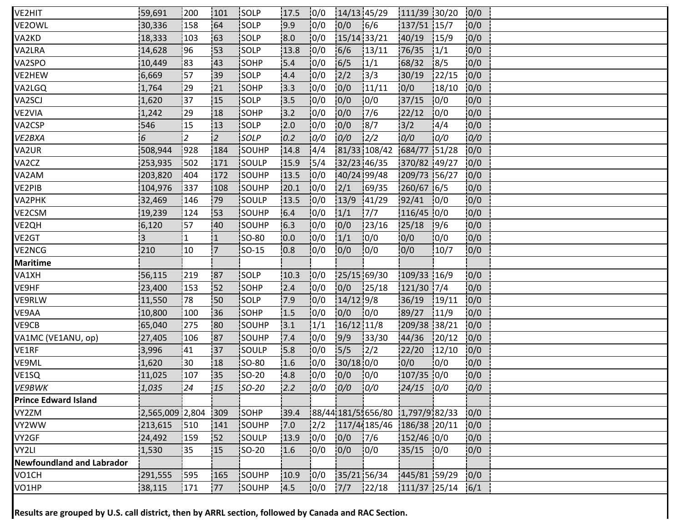| VE2HIT                           | 59,691           | 200          | 101          | <b>ISOLP</b> | 17.5 | 0/0           |             | 14/13 45/29                        | 111/39 30/20   |        | 0/0  |  |
|----------------------------------|------------------|--------------|--------------|--------------|------|---------------|-------------|------------------------------------|----------------|--------|------|--|
| VE2OWL                           | 30,336           | 158          | 64           | SOLP         | 19.9 | 0/0           | 0/0         | 6/6                                | 137/51 15/7    |        | 0/0  |  |
| VA2KD                            | 18,333           | 103          | 63           | SOLP         | 8.0  | 0/0           | 15/14 33/21 |                                    | 40/19          | 15/9   | 0/0  |  |
| VA2LRA                           | 14,628           | 96           | 53           | SOLP         | 13.8 | 10/0          | 6/6         | 13/11                              | 76/35          | 1/1    | 0/0  |  |
| VA2SPO                           | 10,449           | 183          | 143          | <b>SOHP</b>  | 15.4 | 10/0          | 6/5         | 1/1                                | 68/32          | 18/5   | 0/0  |  |
| VE2HEW                           | 6,669            | 57           | <b>39</b>    | SOLP         | 4.4  | 10/0          | 2/2         | 13/3                               | 30/19          | 122/15 | 0/0  |  |
| VA2LGQ                           | 1,764            | 29           | 21           | SOHP         | 13.3 | 0/0           | 0/0         | 11/11                              | 0/0            | 18/10  | 0/0  |  |
| VA2SCJ                           | 1,620            | 37           | 15           | SOLP         | 13.5 | 10/0          | 0/0         | 10/0                               | 37/15          | 10/0   | 0/0  |  |
| VE2VIA                           | 1,242            | 29           | 118          | <b>SOHP</b>  | 13.2 | 10/0          | 0/0         | 17/6                               | 22/12          | 10/0   | 0/0  |  |
| VA2CSP                           | 546              | 15           | 13           | SOLP         | 2.0  | 10/0          | 0/0         | 18/7                               | 3/2            | 4/4    | 0/0  |  |
| VE2BXA                           | $6 \overline{6}$ | 2            | 2            | SOLP         | 0.2  | 0/0           | 0/0         | $\frac{2}{2}$                      | 0/0            | 0/0    | 0/0  |  |
| VA2UR                            | 508,944          | 928          | 184          | SOUHP        | 14.8 | 14/4          |             | 81/33 108/42                       | 684/77 51/28   |        | 0/0  |  |
| VA2CZ                            | 253,935          | 1502         | 171          | <b>SOULP</b> | 15.9 | 15/4          |             | 32/23 46/35                        | 370/82 49/27   |        | 10/0 |  |
| VA2AM                            | 203,820          | 404          | 172          | <b>SOUHP</b> | 13.5 | 10/0          |             | 40/24 99/48                        | 209/73 56/27   |        | 0/0  |  |
| VE2PIB                           | 104,976          | 337          | 108          | <b>SOUHP</b> | 20.1 | 10/0          | 2/1         | 169/35                             | 260/67 6/5     |        | 0/0  |  |
| VA2PHK                           | 32,469           | 146          | 179          | SOULP        | 13.5 | 0/0           | 13/9        | 141/29                             | 92/41          | 0/0    | 0/0  |  |
| VE2CSM                           | 19,239           | 124          | 153          | SOUHP        | 6.4  | 0/0           | 1/1         | 17/7                               | $116/45$ 0/0   |        | 0/0  |  |
| VE2QH                            | 6,120            | 57           | 40           | <b>SOUHP</b> | 6.3  | 10/0          | 0/0         | 123/16                             | 25/18          | 19/6   | 0/0  |  |
| VE2GT                            | 3                | $\mathbf{1}$ | $\mathbf{1}$ | <b>SO-80</b> | 10.0 | 10/0          | 1/1         | 10/0                               | 0/0            | 10/0   | 0/0  |  |
| VE2NCG                           | 210              | 10           | <b>7</b>     | SO-15        | 0.8  | 0/0           | 0/0         | 0/0                                | 0/0            | 10/7   | 0/0  |  |
| <b>Maritime</b>                  |                  |              |              |              |      |               |             |                                    |                |        |      |  |
| VA1XH                            | 56,115           | 219          | 87           | <b>SOLP</b>  | 10.3 | 0/0           |             | 25/15 69/30                        | 109/33 16/9    |        | 0/0  |  |
| VE9HF                            | 23,400           | 153          | <b>52</b>    | <b>SOHP</b>  | 2.4  | 10/0          | 0/0         | 125/18                             | 121/30 7/4     |        | 0/0  |  |
| VE9RLW                           | 11,550           | 78           | <b>50</b>    | <b>SOLP</b>  | 7.9  | 10/0          | $14/12$ 9/8 |                                    | 36/19          | 19/11  | 0/0  |  |
| VE9AA                            | 10,800           | 100          | 36           | SOHP         | 1.5  | 10/0          | 0/0         | 0/0                                | 89/27          | 11/9   | 0/0  |  |
| VE9CB                            | 65,040           | 275          | 80           | SOUHP        | 3.1  | 1/1           | 16/12 11/8  |                                    | 209/38 38/21   |        | 0/0  |  |
| VA1MC (VE1ANU, op)               | 27,405           | 106          | 187          | SOUHP        | 7.4  | 10/0          | 9/9         | 133/30                             | 44/36          | 120/12 | 0/0  |  |
| VE1RF                            | 3,996            | 41           | 137          | SOULP        | 15.8 | 10/0          | 15/5        | $\frac{1}{2}$                      | 22/20          | 12/10  | 0/0  |  |
| VE9ML                            | 1,620            | 30           | 18           | <b>SO-80</b> | 1.6  | 0/0           | $30/18$ 0/0 |                                    | 0/0            | 10/0   | 0/0  |  |
| VE1SQ                            | 11,025           | 107          | :35          | SO-20        | 4.8  | 0/0           | 0/0         | 10/0                               | $107/35$ 0/0   |        | 0/0  |  |
| VE9BWK                           | 1,035            | 24           | 15           | $SO-20$      | 2.2  | 0/0           | 0/0         | 0/0                                | $24/15$ 0/0    |        | 0/0  |  |
| <b>Prince Edward Island</b>      |                  |              |              |              |      |               |             |                                    |                |        |      |  |
| VY2ZM                            | 2,565,009 2,804  |              | 309          | SOHP         | 39.4 |               |             | 88/44 181/5 : 656/80 1,797/9 82/33 |                |        | 0/0  |  |
| VY2WW                            | 213,615          | 510          | 141          | SOUHP        | 7.0  | $\frac{1}{2}$ |             | 117/44185/46 186/38 20/11          |                |        | 0/0  |  |
| VY2GF                            | 24,492           | 159          | 52           | SOULP        | 13.9 | 0/0           | 0/0         | 17/6                               | $152/46$ 0/0   |        | 0/0  |  |
| VY2LI                            | 1,530            | 135          | 15           | <b>SO-20</b> | 1.6  | 10/0          | 0/0         | 10/0                               | $35/15$ 0/0    |        | 10/0 |  |
| <b>Newfoundland and Labrador</b> |                  |              |              |              |      |               |             |                                    |                |        |      |  |
| VO1CH                            | 291,555          | 595          | 165          | SOUHP        | 10.9 | 10/0          | 35/21 56/34 |                                    | 445/81 59/29   |        | 0/0  |  |
| VO1HP                            | 38,115           | 171          | 177          | SOUHP        | 14.5 | 0/0           | $7/7$       | 122/18                             | $111/37$ 25/14 |        | 6/1  |  |

**Results are grouped by U.S. call district, then by ARRL section, followed by Canada and RAC Section.**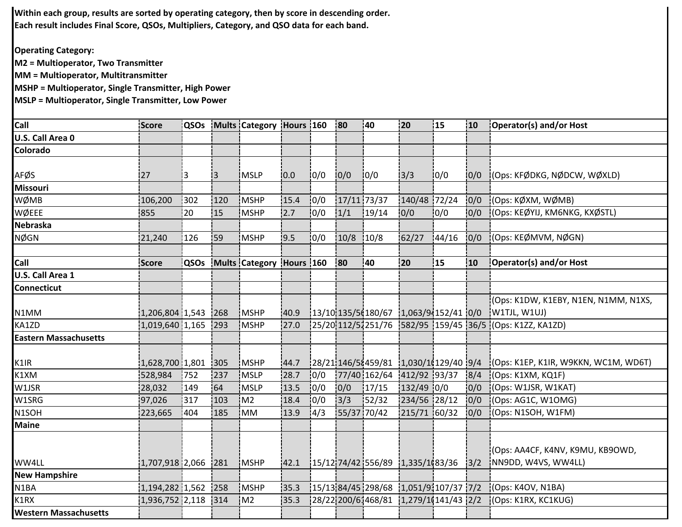**Within each group, results are sorted by operating category, then by score in descending order. Each result includes Final Score, QSOs, Multipliers, Category, and QSO data for each band.**

**Operating Category:**

**M2 = Multioperator, Two Transmitter**

**MM = Multioperator, Multitransmitter**

**MSHP = Multioperator, Single Transmitter, High Power**

**MSLP = Multioperator, Single Transmitter, Low Power**

| Call                         | Score               | <b>QSOs</b> |     | Mults Category Hours 160 |      |      | 80          | 140         | 120                                      | 15    | 10  | Operator(s) and/or Host                                  |
|------------------------------|---------------------|-------------|-----|--------------------------|------|------|-------------|-------------|------------------------------------------|-------|-----|----------------------------------------------------------|
| U.S. Call Area 0             |                     |             |     |                          |      |      |             |             |                                          |       |     |                                                          |
| Colorado                     |                     |             |     |                          |      |      |             |             |                                          |       |     |                                                          |
|                              |                     |             |     |                          |      |      |             |             |                                          |       |     |                                                          |
| AFØS                         | 27                  | Ι3          | 13  | <b>IMSLP</b>             | 10.0 | 10/0 | 0/0         | 10/0        | 13/3                                     | 10/0  | 0/0 | (Ops: KFØDKG, NØDCW, WØXLD)                              |
| <b>Missouri</b>              |                     |             |     |                          |      |      |             |             |                                          |       |     |                                                          |
| WØMB                         | 106,200             | 302         | 120 | MSHP                     | 15.4 | 10/0 | 17/11 73/37 |             | 140/48 72/24                             |       | 0/0 | (Ops: KØXM, WØMB)                                        |
| WØEEE                        | 855                 | 20          | 15  | MSHP                     | 2.7  | 10/0 | 1/1         | 19/14       | 0/0                                      | 10/0  | 0/0 | (Ops: KEØYIJ, KM6NKG, KXØSTL)                            |
| <b>Nebraska</b>              |                     |             |     |                          |      |      |             |             |                                          |       |     |                                                          |
| <b>NØGN</b>                  | 21,240              | 126         | 59  | <b>MSHP</b>              | 9.5  | 10/0 | 10/8        | 10/8        | 62/27                                    | 44/16 | 0/0 | (Ops: KEØMVM, NØGN)                                      |
|                              |                     |             |     |                          |      |      |             |             |                                          |       |     |                                                          |
| Call                         | Score               | <b>QSOs</b> |     | Mults Category Hours 160 |      |      | 80          | 40          | 20                                       | 15    | 10  | Operator(s) and/or Host                                  |
| U.S. Call Area 1             |                     |             |     |                          |      |      |             |             |                                          |       |     |                                                          |
| Connecticut                  |                     |             |     |                          |      |      |             |             |                                          |       |     |                                                          |
|                              |                     |             |     |                          |      |      |             |             |                                          |       |     | (Ops: K1DW, K1EBY, N1EN, N1MM, N1XS,                     |
| N1MM                         | 1,206,804 1,543     |             | 268 | MSHP                     | 40.9 |      |             |             | $13/10$ 135/5(180/67 1.063/9.152/41 0/0  |       |     | W1TJL, W1UJ)                                             |
| KA1ZD                        | 1,019,640 1,165     |             | 293 | MSHP                     | 27.0 |      |             |             |                                          |       |     | 25/20 112/5 251/76 582/95 159/45 36/5 (Ops: K1ZZ, KA1ZD) |
| <b>Eastern Massachusetts</b> |                     |             |     |                          |      |      |             |             |                                          |       |     |                                                          |
|                              |                     |             |     |                          |      |      |             |             |                                          |       |     |                                                          |
| K1IR                         | 1,628,700 1,801 305 |             |     | MSHP                     | 44.7 |      |             |             | $128/211146/58459/81$ 1,030/10129/40 9/4 |       |     | (Ops: K1EP, K1IR, W9KKN, WC1M, WD6T)                     |
| K1XM                         | 528,984             | 1752        | 237 | MSLP                     | 28.7 | 10/0 |             |             | 77/40 162/64 412/92 93/37                |       | 8/4 | (Ops: K1XM, KQ1F)                                        |
| W1JSR                        | 28,032              | 149         | 64  | MSLP                     | 13.5 | 10/0 | 0/0         | 17/15       | $132/49$ 0/0                             |       | 0/0 | (Ops: W1JSR, W1KAT)                                      |
| W1SRG                        | 97,026              | 317         | 103 | M <sub>2</sub>           | 18.4 | 10/0 | 3/3         | 152/32      | 234/56 28/12                             |       | 0/0 | (Ops: AG1C, W1OMG)                                       |
| N <sub>1</sub> SOH           | 223,665             | 404         | 185 | İMM                      | 13.9 | 14/3 |             | 55/37 70/42 | 215/71 60/32                             |       | 0/0 | (Ops: N1SOH, W1FM)                                       |
| <b>Maine</b>                 |                     |             |     |                          |      |      |             |             |                                          |       |     |                                                          |
|                              |                     |             |     |                          |      |      |             |             |                                          |       |     |                                                          |
|                              |                     |             |     |                          |      |      |             |             |                                          |       |     | (Ops: AA4CF, K4NV, K9MU, KB9OWD,                         |
| WW4LL                        | $1,707,918$ 2,066   |             | 281 | <b>MSHP</b>              | 42.1 |      |             |             | $15/12$ 74/42 556/89 1,335/1(83/36       |       | 3/2 | NN9DD, W4VS, WW4LL)                                      |
| <b>New Hampshire</b>         |                     |             |     |                          |      |      |             |             |                                          |       |     |                                                          |
| N1BA                         | 1,194,282 1,562     |             | 258 | MSHP                     | 35.3 |      |             |             | 15/1384/45298/6811.051/91107/377/2       |       |     | (Ops: K4OV, N1BA)                                        |
| K1RX                         | 1,936,752 2,118     |             | 314 | IM2                      | 35.3 |      |             |             | 28/22 200/6 468/81 1,279/1(141/43 2/2    |       |     | (Ops: K1RX, KC1KUG)                                      |
| <b>Western Massachusetts</b> |                     |             |     |                          |      |      |             |             |                                          |       |     |                                                          |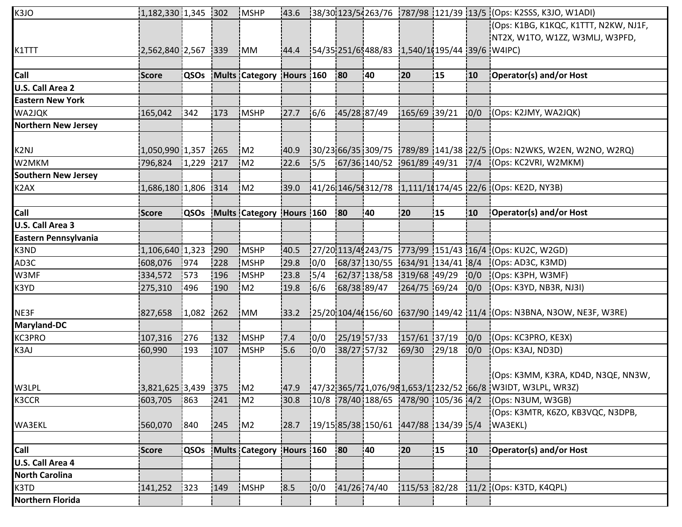| K3JO                       | 1,182,330 1,345 302   |             |     | <b>MSHP</b>                   | 43.6 |      |             |                                               |              |        |     | [38/30] 123/54263/76 1787/98 121/39 13/5 (Ops: K2SSS, K3JO, W1ADI)                                                     |
|----------------------------|-----------------------|-------------|-----|-------------------------------|------|------|-------------|-----------------------------------------------|--------------|--------|-----|------------------------------------------------------------------------------------------------------------------------|
|                            |                       |             |     |                               |      |      |             |                                               |              |        |     | (Ops: K1BG, K1KQC, K1TTT, N2KW, NJ1F,                                                                                  |
|                            |                       |             |     |                               |      |      |             |                                               |              |        |     | NT2X, W1TO, W1ZZ, W3MLJ, W3PFD,                                                                                        |
| K1TTT                      | 2,562,840 2,567 339   |             |     | $\mathsf{IMM}$                | 44.4 |      |             | 54/35 251/65488/83 1,540/10195/44 39/6 W4IPC) |              |        |     |                                                                                                                        |
|                            |                       |             |     |                               |      |      |             |                                               |              |        |     |                                                                                                                        |
| Call                       | Score                 | QSOs        |     | Mults Category Hours 160      |      |      | 80          | 140                                           | 20           | 15     | 10  | Operator(s) and/or Host                                                                                                |
| U.S. Call Area 2           |                       |             |     |                               |      |      |             |                                               |              |        |     |                                                                                                                        |
| <b>Eastern New York</b>    |                       |             |     |                               |      |      |             |                                               |              |        |     |                                                                                                                        |
| WA2JQK                     | 165,042               | 342         | 173 | <b>MSHP</b>                   | 27.7 | 16/6 |             | 45/28 87/49                                   | 165/69 39/21 |        | 0/0 | (Ops: K2JMY, WA2JQK)                                                                                                   |
| <b>Northern New Jersey</b> |                       |             |     |                               |      |      |             |                                               |              |        |     |                                                                                                                        |
|                            |                       |             |     |                               |      |      |             |                                               |              |        |     |                                                                                                                        |
| K2NJ                       | $1,050,990$ 1,357 265 |             |     | M2                            | 40.9 |      |             |                                               |              |        |     | $\frac{1}{30}/2366/35\frac{1}{309}/75$ $\frac{1}{289}/89\frac{1}{141}/38\frac{1}{22}}\$ (Ops: N2WKS, W2EN, W2NO, W2RQ) |
| W2MKM                      | 796,824 1,229 217     |             |     | IM2                           | 22.6 | 15/5 |             |                                               |              |        |     | 67/36 140/52 961/89 49/31 7/4 (Ops: KC2VRI, W2MKM)                                                                     |
| <b>Southern New Jersey</b> |                       |             |     |                               |      |      |             |                                               |              |        |     |                                                                                                                        |
| K2AX                       | 1,686,180 1,806 314   |             |     | IM2                           | 39.0 |      |             |                                               |              |        |     | 141/26 146/5 (312/78 1,111/1 (174/45 22/6 (Ops: KE2D, NY3B)                                                            |
|                            |                       |             |     |                               |      |      |             |                                               |              |        |     |                                                                                                                        |
| Call                       | <b>Score</b>          |             |     | QSOs Mults Category Hours 160 |      |      | 80          | 40                                            | 20           | 15     | 10  | Operator(s) and/or Host                                                                                                |
| U.S. Call Area 3           |                       |             |     |                               |      |      |             |                                               |              |        |     |                                                                                                                        |
| Eastern Pennsylvania       |                       |             |     |                               |      |      |             |                                               |              |        |     |                                                                                                                        |
| K3ND                       | 1,106,640 1,323       |             | 290 | MSHP                          | 40.5 |      |             |                                               |              |        |     | [27/20113/49243/75 1773/99 151/43 16/4 (Ops: KU2C, W2GD)                                                               |
| AD3C                       | 608,076               | 974         | 228 | MSHP                          | 29.8 | 0/0  |             |                                               |              |        |     | 68/37 130/55 634/91 134/41 8/4 (Ops: AD3C, K3MD)                                                                       |
| W3MF                       | 334,572               | 573         | 196 | <b>MSHP</b>                   | 23.8 | 15/4 |             | 62/37 138/58 319/68 49/29                     |              |        |     | $ 0/0 $ (Ops: K3PH, W3MF)                                                                                              |
| K3YD                       | 275,310               | 496         | 190 | IM2                           | 19.8 | 16/6 |             | 68/38 89/47                                   | 264/75 69/24 |        | 0/0 | (Ops: K3YD, NB3R, NJ3I)                                                                                                |
|                            |                       |             |     |                               |      |      |             |                                               |              |        |     |                                                                                                                        |
| NE3F                       | 827,658               | $1,082$ 262 |     | <b>IMM</b>                    | 33.2 |      |             |                                               |              |        |     | $[25/20]104/4(156/60)$ $[637/90]149/42$ $[11/4]$ (Ops: N3BNA, N3OW, NE3F, W3RE)                                        |
| Maryland-DC                |                       |             |     |                               |      |      |             |                                               |              |        |     |                                                                                                                        |
| KC3PRO                     | 107,316               | 276         | 132 | <b>MSHP</b>                   | 7.4  | 10/0 | 25/19 57/33 |                                               | 157/61 37/19 |        | 0/0 | (Ops: KC3PRO, KE3X)                                                                                                    |
| K3AJ                       | 60,990                | 193         | 107 | <b>IMSHP</b>                  | 5.6  | 10/0 | 38/27 57/32 |                                               | 69/30        | 129/18 | 0/0 | (Ops: K3AJ, ND3D)                                                                                                      |
|                            |                       |             |     |                               |      |      |             |                                               |              |        |     |                                                                                                                        |
|                            |                       |             |     |                               |      |      |             |                                               |              |        |     | (Ops: K3MM, K3RA, KD4D, N3QE, NN3W,                                                                                    |
| W3LPL                      | 3,821,625 3,439 375   |             |     | M2                            |      |      |             |                                               |              |        |     |                                                                                                                        |
| K3CCR                      | 603,705               | 863         | 241 | IM2                           | 30.8 |      |             | $10/8$ 78/40 188/65 478/90 105/36 4/2         |              |        |     | (Ops: N3UM, W3GB)                                                                                                      |
|                            |                       |             |     |                               |      |      |             |                                               |              |        |     | (Ops: K3MTR, K6ZO, KB3VQC, N3DPB,                                                                                      |
| WA3EKL                     | 560,070               | 840         | 245 | M2                            | 28.7 |      |             | $19/1585/381150/61$ $1447/881134/3915/4$      |              |        |     | WA3EKL)                                                                                                                |
|                            |                       |             |     |                               |      |      |             |                                               |              |        |     |                                                                                                                        |
| Call                       | <b>Score</b>          | QSOs        |     | Mults Category Hours 160      |      |      | 80          | 40                                            | 20           | 15     | 10  | Operator(s) and/or Host                                                                                                |
| U.S. Call Area 4           |                       |             |     |                               |      |      |             |                                               |              |        |     |                                                                                                                        |
| <b>North Carolina</b>      |                       |             |     |                               |      |      |             |                                               |              |        |     |                                                                                                                        |
| K3TD                       | 141,252               | 323         | 149 | <b>MSHP</b>                   | 8.5  | 0/0  | 41/26 74/40 |                                               | 115/53 82/28 |        |     | 11/2 (Ops: K3TD, K4QPL)                                                                                                |
| <b>Northern Florida</b>    |                       |             |     |                               |      |      |             |                                               |              |        |     |                                                                                                                        |
|                            |                       |             |     |                               |      |      |             |                                               |              |        |     |                                                                                                                        |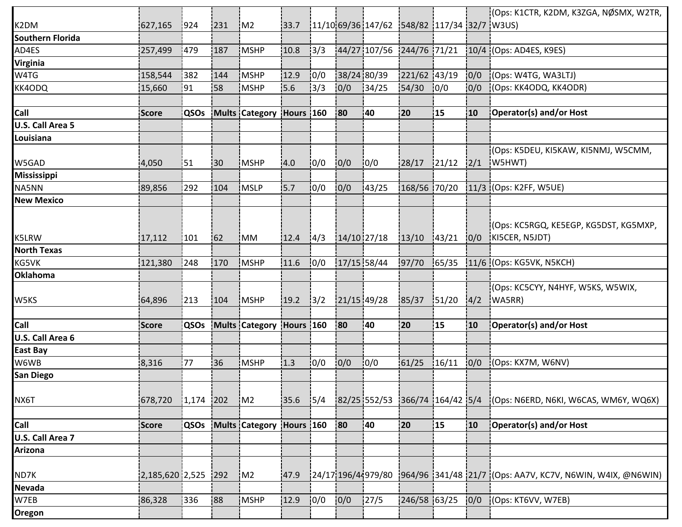|                         |                       |             |     |                          |           |      |               |                                                       |              |        |     | (Ops: K1CTR, K2DM, K3ZGA, NØSMX, W2TR,                                          |
|-------------------------|-----------------------|-------------|-----|--------------------------|-----------|------|---------------|-------------------------------------------------------|--------------|--------|-----|---------------------------------------------------------------------------------|
| K2DM                    | 627,165               | 924         | 231 | M2                       | 33.7      |      |               | $\frac{11}{10}$ 69/36 147/62 548/82 117/34 32/7 W3US) |              |        |     |                                                                                 |
| <b>Southern Florida</b> |                       |             |     |                          |           |      |               |                                                       |              |        |     |                                                                                 |
| AD4ES                   | 257,499               | 479         | 187 | MSHP                     | 10.8      | 13/3 |               | 44/27 107/56 244/76 71/21                             |              |        |     | 10/4 (Ops: AD4ES, K9ES)                                                         |
| <b>Virginia</b>         |                       |             |     |                          |           |      |               |                                                       |              |        |     |                                                                                 |
| W4TG                    | 158,544               | 382         | 144 | MSHP                     | 12.9      | 10/0 | 38/24 80/39   |                                                       | 221/62 43/19 |        | 0/0 | (Ops: W4TG, WA3LTJ)                                                             |
| KK4ODQ                  | 15,660                | 91          | 58  | MSHP                     | 5.6       | 3/3  | 0/0           | 134/25                                                | 54/30        | 0/0    | 0/0 | (Ops: KK4ODQ, KK4ODR)                                                           |
|                         |                       |             |     |                          |           |      |               |                                                       |              |        |     |                                                                                 |
| Call                    | <b>Score</b>          | QSOs        |     | Mults Category           | Hours 160 |      | 80            | 140                                                   | 20           | 15     | 10  | Operator(s) and/or Host                                                         |
| <b>U.S. Call Area 5</b> |                       |             |     |                          |           |      |               |                                                       |              |        |     |                                                                                 |
| Louisiana               |                       |             |     |                          |           |      |               |                                                       |              |        |     |                                                                                 |
|                         |                       |             |     |                          |           |      |               |                                                       |              |        |     | (Ops: K5DEU, KI5KAW, KI5NMJ, W5CMM,                                             |
| W5GAD                   | 4,050                 | 51          | 30  | <b>MSHP</b>              | 4.0       | 0/0  | 10/0          | 10/0                                                  | 28/17        | 121/12 | 2/1 | W5HWT)                                                                          |
| <b>Mississippi</b>      |                       |             |     |                          |           |      |               |                                                       |              |        |     |                                                                                 |
| NA5NN                   | 89,856                | 292         | 104 | <b>MSLP</b>              | 5.7       | 10/0 | 0/0           | 143/25                                                | 168/56 70/20 |        |     | 11/3 (Ops: K2FF, W5UE)                                                          |
| <b>New Mexico</b>       |                       |             |     |                          |           |      |               |                                                       |              |        |     |                                                                                 |
|                         |                       |             |     |                          |           |      |               |                                                       |              |        |     |                                                                                 |
|                         |                       |             |     |                          |           |      |               |                                                       |              |        |     | (Ops: KC5RGQ, KE5EGP, KG5DST, KG5MXP,                                           |
| K5LRW                   | 17,112                | 101]        | 62  | <b>IMM</b>               | 12.4      | 4/3  | $14/10$ 27/18 |                                                       | 13/10        | 143/21 | 0/0 | KI5CER, N5JDT)                                                                  |
| <b>North Texas</b>      |                       |             |     |                          |           |      |               |                                                       |              |        |     |                                                                                 |
| KG5VK                   | 121,380               | 248         | 170 | MSHP                     | 11.6      | 0/0  | 17/15 58/44   |                                                       | 97/70        | 165/35 |     | 11/6 (Ops: KG5VK, N5KCH)                                                        |
| <b>Oklahoma</b>         |                       |             |     |                          |           |      |               |                                                       |              |        |     |                                                                                 |
|                         |                       |             |     |                          |           |      |               |                                                       |              |        |     | (Ops: KC5CYY, N4HYF, W5KS, W5WIX,                                               |
| W5KS                    | 64,896                | 213         | 104 | <b>IMSHP</b>             | 19.2      | 3/2  |               | 21/15 49/28                                           | 85/37        | 151/20 | 4/2 | (WA5RR)                                                                         |
|                         |                       |             |     |                          |           |      |               |                                                       |              |        |     |                                                                                 |
| Call                    | Score                 | <b>QSOs</b> |     | <b>Mults Category</b>    | Hours 160 |      | 80            | 40                                                    | 20           | 15     | 10  | Operator(s) and/or Host                                                         |
| U.S. Call Area 6        |                       |             |     |                          |           |      |               |                                                       |              |        |     |                                                                                 |
| <b>East Bay</b>         |                       |             |     |                          |           |      |               |                                                       |              |        |     |                                                                                 |
| W6WB                    | 8,316                 | 77          | 36  | MSHP                     | 1.3       | 10/0 | 0/0           | 10/0                                                  | 61/25        | 16/11  | 0/0 | (Ops: KX7M, W6NV)                                                               |
| San Diego               |                       |             |     |                          |           |      |               |                                                       |              |        |     |                                                                                 |
|                         |                       |             |     |                          |           |      |               |                                                       |              |        |     |                                                                                 |
| NX6T                    | 678,720               | $1,174$ 202 |     | M2                       | 35.6      | 15/4 |               | 82/25 552/53 366/74 164/42 5/4                        |              |        |     | (Ops: N6ERD, N6KI, W6CAS, WM6Y, WQ6X)                                           |
|                         |                       |             |     |                          |           |      |               |                                                       |              |        |     |                                                                                 |
| Call                    | Score                 | <b>QSOs</b> |     | Mults Category Hours 160 |           |      | 80            | 40                                                    | 20           | 15     | 10  | Operator(s) and/or Host                                                         |
| U.S. Call Area 7        |                       |             |     |                          |           |      |               |                                                       |              |        |     |                                                                                 |
| <b>Arizona</b>          |                       |             |     |                          |           |      |               |                                                       |              |        |     |                                                                                 |
|                         |                       |             |     |                          |           |      |               |                                                       |              |        |     |                                                                                 |
| ND7K                    | $2,185,620$ 2,525 292 |             |     | M2                       | 47.9      |      |               |                                                       |              |        |     | [24/17 196/44979/80 1964/96 1341/48 21/7 10ps: AA7V, KC7V, N6WIN, W4IX, @N6WIN) |
| Nevada                  |                       |             |     |                          |           |      |               |                                                       |              |        |     |                                                                                 |
| W7EB                    | 86,328                | 336         | 88  | MSHP                     | 12.9      | 0/0  | 0/0           | 127/5                                                 | 246/58 63/25 |        | 0/0 | (Ops: KT6VV, W7EB)                                                              |
| Oregon                  |                       |             |     |                          |           |      |               |                                                       |              |        |     |                                                                                 |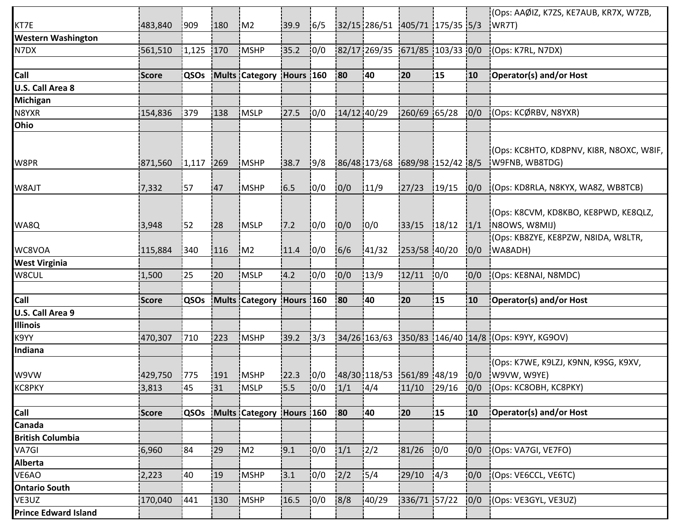|                             |              |             |           |                          |      |      |             |                                |                 |       |      | (Ops: AAØIZ, K7ZS, KE7AUB, KR7X, W7ZB,                     |
|-----------------------------|--------------|-------------|-----------|--------------------------|------|------|-------------|--------------------------------|-----------------|-------|------|------------------------------------------------------------|
| KT7E                        | 483,840      | 1909        | 180       | M2                       | 39.9 | 16/5 |             | 32/15 286/51 405/71 175/35 5/3 |                 |       |      | WR7T)                                                      |
| <b>Western Washington</b>   |              |             |           |                          |      |      |             |                                |                 |       |      |                                                            |
| N7DX                        | 561,510      | 1,125       | 170       | <b>MSHP</b>              | 35.2 | 10/0 |             | 82/17 269/35 671/85 103/33 0/0 |                 |       |      | (Ops: K7RL, N7DX)                                          |
|                             |              |             |           |                          |      |      |             |                                |                 |       |      |                                                            |
| Call                        | <b>Score</b> | QSOs        |           | Mults Category Hours 160 |      |      | <b>80</b>   | 40                             | 20              | 15    | 10   | Operator(s) and/or Host                                    |
| <b>U.S. Call Area 8</b>     |              |             |           |                          |      |      |             |                                |                 |       |      |                                                            |
| Michigan                    |              |             |           |                          |      |      |             |                                |                 |       |      |                                                            |
| N8YXR                       | 154,836      | 379         | 138       | <b>MSLP</b>              | 27.5 | 10/0 | 14/12 40/29 |                                | 260/69 65/28    |       | 10/0 | (Ops: KCØRBV, N8YXR)                                       |
| Ohio                        |              |             |           |                          |      |      |             |                                |                 |       |      |                                                            |
| W8PR                        | 871,560      | 1,117       | 1269      | <b>MSHP</b>              | 38.7 | 9/8  |             | 86/48 173/68 689/98 152/42 8/5 |                 |       |      | (Ops: KC8HTO, KD8PNV, KI8R, N8OXC, W8IF,<br>W9FNB, WB8TDG) |
| W8AJT                       | 7,332        | 157         | <b>47</b> | <b>IMSHP</b>             | 6.5  | 10/0 | 0/0         | 11/9                           | 27/23           | 19/15 | 10/0 | (Ops: KD8RLA, N8KYX, WA8Z, WB8TCB)                         |
| WA8Q                        | 3,948        | 52          | 28        | <b>MSLP</b>              | 7.2  | 10/0 | 0/0         | 10/0                           | 33/15           | 18/12 | 1/1  | (Ops: K8CVM, KD8KBO, KE8PWD, KE8QLZ,<br>N8OWS, W8MIJ)      |
| WC8VOA                      | 115,884      | 340         | 116       | M2                       | 11.4 | 0/0  | 6/6         | 141/32                         | 253/58 40/20    |       | 0/0  | (Ops: KB8ZYE, KE8PZW, N8IDA, W8LTR,<br>WA8ADH)             |
| <b>West Virginia</b>        |              |             |           |                          |      |      |             |                                |                 |       |      |                                                            |
| W8CUL                       | 1,500        | :25         | 20        | <b>MSLP</b>              | 4.2  | 0/0  | 0/0         | 13/9                           | 12/11           | 0/0   | 10/0 | (Ops: KE8NAI, N8MDC)                                       |
|                             |              |             |           |                          |      |      |             |                                |                 |       |      |                                                            |
| Call                        | <b>Score</b> | QSOs        |           | Mults Category Hours 160 |      |      | 180         | 140                            | 120             | 15    | 10   | Operator(s) and/or Host                                    |
| <b>U.S. Call Area 9</b>     |              |             |           |                          |      |      |             |                                |                 |       |      |                                                            |
| <b>Illinois</b>             |              |             |           |                          |      |      |             |                                |                 |       |      |                                                            |
| K9YY                        | 470,307      | 710         | 223       | MSHP                     | 39.2 | 13/3 |             |                                |                 |       |      | 34/26 163/63 350/83 146/40 14/8 (Ops: K9YY, KG9OV)         |
| Indiana                     |              |             |           |                          |      |      |             |                                |                 |       |      |                                                            |
|                             |              |             |           |                          |      |      |             |                                |                 |       |      | (Ops: K7WE, K9LZJ, K9NN, K9SG, K9XV,                       |
| W9VW                        | 429,750      | 775         | 191       | MSHP                     | 22.3 | 0/0  |             | 48/30 118/53 561/89 48/19      |                 |       | 0/0  | W9VW, W9YE)                                                |
| <b>KC8PKY</b>               | 3,813        | 45          | 31        | MSLP                     | 15.5 | 10/0 | 1/1         | 4/4                            | $11/10$ $29/16$ |       | 0/0  | (Ops: KC8OBH, KC8PKY)                                      |
|                             |              |             |           |                          |      |      |             |                                |                 |       |      |                                                            |
| Call                        | <b>Score</b> | <b>QSOs</b> |           | Mults Category Hours 160 |      |      | 80          | 140                            | 120             | 15    | 10   | Operator(s) and/or Host                                    |
| Canada                      |              |             |           |                          |      |      |             |                                |                 |       |      |                                                            |
| <b>British Columbia</b>     |              |             |           |                          |      |      |             |                                |                 |       |      |                                                            |
| VA7GI                       | 6,960        | 84          | 29        | IM2                      | 19.1 | 10/0 | 1/1         | 12/2                           | 81/26           | 10/0  | 0/0  | (Ops: VA7GI, VE7FO)                                        |
| <b>Alberta</b>              |              |             |           |                          |      |      |             |                                |                 |       |      |                                                            |
| VE6AO                       | 2,223        | 40          | 19        | MSHP                     | 3.1  | 10/0 | 2/2         | 15/4                           | 29/10           | 14/3  | 0/0  | (Ops: VE6CCL, VE6TC)                                       |
| <b>Ontario South</b>        |              |             |           |                          |      |      |             |                                |                 |       |      |                                                            |
| VE3UZ                       | 170,040      | 441         | 130       | <b>MSHP</b>              | 16.5 | 0/0  | 8/8         | 140/29                         | 336/71 57/22    |       | 0/0  | (Ops: VE3GYL, VE3UZ)                                       |
| <b>Prince Edward Island</b> |              |             |           |                          |      |      |             |                                |                 |       |      |                                                            |